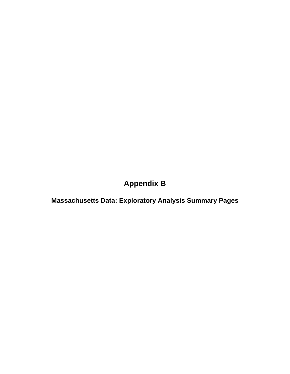# **Appendix B**

**Massachusetts Data: Exploratory Analysis Summary Pages**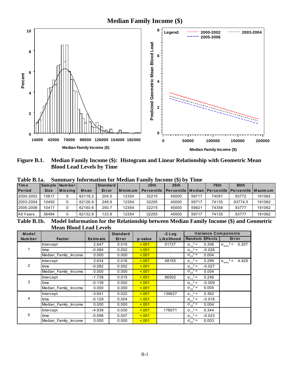**Median Family Income (\$)** 



Median Family Income (\$): Histogram and Linear Relationship with Geometric Mean Figure B.1. **Blood Lead Levels by Time** 

| - - - - - - <i>-</i> - - - - |             |                 |         | ------   |                |                  |                                                                  |       |             |         |        |
|------------------------------|-------------|-----------------|---------|----------|----------------|------------------|------------------------------------------------------------------|-------|-------------|---------|--------|
| <b>Time</b>                  |             | Sample Number   |         | Standard |                | 10 <sub>th</sub> | 25th                                                             |       | <b>75th</b> | 90th    |        |
| <b>Period</b>                | <b>Size</b> | <b>IMissing</b> | Mean    | Error    | <b>Minimum</b> | Percentile       | <u>I Percentile I Median I Percentile I Percentile I Maximum</u> |       |             |         |        |
| 2000-2002                    | 15617       |                 | 62118.2 | 204.5    | 12354          | 32215            | 45000                                                            | 59717 | 74091       | 93772   | 191062 |
| 2003-2004                    | 10450       |                 | 62126.9 | 249.9    | 12354          | 32255            | 45000                                                            | 59717 | 74135       | 93774.5 | 191062 |
| 2005-2006                    | 10417       |                 | 62160.6 | 250.7    | 12354          | 32215            | 45000                                                            | 59821 | 74358       | 93777   | 191062 |
| All Years                    | 36484       |                 | 62132.8 | 133.8    | 12354          | 32255            | 45000                                                            | 59717 | 74135       | 93777   | 191062 |
|                              |             |                 |         |          |                |                  |                                                                  |       |             |         |        |

**Summary Information for Median Family Income (\$) by Time** Table B.1a.

Model Information for the Relationship between Median Family Income (\$) and Geometric Table B.1b. **Mean Blood Lead Levels** 

| Model          |                      |                 | <b>Standard</b> |         | $-2$ Log   | <b>Variance Components</b>    |                                             |
|----------------|----------------------|-----------------|-----------------|---------|------------|-------------------------------|---------------------------------------------|
| Num ber        | <b>Factor</b>        | <b>Estimate</b> | Error           | p-value | Likelihood | <b>Random Effects</b>         | Error                                       |
|                | <b>Intercept</b>     | 2.647           | 0.016           | < 0.01  | 51727      | $\sigma_{11}^2$ =<br>0.306    | $\sigma_{\text{error}}^2 =$<br>0.207        |
|                | time                 | $-0.084$        | 0.002           | < 0.01  |            | $\sigma_{21}^2$ =<br>$-0.028$ |                                             |
|                | Median Family Income | 0.000           | 0.000           | 5.001   |            | $\sigma_{22}^2$ =<br>0.004    |                                             |
|                | Intercept            | 2.634           | 0.016           | < 0.01  | 48155      | $\sigma_{11}^2$ =<br>0.299    | $2 =$<br>4.429<br>$\sigma_{\text{error}}^2$ |
| $\overline{2}$ | time                 | $-0.082$        | 0.002           | 5.001   |            | $\sigma_{21}^2$ =<br>$-0.027$ |                                             |
|                | Median Family Income | 0.000           | 0.000           | < 0.01  |            | $\sigma_{22}^2$ =<br>0.004    |                                             |
|                | Intercept            | $-1.739$        | 0.015           | < 0.01  | 86502      | $\sigma_{11}^2$ =<br>0.246    |                                             |
| 3              | time                 | $-0.139$        | 0.002           | 5.001   |            | $\sigma_{21}^2$ =<br>$-0.009$ |                                             |
|                | Median_Family_Income | 0.000           | 0.000           | 5.001   |            | $\sigma_{22}^2$ =<br>0.004    |                                             |
|                | Intercept            | $-3.641$        | 0.022           | < 0.01  | 139627     | $\sigma_{11}^2 =$<br>0.362    |                                             |
| 4              | time                 | $-0.129$        | 0.004           | < 0.01  |            | $\sigma_{21}^2$ =<br>$-0.018$ |                                             |
|                | Median Family Income | 0.000           | 0.000           | < 0.01  | $\sim$     | $\sigma_{22}^2$ =<br>0.004    |                                             |
|                | <b>Intercept</b>     | $-4.939$        | 0.030           | 5.001   | 178071     | $\sigma_{11}^2$ =<br>0.344    |                                             |
| 5              | time                 | $-0.098$        | 0.007           | < 0.01  |            | $\sigma_{21}^2$ =<br>$-0.023$ |                                             |
|                | Median_Family_Income | 0.000           | 0.000           | < 0.01  |            | $\sigma_{22}^2$ =<br>0.003    |                                             |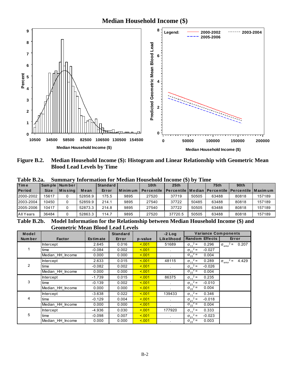**Median Household Income (\$)** 



Median Household Income (\$): Histogram and Linear Relationship with Geometric Mean Figure B.2. **Blood Lead Levels by Time** 

| <b>Time</b>   |             | Sample Number    |         | Standard I |           | 10th              | 25 <sub>th</sub>                                           |       | 75 <sub>th</sub> | 90 <sub>th</sub> |        |
|---------------|-------------|------------------|---------|------------|-----------|-------------------|------------------------------------------------------------|-------|------------------|------------------|--------|
| <b>Period</b> | <b>Size</b> | <b>M</b> is sing | Mean    | Error      | l Minimum | <b>Percentile</b> | l Percentile   Median   Percentile   Percentile   Maxim um |       |                  |                  |        |
| 2000-2002     | 15617       |                  | 52858.9 | 175.5      | 9895      | 27520             | 37719                                                      | 50505 | 63488            | 80818            | 157189 |
| 2003-2004     | 10450       |                  | 52859.9 | 214.1      | 9895      | 27540             | 37722                                                      | 50485 | 63488            | 80818            | 157189 |
| 2005-2006     | 10417       |                  | 52873.3 | 214.8      | 9895      | 27540             | 37722                                                      | 50505 | 63488            | 80818            | 157189 |
| All Years     | 36484       |                  | 52863.3 | 114.7      | 9895      | 27520             | 37720.5                                                    | 50505 | 63488            | 80818            | 157189 |

Table B.2a Summary Information for Median Household Income (\$) by Time

Table B.2b. Model Information for the Relationship between Median Household Income (\$) and **Geometric Mean Blood Lead Levels** 

| Model  |                  |                 | <b>Standard</b> |         | $-2$ Log             | <b>Variance Components</b>    |                                      |
|--------|------------------|-----------------|-----------------|---------|----------------------|-------------------------------|--------------------------------------|
| Number | <b>Factor</b>    | <b>Estimate</b> | Error           | p-value | Likelihood           | <b>Random Effects</b>         | Error                                |
|        | <b>Intercept</b> | 2.645           | 0.016           | < 0.01  | 51689                | $\sigma_{11}^2$ =<br>0.296    | $\sigma_{\text{error}}^2 = 0.207$    |
| 1.     | time             | $-0.084$        | 0.002           | < 0.01  |                      | $\sigma_{21}^2$ =<br>$-0.027$ |                                      |
|        | Median_HH_Income | 0.000           | 0.000           | < 0.01  |                      | $\sigma_{22}^2$ =<br>0.004    |                                      |
|        | Intercept        | 2.633           | 0.015           | < 0.01  | 48115                | $\sigma_{11}^2$ =<br>0.289    | $\sigma_{\text{error}}^2$ =<br>4.429 |
| 2      | time             | $-0.082$        | 0.002           | 5.001   |                      | $\sigma_{21}^2$ =<br>$-0.026$ |                                      |
|        | Median HH Income | 0.000           | 0.000           | 5.001   |                      | $\sigma_{22}^2$ =<br>0.004    |                                      |
|        | Intercept        | $-1.739$        | 0.015           | < 0.01  | 86375                | $\sigma_{11}^2$ =<br>0.235    |                                      |
| 3      | time             | $-0.139$        | 0.002           | < 0.01  | $\mathbf{r}$         | $\sigma_{21}^2$ =<br>$-0.010$ |                                      |
|        | Median HH Income | 0.000           | 0.000           | 5.001   |                      | $\sigma_{22}^2$ =<br>0.004    |                                      |
|        | Intercept        | $-3.638$        | 0.022           | 5.001   | 139433               | $\sigma_{11}^2$ =<br>0.346    |                                      |
| 4      | time             | $-0.129$        | 0.004           | < 0.01  | $\mathbf{r}$         | $\sigma_{21}^2$ =<br>$-0.018$ |                                      |
|        | Median HH Income | 0.000           | 0.000           | 5.001   |                      | $\sigma_{22}^2$ =<br>0.004    |                                      |
|        | Intercept        | -4.936          | 0.030           | < 0.01  | 177920               | $\sigma_{11}^2$ =<br>0.333    |                                      |
| 5      | time             | $-0.098$        | 0.007           | < 001   | $\ddot{\phantom{a}}$ | $\sigma_{21}^2$ =<br>$-0.023$ |                                      |
|        | Median HH Income | 0.000           | 0.000           | < 0.01  |                      | $\sigma_{22}^2$ =<br>0.003    |                                      |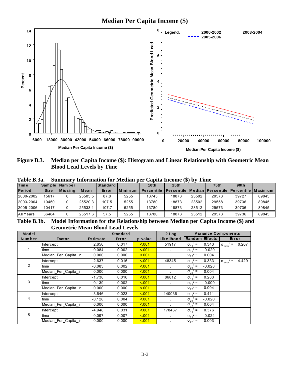**Median Per Capita Income (\$)** 



Median per Capita Income (\$): Histogram and Linear Relationship with Geometric Mean Figure B.3. **Blood Lead Levels by Time** 

| <b>Time</b>   |             | Sample Number    |         | <b>Standard</b> |         | 10 <sub>th</sub>  | 25th                                                      |       | 75 <sub>th</sub> | 90 <sub>th</sub> |       |
|---------------|-------------|------------------|---------|-----------------|---------|-------------------|-----------------------------------------------------------|-------|------------------|------------------|-------|
| <b>Period</b> | <b>Size</b> | <b>I</b> Missina | Mean    | Error           | Minimum | <b>Percentile</b> | l Percentile   Median   Percentile   Percentile   Maximum |       |                  |                  |       |
| 2000-2002     | 15617       |                  | 25505.5 | 87.8            | 5255    | 13745             | 18873                                                     | 23502 | 29573            | 39727            | 89845 |
| 2003-2004     | 10450       |                  | 25520.3 | 107.5           | 5255    | 13780             | 18873                                                     | 23502 | 29558            | 39736            | 89845 |
| 2005-2006     | 10417       |                  | 25533.1 | 107.7           | 5255    | 13780             | 18873                                                     | 23512 | 29573            | 39736            | 89845 |
| All Years     | 36484       |                  | 25517.6 | 57.5            | 5255    | 13780             | 18873                                                     | 23512 | 29573            | 39736            | 89845 |

Table B.3a Summary Information for Median per Capita Income (\$) by Time

Table B.3b. Model Information for the Relationship between Median per Capita Income (\$) and **Geometric Mean Blood Lead Levels** 

| Model          |                      |                 | <b>Standard</b> |         | $-2$ Log   | <b>Variance Components</b>    |                                             |
|----------------|----------------------|-----------------|-----------------|---------|------------|-------------------------------|---------------------------------------------|
| <b>Number</b>  | <b>Factor</b>        | <b>Estimate</b> | Error           | p-value | Likelihood | <b>Random Effects</b>         | Error                                       |
|                | <b>Intercept</b>     | 2.650           | 0.017           | < 0.01  | 51917      | $\sigma_{11}^2$ =<br>0.343    | $\sigma_{\text{error}}^2 =$<br>0.207        |
|                | time                 | $-0.084$        | 0.002           | < 0.01  |            | $\sigma_{21}^2$ =<br>$-0.029$ |                                             |
|                | Median_Per_Capita_In | 0.000           | 0.000           | 5.001   |            | $\sigma_{22}^2$ =<br>0.004    |                                             |
|                | Intercept            | 2.637           | 0.016           | < 0.01  | 48345      | $\sigma_{11}^2$ =<br>0.333    | $2 =$<br>4.429<br>$\sigma_{\text{error}}^2$ |
| $\overline{2}$ | time                 | $-0.083$        | 0.002           | < 001   |            | $\sigma_{21}^2$ =<br>$-0.028$ |                                             |
|                | Median Per Capita In | 0.000           | 0.000           | < 0.01  |            | $\sigma_{22}^2$ =<br>0.004    |                                             |
|                | <b>Intercept</b>     | $-1.738$        | 0.016           | < 0.01  | 86812      | $\sigma_{11}^2$ =<br>0.283    |                                             |
| 3              | time                 | $-0.139$        | 0.002           | < 0.01  |            | $\sigma_{21}^2$ =<br>$-0.009$ |                                             |
|                | Median_Per_Capita_In | 0.000           | 0.000           | < 0.01  |            | $\sigma_{22}^2$ =<br>0.004    |                                             |
|                | Intercept            | $-3.646$        | 0.023           | < 0.01  | 140036     | $\sigma_{11}^2$ =<br>0.411    |                                             |
| 4              | time                 | $-0.128$        | 0.004           | < 0.01  | $\sim$     | $\sigma_{21}^2$ =<br>$-0.020$ |                                             |
|                | Median Per Capita In | 0.000           | 0.000           | < 0.01  |            | $\sigma_{22}^2$ =<br>0.004    |                                             |
|                | <b>Intercept</b>     | $-4.948$        | 0.031           | < 0.01  | 178467     | $\sigma_{11}^2$ =<br>0.376    |                                             |
| 5              | time                 | $-0.097$        | 0.007           | < 0.01  |            | $\sigma_{21}^2$ =<br>$-0.024$ |                                             |
|                | Median_Per_Capita_In | 0.000           | 0.000           | < 0.01  |            | $\sigma_{22}^2$ =<br>0.003    |                                             |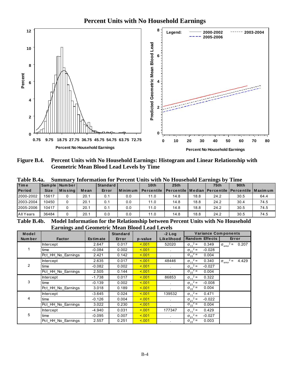# **Percent Units with No Household Earnings**



Percent Units with No Household Earnings: Histogram and Linear Relationship with Figure B.4. **Geometric Mean Blood Lead Levels by Time** 

| 1 avit D.4a.  |             |                  |      |                                    |           | Summary fillor mation for Tercent Omis with two flousehold Earlings by Thile |                                                         |      |             |                  |      |
|---------------|-------------|------------------|------|------------------------------------|-----------|------------------------------------------------------------------------------|---------------------------------------------------------|------|-------------|------------------|------|
| <b>Time</b>   |             | Sample Number    |      | <b>Standard</b>                    |           | 10th                                                                         | 25th                                                    |      | <b>75th</b> | 90 <sub>th</sub> |      |
| <b>Period</b> | <b>Size</b> | <b>M</b> is sing | Mean | Error                              | I Minimum | <b>Percentile</b>                                                            | Percentile   Median   Percentile   Percentile   Maximum |      |             |                  |      |
| 2000-2002     | 15617       |                  | 20.1 | 0.1                                | 0.0       | 11.0                                                                         | 14.8                                                    | 18.8 | 24.2        | 30.5             | 64.4 |
| 2003-2004     | 10450       |                  | 20.1 | 0.1                                | 0.0       | 11.0                                                                         | 14.8                                                    | 18.8 | 24.2        | 30.4             | 74.5 |
| 2005-2006     | 10417       |                  | 20.1 | 0.1                                | 0.0       | 11.0                                                                         | 14.8                                                    | 18.8 | 24.2        | 30.5             | 74.5 |
| All Years     | 36484       |                  | 20.1 | 0.0                                | 0.0       | 11.0                                                                         | 14.8                                                    | 18.8 | 24.2        | 30.5             | 74.5 |
| __ _ _ _ _    |             | - - - -          |      | $\sim$ $\sim$ $\sim$ $\sim$ $\sim$ | ___       | ----                                                                         | $\sim$                                                  | ---  | .           | - - -            |      |

Table R 4a Summary Information for Percent Units with No Household Farnings by Time

Model Information for the Relationship between Percent Units with No Household Table B.4b. **Earnings and Geometric Mean Blood Lead Levels** 

| Model  | ັ                  |                 | <b>Standard</b> |         | $-2$ Log   | <b>Variance Components</b>    |                                           |
|--------|--------------------|-----------------|-----------------|---------|------------|-------------------------------|-------------------------------------------|
| Number | <b>Factor</b>      | <b>Estimate</b> | Error           | p-value | Likelihood | <b>Random Effects</b>         | Error                                     |
|        | <b>Intercept</b>   | 2.647           | 0.017           | 5.001   | 52020      | $\sigma_{11}^2$ =<br>0.349    | $\sigma_{\text{error}}^2 =$<br>0.207      |
|        | time               | $-0.084$        | 0.002           | < 0.01  |            | $\sigma_{21}^2$ =<br>$-0.028$ |                                           |
|        | Pct HH No Earnings | 2.421           | 0.142           | 5.001   |            | $\sigma_{22}^2$ =<br>0.004    |                                           |
|        | <b>Intercept</b>   | 2.635           | 0.017           | < 0.01  | 48446      | $\sigma_{11}^2$ =<br>0.340    | $2 =$<br>4.429<br>$\sigma_{\text{error}}$ |
| 2      | time               | $-0.082$        | 0.002           | 5.001   |            | $\sigma_{21}^2$ =<br>$-0.027$ |                                           |
|        | Pct HH No Earnings | 2.505           | 0.144           | 5.001   |            | $\sigma_{22}^2$ =<br>0.004    |                                           |
|        | <b>Intercept</b>   | $-1.738$        | 0.017           | < 0.01  | 86853      | $\sigma_{11}^2$ =<br>0.322    |                                           |
| 3      | time               | $-0.139$        | 0.002           | 5.001   |            | $\sigma_{21}^2$ =<br>$-0.008$ |                                           |
|        | Pct HH No Earnings | 3.018           | 0.189           | < 0.01  |            | $\sigma_{22}^2$ =<br>0.004    |                                           |
|        | Intercept          | $-3.645$        | 0.024           | 5.001   | 139532     | $\sigma_{11}^2$ =<br>0.471    |                                           |
| 4      | time               | $-0.126$        | 0.004           | < 0.01  | $\sim$     | $\sigma_{21}^2$ =<br>$-0.022$ |                                           |
|        | Pct_HH_No_Earnings | 3.022           | 0.230           | < 0.01  |            | $\sigma_{22}^2$ =<br>0.004    |                                           |
|        | <b>Intercept</b>   | $-4.940$        | 0.031           | < 0.01  | 177347     | $\sigma_{11}^2$ =<br>0.429    |                                           |
| 5      | time               | $-0.095$        | 0.007           | 5.001   |            | $\sigma_{21}^2$ =<br>$-0.027$ |                                           |
|        | Pct HH No Earnings | 2.557           | 0.251           | < 0.01  |            | $\sigma_{22}^2$ =<br>0.003    |                                           |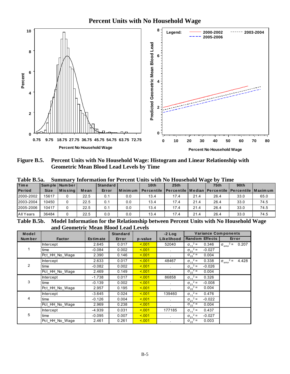# **Percent Units with No Household Wage**



Figure B.5. Percent Units with No Household Wage: Histogram and Linear Relationship with **Geometric Mean Blood Lead Levels by Time** 

| <b>Time</b>   |             | Sam ple   Num ber |      | Standard |         | 10th              | 25th                                                            |      | 75 <sub>th</sub> | 90 <sub>th</sub> |      |
|---------------|-------------|-------------------|------|----------|---------|-------------------|-----------------------------------------------------------------|------|------------------|------------------|------|
| <b>Period</b> | <b>Size</b> | <b>M</b> is sing  | Mean | Error    | Minimum | <b>Percentile</b> | <b>IPercentile   Median   Percentile   Percentile   Maximum</b> |      |                  |                  |      |
| 2000-2002     | 15617       |                   | 22.5 | 0.1      | 0.0     | 13.4              | 17.4                                                            | 21.4 | 26.4             | 33.0             | 65.0 |
| 2003-2004     | 10450       |                   | 22.5 | 0.1      | 0.0     | 13.4              | 17.4                                                            | 21.4 | 26.4             | 33.0             | 74.5 |
| 2005-2006     | 10417       |                   | 22.5 | 0.1      | 0.0     | 13.4              | 17.4                                                            | 21.4 | 26.4             | 33.0             | 74.5 |
| All Years     | 36484       |                   | 22.5 | 0.0      | 0.0     | 13.4              | 17.4                                                            | 21.4 | 26.4             | 33.0             | 74.5 |

Table R 5a Summary Information for Percent Units with No Household Wage by Time

Table B.5b. Model Information for the Relationship between Percent Units with No Household Wage and Geometric Mean Blood Lead Levels

| Model          |                  |                 | <b>Standard</b> |         | $-2$ Log   | <b>Variance Components</b>    |                                           |
|----------------|------------------|-----------------|-----------------|---------|------------|-------------------------------|-------------------------------------------|
| Number         | <b>Factor</b>    | <b>Estimate</b> | Error           | p-value | Likelihood | <b>Random Effects</b>         | Error                                     |
|                | <b>Intercept</b> | 2.645           | 0.017           | 5.001   | 52040      | $\sigma_{11}^2$ =<br>0.346    | $\sigma_{\text{error}}^2 =$<br>0.207      |
|                | time             | $-0.084$        | 0.002           | 5.001   |            | $\sigma_{21}^2$ =<br>$-0.027$ |                                           |
|                | Pct_HH_No_Wage   | 2.390           | 0.146           | 5.001   |            | $\sigma_{22}^2$ =<br>0.004    |                                           |
|                | Intercept        | 2.633           | 0.017           | 5.001   | 48467      | $\sigma_{11}^2$ =<br>0.338    | $2 =$<br>4.428<br>$\sigma_{\text{error}}$ |
| $\overline{2}$ | time             | $-0.082$        | 0.002           | 5.001   |            | $\sigma_{21}^2$ =<br>$-0.026$ |                                           |
|                | Pct HH No Wage   | 2.469           | 0.149           | 5.001   |            | $\sigma_{22}^2$ =<br>0.004    |                                           |
|                | <b>Intercept</b> | $-1.738$        | 0.017           | < 0.01  | 86858      | $\sigma_{11}^2$ =<br>0.326    |                                           |
| 3              | time             | $-0.139$        | 0.002           | 5.001   |            | $\sigma_{21}^2$ =<br>$-0.008$ |                                           |
|                | Pct HH No Wage   | 2.957           | 0.195           | 5.001   |            | $\sigma_{22}^2$ =<br>0.004    |                                           |
|                | Intercept        | $-3.645$        | 0.024           | 5.001   | 139460     | $\sigma_{11}^2$ =<br>0.476    |                                           |
| 4              | time             | $-0.126$        | 0.004           | 5.001   | $\sim$     | $\sigma_{21}^2$ =<br>$-0.022$ |                                           |
|                | Pct_HH_No_Wage   | 2.969           | 0.238           | 5.001   |            | $\sigma_{22}^2$ =<br>0.004    |                                           |
|                | <b>Intercept</b> | -4.939          | 0.031           | 5.001   | 177185     | $\sigma_{11}^2$ =<br>0.437    |                                           |
| 5              | time             | $-0.095$        | 0.007           | 5.001   |            | $\sigma_{21}^2$ =<br>$-0.027$ |                                           |
|                | Pct HH No Wage   | 2.461           | 0.261           | < 0.01  |            | $\sigma_{22}^2$ =<br>0.003    |                                           |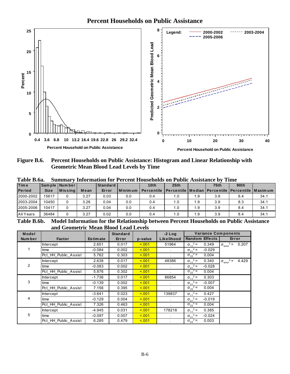

Percent Households on Public Assistance: Histogram and Linear Relationship with Figure B.6. **Geometric Mean Blood Lead Levels by Time** 

| <b>I</b> Percentile   Median   Percentile   Percentile   Maximum | 75 <sub>th</sub> | 90 <sub>th</sub> |                          |
|------------------------------------------------------------------|------------------|------------------|--------------------------|
|                                                                  |                  |                  |                          |
|                                                                  |                  |                  |                          |
| 1.9                                                              |                  | 8.4              | 34.1                     |
| 1.9                                                              |                  | 8.3              | 34.1                     |
| 1.9                                                              |                  | 8.4              | 34.1                     |
| 1.9                                                              |                  | 8.4              | 34.1                     |
|                                                                  |                  |                  | 3.9<br>3.9<br>3.9<br>3.9 |

Table **P**  $60$  $\mathbf{C}$ nmory Information for Dorgant Households on Public Assistance by Time

Table B.6b. Model Information for the Relationship between Percent Households on Public Assistance and Geometric Mean Blood Lead Levels

| Model         |                      |                 | <b>Standard</b> |         | $-2$ Log     | <b>Variance Components</b>    |                                      |
|---------------|----------------------|-----------------|-----------------|---------|--------------|-------------------------------|--------------------------------------|
| <b>Number</b> | <b>Factor</b>        | <b>Estimate</b> | Error           | p-value | Likelihood   | <b>Random Effects</b>         | Error                                |
|               | <b>Intercept</b>     | 2.651           | 0.017           | < 0.01  | 51964        | $\sigma_{11}^2$ =<br>0.349    | $\sigma_{\text{error}}^2$ =<br>0.207 |
|               | time                 | $-0.084$        | 0.002           | 5.001   |              | $\sigma_{21}^2$ =<br>$-0.029$ |                                      |
|               | Pct_HH_Public_Assist | 5.762           | 0.303           | 5.001   |              | $\sigma_{22}^2$ =<br>0.004    |                                      |
|               | Intercept            | 2.638           | 0.017           | < 0.01  | 48386        | $\sigma_{11}^2$ =<br>0.340    | $\sigma_{\text{error}}^2$ =<br>4.429 |
| 2             | time                 | $-0.083$        | 0.002           | 5.001   |              | $\sigma_{21}^2$ =<br>$-0.028$ |                                      |
|               | Pct HH Public Assist | 5.876           | 0.302           | 5.001   |              | $\sigma_{22}^2$ =<br>0.004    |                                      |
|               | <b>Intercept</b>     | $-1.736$        | 0.017           | < 0.01  | 86854        | $\sigma_{11}^2$ =<br>0.303    |                                      |
| 3             | time                 | $-0.139$        | 0.002           | 5.001   | $\mathbf{r}$ | $\sigma_{21}^2$ =<br>$-0.007$ |                                      |
|               | Pct HH Public Assist | 7.156           | 0.395           | < 0.01  |              | $\sigma_{22}^2$ =<br>0.004    |                                      |
|               | Intercept            | $-3.641$        | 0.023           | 5.001   | 139837       | $\sigma_{11}^2$ =<br>0.427    |                                      |
| 4             | time                 | $-0.129$        | 0.004           | < 0.01  | $\mathbf{r}$ | $\sigma_{21}^2$ =<br>$-0.019$ |                                      |
|               | Pct_HH_Public_Assist | 7.326           | 0.463           | < 001   |              | $\sigma_{22}^2$ =<br>0.004    |                                      |
|               | <b>Intercept</b>     | -4.945          | 0.031           | 5.001   | 178218       | $\sigma_{11}^2$ =<br>0.385    |                                      |
| 5             | time                 | $-0.097$        | 0.007           | 5.001   |              | $\sigma_{21}^2$ =<br>$-0.024$ |                                      |
|               | Pct HH Public Assist | 6.285           | 0.479           | < 0.01  |              | $\sigma_{22}^2$ =<br>0.003    |                                      |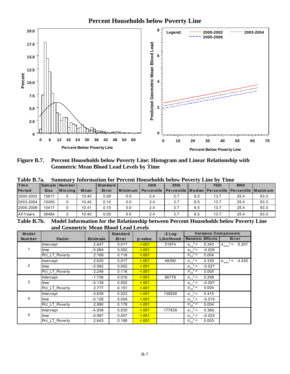**Percent Households below Poverty Line**



**Figure B.7. Percent Households below Poverty Line: Histogram and Linear Relationship with Geometric Mean Blood Lead Levels by Time** 

| <b>Time</b>   |             | Sam ple   Num ber |       | <b>Standard</b> |         | 10th              | 25th                                                            |     | 75 <sub>th</sub> | 90 <sub>th</sub> |      |
|---------------|-------------|-------------------|-------|-----------------|---------|-------------------|-----------------------------------------------------------------|-----|------------------|------------------|------|
| <b>Period</b> | <b>Size</b> | <b>IMissing</b>   | Mean  | Error           | Minimum | <b>Percentile</b> | <b>IPercentile   Median   Percentile   Percentile   Maximum</b> |     |                  |                  |      |
| 2000-2002     | 15617       |                   | 10.40 | 0.08            | 0.0     | 2.4               | 3.7                                                             | 6.5 | 13.7             | 25.4             | 63.3 |
| 2003-2004     | 10450       |                   | 10.40 | 0.10            | 0.0     | 2.4               | 3.7                                                             | 6.5 | 13.7             | 25.4             | 63.3 |
| 2005-2006     | 10417       |                   | 10.41 | 0.10            | 0.0     | 2.4               | 3.7                                                             | 6.5 | 13.7             | 25.4             | 63.3 |
| All Years     | 36484       |                   | 10.40 | 0.05            | 0.0     | 2.4               | 3.7                                                             | 6.5 | 13.7             | 25.4             | 63.3 |

**Table B.7a. Summary Information for Percent Households below Poverty Line by Time** 

**Table B.7b. Model Information for the Relationship between Percent Households below Poverty Line and Geometric Mean Blood Lead Levels** 

| Model          |                  |                 | <b>Standard</b> |         | $-2$ Log   | <b>Variance Components</b>    |                                           |
|----------------|------------------|-----------------|-----------------|---------|------------|-------------------------------|-------------------------------------------|
| Number         | <b>Factor</b>    | <b>Estimate</b> | Error           | p-value | Likelihood | <b>Random Effects</b>         | Error                                     |
|                | <b>Intercept</b> | 2.647           | 0.017           | 5.001   | 51974      | $\sigma_{11}^2$ =<br>0.343    | $\sigma_{\text{error}}^2 =$<br>0.207      |
|                | time             | $-0.084$        | 0.002           | 5.001   |            | $\sigma_{21}^2$ =<br>$-0.028$ |                                           |
|                | Pct_LT_Poverty   | 2.169           | 0.116           | < 0.01  |            | $\sigma_{22}^2$ =<br>0.004    |                                           |
|                | Intercept        | 2.635           | 0.017           | 5.001   | 48390      | $\sigma_{11}^2$ =<br>0.335    | $2 =$<br>4.430<br>$\sigma_{\text{error}}$ |
| $\overline{2}$ | time             | $-0.082$        | 0.002           | 5.001   |            | $\sigma_{21}^2$ =<br>$-0.027$ |                                           |
|                | Pct LT Poverty   | 2.248           | 0.116           | 5.001   |            | $\sigma_{22}^2$ =<br>0.004    |                                           |
|                | Intercept        | $-1.736$        | 0.016           | 5.001   | 86778      | $\sigma_{11}^2$ =<br>0.298    |                                           |
| 3              | time             | $-0.139$        | 0.002           | 5.001   |            | $\sigma_{21}^2$ =<br>$-0.007$ |                                           |
|                | Pct LT Poverty   | 2.777           | 0.151           | < 0.01  |            | $\sigma_{22}^2$ =<br>0.004    |                                           |
|                | <b>Intercept</b> | $-3.639$        | 0.023           | 5.001   | 139558     | $\sigma_{11}^2$ =<br>0.415    |                                           |
| 4              | time             | $-0.128$        | 0.004           | < 0.01  | $\sim$     | $\sigma_{21}^2$ =<br>$-0.019$ |                                           |
|                | Pct_LT_Poverty   | 2.990           | 0.178           | 5.001   | $\epsilon$ | $\sigma_{22}^2$ =<br>0.004    |                                           |
|                | <b>Intercept</b> | $-4.938$        | 0.030           | 5.001   | 177839     | $\sigma_{11}^2$ =<br>0.369    |                                           |
| 5              | time             | $-0.097$        | 0.007           | < 0.01  |            | $\sigma_{21}^2$ =<br>$-0.023$ |                                           |
|                | Pct LT Poverty   | 2.643           | 0.188           | 5.001   |            | $\sigma_{22}^2$ =<br>0.003    |                                           |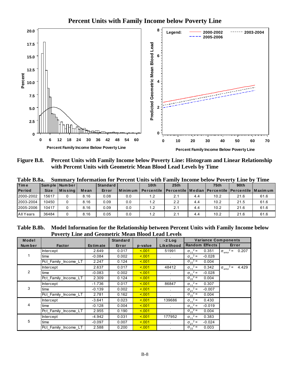



Percent Units with Family Income below Poverty Line: Histogram and Linear Relationship Figure B.8. with Percent Units with Geometric Mean Blood Lead Levels by Time

| Tavie D.oa.<br><b>Time</b> |             | Sample Number |      | Standard | Summary milor mation for a greent chits with Family meonic below a overly lime by a fine | 10th                                                                 | 25th |     | 75 <sub>th</sub> | 90th |      |
|----------------------------|-------------|---------------|------|----------|------------------------------------------------------------------------------------------|----------------------------------------------------------------------|------|-----|------------------|------|------|
| <b>Period</b>              | <b>Size</b> | $ M$ is sing  | Mean | Error    | l Minimum                                                                                | Percentile   Percentile   Median   Percentile   Percentile   Maximum |      |     |                  |      |      |
| 2000-2002                  | 15617       |               | 8.16 | 0.08     | 0.0                                                                                      |                                                                      | 2.1  | 4.4 | 10.2             | 21.6 | 61.6 |
| 2003-2004                  | 10450       |               | 8.16 | 0.09     | 0.0                                                                                      | 1.2                                                                  | 2.2  | 4.4 | 10.2             | 21.5 | 61.6 |
| 2005-2006                  | 10417       |               | 8.16 | 0.09     | 0.0                                                                                      | 1.2                                                                  | 2.1  | 4.4 | 10.2             | 21.6 | 61.6 |
| All Years                  | 36484       |               | 8.16 | 0.05     | 0.0                                                                                      |                                                                      | 2.1  | 4.4 | 10.2             | 21.6 | 61.6 |

Table R 8a mmary Information for Percent Units with Family Income below Poverty I ine by Time  $C_{-}$ 

Model Information for the Relationship between Percent Units with Family Income below Table B.8b. **Poverty Line and Geometric Mean Blood Lead Levels** 

| Model   |                      |                 | <b>Standard</b> |         | $-2$ Log   | <b>Variance Components</b>    |                                           |
|---------|----------------------|-----------------|-----------------|---------|------------|-------------------------------|-------------------------------------------|
| Num ber | <b>Factor</b>        | <b>Estimate</b> | Error           | p-value | Likelihood | <b>Random Effects</b>         | Error                                     |
|         | <b>Intercept</b>     | 2.649           | 0.017           | < 0.01  | 51991      | $\sigma_{11}^2$ =<br>0.351    | $2 =$<br>0.207<br>$\sigma_{\text{error}}$ |
| 1.      | time                 | $-0.084$        | 0.002           | < 0.01  |            | $\sigma_{21}^2$ =<br>$-0.028$ |                                           |
|         | Pct Family Income LT | 2.247           | 0.124           | < 0.01  |            | $\sigma_{22}^2$ =<br>0.004    |                                           |
|         | Intercept            | 2.637           | 0.017           | < 0.01  | 48412      | $\sigma_{11}^2$ =<br>0.342    | $2 =$<br>4.429<br>$\sigma_{\text{error}}$ |
| 2       | time                 | $-0.083$        | 0.002           | < 001   |            | $\sigma_{21}^2$ =<br>$-0.028$ |                                           |
|         | Pct Family Income LT | 2.309           | 0.124           | < 0.01  |            | $\sigma_{22}^2$ =<br>0.004    |                                           |
|         | Intercept            | $-1.736$        | 0.017           | 5.001   | 86847      | $\sigma_{11}^2$ =<br>0.307    |                                           |
| 3       | time                 | $-0.139$        | 0.002           | 5.001   |            | $\sigma_{21}^2$ =<br>$-0.007$ |                                           |
|         | Pct_Family_Income_LT | 2.781           | 0.162           | < 0.01  |            | $\sigma_{22}^2$ =<br>0.004    |                                           |
|         | Intercept            | $-3.641$        | 0.023           | < 0.01  | 139686     | $\sigma_{11}^2$ =<br>0.430    |                                           |
| 4       | time                 | $-0.128$        | 0.004           | < 0.01  |            | $\sigma_{21}^2$ =<br>$-0.019$ |                                           |
|         | Pct_Family_Income_LT | 2.955           | 0.190           | < 0.01  |            | $\sigma_{22}^2$ =<br>0.004    |                                           |
|         | Intercept            | -4.942          | 0.031           | 5.001   | 177952     | $\sigma_{11}^2$ =<br>0.383    |                                           |
| 5       | time                 | $-0.097$        | 0.007           | < 0.01  |            | $\sigma_{21}^2$ =<br>$-0.024$ |                                           |
|         | Pct_Family_Income_LT | 2.588           | 0.200           | < 0.01  |            | $\sigma_{22}^2$ =<br>0.003    |                                           |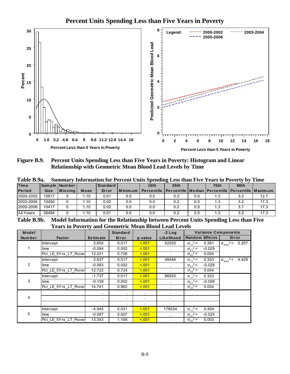

Figure B.9. Percent Units Spending Less than Five Years in Poverty: Histogram and Linear Relationship with Geometric Mean Blood Lead Levels by Time

|                | Table D.9a.<br>Summary information for Percent Units Spending Less than Five Years in Poverty by<br>-типе |                 |                  |          |                                   |                   |                                                                  |     |                  |                      |        |  |  |
|----------------|-----------------------------------------------------------------------------------------------------------|-----------------|------------------|----------|-----------------------------------|-------------------|------------------------------------------------------------------|-----|------------------|----------------------|--------|--|--|
| Time           |                                                                                                           | Sample   Number |                  | Standard |                                   | 10 <sub>th</sub>  | 25 <sub>th</sub>                                                 |     | 75 <sub>th</sub> | 90 <sub>th</sub>     |        |  |  |
| <b>Period</b>  | <b>Size</b>                                                                                               | <b>Missing</b>  | Mean             | Error    | l Minimum                         | <b>Percentile</b> | <b>I Percentile I Median I Percentile I Percentile I Maximum</b> |     |                  |                      |        |  |  |
| 2000-2002      | 15617                                                                                                     |                 | .10              | 0.01     | 0.0                               | 0.0               | 0.2                                                              | 0.5 | 1.3              | 3.2                  | 12.7   |  |  |
| 2003-2004      | 10450                                                                                                     |                 | 1.10             | 0.02     | 0.0                               | 0.0               | 0.2                                                              | 0.5 | 1.3              | 3.2                  | 17.3   |  |  |
| 2005-2006      | 10417                                                                                                     |                 | 1.10             | 0.02     | 0.0                               | 0.0               | 0.2                                                              | 0.5 | 1.3              | 3.1                  | 17.3   |  |  |
| All Years      | 36484                                                                                                     |                 | $\overline{.10}$ | 0.01     | 0.0                               | 0.0               | 0.2                                                              | 0.5 | 1.3              | 3.2                  | 17.3   |  |  |
| $-1$ $-1$ $-1$ |                                                                                                           | .               |                  |          | <u>is a series and series and</u> |                   | $\sim$ $\sim$                                                    | .   | . .              | $\sim$ $\sim$ $\sim$ | $\sim$ |  |  |

 $-11 - D_0$  $\alpha$ 

Model Information for the Relationship between Percent Units Spending Less than Five **Table B.9b. Years in Poverty and Geometric Mean Blood Lead Levels** 

| Model  |                      |                 | <b>Standard</b> |         | $-2$ Log       | <b>Variance Components</b>    |                                      |
|--------|----------------------|-----------------|-----------------|---------|----------------|-------------------------------|--------------------------------------|
| Number | <b>Factor</b>        | <b>Estimate</b> | Error           | p-value | Likelihood     | <b>Random Effects</b>         | Error                                |
|        | <b>Intercept</b>     | 2.650           | 0.017           | < 0.01  | 52025          | $\sigma_{11}^2$ =<br>0.361    | $\sigma_{\text{error}}^2$ =<br>0.207 |
|        | time                 | $-0.084$        | 0.002           | 5.001   |                | $\sigma_{21}^2$ =<br>$-0.029$ |                                      |
|        | Pct LE 5Yrs LT Pover | 12.221          | 0.726           | < 0.01  |                | $\sigma_{22}^2$ =<br>0.004    |                                      |
|        | Intercept            | 2.637           | 0.017           | < 0.01  | 48446          | $\sigma_{11}^2$ =<br>0.353    | $\sigma_{\text{error}}^2 =$<br>4.429 |
| 2      | time                 | $-0.083$        | 0.002           | < 0.01  |                | $\sigma_{21}^2$ =<br>$-0.028$ |                                      |
|        | Pct LE 5Yrs LT Pover | 12.722          | 0.733           | < 0.01  |                | $\sigma_{22}^2$ =<br>0.004    |                                      |
|        | Intercept            | $-1.737$        | 0.017           | 5.001   | 86925          | $\sigma_{11}^2$ =<br>0.323    |                                      |
| 3      | time                 | $-0.139$        | 0.002           | < 0.01  |                | $\sigma_{21}^2$ =<br>$-0.008$ |                                      |
|        | Pct_LE_5Yrs_LT_Pover | 14.741          | 0.962           | < 0.01  |                | $\sigma_{22}^2$ =<br>0.004    |                                      |
|        |                      |                 |                 |         |                |                               |                                      |
| 4      |                      |                 | $\bullet$       |         | $\blacksquare$ |                               |                                      |
|        |                      |                 | $\bullet$       |         | $\bullet$      |                               |                                      |
|        | <b>Intercept</b>     | -4.945          | 0.031           | < 0.01  | 178034         | $\sigma_{11}^2$ =<br>0.404    |                                      |
| 5      | time                 | $-0.097$        | 0.007           | < 0.01  |                | $\sigma_{21}^2$ =<br>$-0.025$ |                                      |
|        | Pct_LE_5Yrs_LT_Pover | 13.343          | 1.169           | < 0.01  |                | $\sigma_{22}^2$ =<br>0.003    |                                      |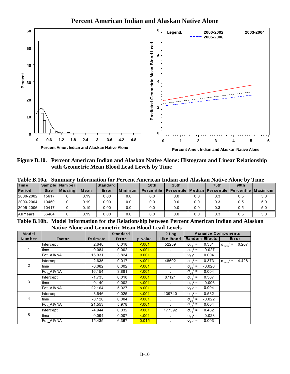

Figure B.10. Percent American Indian and Alaskan Native Alone: Histogram and Linear Relationship with Geometric Mean Blood Lead Levels by Time

| <b>Time</b>   |             | Sam ple   Num ber |      | <b>Standard</b> |         | 10th       | 25th                                                             |     | 75 <sub>th</sub> | 90 <sub>th</sub> |     |
|---------------|-------------|-------------------|------|-----------------|---------|------------|------------------------------------------------------------------|-----|------------------|------------------|-----|
| <b>Period</b> | <b>Size</b> | $ M$ is sing      | Mean | Error           | Minimum | Percentile | <u>I Percentile I Median I Percentile I Percentile I Maximum</u> |     |                  |                  |     |
| 2000-2002     | 15617       |                   | 0.19 | 0.00            | 0.0     | 0.0        | 0.0                                                              | 0.0 | 0.3              | 0.5              | 5.0 |
| 2003-2004     | 10450       |                   | 0.19 | 0.00            | 0.0     | 0.0        | 0.0                                                              | 0.0 | 0.3              | 0.5              | 5.0 |
| 2005-2006     | 10417       |                   | 0.19 | 0.00            | 0.0     | 0.0        | 0.0                                                              | 0.0 | 0.3              | 0.5              | 5.0 |
| All Years     | 36484       |                   | 0.19 | 0.00            | 0.0     | 0.0        | 0.0                                                              | 0.0 | 0.3              | 0.5              | 5.0 |

 $\mathbf{D}$  10. on Indian and Algebon Native Alang by Time

Table B.10b. Model Information for the Relationship between Percent American Indian and Alaskan **Native Alone and Geometric Mean Blood Lead Levels** 

| Model          |                  |                 | <b>Standard</b> |         | $-2$ Log             | <b>Variance Components</b>    |                                             |
|----------------|------------------|-----------------|-----------------|---------|----------------------|-------------------------------|---------------------------------------------|
| Number         | <b>Factor</b>    | <b>Estimate</b> | Error           | p-value | Likelihood           | <b>Random Effects</b>         | Error                                       |
|                | <b>Intercept</b> | 2.648           | 0.018           | 5.001   | 52259                | $\sigma_{11}^2$ =<br>0.381    | $\sigma_{\text{error}}^2 = 0.207$           |
|                | time             | $-0.084$        | 0.002           | < 0.01  |                      | $\sigma_{21}^2$ =<br>$-0.027$ |                                             |
|                | Pct AIANA        | 15.931          | 3.824           | < 0.01  |                      | $\sigma_{22}^2$ =<br>0.004    |                                             |
|                | <b>Intercept</b> | 2.635           | 0.017           | < 0.01  | 48692                | $\sigma_{11}^2$ =<br>0.373    | $2 =$<br>4.428<br>$\sigma_{\text{error}}^2$ |
| $\overline{2}$ | time             | $-0.082$        | 0.002           | 5.001   | $\ddot{\phantom{0}}$ | $\sigma_{21}^2$ =<br>$-0.026$ |                                             |
|                | Pct AIANA        | 16.154          | 3.881           | 5.001   |                      | $\sigma_{22}^2$ =<br>0.004    |                                             |
|                | <b>Intercept</b> | $-1.735$        | 0.018           | 5.001   | 87121                | $\sigma_{11}^2$ =<br>0.367    |                                             |
| 3              | time             | $-0.140$        | 0.002           | < 0.01  | $\sim$               | $\sigma_{21}^2$ =<br>$-0.006$ |                                             |
|                | Pct AIANA        | 22.164          | 5.027           | 5.001   | ¥.                   | $\sigma_{22}^2$ =<br>0.004    |                                             |
|                | Intercept        | $-3.646$        | 0.025           | 5.001   | 139740               | $\sigma_{11}^2$ =<br>0.532    |                                             |
| 4              | time             | $-0.126$        | 0.004           | < 0.01  | $\mathbf{r}$         | $\sigma_{21}^2$ =<br>$-0.022$ |                                             |
|                | Pct AIANA        | 21.553          | 5.978           | 5.001   |                      | $\sigma_{22}^2$ =<br>0.004    |                                             |
|                | <b>Intercept</b> | $-4.944$        | 0.032           | < 0.01  | 177392               | $\sigma_{11}^2$ =<br>0.482    |                                             |
| 5              | time             | $-0.094$        | 0.007           | 5.001   | $\blacksquare$       | $\sigma_{21}^2$ =<br>$-0.028$ |                                             |
|                | Pct AIANA        | 15.435          | 6.367           | 0.015   |                      | $\sigma_{22}^2$ =<br>0.003    |                                             |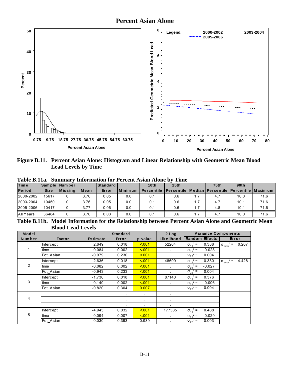

Figure B.11. Percent Asian Alone: Histogram and Linear Relationship with Geometric Mean Blood **Lead Levels by Time** 

|  |  |  |  | Table B.11a. Summary Information for Percent Asian Alone by Time |  |
|--|--|--|--|------------------------------------------------------------------|--|
|  |  |  |  |                                                                  |  |

|             |                               | Standard |     | 10 <sub>th</sub> | 25th |     | <b>75th</b> | 90th |                                                                      |
|-------------|-------------------------------|----------|-----|------------------|------|-----|-------------|------|----------------------------------------------------------------------|
| <b>Size</b> | Mean                          | Error    |     |                  |      |     |             |      |                                                                      |
| 15617       | 3.76                          | 0.05     | 0.0 | 0.1              | 0.6  |     | 4.7         | 10.0 | 71.6                                                                 |
| 10450       | 3.76                          | 0.05     | 0.0 | 0.1              | 0.6  | 1.7 | 4.7         | 10.1 | 71.6                                                                 |
| 10417       | 3.77                          | 0.06     | 0.0 | 0.1              | 0.6  | 1.7 | 4.8         | 10.1 | 71.6                                                                 |
| 36484       | 3.76                          | 0.03     | 0.0 | 0.1              | 0.6  | 1.7 | 4.7         | 10.0 | 71.6                                                                 |
|             | Sample Number<br>$ M$ is sing |          |     | l Minimum        |      |     |             |      | Percentile   Percentile   Median   Percentile   Percentile   Maximum |

Table B.11b. Model Information for the Relationship between Percent Asian Alone and Geometric Mean **Blood Lead Levels** 

| Model   |               |                 | <b>Standard</b> |         | $-2$ Log   | <b>Variance Components</b>    |                                           |
|---------|---------------|-----------------|-----------------|---------|------------|-------------------------------|-------------------------------------------|
| Num ber | <b>Factor</b> | <b>Estimate</b> | Error           | p-value | Likelihood | <b>Random Effects</b>         | Error                                     |
|         | Intercept     | 2.649           | 0.018           | 5.001   | 52264      | $\sigma_{11}^2$ =<br>0.388    | $\sigma_{\text{error}}^2 =$<br>0.207      |
| 1       | time          | $-0.084$        | 0.002           | 5.001   |            | $\sigma_{21}^2$ =<br>$-0.028$ |                                           |
|         | Pct Asian     | $-0.979$        | 0.230           | 5.001   |            | $\sigma_{22}^2$ =<br>0.004    |                                           |
|         | Intercept     | 2.636           | 0.018           | < 0.01  | 48699      | $\sigma_{11}^2$ =<br>0.380    | $2 =$<br>4.428<br>$\sigma_{\text{error}}$ |
| 2       | time          | $-0.082$        | 0.002           | < 0.01  |            | $\sigma_{21}^2$ =<br>$-0.027$ |                                           |
|         | Pct Asian     | $-0.943$        | 0.233           | < 0.01  |            | $\sigma_{22}^2$ =<br>0.004    |                                           |
|         | Intercept     | $-1.736$        | 0.018           | 5.001   | 87140      | $\sigma_{11}^2$ =<br>0.376    |                                           |
| 3       | time          | $-0.140$        | 0.002           | 5.001   |            | $\sigma_{21}^2$ =<br>$-0.006$ |                                           |
|         | Pct Asian     | $-0.820$        | 0.304           | 0.007   |            | $\sigma_{22}^2$ =<br>0.004    |                                           |
|         |               |                 | $\mathbf{r}$    |         |            |                               |                                           |
| 4       |               |                 | $\bullet$       | $\sim$  |            |                               |                                           |
|         |               |                 | $\bullet$       |         | $\bullet$  |                               |                                           |
|         | Intercept     | -4.945          | 0.032           | < 0.01  | 177385     | $\sigma_{11}^2$ =<br>0.488    |                                           |
| 5       | time          | $-0.094$        | 0.007           | < 0.01  | $\epsilon$ | $\sigma_{21}^2$ =<br>$-0.029$ |                                           |
|         | Pct_Asian     | 0.030           | 0.393           | 0.939   |            | $\sigma_{22}^2$ =<br>0.003    |                                           |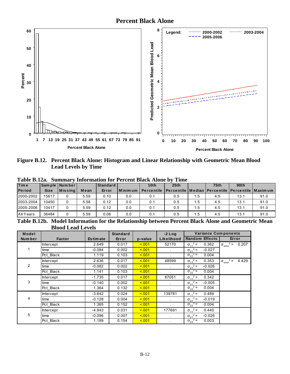

Figure B.12. Percent Black Alone: Histogram and Linear Relationship with Geometric Mean Blood **Lead Levels by Time** 

| <b>Period</b> | <b>Size</b> | <b>M</b> is sing | Mean |       |           |                   |                                                                  |      |     | 90 <sub>th</sub> |      |
|---------------|-------------|------------------|------|-------|-----------|-------------------|------------------------------------------------------------------|------|-----|------------------|------|
|               |             |                  |      | Error | l Minimum | <b>Percentile</b> | <b>I</b> Percentile   Median   Percentile   Percentile   Maximum |      |     |                  |      |
| 2000-2002     | 15617       |                  | 5.59 | 0.10  | 0.0       | 0.1               | 0.5                                                              | 1.5  | 4.5 | 13.1             | 91.0 |
| 2003-2004     | 10450       |                  | 5.58 | 0.12  | 0.0       | 0.1               | 0.5                                                              | 1.5  | 4.5 | 13.1             | 91.0 |
| 2005-2006     | 10417       |                  | 5.59 | 0.12  | 0.0       | 0.1               | 0.5                                                              | ا 5. | 4.5 | 13.1             | 91.0 |
| All Years     | 36484       |                  | 5.59 | 0.06  | 0.0       | 0.1               | 0.5                                                              | ا 5. | 4.5 | 13.1             | 91.0 |

Table B.12a. Summary Information for Percent Black Alone by Time

Table B.12b. Model Information for the Relationship between Percent Black Alone and Geometric Mean **Blood Lead Levels** 

| Model          |                  |                 | <b>Standard</b> |         | $-2$ Log   | <b>Variance Components</b>    |                                           |
|----------------|------------------|-----------------|-----------------|---------|------------|-------------------------------|-------------------------------------------|
| Number         | <b>Factor</b>    | <b>Estimate</b> | Error           | p-value | Likelihood | <b>Random Effects</b>         | Error                                     |
|                | <b>Intercept</b> | 2.649           | 0.017           | < 0.01  | 52170      | $\sigma_{11}^2$ =<br>0.362    | $2 =$<br>0.207<br>$\sigma_{\text{error}}$ |
|                | time             | $-0.084$        | 0.002           | < 0.01  | $\sim$     | $\sigma_{21}^2$ =<br>$-0.027$ |                                           |
|                | Pct_Black        | 1.119           | 0.103           | 5.001   |            | $\sigma_{22}^2$ =<br>0.004    |                                           |
|                | <b>Intercept</b> | 2.636           | 0.017           | < 0.01  | 48599      | $\sigma_{11}^2$ =<br>0.353    | $2 =$<br>4.429<br>$\sigma_{\text{error}}$ |
| $\overline{2}$ | time             | $-0.082$        | 0.002           | < 0.01  |            | $\sigma_{21}^2$ =<br>$-0.026$ |                                           |
|                | Pct Black        | 1.141           | 0.103           | 5.001   |            | $\sigma_{22}^2$ =<br>0.004    |                                           |
|                | Intercept        | $-1.735$        | 0.017           | 5.001   | 87051      | $\sigma_{11}^2$ =<br>0.342    |                                           |
| 3              | time             | $-0.140$        | 0.002           | 5.001   | $\bullet$  | $\sigma_{21}^2$ =<br>$-0.005$ |                                           |
|                | Pct_Black        | 1.364           | 0.132           | < 0.01  |            | $\sigma_{22}^2$ =<br>0.004    |                                           |
|                | Intercept        | $-3.642$        | 0.024           | < 0.01  | 139781     | $\sigma_{11}^2$ =<br>0.489    |                                           |
| 4              | time             | $-0.128$        | 0.004           | < 0.01  |            | $\sigma_{21}^2$ =<br>$-0.019$ |                                           |
|                | Pct_Black        | 1.365           | 0.152           | 5.001   |            | $\sigma_{22}^2$ =<br>0.004    |                                           |
|                | <b>Intercept</b> | -4.943          | 0.031           | 5.001   | 177691     | $\sigma_{11}^2$ =<br>0.440    |                                           |
| 5              | time             | $-0.096$        | 0.007           | 5.001   |            | $\sigma_{21}^2$ =<br>$-0.026$ |                                           |
|                | Pct Black        | 1.189           | 0.154           | 5.001   |            | $\sigma_{22}^2$ =<br>0.003    |                                           |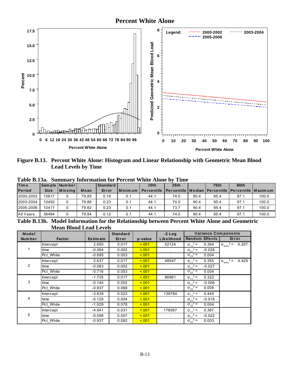#### **Percent White Alone**



Figure B.13. Percent White Alone: Histogram and Linear Relationship with Geometric Mean Blood **Lead Levels by Time** 

|             | Sample   Number |                         | Standard                    |               | 10 <sub>th</sub>  | 25th |        | <b>75th</b> | 90th |                                                                          |
|-------------|-----------------|-------------------------|-----------------------------|---------------|-------------------|------|--------|-------------|------|--------------------------------------------------------------------------|
| <b>Size</b> |                 | Mean                    | Error                       |               | <b>Percentile</b> |      |        |             |      |                                                                          |
| 15617       |                 | 79.85                   | 0.19                        | 0.1           | 44.1              | 74.0 | 90.4   | 95.4        | 97.1 | 100.0                                                                    |
| 10450       |                 | 79.86                   | 0.23                        | 0.1           | 44.1              | 74.0 | 90.4   | 95.4        | 97.1 | 100.0                                                                    |
| 10417       |                 | 79.82                   | 0.23                        | 0.1           | 44.1              | 73.7 | 90.4   | 95.4        | 97.1 | 100.0                                                                    |
| 36484       |                 | 79.84                   | 0.12                        | 0.1           | 44.1              | 74.0 | 90.4   | 95.4        | 97.1 | 100.0                                                                    |
|             | __ _ _ _ _ _    | $ M$ is sing<br>- - - - | $\sim$ $\sim$ $\sim$ $\sim$ | $\sim$ $\sim$ | Minimum<br>___    | ---- | $\sim$ | _____       | .    | <u>I Percentile I Median I Percentile I Percentile I Maximum</u><br>$ -$ |

Table B.13a. Summary Information for Percent White Alone by Time

Table B.13b. Model Information for the Relationship between Percent White Alone and Geometric **Mean Blood Lead Levels** 

| Model          |                  |                 | <b>Standard</b> |         | $-2$ Log   | <b>Variance Components</b>    |                                      |
|----------------|------------------|-----------------|-----------------|---------|------------|-------------------------------|--------------------------------------|
| Number         | <b>Factor</b>    | <b>Estimate</b> | Error           | p-value | Likelihood | <b>Random Effects</b>         | Error                                |
|                | <b>Intercept</b> | 2.650           | 0.017           | 5.001   | 52124      | $\sigma_{11}^2$ =<br>0.364    | $\sigma_{\text{error}}^2 =$<br>0.207 |
|                | time             | $-0.084$        | 0.002           | 5.001   |            | $\sigma_{21}^2$ =<br>$-0.028$ |                                      |
|                | Pct White        | $-0.695$        | 0.053           | 5.001   |            | $\sigma_{22}^2$ =<br>0.004    |                                      |
|                | Intercept        | 2.637           | 0.017           | 5.001   | 48547      | $\sigma_{11}^2$ =<br>0.355    | $\sigma_{\text{error}}^2$ =<br>4.429 |
| $\overline{2}$ | time             | $-0.083$        | 0.002           | 5.001   |            | $\sigma_{21}^2$ =<br>$-0.027$ |                                      |
|                | Pct White        | $-0.716$        | 0.053           | 5.001   |            | $\sigma_{22}^2$ =<br>0.004    |                                      |
|                | <b>Intercept</b> | $-1.735$        | 0.017           | 5.001   | 86961      | $\sigma_{11}^2$ =<br>0.322    |                                      |
| 3              | time             | $-0.140$        | 0.002           | 5.001   | $\sim$     | $\sigma_{21}^2$ =<br>$-0.006$ |                                      |
|                | Pct White        | $-0.937$        | 0.068           | 5.001   |            | $\sigma_{22}^2$ =<br>0.004    |                                      |
|                | Intercept        | $-3.639$        | 0.023           | 5.001   | 139784     | $\sigma_{11}^2$ =<br>0.445    |                                      |
| 4              | time             | $-0.129$        | 0.004           | < 0.01  |            | $\sigma_{21}^2$ =<br>$-0.018$ |                                      |
|                | Pct White        | $-1.029$        | 0.078           | 5.001   |            | $\sigma_{22}^2$ =<br>0.004    |                                      |
|                | Intercept        | $-4.941$        | 0.031           | < 0.01  | 178067     | $\sigma_{11}^2$ =<br>0.387    |                                      |
| 5              | time             | $-0.098$        | 0.007           | < 0.01  |            | $\sigma_{21}^2$ =<br>$-0.022$ |                                      |
|                | Pct White        | $-0.937$        | 0.082           | 5.001   |            | $\sigma_{22}^2$ =<br>0.003    |                                      |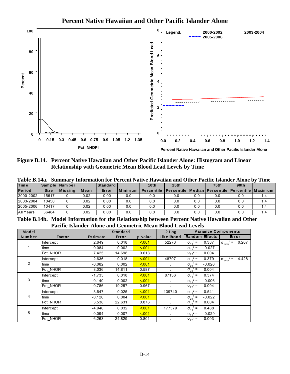



Figure B.14. Percent Native Hawaiian and Other Pacific Islander Alone: Histogram and Linear **Relationship with Geometric Mean Blood Lead Levels by Time** 

 $\overline{a}$ 

| <b>Time</b>   |             | l Sam ple I Num ber l |      | <b>Standard</b> |         | Table B.14a. Summary Information for Percent Native Hawaiian and Other Pacific Islander Alone by Time<br>10th | 25th                                                    |     | 75th | 90 <sub>th</sub> |     |
|---------------|-------------|-----------------------|------|-----------------|---------|---------------------------------------------------------------------------------------------------------------|---------------------------------------------------------|-----|------|------------------|-----|
| <b>Period</b> | <b>Size</b> | <b>Missing</b>        | Mean | Error           | Minimum | <b>Percentile</b>                                                                                             | Percentile   Median   Percentile   Percentile   Maximum |     |      |                  |     |
| 2000-2002     | 15617       |                       | 0.02 | 0.00            | 0.0     | 0.0                                                                                                           | 0.0                                                     | 0.0 | 0.0  | 0.0              | 1.4 |
| 2003-2004     | 10450       |                       | 0.02 | 0.00            | 0.0     | 0.0                                                                                                           | 0.0                                                     | 0.0 | 0.0  | 0.0              | 1.4 |
| 2005-2006     | 10417       |                       | 0.02 | 0.00            | 0.0     | 0.0                                                                                                           | 0.0                                                     | 0.0 | 0.0  | 0.0              | 1.4 |
| All Years     | 36484       |                       | 0.02 | 0.00            | 0.0     | 0.0                                                                                                           | 0.0                                                     | 0.0 | 0.0  | 0.0              | 1.4 |

Table B.14b. Model Information for the Relationship between Percent Native Hawaiian and Other **Pacific Islander Alone and Geometric Mean Blood Lead Levels** 

| Model  |                  |                 | <b>Standard</b> |         | $-2$ Log             | <b>Variance Components</b>    |                                             |
|--------|------------------|-----------------|-----------------|---------|----------------------|-------------------------------|---------------------------------------------|
| Number | <b>Factor</b>    | <b>Estimate</b> | Error           | p-value | Likelihood           | <b>Random Effects</b>         | Error                                       |
|        | <b>Intercept</b> | 2.649           | 0.018           | < 0.01  | 52273                | $\sigma_{11}^2$ =<br>0.387    | $2 = 0.207$<br>$\sigma_{\text{error}}^2$    |
| 1.     | time             | $-0.084$        | 0.002           | 5.001   |                      | $\sigma_{21}^2$ =<br>$-0.027$ |                                             |
|        | Pct NHOPI        | 7.425           | 14.698          | 0.613   |                      | $\sigma_{22}^2$ =<br>0.004    |                                             |
|        | Intercept        | 2.636           | 0.018           | < 0.01  | 48707                | $\sigma_{11}^2$ =<br>0.379    | $2 =$<br>4.428<br>$\sigma_{\text{error}}^2$ |
| 2      | time             | $-0.082$        | 0.002           | 5.001   |                      | $\sigma_{21}^2$ =<br>$-0.026$ |                                             |
|        | Pct NHOPI        | 8.036           | 14.811          | 0.587   |                      | $\sigma_{22}^2$ =<br>0.004    |                                             |
|        | Intercept        | $-1.735$        | 0.018           | 5.001   | 87136                | $\sigma_{11}^2$ =<br>0.374    |                                             |
| 3      | time             | $-0.140$        | 0.002           | < 0.01  |                      | $\sigma_{21}^2$ =<br>$-0.006$ |                                             |
|        | Pct NHOPI        | $-0.786$        | 19.257          | 0.967   |                      | $\sigma_{22}^2$ =<br>0.004    |                                             |
|        | Intercept        | $-3.647$        | 0.025           | < 0.01  | 139740               | $\sigma_{11}^2$ =<br>0.541    |                                             |
| 4      | time             | $-0.126$        | 0.004           | < 0.01  | $\ddot{\phantom{0}}$ | $\sigma_{21}^2$ =<br>$-0.022$ |                                             |
|        | Pct NHOPI        | 3.538           | 22.631          | 0.876   | $\blacksquare$       | $\sigma_{22}^2$ =<br>0.004    |                                             |
|        | <b>Intercept</b> | $-4.946$        | 0.032           | < 0.01  | 177379               | $\sigma_{11}^2$ =<br>0.488    |                                             |
| 5      | time             | $-0.094$        | 0.007           | < 0.01  |                      | $\sigma_{21}^2$ =<br>$-0.029$ |                                             |
|        | Pct NHOPI        | $-6.263$        | 24.829          | 0.801   |                      | $\sigma_{22}^2$ =<br>0.003    |                                             |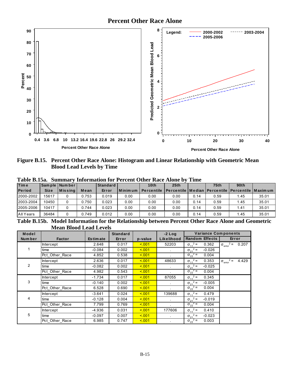

Figure B.15. Percent Other Race Alone: Histogram and Linear Relationship with Geometric Mean **Blood Lead Levels by Time** 

| Time          |             | Sample Number |       | Standard |            | 10 <sub>th</sub> | 25th                                                                 |      | <b>75th</b> | 90th |       |
|---------------|-------------|---------------|-------|----------|------------|------------------|----------------------------------------------------------------------|------|-------------|------|-------|
| <b>Period</b> | <b>Size</b> | $ M$ is sing  | Mean  | Error    | l Minim um |                  | Percentile   Percentile   Median   Percentile   Percentile   Maximum |      |             |      |       |
| 2000-2002     | 15617       |               | 0.753 | 0.019    | 0.00       | 0.00             | 0.00                                                                 | 0.14 | 0.59        | 1.45 | 35.01 |
| 2003-2004     | 10450       |               | Ა.750 | 0.023    | 0.00       | 0.00             | 0.00                                                                 | 0.14 | 0.59        | 1.45 | 35.01 |
| 2005-2006     | 10417       |               | 0.744 | 0.023    | 0.00       | 0.00             | 0.00                                                                 | 0.14 | 0.59        | 1.41 | 35.01 |
| All Years     | 36484       |               | 0.749 | 0.012    | 0.00       | 0.00             | 0.00                                                                 | 0.14 | 0.59        | 1.45 | 35.01 |
|               |             |               |       |          |            |                  |                                                                      | $ -$ |             | _ _  |       |

Table B.15a. Summary Information for Percent Other Race Alone by Time

Table B.15b. Model Information for the Relationship between Percent Other Race Alone and Geometric **Mean Blood Lead Levels** 

| Model          |                  |                 | <b>Standard</b> |         | $-2$ Log   | <b>Variance Components</b>    |                                           |
|----------------|------------------|-----------------|-----------------|---------|------------|-------------------------------|-------------------------------------------|
| Num ber        | <b>Factor</b>    | <b>Estimate</b> | Error           | p-value | Likelihood | <b>Random Effects</b>         | Error                                     |
|                | Intercept        | 2.648           | 0.017           | < 0.01  | 52203      | $\sigma_{11}^2$ =<br>0.362    | $\sigma_{\text{error}}^2 = 0.207$         |
| 1.             | time             | $-0.084$        | 0.002           | < 0.01  |            | $\sigma_{21}^2$ =<br>$-0.026$ |                                           |
|                | Pct_Other_Race   | 4.852           | 0.538           | 5.001   |            | $\sigma_{22}^2$ =<br>0.004    |                                           |
|                | Intercept        | 2.636           | 0.017           | < 0.01  | 48633      | $\sigma_{11}^2$ =<br>0.353    | $2 =$<br>4.429<br>$\sigma_{\text{error}}$ |
| $\overline{2}$ | time             | $-0.082$        | 0.002           | < 0.01  |            | $\sigma_{21}^2$ =<br>$-0.025$ |                                           |
|                | Pct_Other_Race   | 4.982           | 0.543           | < 0.01  |            | $\sigma_{22}^2$ =<br>0.004    |                                           |
|                | Intercept        | $-1.734$        | 0.017           | < 0.01  | 87055      | $\sigma_{11}^2$ =<br>0.345    |                                           |
| 3              | time             | $-0.140$        | 0.002           | 5.001   |            | $\sigma_{21}^2$ =<br>$-0.005$ |                                           |
|                | Pct_Other_Race   | 6.528           | 0.690           | < 0.01  |            | $\sigma_{22}^2$ =<br>0.004    |                                           |
|                | Intercept        | $-3.641$        | 0.024           | < 0.01  | 139688     | $\sigma_{11}^2$ =<br>0.479    |                                           |
| 4              | time             | $-0.128$        | 0.004           | < 0.01  | $\sim$     | $\sigma_{21}^2$ =<br>$-0.019$ |                                           |
|                | Pct_Other_Race   | 7.799           | 0.769           | < 0.01  |            | $\sigma_{22}^2$ =<br>0.004    |                                           |
|                | <b>Intercept</b> | $-4.936$        | 0.031           | < 0.01  | 177606     | $\sigma_{11}^2$ =<br>0.410    |                                           |
| 5              | time             | $-0.097$        | 0.007           | < 0.01  |            | $\sigma_{21}^2$ =<br>$-0.023$ |                                           |
|                | Pct Other Race   | 6.985           | 0.747           | < 0.01  |            | $\sigma_{22}^2$ =<br>0.003    |                                           |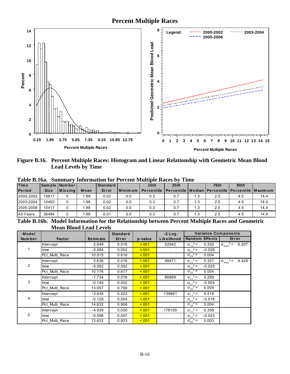# **Percent Multiple Races**



Figure B.16. Percent Multiple Races: Histogram and Linear Relationship with Geometric Mean Blood **Lead Levels by Time** 

| <b>Time</b>   |             | Sample Number    |      | Standard |         | 10 <sub>th</sub>  | 25th                                                    |     | <b>75th</b> | 90 <sub>th</sub> |      |
|---------------|-------------|------------------|------|----------|---------|-------------------|---------------------------------------------------------|-----|-------------|------------------|------|
| <b>Period</b> | <b>Size</b> | <b>M</b> is sing | Mean | Error    | Minimum | <b>Percentile</b> | Percentile   Median   Percentile   Percentile   Maximum |     |             |                  |      |
| 2000-2002     | 15617       |                  | l.98 | 0.02     | 0.0     | 0.3               | 0.7                                                     | 1.3 | 2.5         | 4.5              | 14.4 |
| 2003-2004     | 10450       |                  | 1.98 | 0.02     | 0.0     | 0.3               | 0.7                                                     | 1.3 | 2.5         | 4.5              | 14.4 |
| 2005-2006     | 10417       |                  | ∣.98 | 0.02     | 0.0     | 0.3               | 0.7                                                     | 1.3 | 2.5         | 4.5              | 14.4 |
| All Years     | 36484       |                  | l.98 | 0.01     | 0.0     | 0.3               | 0.7                                                     | 1.3 | 2.5         | 4.5              | 14.4 |
|               |             |                  |      |          |         |                   |                                                         |     |             | ___              |      |

Table B.16a. Summary Information for Percent Multiple Races by Time

Table B.16b. Model Information for the Relationship between Percent Multiple Races and Geometric **Mean Blood Lead Levels** 

| Model          |                  |                 | <b>Standard</b> |         | $-2$ Log   | <b>Variance Components</b>    |                                      |
|----------------|------------------|-----------------|-----------------|---------|------------|-------------------------------|--------------------------------------|
| Number         | <b>Factor</b>    | <b>Estimate</b> | Error           | p-value | Likelihood | <b>Random Effects</b>         | Error                                |
|                | <b>Intercept</b> | 2.649           | 0.016           | 5.001   | 52042      | $\sigma_{11}^2$ =<br>0.332    | $\sigma_{\text{error}}^2 = 0.207$    |
|                | time             | $-0.084$        | 0.002           | 5.001   |            | $\sigma_{21}^2$ =<br>$-0.026$ |                                      |
|                | Pct_Multi_Race   | 10.015          | 0.616           | 5.001   |            | $\sigma_{22}^2$ =<br>0.004    |                                      |
|                | Intercept        | 2.636           | 0.016           | 5.001   | 48471      | $\sigma_{11}^2$ =<br>0.321    | $\sigma_{\text{error}}^2$ =<br>4.429 |
| $\overline{2}$ | time             | $-0.082$        | 0.002           | 5.001   |            | $\sigma_{21}^2$ =<br>$-0.025$ |                                      |
|                | Pct_Multi_Race   | 10.176          | 0.617           | 5.001   |            | $\sigma_{22}^2$ =<br>0.004    |                                      |
|                | Intercept        | $-1.734$        | 0.016           | 5.001   | 86889      | $\sigma_{11}^2$ =<br>0.299    |                                      |
| 3              | time             | $-0.140$        | 0.002           | 5.001   |            | $\sigma_{21}^2$ =<br>$-0.004$ |                                      |
|                | Pct Multi Race   | 13.057          | 0.790           | < 0.01  |            | $\sigma_{22}^2$ =<br>0.004    |                                      |
|                | Intercept        | $-3.638$        | 0.023           | 5.001   | 139661     | $\sigma_{11}^2$ =<br>0.418    |                                      |
| 4              | time             | $-0.129$        | 0.004           | < 0.01  |            | $\sigma_{21}^2$ =<br>$-0.018$ |                                      |
|                | Pct Multi Race   | 14.632          | 0.906           | 5.001   |            | $\sigma_{22}^2$ =<br>0.004    |                                      |
|                | <b>Intercept</b> | $-4.939$        | 0.030           | 5.001   | 178105     | $\sigma_{11}^2$ =<br>0.358    |                                      |
| 5              | time             | $-0.098$        | 0.007           | 5.001   |            | $\sigma_{21}^2$ =<br>$-0.023$ |                                      |
|                | Pct Multi Race   | 13.632          | 0.923           | 5.001   |            | $\sigma_{22}^2$ =<br>0.003    |                                      |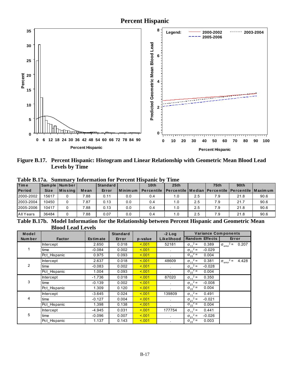# **Percent Hispanic**



Figure B.17. Percent Hispanic: Histogram and Linear Relationship with Geometric Mean Blood Lead **Levels by Time** 

| - - - - - - - - - - - - - |             | $\sim$ $\sim$ $\sim$ $\sim$ $\sim$ $\sim$ $\sim$ |      |          | A VA UUAAV AAADIJUMAALU |                  | -----                                                           |     |             |                  |      |
|---------------------------|-------------|--------------------------------------------------|------|----------|-------------------------|------------------|-----------------------------------------------------------------|-----|-------------|------------------|------|
| <b>Time</b>               |             | Sample Number                                    |      | Standard |                         | 10 <sub>th</sub> | 25th                                                            |     | <b>75th</b> | 90 <sub>th</sub> |      |
| <b>Period</b>             | <b>Size</b> | <b>M</b> is sing                                 | Mean | Error    | Minimum                 | Percentile       | <b>IPercentile   Median   Percentile   Percentile   Maximum</b> |     |             |                  |      |
| 2000-2002                 | 15617       |                                                  | 7.88 | 0.11     | 0.0                     | 0.4              | 1.0                                                             | 2.5 | 7.9         | 21.8             | 90.6 |
| 2003-2004                 | 10450       |                                                  | 7.87 | 0.13     | 0.0                     | 0.4              | 1.0                                                             | 2.5 | 7.9         | 21.7             | 90.6 |
| 2005-2006                 | 10417       |                                                  | 7.88 | 0.13     | 0.0                     | 0.4              | 1.0                                                             | 2.5 | 7.9         | 21.8             | 90.6 |
| All Years                 | 36484       |                                                  | 7.88 | 0.07     | 0.0                     | 0.4              | 1.0                                                             | 2.5 | 7.9         | 21.8             | 90.6 |
| __ _ _ _ _ _              |             | - - - -                                          |      |          | ___                     | ----             | $\sim$                                                          |     | $ -$        | .                |      |

Table B.17a. Summary Information for Percent Hispanic by Time

Table B.17b. Model Information for the Relationship between Percent Hispanic and Geometric Mean **Blood Lead Levels** 

| Model          |                  |                 | <b>Standard</b> |         | $-2$ Log   | <b>Variance Components</b>    |                                           |
|----------------|------------------|-----------------|-----------------|---------|------------|-------------------------------|-------------------------------------------|
| Num ber        | <b>Factor</b>    | <b>Estimate</b> | Error           | p-value | Likelihood | <b>Random Effects</b>         | Error                                     |
|                | <b>Intercept</b> | 2.650           | 0.018           | 5.001   | 52181      | $\sigma_{11}^2$ =<br>0.389    | $\sigma_{\text{error}}^2 =$<br>0.207      |
|                | time             | $-0.084$        | 0.002           | < 0.01  |            | $\sigma_{21}^2$ =<br>$-0.029$ |                                           |
|                | Pct Hispanic     | 0.975           | 0.093           | < 0.01  |            | $\sigma_{22}^2$ =<br>0.004    |                                           |
|                | Intercept        | 2.637           | 0.018           | < 0.01  | 48609      | $\sigma_{11}^2$ =<br>0.381    | $2 =$<br>4.428<br>$\sigma_{\text{error}}$ |
| $\overline{2}$ | time             | $-0.083$        | 0.002           | < 0.01  |            | $\sigma_{21}^2$ =<br>$-0.028$ |                                           |
|                | Pct Hispanic     | 1.004           | 0.093           | < 0.01  |            | $\sigma_{22}^2$ =<br>0.004    |                                           |
|                | Intercept        | $-1.736$        | 0.018           | 5.001   | 87020      | $\sigma_{11}^2$ =<br>0.350    |                                           |
| 3              | time             | $-0.139$        | 0.002           | 5.001   |            | $\sigma_{21}^2$ =<br>$-0.008$ |                                           |
|                | Pct Hispanic     | 1.309           | 0.120           | < 0.01  |            | $\sigma_{22}^2$ =<br>0.004    |                                           |
|                | Intercept        | $-3.645$        | 0.024           | < 0.01  | 139809     | $\sigma_{11}^2$ =<br>0.491    |                                           |
| 4              | time             | $-0.127$        | 0.004           | < 0.01  |            | $\sigma_{21}^2$ =<br>$-0.021$ |                                           |
|                | Pct_Hispanic     | 1.398           | 0.138           | < 0.01  |            | $\sigma_{22}^2$ =<br>0.004    |                                           |
|                | Intercept        | $-4.945$        | 0.031           | < 0.01  | 177754     | $\sigma_{11}^2$ =<br>0.441    |                                           |
| 5              | time             | $-0.096$        | 0.007           | < 0.01  |            | $\sigma_{21}^2$ =<br>$-0.026$ |                                           |
|                | Pct Hispanic     | 1.137           | 0.143           | < 0.01  |            | $\sigma_{22}^2$ =<br>0.003    |                                           |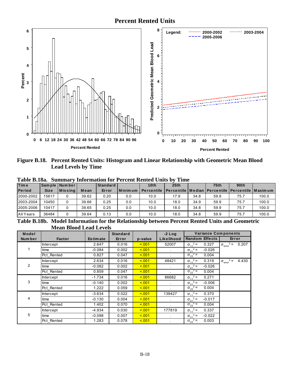# **Percent Rented Units**



Figure B.18. Percent Rented Units: Histogram and Linear Relationship with Geometric Mean Blood **Lead Levels by Time** 

| <b>Time</b>   |             | Sample Number   |       | Standard |            | 10 <sub>th</sub>  | 25th                                                             |      | <b>75th</b> | 90 <sub>th</sub> |       |
|---------------|-------------|-----------------|-------|----------|------------|-------------------|------------------------------------------------------------------|------|-------------|------------------|-------|
| <b>Period</b> | <b>Size</b> | <b>IMissing</b> | Mean  | Error    | l Minim um | <b>Percentile</b> | <u>I Percentile I Median I Percentile I Percentile I Maximum</u> |      |             |                  |       |
| 2000-2002     | 15617       |                 | 39.62 | 0.20     | 0.0        | 10.0              | 17.9                                                             | 34.8 | 59.9        | 75.7             | 100.0 |
| 2003-2004     | 10450       |                 | 39.66 | 0.25     | 0.0        | 10.0              | 18.0                                                             | 34.9 | 59.9        | 75.7             | 100.0 |
| 2005-2006     | 10417       |                 | 39.65 | 0.25     | 0.0        | 10.0              | 18.0                                                             | 34.8 | 59.9        | 75.7             | 100.0 |
| All Years     | 36484       |                 | 39.64 | 0.13     | 0.0        | 10.0              | 18.0                                                             | 34.8 | 59.9        | 75.7             | 100.0 |

Table B.18a. Summary Information for Percent Rented Units by Time

Table B.18b. Model Information for the Relationship between Percent Rented Units and Geometric **Mean Blood Lead Levels** 

| Model          |                  |                 | <b>Standard</b> |         | $-2$ Log   | <b>Variance Components</b>    |                                           |
|----------------|------------------|-----------------|-----------------|---------|------------|-------------------------------|-------------------------------------------|
| <b>Number</b>  | <b>Factor</b>    | <b>Estimate</b> | Error           | p-value | Likelihood | <b>Random Effects</b>         | Error                                     |
|                | <b>Intercept</b> | 2.647           | 0.016           | 5.001   | 52007      | $\sigma_{11}^2$ =<br>0.327    | $\sigma_{\text{error}}^2 =$<br>0.207      |
|                | time             | $-0.084$        | 0.002           | 5.001   |            | $\sigma_{21}^2$ =<br>$-0.026$ |                                           |
|                | Pct Rented       | 0.827           | 0.047           | 5.001   |            | $\sigma_{22}^2$ =<br>0.004    |                                           |
|                | <b>Intercept</b> | 2.634           | 0.016           | 5.001   | 48421      | $\sigma_{11}^2$ =<br>0.319    | $2 =$<br>4.430<br>$\sigma_{\text{error}}$ |
| $\overline{2}$ | time             | $-0.082$        | 0.002           | 5.001   |            | $\sigma_{21}^2$ =<br>$-0.026$ |                                           |
|                | Pct Rented       | 0.859           | 0.047           | 5.001   |            | $\sigma_{22}^2$ =<br>0.004    |                                           |
|                | <b>Intercept</b> | $-1.734$        | 0.016           | 5.001   | 86682      | $\sigma_{11}^2$ =<br>0.271    |                                           |
| 3              | time             | $-0.140$        | 0.002           | 5.001   | $\sim$     | $\sigma_{21}^2$ =<br>$-0.006$ |                                           |
|                | Pct Rented       | 1.222           | 0.059           | 5.001   |            | $\sigma_{22}^2$ =<br>0.004    |                                           |
|                | Intercept        | -3.634          | 0.022           | 5.001   | 139427     | $\sigma_{11}^2$ =<br>0.370    |                                           |
| 4              | time             | $-0.130$        | 0.004           | 5.001   | $\epsilon$ | $\sigma_{21}^2$ =<br>$-0.017$ |                                           |
|                | Pct Rented       | 1.402           | 0.070           | < 001   |            | $\sigma_{22}^2$ =<br>0.004    |                                           |
|                | <b>Intercept</b> | $-4.934$        | 0.030           | 5.001   | 177819     | $\sigma_{11}^2$ =<br>0.337    |                                           |
| 5              | time             | $-0.098$        | 0.007           | 5.001   |            | $\sigma_{21}^2$ =<br>$-0.022$ |                                           |
|                | Pct Rented       | 1.283           | 0.078           | < 0.01  |            | $\sigma_{22}^2$ =<br>0.003    |                                           |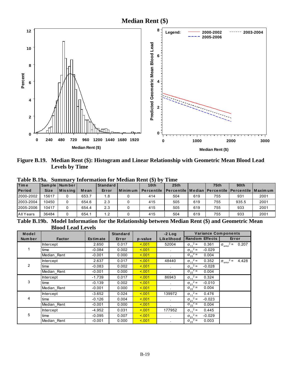**Median Rent (\$)** 



Figure B.19. Median Rent (\$): Histogram and Linear Relationship with Geometric Mean Blood Lead **Levels by Time** 

| <b>Time</b>   |             | Sample Number |       | Standard |         | 10 <sub>th</sub>  | 25 <sub>th</sub>                                                 |     | <b>75th</b> | 90th  |      |
|---------------|-------------|---------------|-------|----------|---------|-------------------|------------------------------------------------------------------|-----|-------------|-------|------|
| <b>Period</b> | <b>Size</b> | $ M$ is sing  | Mean  | Error    | Minimum | <b>Percentile</b> | <u>I Percentile I Median I Percentile I Percentile I Maximum</u> |     |             |       |      |
| 2000-2002     | 15617       |               | 653.7 | 1.8      |         | 414               | 504                                                              | 619 | 755         | 931   | 2001 |
| 2003-2004     | 10450       |               | 654.6 | 2.3      |         | 415               | 505                                                              | 619 | 755         | 935.5 | 2001 |
| 2005-2006     | 10417       |               | 654.4 | 2.3      |         | 415               | 505                                                              | 619 | 755         | 933   | 2001 |
| All Years     | 36484       |               | 654.1 | 1.2      |         | 415               | 504                                                              | 619 | 755         | 933   | 2001 |

Table B.19a. Summary Information for Median Rent (\$) by Time

Table B.19b. Model Information for the Relationship between Median Rent (\$) and Geometric Mean **Blood Lead Levels** 

| Model          |               |                 | <b>Standard</b> |         | $-2$ Log   | <b>Variance Components</b>    |                                           |
|----------------|---------------|-----------------|-----------------|---------|------------|-------------------------------|-------------------------------------------|
| Num ber        | <b>Factor</b> | <b>Estimate</b> | Error           | p-value | Likelihood | <b>Random Effects</b>         | Error                                     |
|                | Intercept     | 2.650           | 0.017           | 5.001   | 52004      | $\sigma_{11}^2$ =<br>0.361    | $\sigma_{\text{error}}^2 = 0.207$         |
| 1              | time          | $-0.084$        | 0.002           | < 0.01  |            | $\sigma_{21}^2$ =<br>$-0.029$ |                                           |
|                | Median Rent   | $-0.001$        | 0.000           | 5.001   |            | $\sigma_{22}^2$ =<br>0.004    |                                           |
|                | Intercept     | 2.637           | 0.017           | < 0.01  | 48440      | $\sigma_{11}^2$ =<br>0.352    | $2 =$<br>4.428<br>$\sigma_{\text{error}}$ |
| $\overline{2}$ | time          | $-0.083$        | 0.002           | < 0.01  |            | $\sigma_{21}^2$ =<br>$-0.028$ |                                           |
|                | Median Rent   | $-0.001$        | 0.000           | < 0.01  |            | $\sigma_{22}^2$ =<br>0.004    |                                           |
|                | Intercept     | $-1.739$        | 0.017           | 5.001   | 86943      | $\sigma_{11}^2$ =<br>0.324    |                                           |
| 3              | time          | $-0.139$        | 0.002           | 5.001   |            | $\sigma_{21}^2$ =<br>$-0.010$ |                                           |
|                | Median Rent   | $-0.001$        | 0.000           | 5.001   |            | $\sigma_{22}^2$ =<br>0.004    |                                           |
|                | Intercept     | -3.652          | 0.024           | < 0.01  | 139972     | $\sigma_{11}^2$ =<br>0.476    |                                           |
| 4              | time          | $-0.126$        | 0.004           | < 0.01  | $\sim$     | $\sigma_{21}^2$ =<br>$-0.023$ |                                           |
|                | Median_Rent   | $-0.001$        | 0.000           | < 0.01  |            | $\sigma_{22}^2$ =<br>0.004    |                                           |
|                | Intercept     | $-4.952$        | 0.031           | < 0.01  | 177952     | $\sigma_{11}^2$ =<br>0.445    |                                           |
| 5              | time          | $-0.095$        | 0.007           | < 0.01  |            | $\sigma_{21}^2$ =<br>$-0.029$ |                                           |
|                | Median Rent   | $-0.001$        | 0.000           | < 0.01  |            | $\sigma_{22}^2$ =<br>0.003    |                                           |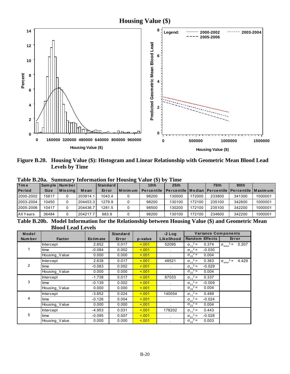**Housing Value (\$)** 



Figure B.20. Housing Value (\$): Histogram and Linear Relationship with Geometric Mean Blood Lead Levels by Time

| <b>Time</b>   |             | Sample   Number |          | Standard |         | 10 <sub>th</sub>  | 25 <sub>th</sub>                                        |        | <b>75th</b> | 90th   |         |
|---------------|-------------|-----------------|----------|----------|---------|-------------------|---------------------------------------------------------|--------|-------------|--------|---------|
| <b>Period</b> | <b>Size</b> | $ M$ is sing    | Mean     | Error    | Minimum | <b>Percentile</b> | Percentile   Median   Percentile   Percentile   Maximum |        |             |        |         |
| 2000-2002     | 15617       |                 | 203914.1 | 1043.4   |         | 98200             | 130000                                                  | 172000 | 233800      | 341300 | 1000001 |
| 2003-2004     | 10450       |                 | 204453.3 | 1279.9   |         | 98200             | 130100                                                  | 172100 | 235100      | 342600 | 1000001 |
| 2005-2006     | 10417       |                 | 204436   | 1281.5   |         | 98500             | 130200                                                  | 172100 | 235100      | 342200 | 1000001 |
| All Years     | 36484       |                 | 204217.7 | 683.9    |         | 98200             | 130100                                                  | 172100 | 234600      | 342200 | 1000001 |

Table B.20a. Summary Information for Housing Value (\$) by Time

Table B.20b. Model Information for the Relationship between Housing Value (\$) and Geometric Mean **Blood Lead Levels** 

| Model  |                  |                 | <b>Standard</b> |         | $-2$ Log   | <b>Variance Components</b>    |                                             |
|--------|------------------|-----------------|-----------------|---------|------------|-------------------------------|---------------------------------------------|
| Number | <b>Factor</b>    | <b>Estimate</b> | Error           | p-value | Likelihood | <b>Random Effects</b>         | Error                                       |
|        | <b>Intercept</b> | 2.652           | 0.017           | 5.001   | 52095      | $\sigma_{11}^2$ =<br>0.374    | $2 =$<br>0.207<br>$\sigma_{\text{error}}^2$ |
|        | time             | $-0.084$        | 0.002           | < 0.01  |            | $\sigma_{21}^2$ =<br>$-0.030$ |                                             |
|        | Housing Value    | 0.000           | 0.000           | 5.001   |            | $\sigma_{22}^2$ =<br>0.004    |                                             |
|        | Intercept        | 2.638           | 0.017           | < 0.01  | 48521      | $\sigma_{11}^2$ =<br>0.363    | $2 =$<br>4.429<br>$\sigma_{\text{error}}$   |
| 2      | time             | $-0.083$        | 0.002           | 5.001   |            | $\sigma_{21}^2$ =<br>$-0.029$ |                                             |
|        | Housing Value    | 0.000           | 0.000           | < 0.01  |            | $\sigma_{22}^2$ =<br>0.004    |                                             |
|        | Intercept        | $-1.738$        | 0.017           | 5.001   | 87033      | $\sigma_{11}^2$ =<br>0.337    |                                             |
| 3      | time             | $-0.139$        | 0.002           | 5.001   |            | $\sigma_{21}^2$ =<br>$-0.009$ |                                             |
|        | Housing Value    | 0.000           | 0.000           | 5.001   |            | $\sigma_{22}^2$ =<br>0.004    |                                             |
|        | Intercept        | $-3.652$        | 0.024           | < 0.01  | 140054     | $\sigma_{11}^2$ =<br>0.489    |                                             |
| 4      | time             | $-0.126$        | 0.004           | < 0.01  | $\sim$     | $\sigma_{21}^2$ =<br>$-0.024$ |                                             |
|        | Housing Value    | 0.000           | 0.000           | < 0.01  |            | $\sigma_{22}^2$ =<br>0.004    |                                             |
|        | <b>Intercept</b> | -4.953          | 0.031           | < 0.01  | 178202     | $\sigma_{11}^2$ =<br>0.443    |                                             |
| 5      | time             | $-0.095$        | 0.007           | < 0.01  |            | $\sigma_{21}^2$ =<br>$-0.028$ |                                             |
|        | Housing Value    | 0.000           | 0.000           | < 0.01  |            | $\sigma_{22}^2$ =<br>0.003    |                                             |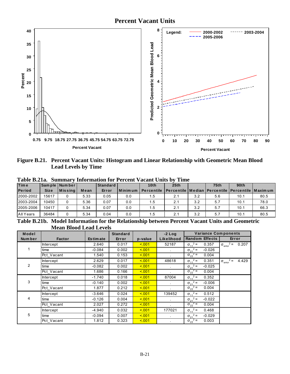

Figure B.21. Percent Vacant Units: Histogram and Linear Relationship with Geometric Mean Blood **Lead Levels by Time** 

| <b>Time</b>   |             | Sample Number |      | Standard |         | 10th       | 25th                                                    |      | <b>75th</b> | 90th |      |
|---------------|-------------|---------------|------|----------|---------|------------|---------------------------------------------------------|------|-------------|------|------|
| <b>Period</b> | <b>Size</b> | $ M$ is sing  | Mean | Error    | Minimum | Percentile | Percentile   Median   Percentile   Percentile   Maximum |      |             |      |      |
| 2000-2002     | 15617       |               | 5.33 | 0.05     | 0.0     | . . 5      | 2.1                                                     | 3.2  | 5.6         | 10.1 | 80.5 |
| 2003-2004     | 10450       |               | 5.36 | 0.07     | 0.0     | l.5        | 2.1                                                     | 3.2  | 5.7         | 10.1 | 78.0 |
| 2005-2006     | 10417       |               | 5.34 | 0.07     | 0.0     | ا 5.       | 2.1                                                     | 3.2  | 5.7         | 10.1 | 66.3 |
| All Years     | 36484       |               | 5.34 | 0.04     | 0.0     | l.5        | 2.1                                                     | 3.2  | 5.7         | 10.1 | 80.5 |
| __ _ _ _ _ _  |             | ------        |      | .        |         | ----       | $\sim$                                                  | ____ | ---         | $ -$ |      |

Table B.21a. Summary Information for Percent Vacant Units by Time

Table B.21b. Model Information for the Relationship between Percent Vacant Units and Geometric **Mean Blood Lead Levels** 

| Model  |                  |                 | <b>Standard</b> |         | $-2$ Log             | <b>Variance Components</b>    |                                      |
|--------|------------------|-----------------|-----------------|---------|----------------------|-------------------------------|--------------------------------------|
| Number | <b>Factor</b>    | <b>Estimate</b> | Error           | p-value | Likelihood           | <b>Random Effects</b>         | Error                                |
|        | <b>Intercept</b> | 2.640           | 0.017           | < 0.01  | 52187                | $\sigma_{11}^2$ =<br>0.357    | $\sigma_{\text{error}}^2 = 0.207$    |
| 1.     | time             | $-0.084$        | 0.002           | < 0.01  |                      | $\sigma_{21}^2$ =<br>$-0.026$ |                                      |
|        | Pct_Vacant       | 1.540           | 0.153           | < 0.01  |                      | $\sigma_{22}^2$ =<br>0.004    |                                      |
|        | Intercept        | 2.629           | 0.017           | < 0.01  | 48618                | $\sigma_{11}^2$ =<br>0.351    | $\sigma_{\text{error}}^2$ =<br>4.429 |
| 2      | time             | $-0.082$        | 0.002           | 5.001   |                      | $\sigma_{21}^2$ =<br>$-0.025$ |                                      |
|        | Pct Vacant       | 1.686           | 0.166           | 5.001   |                      | $\sigma_{22}^2$ =<br>0.004    |                                      |
|        | Intercept        | $-1.740$        | 0.018           | < 0.01  | 87004                | $\sigma_{11}^2$ =<br>0.352    |                                      |
| 3      | time             | $-0.140$        | 0.002           | 5.001   | $\mathbf{r}$         | $\sigma_{21}^2$ =<br>$-0.006$ |                                      |
|        | Pct Vacant       | 1.877           | 0.212           | 5.001   |                      | $\sigma_{22}^2$ =<br>0.004    |                                      |
|        | Intercept        | $-3.646$        | 0.024           | 5.001   | 139452               | $\sigma_{11}^2$ =<br>0.512    |                                      |
| 4      | time             | $-0.126$        | 0.004           | < 0.01  | $\mathbf{r}$         | $\sigma_{21}^2$ =<br>$-0.022$ |                                      |
|        | Pct Vacant       | 2.027           | 0.272           | 5.001   |                      | $\sigma_{22}^2$ =<br>0.004    |                                      |
|        | Intercept        | -4.940          | 0.032           | < 0.01  | 177021               | $\sigma_{11}^2$ =<br>0.468    |                                      |
| 5      | time             | $-0.094$        | 0.007           | 5.001   | $\ddot{\phantom{a}}$ | $\sigma_{21}^2$ =<br>$-0.029$ |                                      |
|        | Pct_Vacant       | 1.812           | 0.323           | < 0.01  |                      | $\sigma_{22}^2$ =<br>0.003    |                                      |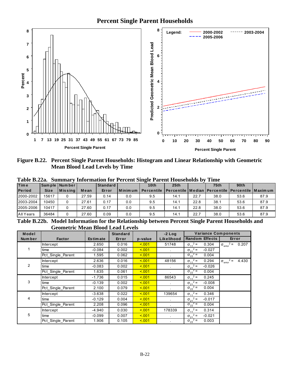# **Percent Single Parent Households**



Figure B.22. Percent Single Parent Households: Histogram and Linear Relationship with Geometric **Mean Blood Lead Levels by Time** 

|               |             |                 |       |                 |         | Table D.22a.    building y Throi mation for T creent bingle T arent Households by |                                                                 |      | -----       |                  |      |
|---------------|-------------|-----------------|-------|-----------------|---------|-----------------------------------------------------------------------------------|-----------------------------------------------------------------|------|-------------|------------------|------|
| <b>Time</b>   |             | Sample Number   |       | <b>Standard</b> |         | 10 <sub>th</sub>                                                                  | 25 <sub>th</sub>                                                |      | <b>75th</b> | 90 <sub>th</sub> |      |
| <b>Period</b> | <b>Size</b> | <b>IMissina</b> | Mean  | Error           | Minimum | <b>Percentile</b>                                                                 | <b>IPercentile   Median   Percentile   Percentile   Maximum</b> |      |             |                  |      |
| 2000-2002     | 15617       |                 | 27.59 | 0.14            | 0.0     | 9.5                                                                               | 14.1                                                            | 22.7 | 38.0        | 53.6             | 87.9 |
| 2003-2004     | 10450       |                 | 27.61 | 0.17            | 0.0     | 9.5                                                                               | 14.1                                                            | 22.8 | 38.1        | 53.6             | 87.9 |
| 2005-2006     | 10417       |                 | 27.60 | 0.17            | 0.0     | 9.5                                                                               | 14.1                                                            | 22.8 | 38.0        | 53.6             | 87.9 |
| All Years     | 36484       |                 | 27.60 | 0.09            | 0.0     | 9.5                                                                               | 14.1                                                            | 22.7 | 38.0        | 53.6             | 87.9 |
|               |             |                 |       |                 |         |                                                                                   |                                                                 |      |             |                  |      |

Table B.22a. **Summary Information for Percent Single Parent Households by Time** 

Table B.22b. Model Information for the Relationship between Percent Single Parent Households and **Geometric Mean Blood Lead Levels** 

| Model          |                   |                 | <b>Standard</b> |         | $-2$ Log   | <b>Variance Components</b>    |                                           |
|----------------|-------------------|-----------------|-----------------|---------|------------|-------------------------------|-------------------------------------------|
| <b>Number</b>  | <b>Factor</b>     | <b>Estimate</b> | Error           | p-value | Likelihood | <b>Random Effects</b>         | Error                                     |
|                | <b>Intercept</b>  | 2.650           | 0.016           | 5.001   | 51748      | $\sigma_{11}^2$ =<br>0.304    | $\sigma_{\text{error}}^2 =$<br>0.207      |
|                | time              | $-0.084$        | 0.002           | 5.001   |            | $\sigma_{21}^2$ =<br>$-0.027$ |                                           |
|                | Pct_Single_Parent | 1.595           | 0.062           | 5.001   |            | $\sigma_{22}^2$ =<br>0.004    |                                           |
|                | Intercept         | 2.636           | 0.016           | < 0.01  | 48156      | $\sigma_{11}^2$ =<br>0.294    | $2 =$<br>4.430<br>$\sigma_{\text{error}}$ |
| $\overline{2}$ | time              | $-0.083$        | 0.002           | 5.001   |            | $\sigma_{21}^2$ =<br>$-0.026$ |                                           |
|                | Pct_Single_Parent | 1.635           | 0.061           | 5.001   |            | $\sigma_{22}^2$ =<br>0.004    |                                           |
|                | <b>Intercept</b>  | $-1.736$        | 0.015           | 5.001   | 86543      | $\sigma_{11}^2$ =<br>0.245    |                                           |
| 3              | time              | $-0.139$        | 0.002           | 5.001   |            | $\sigma_{21}^2$ =<br>$-0.008$ |                                           |
|                | Pct Single Parent | 2.100           | 0.079           | 5.001   |            | $\sigma_{22}^2$ =<br>0.004    |                                           |
|                | Intercept         | $-3.638$        | 0.022           | 5.001   | 139654     | $\sigma_{11}^2$ =<br>0.346    |                                           |
| 4              | time              | $-0.129$        | 0.004           | 5.001   | $\sim$     | $\sigma_{21}^2$ =<br>$-0.017$ |                                           |
|                | Pct_Single_Parent | 2.208           | 0.096           | 5.001   |            | $\sigma_{22}^2$ =<br>0.004    |                                           |
|                | <b>Intercept</b>  | -4.940          | 0.030           | 5.001   | 178339     | $\sigma_{11}^2$ =<br>0.314    |                                           |
| 5              | time              | $-0.099$        | 0.007           | < 0.01  |            | $\sigma_{21}^2$ =<br>$-0.021$ |                                           |
|                | Pct_Single_Parent | 1.906           | 0.105           | 5.001   |            | $\sigma_{22}^2$ =<br>0.003    |                                           |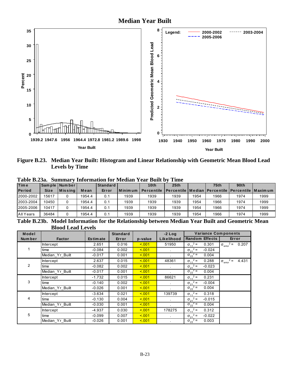

Figure B.23. Median Year Built: Histogram and Linear Relationship with Geometric Mean Blood Lead **Levels by Time** 

|             |        | Standard                            |         | 10 <sub>th</sub>  | 25th |      | <b>75th</b> | 90th |                                                                   |
|-------------|--------|-------------------------------------|---------|-------------------|------|------|-------------|------|-------------------------------------------------------------------|
| <b>Size</b> | Mean   | Error                               | Minimum | <b>Percentile</b> |      |      |             |      |                                                                   |
| 15617       | 1954.4 | 0.1                                 | 1939    | 1939              | 1939 | 1954 | 1966        | 1974 | 1999                                                              |
| 10450       | 1954.4 | 0.1                                 | 1939    | 1939              | 1939 | 1954 | 1966        | 1974 | 1999                                                              |
| 10417       | 1954.4 | 0.1                                 | 1939    | 1939              | 1939 | 1954 | 1966        | 1974 | 1999                                                              |
| 36484       | 1954.4 | 0.1                                 | 1939    | 1939              | 1939 | 1954 | 1966        | 1974 | 1999                                                              |
|             |        | Sample   Number  <br><b>Missing</b> |         |                   |      |      |             |      | <u>l Percentile I Median I Percentile   Percentile   Maxim um</u> |

Table B.23a. Summary Information for Median Year Built by Time

Table B.23b. Model Information for the Relationship between Median Year Built and Geometric Mean **Blood Lead Levels** 

| Model   |                 |                 | <b>Standard</b> |         | $-2$ Log   | <b>Variance Components</b>    |                                           |
|---------|-----------------|-----------------|-----------------|---------|------------|-------------------------------|-------------------------------------------|
| Num ber | <b>Factor</b>   | <b>Estimate</b> | Error           | p-value | Likelihood | <b>Random Effects</b>         | Error                                     |
|         | Intercept       | 2.651           | 0.016           | 5.001   | 51950      | $\sigma_{11}^2$ =<br>0.301    | $\sigma_{\text{error}}^2 = 0.207$         |
| 1.      | time            | $-0.084$        | 0.002           | 5.001   |            | $\sigma_{21}^2$ =<br>$-0.024$ |                                           |
|         | Median Yr Built | $-0.017$        | 0.001           | 5.001   |            | $\sigma_{22}^2$ =<br>0.004    |                                           |
|         | Intercept       | 2.637           | 0.015           | < 0.01  | 48361      | $\sigma_{11}^2$ =<br>0.288    | $2 =$<br>4.431<br>$\sigma_{\text{error}}$ |
| 2       | time            | $-0.082$        | 0.002           | < 0.01  |            | $\sigma_{21}^2$ =<br>$-0.023$ |                                           |
|         | Median Yr Built | $-0.017$        | 0.001           | < 0.01  |            | $\sigma_{22}^2$ =<br>0.004    |                                           |
|         | Intercept       | $-1.732$        | 0.015           | 5.001   | 86621      | $\sigma_{11}^2$ =<br>0.231    |                                           |
| 3       | time            | $-0.140$        | 0.002           | 5.001   |            | $\sigma_{21}^2$ =<br>$-0.004$ |                                           |
|         | Median Yr Built | $-0.026$        | 0.001           | < 0.01  |            | $\sigma_{22}^2$ =<br>0.004    |                                           |
|         | Intercept       | $-3.634$        | 0.021           | < 0.01  | 139739     | $\sigma_{11}^2$ =<br>0.318    |                                           |
| 4       | time            | $-0.130$        | 0.004           | < 001   |            | $\sigma_{21}^2$ =<br>$-0.015$ |                                           |
|         | Median Yr Built | $-0.030$        | 0.001           | < 0.01  |            | $\sigma_{22}^2$ =<br>0.004    |                                           |
|         | Intercept       | -4.937          | 0.030           | 5.001   | 178275     | $\sigma_{11}^2$ =<br>0.312    |                                           |
| 5       | time            | $-0.099$        | 0.007           | < 0.01  | $\sim$     | $\sigma_{21}^2$ =<br>$-0.022$ |                                           |
|         | Median Yr Built | $-0.026$        | 0.001           | < 0.01  |            | $\sigma_{22}^2$ =<br>0.003    |                                           |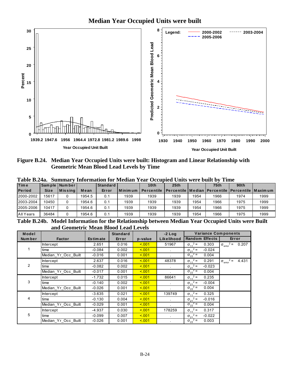

Figure B.24. Median Year Occupied Units were built: Histogram and Linear Relationship with **Geometric Mean Blood Lead Levels by Time** 

| 1 AVIV DIZTAI |             | гочиници у       |        |            |           | , mormanon ior mcalan Tcar Occupica Omis were bant by Thile |                                                                 |      |                  |      |      |
|---------------|-------------|------------------|--------|------------|-----------|-------------------------------------------------------------|-----------------------------------------------------------------|------|------------------|------|------|
| <b>Time</b>   |             | Sample Number    |        | Standard I |           | 10th                                                        | 25 <sub>th</sub>                                                |      | 75 <sub>th</sub> | 90th |      |
| <b>Period</b> | <b>Size</b> | <b>I</b> Missina | Mean   | Error      | l Minimum | <b>Percentile</b>                                           | <b>IPercentile   Median   Percentile   Percentile   Maximum</b> |      |                  |      |      |
| 2000-2002     | 15617       |                  | 1954.5 | 0.1        | 1939      | 1939                                                        | 1939                                                            | 1954 | 1966             | 1974 | 1999 |
| 2003-2004     | 10450       |                  | 1954.6 | 0.1        | 1939      | 1939                                                        | 1939                                                            | 1954 | 1966             | 1975 | 1999 |
| 2005-2006     | 10417       |                  | 1954.6 | 0.1        | 1939      | 1939                                                        | 1939                                                            | 1954 | 1966             | 1975 | 1999 |
| All Years     | 36484       |                  | 1954.6 | 0.1        | 1939      | 1939                                                        | 1939                                                            | 1954 | 1966             | 1975 | 1999 |
|               |             |                  |        |            |           |                                                             |                                                                 |      |                  |      |      |

Table B.24a. Summary Information for Median Year Occupied Units were built by Time

Table B.24b. Model Information for the Relationship between Median Year Occupied Units were Built and Geometric Mean Blood Lead Levels

| Model          |                     |                 | <b>Standard</b> |         | $-2$ Log   | <b>Variance Components</b>    |                                           |
|----------------|---------------------|-----------------|-----------------|---------|------------|-------------------------------|-------------------------------------------|
| Number         | Factor              | <b>Estimate</b> | Error           | p-value | Likelihood | <b>Random Effects</b>         | Error                                     |
|                | <b>Intercept</b>    | 2.651           | 0.016           | 5.001   | 51967      | $\sigma_{11}^2$ =<br>0.303    | $\sigma_{\text{error}}^2$ =<br>0.207      |
|                | time                | $-0.084$        | 0.002           | 5.001   |            | $\sigma_{21}^2$ =<br>$-0.024$ |                                           |
|                | Median_Yr_Occ_Built | $-0.016$        | 0.001           | 5.001   |            | $\sigma_{22}^2$ =<br>0.004    |                                           |
|                | Intercept           | 2.637           | 0.016           | 5.001   | 48378      | $\sigma_{11}^2$ =<br>0.291    | $2 =$<br>4.431<br>$\sigma_{\text{error}}$ |
| $\overline{2}$ | time                | $-0.082$        | 0.002           | 5.001   |            | $\sigma_{21}^2$ =<br>$-0.023$ |                                           |
|                | Median Yr Occ Built | $-0.017$        | 0.001           | 5.001   |            | $\sigma_{22}^2$ =<br>0.004    |                                           |
|                | <b>Intercept</b>    | $-1.732$        | 0.015           | 5.001   | 86641      | $\sigma_{11}^2 =$<br>0.235    |                                           |
| 3              | time                | $-0.140$        | 0.002           | < 0.01  |            | $\sigma_{21}^2$ =<br>$-0.004$ |                                           |
|                | Median_Yr_Occ_Built | $-0.026$        | 0.001           | < 0.01  |            | $\sigma_{22}^2$ =<br>0.004    |                                           |
|                | <b>Intercept</b>    | $-3.635$        | 0.021           | 5.001   | 139749     | $\sigma_{11}^2$ =<br>0.325    |                                           |
| 4              | time                | $-0.130$        | 0.004           | 5.001   |            | $\sigma_{21}^2$ =<br>$-0.016$ |                                           |
|                | Median Yr Occ Built | $-0.029$        | 0.001           | 5.001   |            | $\sigma_{22}^2$ =<br>0.004    |                                           |
|                | <b>Intercept</b>    | $-4.937$        | 0.030           | 5.001   | 178259     | $\sigma_{11}^2$ =<br>0.317    |                                           |
| 5              | time                | $-0.099$        | 0.007           | < 0.01  |            | $\sigma_{21}^2$ =<br>$-0.022$ |                                           |
|                | Median Yr Occ Built | $-0.026$        | 0.001           | 5.001   |            | $\sigma_{22}^2$ =<br>0.003    |                                           |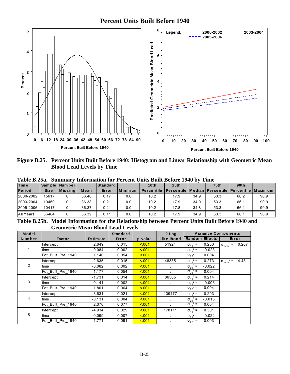

Figure B.25. Percent Units Built Before 1940: Histogram and Linear Relationship with Geometric Mean **Blood Lead Levels by Time** 

| <b>Time</b>   |             | Sample Number  |       | <b>Standard</b> |                 | 10th              | 25th                                                             |      | <b>75th</b> | 90 <sub>th</sub> |      |
|---------------|-------------|----------------|-------|-----------------|-----------------|-------------------|------------------------------------------------------------------|------|-------------|------------------|------|
| <b>Period</b> | <b>Size</b> | <b>Missing</b> | Mean  | Error           | <b>IMinimum</b> | <b>Percentile</b> | <b>I</b> Percentile   Median   Percentile   Percentile   Maximum |      |             |                  |      |
| 2000-2002     | 15617       |                | 36.40 | 0.17            | 0.0             | 10.2              | 17.9                                                             | 34.9 | 53.3        | 66.2             | 90.9 |
| 2003-2004     | 10450       |                | 36.38 | 0.21            | 0.0             | 10.2              | 17.9                                                             | 34.9 | 53.3        | 66.1             | 90.9 |
| 2005-2006     | 10417       |                | 36.37 | 0.21            | 0.0             | 10.2              | 17.8                                                             | 34.8 | 53.3        | 66.1             | 90.9 |
| All Years     | 36484       |                | 36.39 | 0.11            | 0.0             | 10.2              | 17.9                                                             | 34.9 | 53.3        | 66.1             | 90.9 |

Table B.25a. Summary Information for Percent Units Built Before 1940 by Time

Table B.25b. Model Information for the Relationship between Percent Units Built Before 1940 and **Geometric Mean Blood Lead Levels** 

| Model  |                    |                 | <b>Standard</b> |         | $-2$ Log             | <b>Variance Components</b>    |                                      |
|--------|--------------------|-----------------|-----------------|---------|----------------------|-------------------------------|--------------------------------------|
| Number | <b>Factor</b>      | <b>Estimate</b> | Error           | p-value | Likelihood           | <b>Random Effects</b>         | Error                                |
|        | Intercept          | 2.649           | 0.015           | < 0.01  | 51924                | $\sigma_{11}^2$ =<br>0.283    | $\sigma_{\text{error}}^2 = 0.207$    |
|        | time               | $-0.084$        | 0.002           | < 0.01  |                      | $\sigma_{21}^2$ =<br>$-0.023$ |                                      |
|        | Pct_Built_Pre_1940 | 1.140           | 0.054           | 5.001   |                      | $\sigma_{22}^2$ =<br>0.004    |                                      |
|        | Intercept          | 2.635           | 0.015           | < 0.01  | 48335                | $\sigma_{11}^2$ =<br>0.273    | $\sigma_{\text{error}}^2$ =<br>4.431 |
| 2      | time               | $-0.082$        | 0.002           | 5.001   |                      | $\sigma_{21}^2$ =<br>$-0.022$ |                                      |
|        | Pct Built Pre 1940 | 1.177           | 0.054           | < 0.01  |                      | $\sigma_{22}^2$ =<br>0.004    |                                      |
|        | Intercept          | $-1.731$        | 0.014           | < 0.01  | 86505                | $\sigma_{11}^2$ =<br>0.214    |                                      |
| 3      | time               | $-0.141$        | 0.002           | < 0.01  | $\ddot{\phantom{0}}$ | $\sigma_{21}^2$ =<br>$-0.003$ |                                      |
|        | Pct Built Pre 1940 | 1.801           | 0.064           | < 0.01  |                      | $\sigma_{22}^2$ =<br>0.004    |                                      |
|        | Intercept          | $-3.631$        | 0.021           | 5.001   | 139477               | $\sigma_{11}^2$ =<br>0.293    |                                      |
| 4      | time               | $-0.131$        | 0.004           | < 0.01  | $\ddot{\phantom{0}}$ | $\sigma_{21}^2$ =<br>$-0.015$ |                                      |
|        | Pct Built Pre 1940 | 2.076           | 0.077           | < 0.01  |                      | $\sigma_{22}^2$ =<br>0.004    |                                      |
|        | Intercept          | $-4.934$        | 0.029           | < 0.01  | 178111               | $\sigma_{11}^2$ =<br>0.301    |                                      |
| 5      | time               | $-0.099$        | 0.007           | < 0.01  |                      | $\sigma_{21}^2$ =<br>$-0.022$ |                                      |
|        | Pct Built Pre 1940 | 1.771           | 0.091           | 5.001   |                      | $\sigma_{22}^2$ =<br>0.003    |                                      |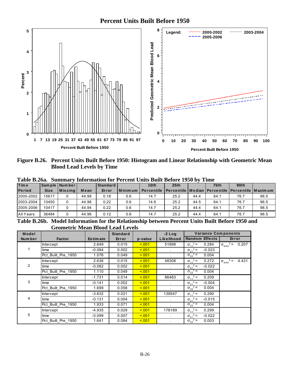

Figure B.26. Percent Units Built Before 1950: Histogram and Linear Relationship with Geometric Mean **Blood Lead Levels by Time** 

| <b>Time</b>   |             | Sample Number    |       | Standard |           | 10 <sub>th</sub>  | 25th                                                            |      | <b>75th</b> | 90 <sub>th</sub> |      |
|---------------|-------------|------------------|-------|----------|-----------|-------------------|-----------------------------------------------------------------|------|-------------|------------------|------|
| <b>Period</b> | <b>Size</b> | <b>M</b> is sing | Mean  | Error    | l Minimum | <b>Percentile</b> | <b>IPercentile   Median   Percentile   Percentile   Maximum</b> |      |             |                  |      |
| 2000-2002     | 15617       |                  | 44.98 | 0.18     | 0.6       | 14.7              | 25.2                                                            | 44.4 | 64.1        | 76.7             | 96.5 |
| 2003-2004     | 10450       |                  | 44.96 | 0.22     | 0.6       | 14.6              | 25.2                                                            | 44.5 | 64.1        | 76.7             | 96.5 |
| 2005-2006     | 10417       |                  | 44.94 | 0.22     | 0.6       | 14.7              | 25.2                                                            | 44.4 | 64.1        | 76.7             | 96.5 |
| All Years     | 36484       |                  | 44.96 | 0.12     | 0.6       | 14.7              | 25.2                                                            | 44.4 | 64.1        | 76.7             | 96.5 |

Table R 26a Summary Information for Percent Units Built Before 1950 by Time

Table B.26b. Model Information for the Relationship between Percent Units Built Before 1950 and **Geometric Mean Blood Lead Levels** 

| Model  |                    |                 | <b>Standard</b> |         | $-2$ Log             | <b>Variance Components</b>    |                                      |
|--------|--------------------|-----------------|-----------------|---------|----------------------|-------------------------------|--------------------------------------|
| Number | <b>Factor</b>      | <b>Estimate</b> | Error           | p-value | Likelihood           | <b>Random Effects</b>         | Error                                |
|        | <b>Intercept</b>   | 2.649           | 0.015           | < 0.01  | 51898                | $\sigma_{11}^2$ =<br>0.284    | $\sigma_{\text{error}}^2$ = 0.207    |
|        | time               | $-0.084$        | 0.002           | 5.001   |                      | $\sigma_{21}^2$ =<br>$-0.023$ |                                      |
|        | Pct_Built_Pre_1950 | 1.076           | 0.049           | < 0.01  |                      | $\sigma_{22}^2$ =<br>0.004    |                                      |
|        | Intercept          | 2.636           | 0.015           | < 0.01  | 48308                | $\sigma_{11}^2$ =<br>0.272    | $\sigma_{\text{error}}^2$ =<br>4.431 |
| 2      | time               | $-0.082$        | 0.002           | 5.001   |                      | $\sigma_{21}^2$ =<br>$-0.022$ |                                      |
|        | Pct Built Pre 1950 | 1.110           | 0.049           | 5.001   |                      | $\sigma_{22}^2$ =<br>0.004    |                                      |
|        | Intercept          | $-1.731$        | 0.014           | < 0.01  | 86483                | $\sigma_{11}^2$ =<br>0.209    |                                      |
| 3      | time               | $-0.141$        | 0.002           | 5.001   | $\ddot{\phantom{a}}$ | $\sigma_{21}^2$ =<br>$-0.004$ |                                      |
|        | Pct Built Pre 1950 | 1.699           | 0.058           | 5.001   |                      | $\sigma_{22}^2$ =<br>0.004    |                                      |
|        | Intercept          | $-3.632$        | 0.021           | 5.001   | 139547               | $\sigma_{11}^2$ =<br>0.290    |                                      |
| 4      | time               | $-0.131$        | 0.004           | < 0.01  | $\mathbf{r}$         | $\sigma_{21}^2$ =<br>$-0.015$ |                                      |
|        | Pct Built Pre 1950 | 1.933           | 0.071           | < 0.01  |                      | $\sigma_{22}^2$ =<br>0.004    |                                      |
|        | <b>Intercept</b>   | -4.935          | 0.029           | 5.001   | 178189               | $\sigma_{11}^2$ =<br>0.299    |                                      |
| 5      | time               | $-0.099$        | 0.007           | 5.001   |                      | $\sigma_{21}^2$ =<br>$-0.022$ |                                      |
|        | Pct_Built_Pre_1950 | 1.641           | 0.084           | 5.001   |                      | $\sigma_{22}^2$ =<br>0.003    |                                      |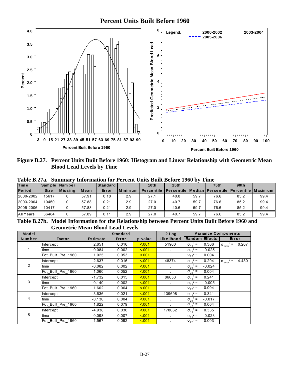

Figure B.27. Percent Units Built Before 1960: Histogram and Linear Relationship with Geometric Mean **Blood Lead Levels by Time** 

| <b>Time</b>   |             | Sample Number    |       | Standard |           | 10th              | 25 <sub>th</sub>                                                |      | <b>75th</b> | 90 <sub>th</sub> |      |
|---------------|-------------|------------------|-------|----------|-----------|-------------------|-----------------------------------------------------------------|------|-------------|------------------|------|
| <b>Period</b> | <b>Size</b> | <b>M</b> is sing | Mean  | Error    | l Minimum | <b>Percentile</b> | <b>IPercentile   Median   Percentile   Percentile   Maximum</b> |      |             |                  |      |
| 2000-2002     | 15617       |                  | 57.91 | 0.18     | 2.9       | 27.1              | 40.8                                                            | 59.7 | 76.6        | 85.2             | 99.4 |
| 2003-2004     | 10450       |                  | 57.88 | 0.21     | 2.9       | 27.0              | 40.7                                                            | 59.7 | 76.6        | 85.2             | 99.4 |
| 2005-2006     | 10417       |                  | 57.88 | 0.21     | 2.9       | 27.0              | 40.6                                                            | 59.7 | 76.6        | 85.2             | 99.4 |
| All Years     | 36484       |                  | 57.89 | 0.11     | 2.9       | 27.0              | 40.7                                                            | 59.7 | 76.6        | 85.2             | 99.4 |

Table B.27a. Summary Information for Percent Units Built Before 1960 by Time

Table B.27b. Model Information for the Relationship between Percent Units Built Before 1960 and **Geometric Mean Blood Lead Levels** 

| Model  |                    |                 | <b>Standard</b> |         | $-2$ Log             | <b>Variance Components</b>    |                                      |
|--------|--------------------|-----------------|-----------------|---------|----------------------|-------------------------------|--------------------------------------|
| Number | <b>Factor</b>      | <b>Estimate</b> | Error           | p-value | Likelihood           | <b>Random Effects</b>         | Error                                |
|        | <b>Intercept</b>   | 2.651           | 0.016           | < 0.01  | 51960                | $\sigma_{11}^2$ =<br>0.306    | $\sigma_{\text{error}}^2$ = 0.207    |
|        | time               | $-0.084$        | 0.002           | 5.001   |                      | $\sigma_{21}^2$ =<br>$-0.025$ |                                      |
|        | Pct_Built_Pre_1960 | 1.025           | 0.053           | < 0.01  |                      | $\sigma_{22}^2$ =<br>0.004    |                                      |
|        | Intercept          | 2.637           | 0.016           | < 0.01  | 48374                | $\sigma_{11}^2$ =<br>0.294    | $\sigma_{\text{error}}^2$ =<br>4.430 |
| 2      | time               | $-0.082$        | 0.002           | 5.001   |                      | $\sigma_{21}^2$ =<br>$-0.024$ |                                      |
|        | Pct Built Pre 1960 | 1.060           | 0.052           | 5.001   |                      | $\sigma_{22}^2$ =<br>0.004    |                                      |
|        | <b>Intercept</b>   | $-1.732$        | 0.015           | < 0.01  | 86653                | $\sigma_{11}^2$ =<br>0.241    |                                      |
| 3      | time               | $-0.140$        | 0.002           | < 0.01  | $\ddot{\phantom{a}}$ | $\sigma_{21}^2$ =<br>$-0.005$ |                                      |
|        | Pct Built Pre 1960 | 1.602           | 0.064           | 5.001   |                      | $\sigma_{22}^2$ =<br>0.004    |                                      |
|        | Intercept          | $-3.636$        | 0.021           | 5.001   | 139698               | $\sigma_{11}^2$ =<br>0.341    |                                      |
| 4      | time               | $-0.130$        | 0.004           | < 0.01  | $\mathbf{r}$         | $\sigma_{21}^2$ =<br>$-0.017$ |                                      |
|        | Pct Built Pre 1960 | 1.822           | 0.079           | < 001   |                      | $\sigma_{22}^2$ =<br>0.004    |                                      |
|        | <b>Intercept</b>   | -4.938          | 0.030           | 5.001   | 178062               | $\sigma_{11}^2$ =<br>0.335    |                                      |
| 5      | time               | $-0.098$        | 0.007           | 5.001   |                      | $\sigma_{21}^2$ =<br>$-0.023$ |                                      |
|        | Pct Built Pre 1960 | 1.567           | 0.092           | < 001   |                      | $\sigma_{22}^2$ =<br>0.003    |                                      |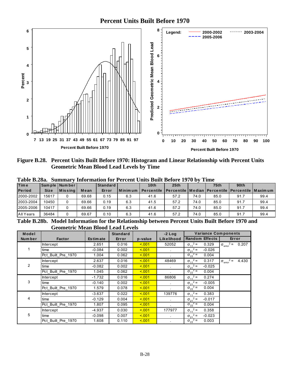

Figure B.28. Percent Units Built Before 1970: Histogram and Linear Relationship with Percent Units **Geometric Mean Blood Lead Levels by Time** 

| <b>Time</b>   |             | Sample Number |       | <b>Standard</b> |                | 10th              | 25th                                                             |      | 75 <sub>th</sub> | 90th |      |
|---------------|-------------|---------------|-------|-----------------|----------------|-------------------|------------------------------------------------------------------|------|------------------|------|------|
| <b>Period</b> | <b>Size</b> | l M is s in a | Mean  | Error           | <b>Minimum</b> | <b>Percentile</b> | <u>I Percentile I Median I Percentile I Percentile I Maximum</u> |      |                  |      |      |
| 2000-2002     | 15617       |               | 69.68 | 0.15            | 6.3            | 41.6              | 57.2                                                             | 74.0 | 85.0             | 91.7 | 99.4 |
| 2003-2004     | 10450       |               | 69.66 | 0.19            | 6.3            | 41.5              | 57.2                                                             | 74.0 | 85.0             | 91.7 | 99.4 |
| 2005-2006     | 10417       |               | 69.66 | 0.19            | 6.3            | 41.6              | 57.2                                                             | 74.0 | 85.0             | 91.7 | 99.4 |
| All Years     | 36484       |               | 69.67 | 0.10            | 6.3            | 41.6              | 57.2                                                             | 74.0 | 85.0             | 91.7 | 99.4 |

Table B.28a. Summary Information for Percent Units Built Before 1970 by Time

Table B.28b. Model Information for the Relationship between Percent Units Built Before 1970 and **Geometric Mean Blood Lead Levels** 

| Model   |                    |                 | <b>Standard</b> |         | $-2$ Log     | <b>Variance Components</b>    |                                      |
|---------|--------------------|-----------------|-----------------|---------|--------------|-------------------------------|--------------------------------------|
| Num ber | <b>Factor</b>      | <b>Estimate</b> | Error           | p-value | Likelihood   | <b>Random Effects</b>         | Error                                |
|         | <b>Intercept</b>   | 2.651           | 0.016           | < 0.01  | 52052        | $\sigma_{11}^2$ =<br>0.329    | $\sigma_{\text{error}}^2 = 0.207$    |
|         | time               | $-0.084$        | 0.002           | < 0.01  |              | $\sigma_{21}^2$ =<br>$-0.026$ |                                      |
|         | Pct_Built_Pre_1970 | 1.004           | 0.062           | 5.001   |              | $\sigma_{22}^2$ =<br>0.004    |                                      |
|         | Intercept          | 2.637           | 0.016           | < 0.01  | 48469        | $\sigma_{11}^2$ =<br>0.317    | $\sigma_{\text{error}}^2$ =<br>4.430 |
| 2       | time               | $-0.082$        | 0.002           | 5.001   |              | $\sigma_{21}^2$ =<br>$-0.025$ |                                      |
|         | Pct_Built_Pre_1970 | 1.045           | 0.062           | < 0.01  |              | $\sigma_{22}^2$ =<br>0.004    |                                      |
|         | Intercept          | $-1.732$        | 0.016           | < 0.01  | 86806        | $\sigma_{11}^2$ =<br>0.274    |                                      |
| 3       | time               | $-0.140$        | 0.002           | 5.001   |              | $\sigma_{21}^2$ =<br>$-0.005$ |                                      |
|         | Pct Built Pre 1970 | 1.579           | 0.078           | < 0.01  |              | $\sigma_{22}^2$ =<br>0.004    |                                      |
|         | Intercept          | $-3.637$        | 0.022           | 5.001   | 139776       | $\sigma_{11}^2$ =<br>0.383    |                                      |
| 4       | time               | $-0.129$        | 0.004           | < 0.01  | $\mathbf{r}$ | $\sigma_{21}^2$ =<br>$-0.017$ |                                      |
|         | Pct Built Pre 1970 | 1.807           | 0.095           | < 0.01  |              | $\sigma_{22}^2$ =<br>0.004    |                                      |
|         | Intercept          | $-4.937$        | 0.030           | < 0.01  | 177977       | $\sigma_{11}^2$ =<br>0.358    |                                      |
| 5       | time               | $-0.098$        | 0.007           | < 0.01  |              | $\sigma_{21}^2$ =<br>$-0.023$ |                                      |
|         | Pct Built Pre 1970 | 1.608           | 0.110           | 5.001   |              | $\sigma_{22}^2$ =<br>0.003    |                                      |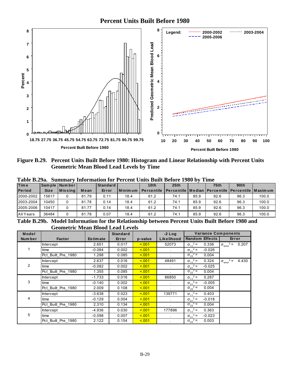

Figure B.29. Percent Units Built Before 1980: Histogram and Linear Relationship with Percent Units **Geometric Mean Blood Lead Levels by Time** 

| <b>Time</b>   |             | Sam ple   Num ber |       | <b>Standard</b> |                 | 10th              | 25th                                                            |      | 75 <sub>th</sub> | 90th |       |
|---------------|-------------|-------------------|-------|-----------------|-----------------|-------------------|-----------------------------------------------------------------|------|------------------|------|-------|
| <b>Period</b> | <b>Size</b> | Missing           | Mean  | Error           | <b>IMinimum</b> | <b>Percentile</b> | <b>IPercentile   Median   Percentile   Percentile   Maximum</b> |      |                  |      |       |
| 2000-2002     | 15617       |                   | 81.79 | 0.11            | 18.4            | 61.2              | 74.1                                                            | 85.9 | 92.6             | 96.3 | 100.0 |
| 2003-2004     | 10450       |                   | 81.78 | 0.14            | 18.4            | 61.2              | 74.1                                                            | 85.9 | 92.6             | 96.3 | 100.0 |
| 2005-2006     | 10417       |                   | 81.77 | 0.14            | 18.4            | 61.2              | 74.1                                                            | 85.9 | 92.6             | 96.3 | 100.0 |
| All Years     | 36484       |                   | 81.78 | 0.07            | 18.4            | 61.2              | 74.1                                                            | 85.9 | 92.6             | 96.3 | 100.0 |

Table R 20a Summary Information for Percent Units Built Refore 1980 by Time

Table B.29b. Model Information for the Relationship between Percent Units Built Before 1980 and **Geometric Mean Blood Lead Levels** 

| Model   |                    |                 | <b>Standard</b> |         | $-2$ Log             | <b>Variance Components</b>    |                                             |
|---------|--------------------|-----------------|-----------------|---------|----------------------|-------------------------------|---------------------------------------------|
| Num ber | <b>Factor</b>      | <b>Estimate</b> | Error           | p-value | Likelihood           | <b>Random Effects</b>         | Error                                       |
|         | <b>Intercept</b>   | 2.651           | 0.017           | < 0.01  | 52073                | $\sigma_{11}^2$ =<br>0.336    | $\sigma_{\text{error}}^2 =$<br>0.207        |
|         | time               | $-0.084$        | 0.002           | < 0.01  |                      | $\sigma_{21}^2 =$<br>$-0.026$ |                                             |
|         | Pct Built Pre 1980 | 1.298           | 0.085           | < 0.01  |                      | $\sigma_{22}^2$ =<br>0.004    |                                             |
|         | Intercept          | 2.637           | 0.016           | < 0.01  | 48491                | $\sigma_{11}^2$ =<br>0.324    | $2 =$<br>4.430<br>$\sigma_{\text{error}}^2$ |
| 2       | time               | $-0.082$        | 0.002           | 5.001   |                      | $\sigma_{21}^2$ =<br>$-0.025$ |                                             |
|         | Pct Built Pre 1980 | 1.355           | 0.085           | < 0.01  |                      | $\sigma_{22}^2$ =<br>0.004    |                                             |
|         | <b>Intercept</b>   | $-1.733$        | 0.016           | < 0.01  | 86850                | $\sigma_{11}^2 =$<br>0.287    |                                             |
| 3       | time               | $-0.140$        | 0.002           | < 0.01  | $\ddot{\phantom{0}}$ | $\sigma_{21}^2$ =<br>$-0.005$ |                                             |
|         | Pct Built Pre 1980 | 2.009           | 0.108           | < 001   |                      | $\sigma_{22}^2$ =<br>0.004    |                                             |
|         | Intercept          | $-3.638$        | 0.023           | < 0.01  | 139771               | $\sigma_{11}^2$ =<br>0.403    |                                             |
| 4       | time               | $-0.129$        | 0.004           | < 0.01  |                      | $\sigma_{21}^2$ =<br>$-0.018$ |                                             |
|         | Pct Built Pre 1980 | 2.310           | 0.134           | < 0.01  |                      | $\sigma_{22}^2$ =<br>0.004    |                                             |
|         | Intercept          | $-4.936$        | 0.030           | < 0.01  | 177896               | $\sigma_{11}^2$ =<br>0.363    |                                             |
| 5       | time               | $-0.098$        | 0.007           | < 0.01  | $\sim$               | $\sigma_{21}^2$ =<br>$-0.023$ |                                             |
|         | Pct Built Pre 1980 | 2.122           | 0.154           | < 0.01  |                      | $\sigma_{22}^2$ =<br>0.003    |                                             |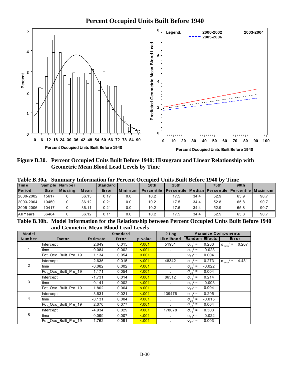

Figure B.30. Percent Occupied Units Built Before 1940: Histogram and Linear Relationship with **Geometric Mean Blood Lead Levels by Time** 

| <b>Time</b>   |             | Sample Number |       | <b>Standard</b> |             | 10th              | 25 <sub>th</sub>                                        |      | 75 <sub>th</sub> | 90 <sub>th</sub> |      |
|---------------|-------------|---------------|-------|-----------------|-------------|-------------------|---------------------------------------------------------|------|------------------|------------------|------|
| <b>Period</b> | <b>Size</b> | $ M$ is sing  | Mean  | Error           | l Minimum l | <b>Percentile</b> | Percentile   Median   Percentile   Percentile   Maximum |      |                  |                  |      |
| 2000-2002     | 15617       |               | 36.13 | 0.17            | 0.0         | 10.2              | 17.5                                                    | 34.4 | 52.9             | 65.9             | 90.7 |
| 2003-2004     | 10450       |               | 36.12 | 0.21            | 0.0         | 10.2              | 17.5                                                    | 34.4 | 52.8             | 65.8             | 90.7 |
| 2005-2006     | 10417       |               | 36.11 | 0.21            | 0.0         | 10.2              | 17.5                                                    | 34.4 | 52.9             | 65.8             | 90.7 |
| All Years     | 36484       |               | 36.12 | 0.11            | 0.0         | 10.2              | 17.5                                                    | 34.4 | 52.9             | 65.8             | 90.7 |

Table R 30a Summary Information for Percent Occupied Units Ruilt Refore 1940 by Time

Table B.30b. Model Information for the Relationship between Percent Occupied Units Built Before 1940 and Geometric Mean Blood Lead Levels

| Model          |                      |                 | <b>Standard</b> |         | $-2$ Log     | <b>Variance Components</b>    |                                           |
|----------------|----------------------|-----------------|-----------------|---------|--------------|-------------------------------|-------------------------------------------|
| <b>Number</b>  | <b>Factor</b>        | <b>Estimate</b> | Error           | p-value | Likelihood   | <b>Random Effects</b>         | Error                                     |
|                | <b>Intercept</b>     | 2.649           | 0.015           | 5.001   | 51931        | $\sigma_{11}^2$ =<br>0.283    | $\sigma_{\text{error}}^2 = 0.207$         |
|                | time                 | $-0.084$        | 0.002           | 5.001   |              | $\sigma_{21}^2$ =<br>$-0.023$ |                                           |
|                | Pct_Occ_Built_Pre_19 | 1.134           | 0.054           | 5.001   |              | $\sigma_{22}^2$ =<br>0.004    |                                           |
|                | Intercept            | 2.635           | 0.015           | 5.001   | 48342        | $\sigma_{11}^2$ =<br>0.273    | $2 =$<br>4.431<br>$\sigma_{\text{error}}$ |
| $\overline{2}$ | time                 | $-0.082$        | 0.002           | 5.001   |              | $\sigma_{21}^2$ =<br>$-0.022$ |                                           |
|                | Pct Occ Built Pre 19 | 1.171           | 0.054           | 5.001   |              | $\sigma_{22}^2$ =<br>0.004    |                                           |
|                | <b>Intercept</b>     | $-1.731$        | 0.014           | < 0.01  | 86512        | $\sigma_{11}^2$ =<br>0.214    |                                           |
| 3              | time                 | $-0.141$        | 0.002           | 5.001   |              | $\sigma_{21}^2$ =<br>$-0.003$ |                                           |
|                | Pct Occ Built Pre 19 | 1.802           | 0.064           | 5.001   |              | $\sigma_{22}^2$ =<br>0.004    |                                           |
|                | Intercept            | $-3.631$        | 0.021           | 5.001   | 139476       | $\sigma_{11}^2$ =<br>0.295    |                                           |
| 4              | time                 | $-0.131$        | 0.004           | 5.001   | $\mathbf{r}$ | $\sigma_{21}^2$ =<br>$-0.015$ |                                           |
|                | Pct_Occ_Built_Pre_19 | 2.070           | 0.077           | < 0.01  |              | $\sigma_{22}^2$ =<br>0.004    |                                           |
|                | <b>Intercept</b>     | -4.934          | 0.029           | 5.001   | 178078       | $\sigma_{11}^2$ =<br>0.303    |                                           |
| 5              | time                 | $-0.099$        | 0.007           | 5.001   |              | $\sigma_{21}^2$ =<br>$-0.022$ |                                           |
|                | Pct Occ Built Pre 19 | 1.762           | 0.091           | < 0.01  |              | $\sigma_{22}^2$ =<br>0.003    |                                           |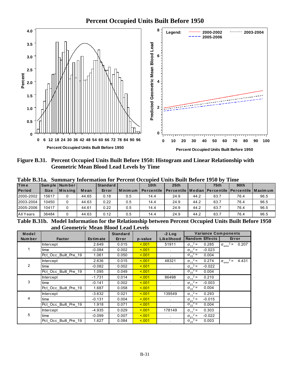

Figure B.31. Percent Occupied Units Built Before 1950: Histogram and Linear Relationship with **Geometric Mean Blood Lead Levels by Time** 

| <b>Time</b>   |             | Sample Number   |       | <b>Standard</b> |             | 10 <sub>th</sub>  | 25 <sub>th</sub>                                                |      | 75 <sub>th</sub> | 90 <sub>th</sub> |      |
|---------------|-------------|-----------------|-------|-----------------|-------------|-------------------|-----------------------------------------------------------------|------|------------------|------------------|------|
| <b>Period</b> | <b>Size</b> | <b>IMissina</b> | Mean  | Error           | l Minimum I | <b>Percentile</b> | <b>IPercentile   Median   Percentile   Percentile   Maximum</b> |      |                  |                  |      |
| 2000-2002     | 15617       |                 | 44.65 | 0.18            | 0.5         | 14.4              | 24.9                                                            | 44.2 | 63.7             | 76.4             | 96.5 |
| 2003-2004     | 10450       |                 | 44.63 | 0.22            | 0.5         | 14.4              | 24.9                                                            | 44.2 | 63.7             | 76.4             | 96.5 |
| 2005-2006     | 10417       |                 | 44.61 | 0.22            | 0.5         | 14.4              | 24.9                                                            | 44.2 | 63.7             | 76.4             | 96.5 |
| All Years     | 36484       |                 | 44.63 | 0.12            | 0.5         | 14.4              | 24.9                                                            | 44.2 | 63.7             | 76.4             | 96.5 |

Table B.31a. Summary Information for Percent Occupied Units Built Before 1950 by Time

Table B.31b. Model Information for the Relationship between Percent Occupied Units Built Before 1950 and Geometric Mean Blood Lead Levels

| Model          |                      |                 | <b>Standard</b> |         | $-2$ Log     | <b>Variance Components</b>    |                                           |
|----------------|----------------------|-----------------|-----------------|---------|--------------|-------------------------------|-------------------------------------------|
| <b>Number</b>  | <b>Factor</b>        | <b>Estimate</b> | Error           | p-value | Likelihood   | <b>Random Effects</b>         | Error                                     |
|                | <b>Intercept</b>     | 2.649           | 0.015           | 5.001   | 51911        | $\sigma_{11}^2$ =<br>0.285    | $\sigma_{\text{error}}^2 = 0.207$         |
|                | time                 | $-0.084$        | 0.002           | 5.001   |              | $\sigma_{21}^2$ =<br>$-0.023$ |                                           |
|                | Pct_Occ_Built_Pre_19 | 1.061           | 0.050           | 5.001   |              | $\sigma_{22}^2$ =<br>0.004    |                                           |
|                | Intercept            | 2.636           | 0.015           | 5.001   | 48321        | $\sigma_{11}^2$ =<br>0.274    | $2 =$<br>4.431<br>$\sigma_{\text{error}}$ |
| $\overline{2}$ | time                 | $-0.082$        | 0.002           | 5.001   |              | $\sigma_{21}^2$ =<br>$-0.022$ |                                           |
|                | Pct Occ Built Pre 19 | 1.095           | 0.049           | 5.001   |              | $\sigma_{22}^2$ =<br>0.004    |                                           |
|                | <b>Intercept</b>     | $-1.731$        | 0.014           | < 0.01  | 86498        | $\sigma_{11}^2$ =<br>0.210    |                                           |
| 3              | time                 | $-0.141$        | 0.002           | 5.001   |              | $\sigma_{21}^2$ =<br>$-0.003$ |                                           |
|                | Pct Occ Built Pre 19 | 1.687           | 0.058           | 5.001   |              | $\sigma_{22}^2$ =<br>0.004    |                                           |
|                | Intercept            | -3.632          | 0.021           | 5.001   | 139549       | $\sigma_{11}^2$ =<br>0.293    |                                           |
| 4              | time                 | $-0.131$        | 0.004           | 5.001   | $\mathbf{r}$ | $\sigma_{21}^2$ =<br>$-0.015$ |                                           |
|                | Pct_Occ_Built_Pre_19 | 1.918           | 0.071           | 5.001   |              | $\sigma_{22}^2$ =<br>0.004    |                                           |
|                | <b>Intercept</b>     | $-4.935$        | 0.029           | 5.001   | 178149       | $\sigma_{11}^2$ =<br>0.303    |                                           |
| 5              | time                 | $-0.099$        | 0.007           | 5.001   |              | $\sigma_{21}^2$ =<br>$-0.022$ |                                           |
|                | Pct Occ Built Pre 19 | 1.627           | 0.084           | < 0.01  |              | $\sigma_{22}^2$ =<br>0.003    |                                           |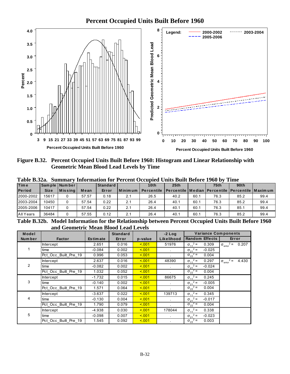

Figure B.32. Percent Occupied Units Built Before 1960: Histogram and Linear Relationship with **Geometric Mean Blood Lead Levels by Time** 

| <b>Time</b>   |             | Sample Number   |       | <b>Standard</b> |             | 10 <sub>th</sub>  | 25 <sub>th</sub>                                                |      | 75 <sub>th</sub> | 90 <sub>th</sub> |      |
|---------------|-------------|-----------------|-------|-----------------|-------------|-------------------|-----------------------------------------------------------------|------|------------------|------------------|------|
| <b>Period</b> | <b>Size</b> | <b>IMissina</b> | Mean  | Error           | l Minimum l | <b>Percentile</b> | <b>IPercentile   Median   Percentile   Percentile   Maximum</b> |      |                  |                  |      |
| 2000-2002     | 15617       |                 | 57.57 | 0.18            | 2.1         | 26.5              | 40.2                                                            | 60.1 | 76.3             | 85.2             | 99.4 |
| 2003-2004     | 10450       |                 | 57.54 | 0.22            | 2.1         | 26.4              | 40.1                                                            | 60.1 | 76.3             | 85.2             | 99.4 |
| 2005-2006     | 10417       |                 | 57.54 | 0.22            | 2.1         | 26.4              | 40.1                                                            | 60.1 | 76.3             | 85.1             | 99.4 |
| All Years     | 36484       |                 | 57.55 | 0.12            | 2.1         | 26.4              | 40.1                                                            | 60.1 | 76.3             | 85.2             | 99.4 |

Table B.32a Summary Information for Percent Occupied Units Built Before 1960 by Time

Table B.32b. Model Information for the Relationship between Percent Occupied Units Built Before 1960 and Geometric Mean Blood Lead Levels

| Model          |                      |                 | <b>Standard</b> |         | $-2$ Log   | <b>Variance Components</b>    |                                           |
|----------------|----------------------|-----------------|-----------------|---------|------------|-------------------------------|-------------------------------------------|
| <b>Number</b>  | <b>Factor</b>        | <b>Estimate</b> | Error           | p-value | Likelihood | <b>Random Effects</b>         | Error                                     |
|                | <b>Intercept</b>     | 2.651           | 0.016           | 5.001   | 51976      | $\sigma_{11}^2$ =<br>0.309    | $\sigma_{\text{error}}^2 = 0.207$         |
|                | time                 | $-0.084$        | 0.002           | 5.001   |            | $\sigma_{21}^2$ =<br>$-0.025$ |                                           |
|                | Pct_Occ_Built_Pre_19 | 0.996           | 0.053           | 5.001   |            | $\sigma_{22}^2$ =<br>0.004    |                                           |
|                | Intercept            | 2.637           | 0.016           | < 0.01  | 48390      | $\sigma_{11}^2$ =<br>0.297    | $2 =$<br>4.430<br>$\sigma_{\text{error}}$ |
| $\overline{2}$ | time                 | $-0.082$        | 0.002           | 5.001   |            | $\sigma_{21}^2$ =<br>$-0.024$ |                                           |
|                | Pct Occ Built Pre 19 | 1.032           | 0.052           | 5.001   |            | $\sigma_{22}^2$ =<br>0.004    |                                           |
|                | <b>Intercept</b>     | $-1.732$        | 0.015           | 5.001   | 86675      | $\sigma_{11}^2$ =<br>0.245    |                                           |
| 3              | time                 | $-0.140$        | 0.002           | 5.001   |            | $\sigma_{21}^2$ =<br>$-0.005$ |                                           |
|                | Pct Occ Built Pre 19 | 1.571           | 0.064           | 5.001   |            | $\sigma_{22}^2$ =<br>0.004    |                                           |
|                | Intercept            | $-3.637$        | 0.022           | 5.001   | 139713     | $\sigma_{11}^2$ =<br>0.345    |                                           |
| 4              | time                 | $-0.130$        | 0.004           | 5.001   | $\sim$     | $\sigma_{21}^2$ =<br>$-0.017$ |                                           |
|                | Pct_Occ_Built_Pre_19 | 1.790           | 0.079           | 5.001   |            | $\sigma_{22}^2$ =<br>0.004    |                                           |
|                | <b>Intercept</b>     | $-4.938$        | 0.030           | 5.001   | 178044     | $\sigma_{11}^2$ =<br>0.338    |                                           |
| 5              | time                 | $-0.098$        | 0.007           | 5.001   |            | $\sigma_{21}^2$ =<br>$-0.023$ |                                           |
|                | Pct Occ Built Pre 19 | 1.545           | 0.092           | < 0.01  |            | $\sigma_{22}^2$ =<br>0.003    |                                           |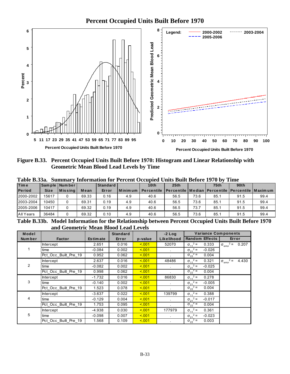

Figure B.33. Percent Occupied Units Built Before 1970: Histogram and Linear Relationship with **Geometric Mean Blood Lead Levels by Time** 

| <b>Time</b>   |             | Sample Number |       | <b>Standard</b> |               | 10th       | 25 <sub>th</sub>                                                 |      | 75 <sub>th</sub> | 90th |      |
|---------------|-------------|---------------|-------|-----------------|---------------|------------|------------------------------------------------------------------|------|------------------|------|------|
| <b>Period</b> | <b>Size</b> | $ M$ is sing  | Mean  | Error           | l M in im u m | Percentile | <u>I Percentile I Median I Percentile I Percentile I Maximum</u> |      |                  |      |      |
| 2000-2002     | 15617       |               | 69.33 | 0.16            | 4.9           | 40.6       | 56.5                                                             | 73.6 | 85.1             | 91.5 | 99.4 |
| 2003-2004     | 10450       |               | 69.31 | 0.19            | 4.9           | 40.6       | 56.5                                                             | 73.6 | 85.1             | 91.5 | 99.4 |
| 2005-2006     | 10417       |               | 69.32 | 0.19            | 4.9           | 40.6       | 56.5                                                             | 73.7 | 85.1             | 91.5 | 99.4 |
| All Years     | 36484       |               | 69.32 | 0.10            | 4.9           | 40.6       | 56.5                                                             | 73.6 | 85.1             | 91.5 | 99.4 |

Table R 33a Summary Information for Percent Occupied Units Ruilt Refore 1970 by Time

Table B.33b. Model Information for the Relationship between Percent Occupied Units Built Before 1970 and Geometric Mean Blood Lead Levels

| Model          |                      |                 | <b>Standard</b> |         | $-2$ Log   | <b>Variance Components</b>    |                                           |
|----------------|----------------------|-----------------|-----------------|---------|------------|-------------------------------|-------------------------------------------|
| <b>Number</b>  | <b>Factor</b>        | <b>Estimate</b> | Error           | p-value | Likelihood | <b>Random Effects</b>         | Error                                     |
|                | <b>Intercept</b>     | 2.651           | 0.016           | 5.001   | 52070      | $\sigma_{11}^2$ =<br>0.333    | $\sigma_{\text{error}}^2 = 0.207$         |
|                | time                 | $-0.084$        | 0.002           | 5.001   |            | $\sigma_{21}^2$ =<br>$-0.026$ |                                           |
|                | Pct_Occ_Built_Pre_19 | 0.952           | 0.062           | 5.001   |            | $\sigma_{22}^2$ =<br>0.004    |                                           |
|                | Intercept            | 2.637           | 0.016           | < 0.01  | 48486      | $\sigma_{11}^2$ =<br>0.321    | $2 =$<br>4.430<br>$\sigma_{\text{error}}$ |
| $\overline{2}$ | time                 | $-0.082$        | 0.002           | 5.001   |            | $\sigma_{21}^2$ =<br>$-0.025$ |                                           |
|                | Pct Occ Built Pre 19 | 0.998           | 0.062           | 5.001   |            | $\sigma_{22}^2$ =<br>0.004    |                                           |
|                | <b>Intercept</b>     | $-1.732$        | 0.016           | 5.001   | 86830      | $\sigma_{11}^2$ =<br>0.278    |                                           |
| 3              | time                 | $-0.140$        | 0.002           | 5.001   |            | $\sigma_{21}^2$ =<br>$-0.005$ |                                           |
|                | Pct Occ Built Pre 19 | 1.523           | 0.078           | 5.001   |            | $\sigma_{22}^2$ =<br>0.004    |                                           |
|                | Intercept            | $-3.637$        | 0.022           | 5.001   | 139799     | $\sigma_{11}^2$ =<br>0.388    |                                           |
| 4              | time                 | $-0.129$        | 0.004           | 5.001   | $\sim$     | $\sigma_{21}^2$ =<br>$-0.017$ |                                           |
|                | Pct_Occ_Built_Pre_19 | 1.753           | 0.095           | 5.001   |            | $\sigma_{22}^2$ =<br>0.004    |                                           |
|                | <b>Intercept</b>     | $-4.938$        | 0.030           | 5.001   | 177979     | $\sigma_{11}^2$ =<br>0.361    |                                           |
| 5              | time                 | $-0.098$        | 0.007           | < 0.01  |            | $\sigma_{21}^2$ =<br>$-0.023$ |                                           |
|                | Pct Occ Built Pre 19 | 1.568           | 0.109           | < 0.01  |            | $\sigma_{22}^2$ =<br>0.003    |                                           |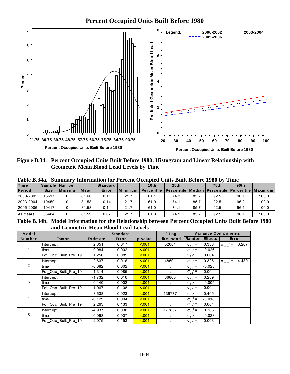

Figure B.34. Percent Occupied Units Built Before 1980: Histogram and Linear Relationship with **Geometric Mean Blood Lead Levels by Time** 

| <b>Time</b>   |             | Sample Number |       | <b>Standard</b> |               | 10th              | 25th                                                    |      | 75 <sub>th</sub> | 90 <sub>th</sub> |       |
|---------------|-------------|---------------|-------|-----------------|---------------|-------------------|---------------------------------------------------------|------|------------------|------------------|-------|
| <b>Period</b> | <b>Size</b> | $ M$ is sing  | Mean  | Error           | l M in im u m | <b>Percentile</b> | Percentile   Median   Percentile   Percentile   Maximum |      |                  |                  |       |
| 2000-2002     | 15617       |               | 81.60 | 0.11            | 21.7          | 61.1              | 74.2                                                    | 85.7 | 92.5             | 96.1             | 100.0 |
| 2003-2004     | 10450       |               | 81.58 | 0.14            | 21.7          | 61.0              | 74.1                                                    | 85.7 | 92.5             | 96.2             | 100.0 |
| 2005-2006     | 10417       |               | 81.58 | 0.14            | 21.7          | 61.0              | 74.1                                                    | 85.7 | 92.5             | 96.1             | 100.0 |
| All Years     | 36484       |               | 81.59 | 0.07            | 21.7          | 61.0              | 74.1                                                    | 85.7 | 92.5             | 96.1             | 100.0 |

Table R 34a Summary Information for Percent Occupied Units Ruilt Refore 1980 by Time

Table B.34b. Model Information for the Relationship between Percent Occupied Units Built Before 1980 and Geometric Mean Blood Lead Levels

| Model          |                      |                 | <b>Standard</b> |         | $-2$ Log   | <b>Variance Components</b>    |                                           |
|----------------|----------------------|-----------------|-----------------|---------|------------|-------------------------------|-------------------------------------------|
| <b>Number</b>  | <b>Factor</b>        | <b>Estimate</b> | Error           | p-value | Likelihood | <b>Random Effects</b>         | Error                                     |
|                | <b>Intercept</b>     | 2.651           | 0.017           | 5.001   | 52084      | $\sigma_{11}^2$ =<br>0.338    | $\sigma_{\text{error}}^2 = 0.207$         |
|                | time                 | $-0.084$        | 0.002           | 5.001   |            | $\sigma_{21}^2$ =<br>$-0.026$ |                                           |
|                | Pct_Occ_Built_Pre_19 | 1.256           | 0.085           | 5.001   |            | $\sigma_{22}^2$ =<br>0.004    |                                           |
|                | Intercept            | 2.637           | 0.016           | < 0.01  | 48501      | $\sigma_{11}^2$ =<br>0.326    | $2 =$<br>4.430<br>$\sigma_{\text{error}}$ |
| $\overline{2}$ | time                 | $-0.082$        | 0.002           | 5.001   |            | $\sigma_{21}^2$ =<br>$-0.025$ |                                           |
|                | Pct Occ Built Pre 19 | 1.314           | 0.085           | 5.001   |            | $\sigma_{22}^2$ =<br>0.004    |                                           |
|                | <b>Intercept</b>     | $-1.732$        | 0.016           | 5.001   | 86860      | $\sigma_{11}^2$ =<br>0.289    |                                           |
| 3              | time                 | $-0.140$        | 0.002           | 5.001   |            | $\sigma_{21}^2$ =<br>$-0.005$ |                                           |
|                | Pct Occ Built Pre 19 | 1.967           | 0.108           | 5.001   |            | $\sigma_{22}^2$ =<br>0.004    |                                           |
|                | Intercept            | $-3.638$        | 0.023           | 5.001   | 139777     | $\sigma_{11}^2$ =<br>0.405    |                                           |
| 4              | time                 | $-0.129$        | 0.004           | 5.001   | $\sim$     | $\sigma_{21}^2$ =<br>$-0.018$ |                                           |
|                | Pct_Occ_Built_Pre_19 | 2.263           | 0.133           | 5.001   |            | $\sigma_{22}^2$ =<br>0.004    |                                           |
|                | <b>Intercept</b>     | -4.937          | 0.030           | 5.001   | 177867     | $\sigma_{11}^2$ =<br>0.366    |                                           |
| 5              | time                 | $-0.098$        | 0.007           | 5.001   |            | $\sigma_{21}^2$ =<br>$-0.023$ |                                           |
|                | Pct Occ Built Pre 19 | 2.075           | 0.153           | < 0.01  |            | $\sigma_{22}^2$ =<br>0.003    |                                           |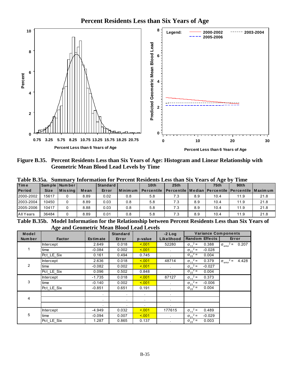

Figure B.35. Percent Residents Less than Six Years of Age: Histogram and Linear Relationship with **Geometric Mean Blood Lead Levels by Time** 

| <b>Time</b>   |             | Sample Number |      | <b>Standard</b> |            | 10th                                                                 | 25th |     | 75 <sub>th</sub> | 90 <sub>th</sub> |      |
|---------------|-------------|---------------|------|-----------------|------------|----------------------------------------------------------------------|------|-----|------------------|------------------|------|
| <b>Period</b> | <b>Size</b> | $ M$ is sing  | Mean | Error           | l Minim um | Percentile   Percentile   Median   Percentile   Percentile   Maximum |      |     |                  |                  |      |
| 2000-2002     | 15617       |               | 8.89 | 0.02            | 0.8        | 5.8                                                                  | 7.3  | 8.9 | 10.4             | 11.9             | 21.8 |
| 2003-2004     | 10450       |               | 8.89 | 0.03            | 0.8        | 5.8                                                                  | 7.3  | 8.9 | 10.4             | 11.9             | 21.8 |
| 2005-2006     | 10417       |               | 8.88 | 0.03            | 0.8        | 5.8                                                                  | 7.3  | 8.9 | 10.4             | 11.9             | 21.8 |
| All Years     | 36484       |               | 8.89 | 0.01            | 0.8        | 5.8                                                                  | 7.3  | 8.9 | 10.4             | 11.9             | 21.8 |

Table R 35a Summary Information for Percent Residents Less than Six Vears of Age by Time

Table B.35b. Model Information for the Relationship between Percent Residents Less than Six Years of **Age and Geometric Mean Blood Lead Levels** 

| Model  |                  |                 | <b>Standard</b> |         | $-2$ Log       | <b>Variance Components</b>    |                                      |
|--------|------------------|-----------------|-----------------|---------|----------------|-------------------------------|--------------------------------------|
| Number | <b>Factor</b>    | <b>Estimate</b> | Error           | p-value | Likelihood     | <b>Random Effects</b>         | Error                                |
|        | <b>Intercept</b> | 2.649           | 0.018           | < 0.01  | 52280          | $\sigma_{11}^2$ =<br>0.388    | $\sigma_{\text{error}}^2$ =<br>0.207 |
| 1.     | time             | $-0.084$        | 0.002           | < 0.01  | $\sim$         | $\sigma_{21}^2$ =<br>$-0.028$ |                                      |
|        | Pct_LE_Six       | 0.161           | 0.494           | 0.745   |                | $\sigma_{22}^2$ =<br>0.004    |                                      |
|        | Intercept        | 2.636           | 0.018           | < 0.01  | 48714          | $\sigma_{11}^2$ =<br>0.379    | $\sigma_{\text{error}}^2$ =<br>4.428 |
| 2      | time             | $-0.082$        | 0.002           | 5.001   |                | $\sigma_{21}^2$ =<br>$-0.027$ |                                      |
|        | Pct LE Six       | 0.096           | 0.502           | 0.848   |                | $\sigma_{22}^2$ =<br>0.004    |                                      |
|        | Intercept        | $-1.735$        | 0.018           | 5.001   | 87127          | $\sigma_{11}^2$ =<br>0.373    |                                      |
| 3      | time             | $-0.140$        | 0.002           | < 0.01  |                | $\sigma_{21}^2$ =<br>$-0.006$ |                                      |
|        | Pct_LE_Six       | $-0.851$        | 0.651           | 0.191   | $\blacksquare$ | $\sigma_{22}^2$ =<br>0.004    |                                      |
|        |                  |                 |                 |         | $\blacksquare$ |                               |                                      |
| 4      |                  |                 |                 |         | $\blacksquare$ |                               |                                      |
|        |                  | $\bullet$       | $\bullet$       |         | $\bullet$      |                               |                                      |
|        | Intercept        | $-4.949$        | 0.032           | < 0.01  | 177615         | $\sigma_{11}^2$ =<br>0.489    |                                      |
| 5      | time             | $-0.094$        | 0.007           | < 0.01  |                | $\sigma_{21}^2$ =<br>$-0.029$ |                                      |
|        | Pct LE Six       | 1.287           | 0.865           | 0.137   |                | $\sigma_{22}^2$ =<br>0.003    |                                      |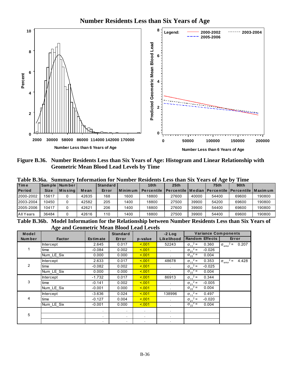

Figure B.36. Number Residents Less than Six Years of Age: Histogram and Linear Relationship with **Geometric Mean Blood Lead Levels by Time** 

|  | Table B.36a. Summary Information for Number Residents Less than Six Years of Age by Time |  |  |  |  |
|--|------------------------------------------------------------------------------------------|--|--|--|--|
|  | 그는 그 사람들은 그 사람들은 그 사람들을 하고 있다. 그 사람들은 그 사람들은 그 사람들을 하고 있다.                               |  |  |  |  |

| <b>Time</b>      |             | Sample Number |       | l Standard |         | 10 <sub>th</sub>  | 25th                                                       |       | 75 <sub>th</sub> | 90 <sub>th</sub> |        |
|------------------|-------------|---------------|-------|------------|---------|-------------------|------------------------------------------------------------|-------|------------------|------------------|--------|
| <b>Period</b>    | <b>Size</b> | $ M$ is sing  | Mean  | Error      | Minimum | <b>Percentile</b> | l Percentile   Median   Percentile   Percentile   Maxim um |       |                  |                  |        |
| 2000-2002        | 15617       |               | 42635 | 168        | 1600    | 18800             | 27600                                                      | 40000 | 54400            | 69600            | 190800 |
| 2003-2004        | 10450       |               | 42582 | 205        | 1400    | 18800             | 27500                                                      | 39900 | 54200            | 69600            | 190800 |
| 2005-2006        | 10417       |               | 42621 | 206        | 1400    | 18800             | 27600                                                      | 39900 | 54400            | 69600            | 190800 |
| <b>All Years</b> | 36484       |               | 42616 | 110        | 1400    | 18800             | 27500                                                      | 39900 | 54400            | 69600            | 190800 |

Table B.36b. Model Information for the Relationship between Number Residents Less than Six Years of **Age and Geometric Mean Blood Lead Levels** 

| Model         | o                |                 | <b>Standard</b> |         | $-2$ Log   | <b>Variance Components</b>    |                                           |
|---------------|------------------|-----------------|-----------------|---------|------------|-------------------------------|-------------------------------------------|
| <b>Number</b> | Factor           | <b>Estimate</b> | Error           | p-value | Likelihood | <b>Random Effects</b>         | Error                                     |
|               | <b>Intercept</b> | 2.645           | 0.017           | < 0.01  | 52243      | $\sigma_{11}^2$ =<br>0.360    | $\sigma_{\text{error}}^2 =$<br>0.207      |
|               | time             | $-0.084$        | 0.002           | 5.001   |            | $\sigma_{21}^2$ =<br>$-0.026$ |                                           |
|               | Num_LE_Six       | 0.000           | 0.000           | 5.001   |            | $\sigma_{22}^2$ =<br>0.004    |                                           |
|               | <b>Intercept</b> | 2.633           | 0.017           | 5.001   | 48678      | $\sigma_{11}^2$ =<br>0.353    | $2 =$<br>4.428<br>$\sigma_{\text{error}}$ |
| 2             | time             | $-0.082$        | 0.002           | 5.001   |            | $\sigma_{21}^2$ =<br>$-0.025$ |                                           |
|               | Num_LE_Six       | 0.000           | 0.000           | 5.001   |            | $\sigma_{22}^2$ =<br>0.004    |                                           |
|               | <b>Intercept</b> | $-1.732$        | 0.017           | 5.001   | 86913      | $\sigma_{11}^2$ =<br>0.344    |                                           |
| 3             | time             | $-0.141$        | 0.002           | 5.001   | $\sim$     | $\sigma_{21}^2$ =<br>$-0.005$ |                                           |
|               | Num_LE_Six       | $-0.001$        | 0.000           | 5.001   | $\epsilon$ | $\sigma_{22}^2$ =<br>0.004    |                                           |
|               | Intercept        | -3.636          | 0.024           | 5.001   | 138996     | $\sigma_{11}^2$ =<br>0.497    |                                           |
| 4             | time             | $-0.127$        | 0.004           | < 0.01  | $\sim$     | $\sigma_{21}^2$ =<br>$-0.020$ |                                           |
|               | Num_LE_Six       | $-0.001$        | 0.000           | 5.001   | $\bullet$  | $\sigma_{22}^2$ =<br>0.004    |                                           |
|               |                  |                 | $\sim$          | $\sim$  |            |                               |                                           |
| 5             |                  |                 | $\bullet$       |         |            |                               |                                           |
|               |                  |                 | ٠               |         |            |                               |                                           |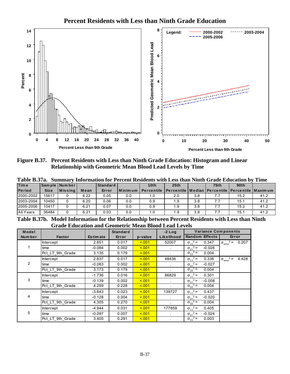

Figure B.37. Percent Residents with Less than Ninth Grade Education: Histogram and Linear **Relationship with Geometric Mean Blood Lead Levels by Time** 

|               |             |                 |      |            |         | Table D.374. Summary Imormation for Percent Residents with Less than Ninth Grade Equitation by |                                                                 | - типе |      |      |      |
|---------------|-------------|-----------------|------|------------|---------|------------------------------------------------------------------------------------------------|-----------------------------------------------------------------|--------|------|------|------|
| <b>Time</b>   |             | Sample Number   |      | Standard I |         | 10th                                                                                           | 25th                                                            |        | 75th | 90th |      |
| <b>Period</b> | <b>Size</b> | <b>IMissing</b> | Mean | Error      | Minimum | <b>Percentile</b>                                                                              | <b>IPercentile   Median   Percentile   Percentile   Maximum</b> |        |      |      |      |
| 2000-2002     | 15617       |                 | 6.22 | 0.05       | 0.0     | 1.0                                                                                            | 2.0                                                             | 3.8    | 7.7  | 15.2 | 41.2 |
| 2003-2004     | 10450       |                 | 6.20 | 0.06       | 0.0     | 0.9                                                                                            | 1.9                                                             | 3.8    | 7.7  | 15.1 | 41.2 |
| 2005-2006     | 10417       |                 | 6.21 | 0.07       | 0.0     | 0.9                                                                                            | 1.9                                                             | 3.8    | 7.7  | 15.2 | 41.2 |
| All Years     | 36484       |                 | 6.21 | 0.03       | 0.0     | 1.0                                                                                            | 1.9                                                             | 3.8    |      | 15.1 | 41.2 |

 $T<sub>o</sub>$ <sub>b</sub>l<sub>o</sub> D  $27<sub>o</sub>$  $\alpha$ nt Desidents with Less than Ninth Crade Education by Time

Table B.37b. Model Information for the Relationship between Percent Residents with Less than Ninth **Grade Education and Geometric Mean Blood Lead Levels** 

| Model          |                  |                 | <b>Standard</b> |         | $-2$ Log     | <b>Variance Components</b>    |                                             |
|----------------|------------------|-----------------|-----------------|---------|--------------|-------------------------------|---------------------------------------------|
| Number         | <b>Factor</b>    | <b>Estimate</b> | Error           | p-value | Likelihood   | <b>Random Effects</b>         | Error                                       |
|                | <b>Intercept</b> | 2.651           | 0.017           | < 0.01  | 52007        | $\sigma_{11}^2$ =<br>0.347    | $^{2}$ = 0.207<br>$\sigma_{\text{error}}^2$ |
|                | time             | $-0.084$        | 0.002           | < 0.01  |              | $\sigma_{21}^2$ =<br>$-0.028$ |                                             |
|                | Pct_LT_9th_Grade | 3.135           | 0.179           | 5.001   |              | $\sigma_{22}^2$ =<br>0.004    |                                             |
|                | Intercept        | 2.637           | 0.017           | < 0.01  | 48436        | $\sigma_{11}^2$ =<br>0.336    | $2 =$<br>4.428<br>$\sigma_{\text{error}}^2$ |
| $\overline{2}$ | time             | $-0.083$        | 0.002           | < 0.01  | $\mathbf{r}$ | $\sigma_{21}^2$ =<br>$-0.027$ |                                             |
|                | Pct LT 9th Grade | 3.173           | 0.179           | < 0.01  |              | $\sigma_{22}^2$ =<br>0.004    |                                             |
|                | Intercept        | $-1.736$        | 0.016           | < 0.01  | 86829        | $\sigma_{11}^2$ =<br>0.301    |                                             |
| 3              | time             | $-0.139$        | 0.002           | 5.001   |              | $\sigma_{21}^2$ =<br>$-0.008$ |                                             |
|                | Pct_LT_9th_Grade | 4.259           | 0.228           | < 0.01  |              | $\sigma_{22}^2$ =<br>0.004    |                                             |
|                | Intercept        | $-3.643$        | 0.023           | < 0.01  | 139727       | $\sigma_{11}^2$ =<br>0.437    |                                             |
| 4              | time             | $-0.128$        | 0.004           | < 0.01  |              | $\sigma_{21}^2$ =<br>$-0.020$ |                                             |
|                | Pct LT 9th Grade | 4.305           | 0.270           | < 0.01  | $\bullet$    | $\sigma_{22}^2$ =<br>0.004    |                                             |
|                | <b>Intercept</b> | -4.944          | 0.031           | 5.001   | 177859       | $\sigma_{11}^2$ =<br>0.405    |                                             |
| 5              | time             | $-0.097$        | 0.007           | < 0.01  | $\sim$       | $\sigma_{21}^2$ =<br>$-0.024$ |                                             |
|                | Pct_LT_9th_Grade | 3.405           | 0.291           | < 0.01  |              | $\sigma_{22}^2$ =<br>0.003    |                                             |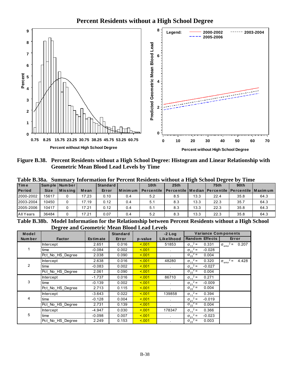### **Percent Residents without a High School Degree**



Figure B.38. Percent Residents without a High School Degree: Histogram and Linear Relationship with **Geometric Mean Blood Lead Levels by Time** 

| <b>Time</b>   |             | Sample Number    |       | Standard |            | 10th              | 25 <sub>th</sub>                                        |      | 75 <sub>th</sub> | 90 <sub>th</sub> |      |
|---------------|-------------|------------------|-------|----------|------------|-------------------|---------------------------------------------------------|------|------------------|------------------|------|
| <b>Period</b> | <b>Size</b> | <b>M</b> is sing | Mean  | Error    | l Minim um | <b>Percentile</b> | Percentile   Median   Percentile   Percentile   Maximum |      |                  |                  |      |
| 2000-2002     | 15617       |                  | 17.23 | 0.10     | 0.4        | 5.2               | 8.5                                                     | 13.3 | 22.4             | 35.8             | 64.3 |
| 2003-2004     | 10450       |                  | 17.19 | 0.12     | 0.4        | 5.1               | 8.3                                                     | 13.3 | 22.3             | 35.7             | 64.3 |
| 2005-2006     | 10417       |                  | 17.21 | 0.12     | 0.4        | 5.1               | 8.3                                                     | 13.3 | 22.3             | 35.8             | 64.3 |
| All Years     | 36484       |                  | 17.21 | 0.07     | 0.4        | 5.2               | 8.3                                                     | 13.3 | 22.3             | 35.8             | 64.3 |

 $T<sub>ab</sub>$ <sub>10</sub> D  $29<sub>a</sub>$  $C_{\bullet}$ etien for Persont Posidents without a High School Degree by Time

Table B.38b. Model Information for the Relationship between Percent Residents without a High School **Degree and Geometric Mean Blood Lead Levels** 

| Model          | ັ                |                 | <b>Standard</b> |         | $-2$ Log   | <b>Variance Components</b>    |                                           |
|----------------|------------------|-----------------|-----------------|---------|------------|-------------------------------|-------------------------------------------|
| Number         | <b>Factor</b>    | <b>Estimate</b> | Error           | p-value | Likelihood | <b>Random Effects</b>         | Error                                     |
|                | <b>Intercept</b> | 2.651           | 0.016           | 5.001   | 51853      | $\sigma_{11}^2$ =<br>0.331    | $\sigma_{\text{error}}^2 =$<br>0.207      |
|                | time             | $-0.084$        | 0.002           | 5.001   |            | $\sigma_{21}^2$ =<br>$-0.028$ |                                           |
|                | Pct_No_HS_Degree | 2.038           | 0.090           | 5.001   |            | $\sigma_{22}^2$ =<br>0.004    |                                           |
|                | Intercept        | 2.638           | 0.016           | 5.001   | 48280      | $\sigma_{11}^2$ =<br>0.320    | $2 =$<br>4.428<br>$\sigma_{\text{error}}$ |
| $\overline{2}$ | time             | $-0.083$        | 0.002           | 5.001   |            | $\sigma_{21}^2$ =<br>$-0.027$ |                                           |
|                | Pct No HS Degree | 2.061           | 0.090           | 5.001   |            | $\sigma_{22}^2$ =<br>0.004    |                                           |
|                | <b>Intercept</b> | $-1.737$        | 0.016           | 5.001   | 86710      | $\sigma_{11}^2$ =<br>0.271    |                                           |
| 3              | time             | $-0.139$        | 0.002           | 5.001   |            | $\sigma_{21}^2$ =<br>$-0.009$ |                                           |
|                | Pct No HS Degree | 2.713           | 0.115           | 5.001   |            | $\sigma_{22}^2$ =<br>0.004    |                                           |
|                | Intercept        | $-3.643$        | 0.022           | 5.001   | 139858     | $\sigma_{11}^2$ =<br>0.394    |                                           |
| 4              | time             | $-0.128$        | 0.004           | 5.001   | $\sim$     | $\sigma_{21}^2$ =<br>$-0.019$ |                                           |
|                | Pct_No_HS_Degree | 2.731           | 0.139           | 5.001   |            | $\sigma_{22}^2$ =<br>0.004    |                                           |
|                | <b>Intercept</b> | -4.947          | 0.030           | 5.001   | 178347     | $\sigma_{11}^2$ =<br>0.366    |                                           |
| 5              | time             | $-0.098$        | 0.007           | 5.001   |            | $\sigma_{21}^2$ =<br>$-0.023$ |                                           |
|                | Pct No HS Degree | 2.249           | 0.153           | < 0.01  |            | $\sigma_{22}^2$ =<br>0.003    |                                           |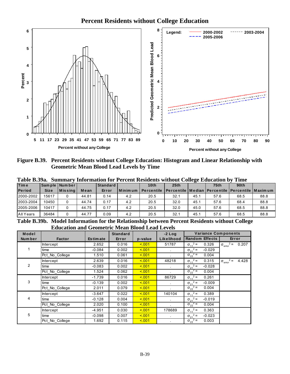### **Percent Residents without College Education**



Figure B.39. Percent Residents without College Education: Histogram and Linear Relationship with **Geometric Mean Blood Lead Levels by Time** 

| Tavit DiJ <i>j</i> a.<br><b>Time</b> |             | Dunimal v Thibi mation for T Creent Residents whilout Concee Equication by<br>Sample Number |       | <b>Standard</b> |             | 10th              | 25th                                                         |      | 75 <sub>th</sub> | 90 <sub>th</sub> |      |
|--------------------------------------|-------------|---------------------------------------------------------------------------------------------|-------|-----------------|-------------|-------------------|--------------------------------------------------------------|------|------------------|------------------|------|
| <b>Period</b>                        | <b>Size</b> | <b>IMissina</b>                                                                             | Mean  | Error           | l Minimum I | <b>Percentile</b> | -   Percentile   Median   Percentile   Percentile   Maxim um |      |                  |                  |      |
| 2000-2002                            | 15617       |                                                                                             | 44.81 | 0.14            | 4.2         | 20.5              | 32.1                                                         | 45.1 | 57.6             | 68.5             | 88.8 |
| 2003-2004                            | 10450       |                                                                                             | 44.74 | 0.17            | 4.2         | 20.5              | 32.0                                                         | 45.1 | 57.6             | 68.4             | 88.8 |
| 2005-2006                            | 10417       |                                                                                             | 44.75 | 0.17            | 4.2         | 20.5              | 32.0                                                         | 45.0 | 57.6             | 68.5             | 88.8 |
| All Years                            | 36484       |                                                                                             | 44.77 | 0.09            | 4.2         | 20.5              | 32.1                                                         | 45.1 | 57.6             | 68.5             | 88.8 |

Table B.39a. Summary Information for Percent Residents without College Education by Time

Table B.39b. Model Information for the Relationship between Percent Residents without College **Education and Geometric Mean Blood Lead Levels** 

| Model  |                  |                 | <b>Standard</b> |         | $-2$ Log             | <b>Variance Components</b>    |                                             |
|--------|------------------|-----------------|-----------------|---------|----------------------|-------------------------------|---------------------------------------------|
| Number | <b>Factor</b>    | <b>Estimate</b> | Error           | p-value | Likelihood           | <b>Random Effects</b>         | Error                                       |
|        | <b>Intercept</b> | 2.652           | 0.016           | 5.001   | 51787                | $\sigma_{11}^2$ =<br>0.326    | $\sigma_{\text{error}}^2$ =<br>0.207        |
|        | time             | $-0.084$        | 0.002           | < 0.01  |                      | $\sigma_{21}^2$ =<br>$-0.029$ |                                             |
|        | Pct_No_College   | 1.510           | 0.061           | < 0.01  |                      | $\sigma_{22}^2$ =<br>0.004    |                                             |
|        | <b>Intercept</b> | 2.639           | 0.016           | 5.001   | 48218                | $\sigma_{11}^2$ =<br>0.315    | $2 =$<br>4.428<br>$\sigma_{\text{error}}^2$ |
| 2      | time             | $-0.083$        | 0.002           | 5.001   |                      | $\sigma_{21}^2$ =<br>$-0.028$ |                                             |
|        | Pct No College   | 1.524           | 0.062           | 5.001   |                      | $\sigma_{22}^2$ =<br>0.004    |                                             |
|        | <b>Intercept</b> | $-1.739$        | 0.016           | < 0.01  | 86729                | $\sigma_{11}^2$ =<br>0.261    |                                             |
| 3      | time             | $-0.139$        | 0.002           | 5.001   | $\ddot{\phantom{a}}$ | $\sigma_{21}^2$ =<br>$-0.009$ |                                             |
|        | Pct No College   | 2.011           | 0.079           | < 0.01  |                      | $\sigma_{22}^2$ =<br>0.004    |                                             |
|        | <b>Intercept</b> | $-3.647$        | 0.022           | 5.001   | 140104               | $\sigma_{11}^2$ =<br>0.389    |                                             |
| 4      | time             | $-0.128$        | 0.004           | < 0.01  | $\ddot{\phantom{a}}$ | $\sigma_{21}^2$ =<br>$-0.019$ |                                             |
|        | Pct No College   | 2.020           | 0.100           | < 001   | ×.                   | $\sigma_{22}^2$ =<br>0.004    |                                             |
|        | <b>Intercept</b> | $-4.951$        | 0.030           | < 0.01  | 178689               | $\sigma_{11}^2$ =<br>0.363    |                                             |
| 5      | time             | $-0.098$        | 0.007           | < 0.01  |                      | $\sigma_{21}^2$ =<br>$-0.023$ |                                             |
|        | Pct No College   | 1.692           | 0.115           | < 0.01  |                      | $\sigma_{22}^2$ =<br>0.003    |                                             |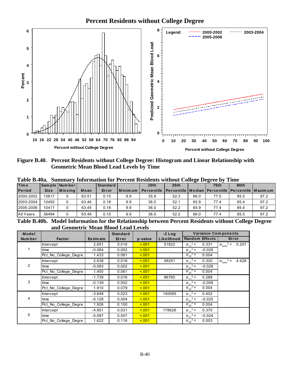## **Percent Residents without College Degree**



Figure B.40. Percent Residents without College Degree: Histogram and Linear Relationship with **Geometric Mean Blood Lead Levels by Time** 

| <b>Time</b>   |             | Sample Number |       | <b>Standard</b> |                 | 10th                                                                 | 25th |      | 75 <sub>th</sub> | 90 <sub>th</sub> |      |
|---------------|-------------|---------------|-------|-----------------|-----------------|----------------------------------------------------------------------|------|------|------------------|------------------|------|
| <b>Period</b> | <b>Size</b> | $ M$ is sing  | Mean  | Error           | <b>IMinimum</b> | Percentile   Percentile   Median   Percentile   Percentile   Maximum |      |      |                  |                  |      |
| 2000-2002     | 15617       |               | 63.51 | 0.15            | 9.9             | 35.9                                                                 | 52.3 | 66.0 | 77.5             | 85.5             | 97.2 |
| 2003-2004     | 10450       |               | 63.46 | 0.18            | 9.9             | 36.0                                                                 | 52.1 | 65.9 | 77.4             | 85.4             | 97.2 |
| 2005-2006     | 10417       |               | 63.45 | 0.18            | 9.9             | 36.0                                                                 | 52.2 | 65.9 | 77.4             | 85.4             | 97.2 |
| All Years     | 36484       |               | 63.48 | 0.10            | 9.9             | 36.0                                                                 | 52.2 | 66.0 | 77.4             | 85.5             | 97.2 |

**Summary Information for Percent Residents without College Degree by Time** Table B.40a.

Table B.40b. Model Information for the Relationship between Percent Residents without College Degree and Geometric Mean Blood Lead Levels

| Model   |                      |                 | <b>Standard</b> |         | $-2$ Log                    | <b>Variance Components</b>    |                                      |
|---------|----------------------|-----------------|-----------------|---------|-----------------------------|-------------------------------|--------------------------------------|
| Num ber | <b>Factor</b>        | <b>Estimate</b> | Error           | p-value | Likelihood                  | <b>Random Effects</b>         | Error                                |
|         | Intercept            | 2.651           | 0.016           | 5.001   | 51822                       | $\sigma_{11}^2$ =<br>0.331    | $\sigma_{\text{error}}^2 =$<br>0.207 |
|         | time                 | $-0.084$        | 0.002           | 5.001   |                             | $\sigma_{21}^2$ =<br>$-0.029$ |                                      |
|         | Pct No College Degre | 1.433           | 0.061           | 5.001   |                             | $\sigma_{22}^2$ =<br>0.004    |                                      |
|         | Intercept            | 2.638           | 0.016           | 5.001   | 48251                       | $\sigma_{11}^2$ =<br>0.320    | $\sigma_{\text{error}}^2$ =<br>4.428 |
| 2       | time                 | $-0.083$        | 0.002           | 5.001   |                             | $\sigma_{21}^2$ =<br>$-0.028$ |                                      |
|         | Pct No College Degre | 1.450           | 0.061           | < 0.01  |                             | $\sigma_{22}^2$ =<br>0.004    |                                      |
|         | Intercept            | $-1.739$        | 0.016           | 5.001   | 86760                       | $\sigma_{11}^2$ =<br>0.268    |                                      |
| 3       | time                 | $-0.139$        | 0.002           | 5.001   |                             | $\sigma_{21}^2$ =<br>$-0.009$ |                                      |
|         | Pct No College Degre | 1.910           | 0.079           | 5.001   |                             | $\sigma_{22}^2$ =<br>0.004    |                                      |
|         | <b>Intercept</b>     | $-3.648$        | 0.023           | 5.001   | 140085                      | $\sigma_{11}^2$ =<br>0.402    |                                      |
| 4       | time                 | $-0.128$        | 0.004           | 5.001   | $\sim$                      | $\sigma_{21}^2$ =<br>$-0.020$ |                                      |
|         | Pct No College Degre | 1.926           | 0.100           | < 0.01  | $\mathbf{r}$                | $\sigma_{22}^2$ =<br>0.004    |                                      |
|         | Intercept            | $-4.951$        | 0.031           | 5.001   | 178626                      | $\sigma_{11}^2 =$<br>0.370    |                                      |
| 5       | time                 | $-0.097$        | 0.007           | 5.001   | $\mathcal{L}_{\mathcal{A}}$ | $\sigma_{21}^2$ =<br>$-0.024$ |                                      |
|         | Pct No_College_Degre | 1.622           | 0.116           | < 0.01  |                             | $\sigma_{22}^2$ =<br>0.003    |                                      |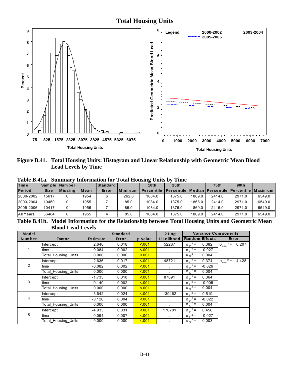#### **Total Housing Units**



Figure B.41. Total Housing Units: Histogram and Linear Relationship with Geometric Mean Blood **Lead Levels by Time** 

|               |             |               |      |          |         | Table D. Ha. Summary monthlation for Total Housing Chits by | - типе                                                               |        |                  |        |        |
|---------------|-------------|---------------|------|----------|---------|-------------------------------------------------------------|----------------------------------------------------------------------|--------|------------------|--------|--------|
| <b>Time</b>   |             | Sample Number |      | Standard |         | 10 <sub>th</sub>                                            | 25th                                                                 |        | 75 <sub>th</sub> | 90th   |        |
| <b>Period</b> | <b>Size</b> | $ M$ is sing  | Mean | Error    | Minimum |                                                             | Percentile   Percentile   Median   Percentile   Percentile   Maximur |        |                  |        |        |
| 2000-2002     | 15617       |               | 1954 | 6        | 262.0   | 1084.0                                                      | 1375.0                                                               | 1869.0 | 2414.0           | 2971.0 | 6549.0 |
| 2003-2004     | 10450       |               | 1955 |          | 85.0    | 1084.0                                                      | 1375.0                                                               | 1868.0 | 2414.0           | 2971.0 | 6549.0 |
| 2005-2006     | 10417       |               | 1956 |          | 85.0    | 1084.0                                                      | 1376.0                                                               | 1869.0 | 2415.0           | 2971.0 | 6549.0 |
| All Years     | 36484       |               | 1955 |          | 85.0    | 1084.0                                                      | 1375.0                                                               | 1869.0 | 2414.0           | 2971.0 | 6549.0 |

Toble R 41o Summary Information for Total Housing Units by Time

Table B.41b. Model Information for the Relationship between Total Housing Units and Geometric Mean **Blood Lead Levels** 

| Model          |                     |                 | <b>Standard</b> |         | $-2$ Log       | <b>Variance Components</b>    |                                             |
|----------------|---------------------|-----------------|-----------------|---------|----------------|-------------------------------|---------------------------------------------|
| Num ber        | <b>Factor</b>       | <b>Estimate</b> | Error           | p-value | Likelihood     | <b>Random Effects</b>         | Error                                       |
|                | <b>Intercept</b>    | 2.648           | 0.018           | 5.001   | 52287          | $\sigma_{11}^2$ =<br>0.382    | $\sigma_{\text{error}}^2 = 0.207$           |
|                | time                | $-0.084$        | 0.002           | < 0.01  | $\sim$         | $\sigma_{21}^2$ =<br>$-0.027$ |                                             |
|                | Total_Housing_Units | 0.000           | 0.000           | < 0.01  | $\mathbf{r}$   | $\sigma_{22}^2$ =<br>0.004    |                                             |
|                | <b>Intercept</b>    | 2.636           | 0.017           | < 0.01  | 48721          | $\sigma_{11}^2$ =<br>0.374    | $2 =$<br>4.428<br>$\sigma_{\text{error}}^2$ |
| $\overline{2}$ | time                | $-0.082$        | 0.002           | < 0.01  | $\blacksquare$ | $\sigma_{21}^2$ =<br>$-0.026$ |                                             |
|                | Total Housing Units | 0.000           | 0.000           | < 0.01  |                | $\sigma_{22}^2$ =<br>0.004    |                                             |
|                | Intercept           | $-1.733$        | 0.018           | < 0.01  | 87091          | $\sigma_{11}^2$ =<br>0.364    |                                             |
| 3              | time                | $-0.140$        | 0.002           | < 0.01  |                | $\sigma_{21}^2$ =<br>$-0.005$ |                                             |
|                | Total_Housing_Units | 0.000           | 0.000           | < 0.01  |                | $\sigma_{22}^2$ =<br>0.004    |                                             |
|                | <b>Intercept</b>    | $-3.642$        | 0.024           | < 0.01  | 139462         | $\sigma_{11}^2$ =<br>0.519    |                                             |
| 4              | time                | $-0.126$        | 0.004           | < 0.01  | $\sim$         | $\sigma_{21}^2$ =<br>$-0.022$ |                                             |
|                | Total Housing Units | 0.000           | 0.000           | < 0.01  | $\sim$         | $\sigma_{22}^2$ =<br>0.004    |                                             |
|                | <b>Intercept</b>    | $-4.933$        | 0.031           | < 0.01  | 176701         | $\sigma_{11}^2 =$<br>0.456    |                                             |
| 5              | time                | $-0.094$        | 0.007           | < 0.01  | $\sim$         | $\sigma_{21}^2$ =<br>$-0.027$ |                                             |
|                | Total Housing Units | 0.000           | 0.000           | < 0.01  |                | $\sigma_{22}^2$ =<br>0.003    |                                             |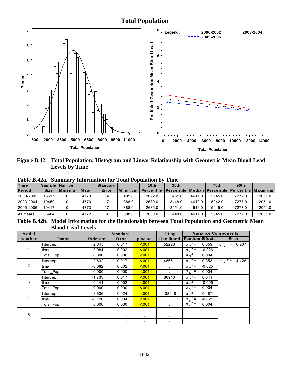#### **Total Population**



Figure B.42. Total Population: Histogram and Linear Relationship with Geometric Mean Blood Lead **Levels by Time** 

| .             |             |                 |      |                 |           | THRUP HIMMUDIL TOT TOUMLY DUMINUM D | ------                                                           |        |                  |        |         |
|---------------|-------------|-----------------|------|-----------------|-----------|-------------------------------------|------------------------------------------------------------------|--------|------------------|--------|---------|
| <b>Time</b>   |             | Sample Number   |      | <b>Standard</b> |           | 10 <sub>th</sub>                    | 25th                                                             |        | 75 <sub>th</sub> | 90th   |         |
| <b>Period</b> | <b>Size</b> | <b>IMissing</b> | Mean | Error           | l Minimum | <b>Percentile</b>                   | <u>I Percentile I Median I Percentile I Percentile I Maximum</u> |        |                  |        |         |
| 2000-2002     | 15617       |                 | 4773 | 14              | 405.0     | 2622.0                              | 3451.0                                                           | 4611.0 | 5945.0           | 7277.0 | 12051.0 |
| 2003-2004     | 10450       |                 | 4770 | 17              | 388.0     | 2630.0                              | 3448.0                                                           | 4610.0 | 5942.0           | 7277.0 | 12051.0 |
| 2005-2006     | 10417       |                 | 4773 | 17              | 388.0     | 2635.0                              | 3451.0                                                           | 4616.0 | 5945.0           | 7277.0 | 12051.0 |
| All Years     | 36484       |                 | 4772 |                 | 388.0     | 2630.0                              | 3448.0                                                           | 4611.0 | 5945.0           | 7277.0 | 12051.0 |

Table B.42a. Summary Information for Total Population by Time

Table B.42b. Model Information for the Relationship between Total Population and Geometric Mean **Blood Lead Levels** 

| Model          |                  |                 | <b>Standard</b> |         | $-2$ Log       | <b>Variance Components</b>    |                                      |
|----------------|------------------|-----------------|-----------------|---------|----------------|-------------------------------|--------------------------------------|
| Number         | <b>Factor</b>    | <b>Estimate</b> | Error           | p-value | Likelihood     | <b>Random Effects</b>         | Error                                |
|                | <b>Intercept</b> | 2.645           | 0.017           | 5.001   | 52223          | $\sigma_{11}^2 =$<br>0.359    | $\sigma_{\text{error}}^2 =$<br>0.207 |
|                | time             | $-0.084$        | 0.002           | 5.001   | $\sim$         | $\sigma_{21}^2$ =<br>$-0.026$ |                                      |
|                | Total Pop        | 0.000           | 0.000           | 5.001   | $\mathbf{r}$   | $\sigma_{22}^2$ =<br>0.004    |                                      |
|                | Intercept        | 2.632           | 0.017           | 5.001   | 48661          | $\sigma_{11}^2$ =<br>0.353    | $\sigma_{\text{error}}^2$ =<br>4.428 |
| $\overline{2}$ | time             | $-0.082$        | 0.002           | 5.001   | $\cdot$        | $\sigma_{21}^2$ =<br>$-0.025$ |                                      |
|                | Total Pop        | 0.000           | 0.000           | 5.001   | $\mathbf{r}$   | $\sigma_{22}^2$ =<br>0.004    |                                      |
|                | Intercept        | $-1.733$        | 0.017           | 5.001   | 86910          | $\sigma_{11}^2$ =<br>0.341    |                                      |
| 3              | time             | $-0.141$        | 0.002           | 5.001   | $\mathbf{r}$   | $\sigma_{21}^2$ =<br>$-0.005$ |                                      |
|                | Total_Pop        | 0.000           | 0.000           | 5.001   |                | $\sigma_{22}^2$ =<br>0.004    |                                      |
|                | Intercept        | $-3.636$        | 0.024           | 5.001   | 138948         | $\sigma_{11}^2$ =<br>0.487    |                                      |
| 4              | time             | $-0.126$        | 0.004           | 5.001   | $\blacksquare$ | $\sigma_{21}^2$ =<br>$-0.021$ |                                      |
|                | Total Pop        | 0.000           | 0.000           | 5.001   | $\sim$         | $\sigma_{22}^2$ =<br>0.004    |                                      |
|                |                  | $\mathbf{r}$    | $\sim$          | $\cdot$ | $\blacksquare$ |                               |                                      |
| 5              |                  | $\blacksquare$  | $\sim$          | $\cdot$ | $\blacksquare$ |                               |                                      |
|                |                  |                 |                 |         | $\bullet$      |                               |                                      |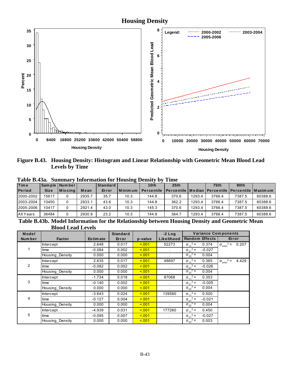#### **Housing Density**



Figure B.43. Housing Density: Histogram and Linear Relationship with Geometric Mean Blood Lead **Levels by Time** 

| <b>Time</b>   |             | Sample Number    |        | Standard |           | 10 <sub>th</sub>  | 25 <sub>th</sub>                                                    |        | 75th   | 90th   |         |
|---------------|-------------|------------------|--------|----------|-----------|-------------------|---------------------------------------------------------------------|--------|--------|--------|---------|
| <b>Period</b> | <b>Size</b> | <b>M</b> is sing | Mean   | Error    | I Minimum | <b>Percentile</b> | <u>I Percentile I Median I Percentile I Percentile I Maxim um I</u> |        |        |        |         |
| 2000-2002     | 15617       |                  | 2935.7 | 35.7     | 10.3      | 144.8             | 370.6                                                               | 1293.4 | 3766.4 | 7387.5 | 60388.6 |
| 2003-2004     | 10450       |                  | 2933.1 | 43.6     | 10.3      | 144.8             | 362.2                                                               | 1293.4 | 3766.4 | 7387.5 | 60388.6 |
| 2005-2006     | 10417       |                  | 2921.4 | 43.0     | 10.3      | 145.3             | 370.6                                                               | 1293.4 | 3766.4 | 7387.5 | 60388.6 |
| All Years     | 36484       |                  | 2930.9 | 23.2     | 10.3      | 144.8             | 364.7                                                               | 1293.4 | 3766.4 | 7387.5 | 60388.6 |

Table B.43a. Summary Information for Housing Density by Time

Table B.43b. Model Information for the Relationship between Housing Density and Geometric Mean **Blood Lead Levels** 

| Model  |                  |            | <b>Standard</b> |         | $-2$ Log     | <b>Variance Components</b>    |                                           |
|--------|------------------|------------|-----------------|---------|--------------|-------------------------------|-------------------------------------------|
| Number | <b>Factor</b>    | Es tim ate | Error           | p-value | Likelihood   | <b>Random Effects</b>         | Error                                     |
|        | <b>Intercept</b> | 2.648      | 0.017           | < 0.01  | 52273        | $\sigma_{11}^2$ =<br>0.374    | $2 =$<br>0.207<br>$\sigma_{\text{error}}$ |
|        | time             | $-0.084$   | 0.002           | < 0.01  | $\sim$       | $\sigma_{21}^2$ =<br>$-0.027$ |                                           |
|        | Housing Density  | 0.000      | 0.000           | < 0.01  |              | $\sigma_{22}^2$ =<br>0.004    |                                           |
|        | <b>Intercept</b> | 2.635      | 0.017           | < 0.01  | 48697        | $\sigma_{11}^2$ =<br>0.365    | $2 =$<br>4.429<br>$\sigma_{\text{error}}$ |
| 2      | time             | $-0.082$   | 0.002           | < 0.01  | $\mathbf{r}$ | $\sigma_{21}^2$ =<br>$-0.026$ |                                           |
|        | Housing Density  | 0.000      | 0.000           | < 0.01  |              | $\sigma_{22}^2$ =<br>0.004    |                                           |
|        | Intercept        | $-1.734$   | 0.018           | < 0.01  | 87068        | $\sigma_{11}^2$ =<br>0.353    |                                           |
| 3      | time             | $-0.140$   | 0.002           | < 0.01  | $\epsilon$   | $\sigma_{21}^2$ =<br>$-0.005$ |                                           |
|        | Housing Density  | 0.000      | 0.000           | < 0.01  |              | $\sigma_{22}^2$ =<br>0.004    |                                           |
|        | <b>Intercept</b> | $-3.643$   | 0.024           | < 0.01  | 139580       | $\sigma_{11}^2$ =<br>0.500    |                                           |
| 4      | time             | $-0.127$   | 0.004           | < 0.01  | $\bullet$    | $\sigma_{21}^2$ =<br>$-0.021$ |                                           |
|        | Housing Density  | 0.000      | 0.000           | < 0.01  | $\cdot$      | $\sigma_{22}^2$ =<br>0.004    |                                           |
|        | <b>Intercept</b> | $-4.939$   | 0.031           | < 0.01  | 177260       | $\sigma_{11}^2$ =<br>0.450    |                                           |
| 5      | time             | $-0.095$   | 0.007           | < 0.01  | $\sim$       | $\sigma_{21}^2$ =<br>$-0.027$ |                                           |
|        | Housing Density  | 0.000      | 0.000           | < 0.01  | $\bullet$    | $\sigma_{22}^2$ =<br>0.003    |                                           |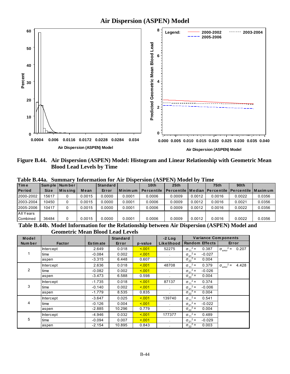

Figure B.44. Air Dispersion (ASPEN) Model: Histogram and Linear Relationship with Geometric Mean **Blood Lead Levels by Time** 

|               | 1 AVIV DITTAI<br>vummai<br>THROUGHQUON TOT THE DISDUISION (TIOL ETT) NIOUGH DY THIRE |                |        |          |         |                   |                                                                  |        |             |        |        |  |  |
|---------------|--------------------------------------------------------------------------------------|----------------|--------|----------|---------|-------------------|------------------------------------------------------------------|--------|-------------|--------|--------|--|--|
| Time          |                                                                                      | Sample Number  |        | Standard |         | 10 <sub>th</sub>  | 25 <sub>th</sub>                                                 |        | <b>75th</b> | 90th   |        |  |  |
| <b>Period</b> | <b>Size</b>                                                                          | <b>Missing</b> | Mean   | Error    | Minimum | <b>Percentile</b> | <u>I Percentile I Median I Percentile I Percentile I Maximum</u> |        |             |        |        |  |  |
| 2000-2002     | 15617                                                                                |                | 0.0015 | 0.0000   | 0.0001  | 0.0006            | 0.0009                                                           | 0.0012 | 0.0016      | 0.0022 | 0.0356 |  |  |
| 2003-2004     | 10450                                                                                |                | 0.0015 | 0.0000   | 0.0001  | 0.0006            | 0.0009                                                           | 0.0012 | 0.0016      | 0.0021 | 0.0356 |  |  |
| 2005-2006     | 10417                                                                                |                | 0.0015 | 0.0000   | 0.0001  | 0.0006            | 0.0009                                                           | 0.0012 | 0.0016      | 0.0022 | 0.0356 |  |  |
| All Years     |                                                                                      |                |        |          |         |                   |                                                                  |        |             |        |        |  |  |
| Combined      | 36484                                                                                | 0              | 0.0015 | 0.0000   | 0.0001  | 0.0006            | 0.0009                                                           | 0.0012 | 0.0016      | 0.0022 | 0.0356 |  |  |

Table B.44a. Summary Information for Air Dispersion (ASPEN) Model by Time

Table B.44b. Model Information for the Relationship between Air Dispersion (ASPEN) Model and **Geometric Mean Blood Lead Levels** 

| Model  |                  |                 | <b>Standard</b> |         | $-2$ Log       |                               | <b>Variance Components</b>                |
|--------|------------------|-----------------|-----------------|---------|----------------|-------------------------------|-------------------------------------------|
| Number | <b>Factor</b>    | <b>Estimate</b> | Error           | p-value | Likelihood     | <b>Random Effects</b>         | Error                                     |
|        | <b>Intercept</b> | 2.649           | 0.018           | 5.001   | 52275          | $\sigma_{11}^2 =$<br>0.387    | $2 =$<br>0.207<br>$\sigma_{\text{error}}$ |
|        | time             | $-0.084$        | 0.002           | < 0.01  | $\cdot$        | $\sigma_{21}^2$ =<br>$-0.027$ |                                           |
|        | aspen            | $-3.315$        | 6.448           | 0.607   |                | $\sigma_{22}^2$ =<br>0.004    |                                           |
|        | <b>Intercept</b> | 2.636           | 0.018           | 5.001   | 48708          | $\sigma_{11}^2$ =<br>0.379    | $2 =$<br>4.428<br>$\sigma_{\text{error}}$ |
| 2      | time             | $-0.082$        | 0.002           | 5.001   | $\mathbf{r}$   | $\sigma_{21}^2$ =<br>$-0.026$ |                                           |
|        | aspen            | $-3.473$        | 6.588           | 0.598   |                | $\sigma_{22}^2$ =<br>0.004    |                                           |
|        | Intercept        | $-1.735$        | 0.018           | 5.001   | 87137          | $\sigma_{11}^2$ =<br>0.374    |                                           |
| 3      | time             | $-0.140$        | 0.002           | < 0.01  | $\mathbf{r}$   | $\sigma_{21}^2 =$<br>$-0.006$ |                                           |
|        | aspen            | $-1.779$        | 8.535           | 0.835   |                | $\sigma_{22}^2$ =<br>0.004    |                                           |
|        | <b>Intercept</b> | $-3.647$        | 0.025           | 5.001   | 139740         | $\sigma_{11}^2$ =<br>0.541    |                                           |
| 4      | time             | $-0.126$        | 0.004           | 5.001   | $\sim$         | $\sigma_{21}^2$ =<br>$-0.022$ |                                           |
|        | aspen            | $-2.885$        | 10.296          | 0.779   | $\blacksquare$ | $\sigma_{22}^2$ =<br>0.004    |                                           |
|        | <b>Intercept</b> | $-4.946$        | 0.032           | 5.001   | 177377         | $\sigma_{11}^2$ =<br>0.489    |                                           |
| 5      | time             | $-0.094$        | 0.007           | < 0.01  | $\sim$         | $\sigma_{21}^2$ =<br>$-0.029$ |                                           |
|        | aspen            | $-2.154$        | 10.895          | 0.843   |                | $\sigma_{22}^2$ =<br>0.003    |                                           |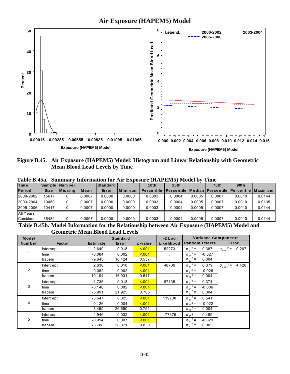

Figure B.45. Air Exposure (HAPEM5) Model: Histogram and Linear Relationship with Geometric **Mean Blood Lead Levels by Time** 

| 1 AVIV DITVAI<br>wummu \<br>THINTHROUGH TVI TAIL EADVOULD (THAT ENTER HINGER BY<br>. |             |               |        |          |           |                                                                      |                  |        |        |        |        |  |
|--------------------------------------------------------------------------------------|-------------|---------------|--------|----------|-----------|----------------------------------------------------------------------|------------------|--------|--------|--------|--------|--|
| <b>Time</b>                                                                          |             | Sample Number |        | Standard |           | 10 <sub>th</sub>                                                     | 25 <sub>th</sub> |        | 75th   | 90th   |        |  |
| <b>Period</b>                                                                        | <b>Size</b> | Missing       | Mean   | Error    | l Minimum | Percentile   Percentile   Median   Percentile   Percentile   Maximum |                  |        |        |        |        |  |
| 2000-2002                                                                            | 15617       |               | 0.0007 | 0.0000   | 0.0000    | 0.0003                                                               | 0.0004           | 0.0005 | 0.0007 | 0.0010 | 0.0144 |  |
| 2003-2004                                                                            | 10450       | 0             | 0.0007 | 0.0000   | 0.0000    | 0.0003                                                               | 0.0004           | 0.0005 | 0.0007 | 0.0010 | 0.0135 |  |
| 2005-2006                                                                            | 10417       |               | 0.0007 | 0.0000   | 0.0000    | 0.0003                                                               | 0.0004           | 0.0005 | 0.0007 | 0.0010 | 0.0144 |  |
| All Years                                                                            |             |               |        |          |           |                                                                      |                  |        |        |        |        |  |
| Combined                                                                             | 36484       | 0             | 0.0007 | 0.0000   | 0.0000    | 0.0003                                                               | 0.0004           | 0.0005 | 0.0007 | 0.0010 | 0.0144 |  |

Table B.45a. Summary Information for Air Exposure (HAPEM5) Model by Time

Table B.45b. Model Information for the Relationship between Air Exposure (HAPEM5) Model and **Geometric Mean Blood Lead Levels** 

| Model  |                  |                 | <b>Standard</b> |         | $-2$ Log       | <b>Variance Components</b>    |                                           |  |
|--------|------------------|-----------------|-----------------|---------|----------------|-------------------------------|-------------------------------------------|--|
| Number | <b>Factor</b>    | <b>Estimate</b> | Error           | p-value | Likelihood     | <b>Random Effects</b>         | Error                                     |  |
|        | <b>Intercept</b> | 2.649           | 0.018           | 5.001   | 52273          | $\sigma_{11}^2 =$<br>0.387    | $2 = 0.207$<br>$\sigma_{\text{error}}$    |  |
|        | time             | $-0.084$        | 0.002           | 5.001   | $\sim$         | $\sigma_{21}^2$ =<br>$-0.027$ |                                           |  |
|        | hapem            | $-9.643$        | 16.424          | 0.557   |                | $\sigma_{22}^2$ =<br>0.004    |                                           |  |
|        | Intercept        | 2.636           | 0.018           | < 0.01  | 48706          | $\sigma_{11}^2$ =<br>0.379    | $2 =$<br>4.428<br>$\sigma_{\text{error}}$ |  |
| 2      | time             | $-0.082$        | 0.002           | 5.001   | $\mathbf{r}$   | $\sigma_{21}^2$ =<br>$-0.026$ |                                           |  |
|        | hapem            | $-10.194$       | 16.931          | 0.547   |                | $\sigma_{22}^2$ =<br>0.004    |                                           |  |
|        | Intercept        | $-1.735$        | 0.018           | 5.001   | 87135          | $\sigma_{11}^2$ =<br>0.374    |                                           |  |
| 3      | time             | $-0.140$        | 0.002           | < 0.01  | $\sim$         | $\sigma_{21}^2 =$<br>$-0.006$ |                                           |  |
|        | hapem            | $-5.991$        | 21.925          | 0.785   |                | $\sigma_{22}^2$ =<br>0.004    |                                           |  |
|        | <b>Intercept</b> | $-3.647$        | 0.025           | 5.001   | 139738         | $\sigma_{11}^2$ =<br>0.541    |                                           |  |
| 4      | time             | $-0.126$        | 0.004           | 5.001   |                | $\sigma_{21}^2$ =<br>$-0.022$ |                                           |  |
|        | hapem            | $-8.459$        | 26.690          | 0.751   | $\blacksquare$ | $\sigma_{22}^2$ =<br>0.004    |                                           |  |
|        | <b>Intercept</b> | $-4.946$        | 0.032           | 5.001   | 177375         | $\sigma_{11}^2$ =<br>0.489    |                                           |  |
| 5      | time             | $-0.094$        | 0.007           | < 0.01  | $\sim$         | $\sigma_{21}^2$ =<br>$-0.029$ |                                           |  |
|        | hapem            | $-5.788$        | 28.371          | 0.838   |                | $\sigma_{22}^2$ =<br>0.003    |                                           |  |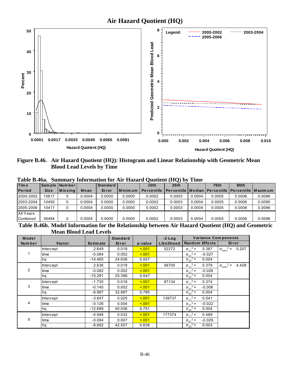

**Figure B.46. Air Hazard Quotient (HQ): Histogram and Linear Relationship with Geometric Mean Blood Lead Levels by Time** 

| $\mathbf{1}$ and $\mathbf{1}$ by Tom.<br>morniquon for the magazine vuotient (mv) o<br>***** |             |                 |        |          |           |                   |                                                                  |        |             |                  |        |  |  |
|----------------------------------------------------------------------------------------------|-------------|-----------------|--------|----------|-----------|-------------------|------------------------------------------------------------------|--------|-------------|------------------|--------|--|--|
| <b>Time</b>                                                                                  |             | Sample   Number |        | Standard |           | 10th              | 25 <sub>th</sub>                                                 |        | <b>75th</b> | 90 <sub>th</sub> |        |  |  |
| <b>Period</b>                                                                                | <b>Size</b> | $ M$ is sing    | Mean   | Error    | l Minimum | <b>Percentile</b> | <u>I Percentile I Median I Percentile I Percentile I Maximum</u> |        |             |                  |        |  |  |
| 2000-2002                                                                                    | 15617       |                 | 0.0004 | 0.0000   | 0.0000    | 0.0002            | 0.0003                                                           | 0.0004 | 0.0005      | 0.0006           | 0.0096 |  |  |
| 2003-2004                                                                                    | 10450       |                 | 0.0004 | 0.0000   | 0.0000    | 0.0002            | 0.0003                                                           | 0.0004 | 0.0005      | 0.0006           | 0.0090 |  |  |
| 2005-2006                                                                                    | 10417       |                 | 0.0004 | 0.0000   | 0.0000    | 0.0002            | 0.0003                                                           | 0.0004 | 0.0005      | 0.0006           | 0.0096 |  |  |
| All Years                                                                                    |             |                 |        |          |           |                   |                                                                  |        |             |                  |        |  |  |
| Combined                                                                                     | 36484       | 0               | 0.0004 | 0.0000   | 0.0000    | 0.0002            | 0.0003                                                           | 0.0004 | 0.0005      | 0.0006           | 0.0096 |  |  |

**Table B.46a. Summary Information for Air Hazard Quotient (HQ) by Time** 

**Table B.46b. Model Information for the Relationship between Air Hazard Quotient (HQ) and Geometric Mean Blood Lead Levels**

| Model          |                  |            | <b>Standard</b> |         | $-2$ Log     | <b>Variance Components</b>    |                                           |
|----------------|------------------|------------|-----------------|---------|--------------|-------------------------------|-------------------------------------------|
| Num ber        | <b>Factor</b>    | Es tim ate | Error           | p-value | Likelihood   | <b>Random Effects</b>         | Error                                     |
|                | Intercept        | 2.649      | 0.018           | 5.001   | 52272        | $\sigma_{11}^2$ =<br>0.387    | $2 =$<br>0.207<br>$\sigma_{\rm error}$    |
|                | time             | $-0.084$   | 0.002           | 5.001   | $\mathbf{r}$ | $\sigma_{21}^2$ =<br>$-0.027$ |                                           |
|                | hq               | $-14.465$  | 24.636          | 0.557   |              | $\sigma_{22}^2$ =<br>0.004    |                                           |
|                | Intercept        | 2.636      | 0.018           | 5.001   | 48705        | $\sigma_{11}^2$ =<br>0.379    | $2 =$<br>4.428<br>$\sigma_{\text{error}}$ |
| $\overline{2}$ | time             | $-0.082$   | 0.002           | 5.001   | $\mathbf{r}$ | $\sigma_{21}^2$ =<br>$-0.026$ |                                           |
|                | hq               | $-15.291$  | 25.396          | 0.547   |              | $\sigma_{22}^2$ =<br>0.004    |                                           |
|                | Intercept        | $-1.735$   | 0.018           | 5.001   | 87134        | $\sigma_{11}^2$ =<br>0.374    |                                           |
| 3              | time             | $-0.140$   | 0.002           | 5.001   | $\mathbf{r}$ | $\sigma_{21}^2$ =<br>$-0.006$ |                                           |
|                | hq               | $-8.987$   | 32.887          | 0.785   |              | $\sigma_{22}^2$ =<br>0.004    |                                           |
|                | <b>Intercept</b> | $-3.647$   | 0.025           | 5.001   | 139737       | $\sigma_{11}^2$ =<br>0.541    |                                           |
| 4              | time             | $-0.126$   | 0.004           | 5.001   |              | $\sigma_{21}^2$ =<br>$-0.022$ |                                           |
|                | hq               | $-12.689$  | 40.036          | 0.751   | $\mathbf{r}$ | $\sigma_{22}^2$ =<br>0.004    |                                           |
|                | <b>Intercept</b> | $-4.946$   | 0.032           | 5.001   | 177374       | $\sigma_{11}^2$ =<br>0.489    |                                           |
| 5              | time             | $-0.094$   | 0.007           | 5.001   | $\mathbf{r}$ | $\sigma_{21}^2$ =<br>$-0.029$ |                                           |
|                | hq               | $-8.682$   | 42.557          | 0.838   |              | $\sigma_{22}^2$ =<br>0.003    |                                           |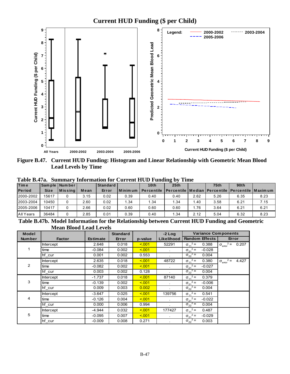

Figure B.47. Current HUD Funding: Histogram and Linear Relationship with Geometric Mean Blood **Lead Levels by Time** 

| Table B.47a. Summary Information for Current HUD Funding by Time |  |  |  |  |  |  |  |  |
|------------------------------------------------------------------|--|--|--|--|--|--|--|--|
|------------------------------------------------------------------|--|--|--|--|--|--|--|--|

| <b>Time</b>   |             | Sample Number    |      | Standard |                | 10 <sub>th</sub>  | 25 <sub>th</sub>                                                   |      | <b>75th</b> | 90 <sub>th</sub> |      |
|---------------|-------------|------------------|------|----------|----------------|-------------------|--------------------------------------------------------------------|------|-------------|------------------|------|
| <b>Period</b> | <b>Size</b> | <b>M</b> is sing | Mean | Error    | <b>Minimum</b> | <b>Percentile</b> | <u>I Percentile I Median I Percentile I Percentile I Maxim um </u> |      |             |                  |      |
| 2000-2002     | 15617       |                  | 3.15 | 0.02     | 0.39           | 0.40              | 0.40                                                               | 2.62 | 5.26        | 6.35             | 8.23 |
| 2003-2004     | 10450       |                  | 2.60 | 0.02     | 1.34           | 1.34              | 1.34                                                               | .40  | 3.58        | 6.21             | 7.15 |
| 2005-2006     | 10417       |                  | 2.66 | 0.02     | 0.60           | 0.60              | 0.60                                                               | . 76 | 3.64        | 6.21             | 6.21 |
| All Years     | 36484       |                  | 2.85 | 0.01     | 0.39           | 0.40              | 1.34                                                               | 2.12 | 5.04        | 6.32             | 8.23 |
|               |             |                  |      |          |                |                   | $ -$                                                               |      |             | _ _              |      |

Table B.47b. Model Information for the Relationship between Current HUD Funding and Geometric **Mean Blood Lead Levels** 

| <b>Model</b>  |                  |                 | <b>Standard</b> |         | $-2$ Log   | <b>Variance Components</b>    |                                      |  |
|---------------|------------------|-----------------|-----------------|---------|------------|-------------------------------|--------------------------------------|--|
| <b>Number</b> | <b>Factor</b>    | <b>Estimate</b> | Error           | p-value | Likelihood | <b>Random Effects</b>         | Error                                |  |
|               | <b>Intercept</b> | 2.648           | 0.018           | < 0.01  | 52291      | $\sigma_{11}^2$ =<br>0.388    | $\sigma_{\text{error}}^2 =$<br>0.207 |  |
|               | time             | $-0.084$        | 0.002           | < 0.01  |            | $\sigma_{21}^2$ =<br>$-0.028$ |                                      |  |
|               | hf cur           | 0.001           | 0.002           | 0.553   |            | $\sigma_{22}^2$ =<br>0.004    |                                      |  |
|               | Intercept        | 2.635           | 0.018           | < 0.01  | 48722      | $\sigma_{11}^2$ =<br>0.380    | $\sigma_{\text{error}}^2$ =<br>4.427 |  |
| 2             | time             | $-0.082$        | 0.002           | < 0.01  |            | $\sigma_{21}^2$ =<br>$-0.027$ |                                      |  |
|               | hf cur           | 0.003           | 0.002           | 0.128   |            | $\sigma_{22}^2$ =<br>0.004    |                                      |  |
|               | <b>Intercept</b> | $-1.737$        | 0.018           | < 0.01  | 87140      | $\sigma_{11}^2 =$<br>0.379    |                                      |  |
| 3             | time             | $-0.139$        | 0.002           | < 0.01  | $\sim$     | $\sigma_{21}^2$ =<br>$-0.006$ |                                      |  |
|               | hf cur           | 0.009           | 0.003           | 0.002   |            | $\sigma_{22}^2$ =<br>0.004    |                                      |  |
|               | Intercept        | $-3.647$        | 0.025           | < 0.01  | 139756     | $\sigma_{11}^2$ =<br>0.541    |                                      |  |
| 4             | time             | $-0.126$        | 0.004           | < 0.01  | $\epsilon$ | $\sigma_{21}^2$ =<br>$-0.022$ |                                      |  |
|               | hf cur           | 0.000           | 0.006           | 0.994   |            | $\sigma_{22}^2$ =<br>0.004    |                                      |  |
|               | Intercept        | $-4.944$        | 0.032           | < 0.01  | 177427     | $\sigma_{11}^2$ =<br>0.487    |                                      |  |
| 5             | time             | $-0.095$        | 0.007           | < 001   | $\epsilon$ | $\sigma_{21}^2$ =<br>$-0.029$ |                                      |  |
|               | hf cur           | $-0.009$        | 0.008           | 0.271   |            | $\sigma_{22}^2$ =<br>0.003    |                                      |  |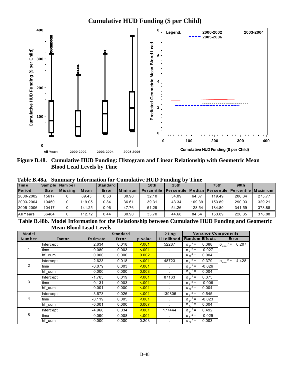

Figure B.48. Cumulative HUD Funding: Histogram and Linear Relationship with Geometric Mean **Blood Lead Levels by Time** 

|  |  | Table B.48a. Summary Information for Cumulative HUD Funding by Time |  |  |  |  |
|--|--|---------------------------------------------------------------------|--|--|--|--|
|--|--|---------------------------------------------------------------------|--|--|--|--|

| <b>Time</b>   |             | Sample Number |        | Standard |         | 10 <sub>th</sub>  | 25 <sub>th</sub> |        | 75 <sub>th</sub> | 90th                                                       |        |
|---------------|-------------|---------------|--------|----------|---------|-------------------|------------------|--------|------------------|------------------------------------------------------------|--------|
| <b>Period</b> | <b>Size</b> | $ M$ is sing  | Mean   | Error    | Minimum | <b>Percentile</b> |                  |        |                  | ' Percentile   Median   Percentile   Percentile   Maxim um |        |
| 2000-2002     | 15617       |               | 89.45  | 0.53     | 30.90   | 32.10             | 34.09            | 64.37  | 119.49           | 206.34                                                     | 275.77 |
| 2003-2004     | 10450       |               | 119.05 | 0.84     | 36.61   | 39.31             | 43.34            | 109.39 | 153.89           | 290.03                                                     | 329.21 |
| 2005-2006     | 10417       |               | 141.25 | 0.96     | 47.76   | 51.29             | 54.26            | 128.54 | 184.80           | 341.59                                                     | 378.88 |
| All Years     | 36484       |               | 112.72 | 0.44     | 30.90   | 33.70             | 44.68            | 84.54  | 153.89           | 226.35                                                     | 378.88 |

Table B.48b. Model Information for the Relationship between Cumulative HUD Funding and Geometric **Mean Blood Lead Levels** 

| Model  |                  |                 | <b>Standard</b> |         | $-2$ Log       | <b>Variance Components</b>                      |                                             |  |
|--------|------------------|-----------------|-----------------|---------|----------------|-------------------------------------------------|---------------------------------------------|--|
| Number | <b>Factor</b>    | <b>Estimate</b> | Error           | p-value | Likelihood     | <b>Random Effects</b>                           | Error                                       |  |
|        | Intercept        | 2.634           | 0.018           | 5.001   | 52287          | $\sigma_{11}^2$ =<br>0.388                      | $2 =$<br>0.207<br>$\sigma_{\text{error}}$   |  |
| 1      | time             | $-0.080$        | 0.003           | < 0.01  | $\mathbf{r}$   | $\sigma_{21}^2$ =<br>$-0.027$                   |                                             |  |
|        | hf cum           | 0.000           | 0.000           | 0.002   |                | $\sigma_{22}^2$ =<br>0.004                      |                                             |  |
|        | Intercept        | 2.623           | 0.018           | 5.001   | 48723          | $\sigma_{11}^2$ =<br>0.379                      | $2 =$<br>4.428<br>$\sigma_{\text{error}}^2$ |  |
| 2      | time             | $-0.079$        | 0.003           | 5.001   |                | $\sigma_{21}^2$ =<br>$-0.026$                   |                                             |  |
|        | hf cum           | 0.000           | 0.000           | 0.008   |                | $\sigma_{22}^2$ =<br>0.004                      |                                             |  |
|        | <b>Intercept</b> | $-1.765$        | 0.019           | < 0.01  | 87163          | $\sigma_{11}^2$ =<br>0.375                      |                                             |  |
| 3      | time             | $-0.131$        | 0.003           | < 0.01  | $\sim$         | $\sigma_{21}^2$ =<br>$-0.006$                   |                                             |  |
|        | hf cum           | $-0.001$        | 0.000           | 5.001   | $\mathbf{r}$   | $\sigma_{22}^2$ =<br>0.004                      |                                             |  |
|        | <b>Intercept</b> | $-3.673$        | 0.026           | 5.001   | 139805         | $\sigma_{11}^2$ =<br>0.545                      |                                             |  |
| 4      | time             | $-0.119$        | 0.005           | < 0.01  | $\mathbf{r}$   | $\sigma_{21}^2$ =<br>$-0.023$                   |                                             |  |
|        | hf cum           | $-0.001$        | 0.000           | 0.007   | $\mathbf{r}$   | $\sigma_{22}^2$ =<br>0.004                      |                                             |  |
|        | Intercept        | $-4.960$        | 0.034           | 5.001   | 177444         | $\sigma_{11}^2$ =<br>0.492                      |                                             |  |
| 5      | time             | $-0.090$        | 0.008           | < 001   | $\blacksquare$ | $\sigma_{21}^2$ =<br>$-0.029$                   |                                             |  |
|        | hf cum           | 0.000           | 0.000           | 0.203   |                | $^{2}$ =<br>0.003<br>$\sigma_{22}$ <sup>2</sup> |                                             |  |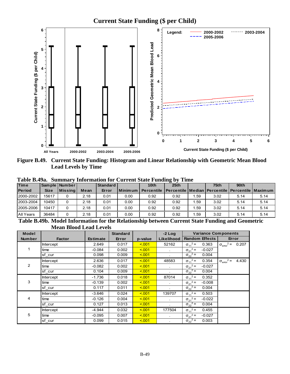

**Figure B.49. Current State Funding: Histogram and Linear Relationship with Geometric Mean Blood Lead Levels by Time** 

|                                                  | таму разлина одници у<br>$\mu$ morning for $\sigma$ and $\sigma$ and $\sigma$ and $\sigma$ and $\sigma$ |                      |      |                                      |         |                   |                                                                  |     |      |                  |      |  |  |
|--------------------------------------------------|---------------------------------------------------------------------------------------------------------|----------------------|------|--------------------------------------|---------|-------------------|------------------------------------------------------------------|-----|------|------------------|------|--|--|
| Time                                             |                                                                                                         | Sample   Number      |      | <b>Standard</b>                      |         | 10 <sub>th</sub>  | 25th                                                             |     | 75th | 90 <sub>th</sub> |      |  |  |
| <b>Period</b>                                    | <b>Size</b>                                                                                             | <b>Missing</b>       | Mean | Error                                | Minimum | <b>Percentile</b> | <b>I Percentile   Median   Percentile   Percentile   Maximum</b> |     |      |                  |      |  |  |
| 2000-2002                                        | 15617                                                                                                   |                      | 2.18 | 0.01                                 | 0.00    | 0.92              | 0.92                                                             | .59 | 3.02 | 5.14             | 5.14 |  |  |
| 2003-2004                                        | 10450                                                                                                   |                      | 2.18 | 0.01                                 | 0.00    | 0.92              | 0.92                                                             | .59 | 3.02 | 5.14             | 5.14 |  |  |
| 2005-2006                                        | 10417                                                                                                   |                      | 2.18 | 0.01                                 | 0.00    | 0.92              | 0.92                                                             | .59 | 3.02 | 5.14             | 5.14 |  |  |
| All Years                                        | 36484                                                                                                   |                      | 2.18 | 0.01                                 | 0.00    | 0.92              | 0.92                                                             | .59 | 3.02 | 5.14             | 5.14 |  |  |
| $\sim$ $\sim$ $\sim$ $\sim$ $\sim$ $\sim$ $\sim$ |                                                                                                         | $\sim$ $\sim$ $\sim$ |      | $\sim$ 0 $\sim$ $\sim$ $\sim$ $\sim$ |         |                   | $\sim$                                                           |     | .    | $\sim$           |      |  |  |

**Table B.49a. Summary Information for Current State Funding by Time** 

**Table B.49b. Model Information for the Relationship between Current State Funding and Geometric Mean Blood Lead Levels**

| <b>Model</b>   |                  |                 | <b>Standard</b> |         | $-2$ Log     | <b>Variance Components</b>    |                                           |  |
|----------------|------------------|-----------------|-----------------|---------|--------------|-------------------------------|-------------------------------------------|--|
| <b>Number</b>  | <b>Factor</b>    | <b>Estimate</b> | Error           | p-value | Likelihood   | <b>Random Effects</b>         | Error                                     |  |
|                | <b>Intercept</b> | 2.649           | 0.017           | < 0.01  | 52162        | $\sigma_{11}^2$ =<br>0.363    | $2 =$<br>0.207<br>$\sigma_{\text{error}}$ |  |
|                | time             | $-0.084$        | 0.002           | < 0.01  | $\bullet$    | $\sigma_{21}^2$ =<br>$-0.027$ |                                           |  |
|                | sf cur           | 0.098           | 0.009           | < 0.01  | ÷.           | $\sigma_{22}^2$ =<br>0.004    |                                           |  |
|                | <b>Intercept</b> | 2.636           | 0.017           | < 0.01  | 48583        | $\sigma_{11}^2$ =<br>0.354    | $2 =$<br>4.430<br>$\sigma_{\text{error}}$ |  |
| $\overline{2}$ | time             | $-0.082$        | 0.002           | < 0.01  |              | $\sigma_{21}^2$ =<br>$-0.027$ |                                           |  |
|                | sf cur           | 0.104           | 0.009           | < 0.01  |              | $\sigma_{22}^2$ =<br>0.004    |                                           |  |
|                | Intercept        | $-1.736$        | 0.018           | < 0.01  | 87014        | $\sigma_{11}^2$ =<br>0.352    |                                           |  |
| 3              | time             | $-0.139$        | 0.002           | < 0.01  |              | $\sigma_{21}^2$ =<br>$-0.008$ |                                           |  |
|                | sf cur           | 0.117           | 0.011           | < 0.01  | $\epsilon$   | $\sigma_{22}^2$ =<br>0.004    |                                           |  |
|                | <b>Intercept</b> | $-3.646$        | 0.024           | < 0.01  | 139707       | $\sigma_{11}^2 =$<br>0.503    |                                           |  |
| 4              | time             | $-0.126$        | 0.004           | < 0.01  | $\sim$       | $\sigma_{21}^2$ =<br>$-0.022$ |                                           |  |
|                | sf cur           | 0.127           | 0.013           | < 0.01  | $\mathbf{r}$ | $\sigma_{22}^2$ =<br>0.004    |                                           |  |
|                | <b>Intercept</b> | $-4.944$        | 0.032           | < 0.01  | 177504       | $\sigma_{11}^2$ =<br>0.455    |                                           |  |
| 5              | time             | $-0.095$        | 0.007           | < 0.01  | $\mathbf{r}$ | $\sigma_{21}^2$ =<br>$-0.027$ |                                           |  |
|                | sf cur           | 0.099           | 0.015           | < 0.01  |              | $\sigma_{22}^2$ =<br>0.003    |                                           |  |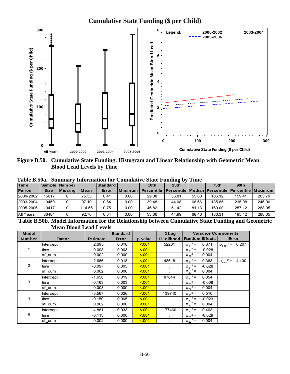

**Figure B.50. Cumulative State Funding: Histogram and Linear Relationship with Geometric Mean Blood Lead Levels by Time** 

| Table B.50a. Summary Information for Cumulative State Funding by Time |  |  |  |  |  |  |  |
|-----------------------------------------------------------------------|--|--|--|--|--|--|--|
|-----------------------------------------------------------------------|--|--|--|--|--|--|--|

| <b>Time</b>   |             | Sample   Number |        | Standard |             | 10 <sub>th</sub>  | 25 <sub>th</sub>                                                 |       | 75 <sub>th</sub> | 90 <sub>th</sub> |        |
|---------------|-------------|-----------------|--------|----------|-------------|-------------------|------------------------------------------------------------------|-------|------------------|------------------|--------|
| <b>Period</b> | <b>Size</b> | l Missina l     | Mean   | Error    | . Minimum I | <b>Percentile</b> | <b>I Percentile   Median   Percentile   Percentile   Maximum</b> |       |                  |                  |        |
| 2000-2002     | 15617       |                 | 75.33  | 0.41     | 0.00        | 29.38             | 35.81                                                            | 55.68 | 106.12           | 159.41           | 205.79 |
| 2003-2004     | 10450       |                 | 97.10  | 0.64     | 0.00        | 39.48             | 44.08                                                            | 68.66 | 135.85           | 215.98           | 246.90 |
| 2005-2006     | 10417       |                 | 114.55 | 0.75     | 0.00        | 46.82             | 51.42                                                            | 81.13 | 160.00           | 257.12           | 288.05 |
| All Years     | 36484       |                 | 92.76  | 0.34     | 0.00        | 33.06             | 44.99                                                            | 68.40 | 130.31           | 195.42           | 288.05 |

**Table B.50b. Model Information for the Relationship between Cumulative State Funding and Geometric Mean Blood Lead Levels**

| Model         |                  |                 | <b>Standard</b> |         | $-2$ Log     | <b>Variance Components</b>      |                                             |  |
|---------------|------------------|-----------------|-----------------|---------|--------------|---------------------------------|---------------------------------------------|--|
| <b>Number</b> | <b>Factor</b>    | <b>Estimate</b> | Error           | p-value | Likelihood   | <b>Random Effects</b>           | Error                                       |  |
|               | <b>Intercept</b> | 2.695           | 0.018           | < 0.01  | 52201        | $\sigma_{11}^2$ =<br>0.371      | $2 =$<br>0.207<br>$\sigma_{\text{error}}$   |  |
|               | time             | $-0.098$        | 0.003           | < 0.01  | $\sim$       | $\sigma_{21}^2$ =<br>$-0.028$   |                                             |  |
|               | sf cum           | 0.002           | 0.000           | < 0.01  |              | $2 =$<br>0.004<br>$\sigma_{22}$ |                                             |  |
|               | Intercept        | 2.686           | 0.018           | < 0.01  | 48618        | $\sigma_{11}^2$ =<br>0.363      | $2 =$<br>4.430<br>$\sigma_{\text{error}}^2$ |  |
| 2             | time             | $-0.097$        | 0.003           | < 0.01  |              | $\sigma_{21}^2$ =<br>$-0.028$   |                                             |  |
|               | sf cum           | 0.002           | 0.000           | 5.001   |              | $\sigma_{22}^2$ =<br>0.004      |                                             |  |
|               | Intercept        | $-1.658$        | 0.019           | < 0.01  | 87044        | $\sigma_{11}^2$ =<br>0.354      |                                             |  |
| 3             | time             | $-0.163$        | 0.003           | < 0.01  | ٠            | $\sigma_{21}^2$ =<br>$-0.008$   |                                             |  |
|               | sf cum           | 0.003           | 0.000           | < 0.01  |              | $\sigma_{22}^2$ =<br>0.004      |                                             |  |
|               | Intercept        | $-3.567$        | 0.026           | < 0.01  | 139740       | $\sigma_{11}^2$ =<br>0.510      |                                             |  |
| 4             | time             | $-0.150$        | 0.005           | < 0.01  | $\sim$       | $\sigma_{21}^2$ =<br>$-0.023$   |                                             |  |
|               | sf cum           | 0.002           | 0.000           | < 0.01  |              | $\sigma_{22}^2$ =<br>0.004      |                                             |  |
|               | Intercept        | $-4.881$        | 0.033           | < 0.01  | 177460       | $\sigma_{11}^2$ =<br>0.463      |                                             |  |
| 5             | time             | $-0.113$        | 0.008           | < 0.01  | $\mathbf{r}$ | $\sigma_{21}^2$ =<br>$-0.029$   |                                             |  |
|               | sf cum           | 0.002           | 0.000           | < 0.01  |              | $\sigma_{22}^2$ =<br>0.004      |                                             |  |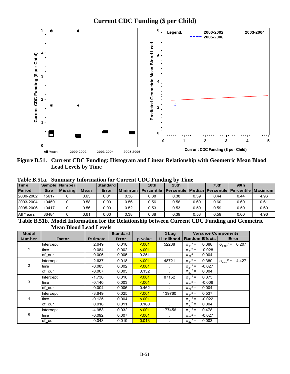

**Figure B.51. Current CDC Funding: Histogram and Linear Relationship with Geometric Mean Blood Lead Levels by Time** 

**Maximum** 

|               | Table B.51a. Summary Information for Current CDC Funding by Time |                    |      |                 |      |                                                                                 |      |      |                  |                  |      |  |  |
|---------------|------------------------------------------------------------------|--------------------|------|-----------------|------|---------------------------------------------------------------------------------|------|------|------------------|------------------|------|--|--|
| <b>Time</b>   |                                                                  | Sample Number      |      | <b>Standard</b> |      | 10 <sub>th</sub>                                                                | 25th |      | 75 <sub>th</sub> | 90 <sub>th</sub> |      |  |  |
| <b>Period</b> | <b>Size</b>                                                      | <u>I Missina I</u> | Mean | Error           |      | l Minimum   Percentile   Percentile   Median   Percentile   Percentile   Maximı |      |      |                  |                  |      |  |  |
| 2000-2002     | 15617                                                            |                    | 0.65 | 0.01            | 0.38 | 0.38                                                                            | 0.38 | 0.39 | 0.44             | 0.44             | 4.96 |  |  |
| 2003-2004     | 10450                                                            |                    | 0.58 | 0.00            | 0.56 | 0.56                                                                            | 0.56 | 0.60 | 0.60             | 0.60             | 0.61 |  |  |

**Table B.51a. Summary Information for Current CDC Funding by Time** 

**Table B.51b. Model Information for the Relationship between Current CDC Funding and Geometric Mean Blood Lead Levels**

2005-2006 10417 0 0.56 0.00 0.52 0.53 0.53 0.59 0.59 0.59 0.60 All Years 36484 0 0.61 0.00 0.38 0.38 0.39 0.53 0.59 0.60 4.96

| <b>Model</b>   |                  |                 | <b>Standard</b> |         | $-2$ Log     | <b>Variance Components</b>    |                                           |  |
|----------------|------------------|-----------------|-----------------|---------|--------------|-------------------------------|-------------------------------------------|--|
| <b>Number</b>  | <b>Factor</b>    | <b>Estimate</b> | Error           | p-value | Likelihood   | <b>Random Effects</b>         | Error                                     |  |
|                | <b>Intercept</b> | 2.649           | 0.018           | < 0.01  | 52288        | $\sigma_{11}^2$ =<br>0.388    | $2 =$<br>0.207<br>$\sigma_{\text{error}}$ |  |
|                | time             | $-0.084$        | 0.002           | < 0.01  | $\bullet$    | $\sigma_{21}^2$ =<br>$-0.028$ |                                           |  |
|                | cf cur           | $-0.006$        | 0.005           | 0.251   | ÷.           | $\sigma_{22}^2$ =<br>0.004    |                                           |  |
|                | <b>Intercept</b> | 2.637           | 0.018           | < 0.01  | 48721        | $\sigma_{11}^2$ =<br>0.380    | $2 =$<br>4.427<br>$\sigma_{\text{error}}$ |  |
| $\overline{2}$ | time             | $-0.083$        | 0.002           | < 0.01  |              | $\sigma_{21}^2$ =<br>$-0.027$ |                                           |  |
|                | cf cur           | $-0.007$        | 0.005           | 0.132   |              | $\sigma_{22}^2$ =<br>0.004    |                                           |  |
|                | Intercept        | $-1.736$        | 0.018           | < 0.01  | 87152        | $\sigma_{11}^2$ =<br>0.373    |                                           |  |
| 3              | time             | $-0.140$        | 0.003           | < 0.01  |              | $\sigma_{21}^2$ =<br>$-0.006$ |                                           |  |
|                | cf cur           | 0.004           | 0.006           | 0.462   | $\mathbf{r}$ | $\sigma_{22}^2$ =<br>0.004    |                                           |  |
|                | <b>Intercept</b> | $-3.649$        | 0.025           | < 0.01  | 139760       | $\sigma_{11}^2$ =<br>0.537    |                                           |  |
| 4              | time             | $-0.125$        | 0.004           | < 0.01  | $\sim$       | $\sigma_{21}^2$ =<br>$-0.022$ |                                           |  |
|                | cf cur           | 0.016           | 0.011           | 0.160   |              | $\sigma_{22}^2$ =<br>0.004    |                                           |  |
|                | <b>Intercept</b> | $-4.953$        | 0.032           | < 0.01  | 177456       | $\sigma_{11}^2$ =<br>0.478    |                                           |  |
| 5              | time             | $-0.092$        | 0.007           | < 0.01  | $\mathbf{r}$ | $\sigma_{21}^2$ =<br>$-0.027$ |                                           |  |
|                | cf cur           | 0.048           | 0.019           | 0.013   |              | $\sigma_{22}^2$ =<br>0.003    |                                           |  |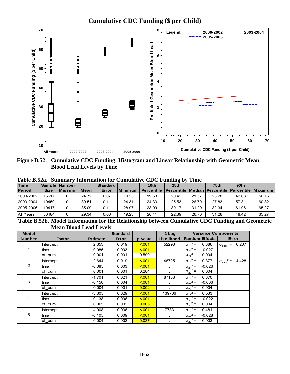

**Figure B.52. Cumulative CDC Funding: Histogram and Linear Relationship with Geometric Mean Blood Lead Levels by Time** 

|  |  | Table B.52a. Summary Information for Cumulative CDC Funding by Time |  |  |  |  |  |  |
|--|--|---------------------------------------------------------------------|--|--|--|--|--|--|
|--|--|---------------------------------------------------------------------|--|--|--|--|--|--|

| <b>Time</b>   |             | Sample   Number |       | <b>Standard</b> |           | 10 <sub>th</sub>  | 25 <sub>th</sub>                                                 |       | 75 <sub>th</sub> | 90 <sub>th</sub> |       |
|---------------|-------------|-----------------|-------|-----------------|-----------|-------------------|------------------------------------------------------------------|-------|------------------|------------------|-------|
| <b>Period</b> | <b>Size</b> | l Missina l     | Mean  | Error           | Minimum I | <b>Percentile</b> | <b>I Percentile   Median   Percentile   Percentile   Maximum</b> |       |                  |                  |       |
| 2000-2002     | 15617       |                 | 24.72 | 0.07            | 19.23     | 19.63             | 20.42                                                            | 21.57 | 23.28            | 42.68            | 56.16 |
| 2003-2004     | 10450       |                 | 30.51 | 0.11            | 24.31     | 24.33             | 25.53                                                            | 26.70 | 27.83            | 57.31            | 60.82 |
| 2005-2006     | 10417       |                 | 35.09 | 0.11            | 28.97     | 28.99             | 30.17                                                            | 31.29 | 32.34            | 61.96            | 65.27 |
| All Years     | 36484       |                 | 29.34 | 0.06            | 19.23     | 20.41             | 22.39                                                            | 26.70 | 31.28            | 48.42            | 65.27 |

**Table B.52b. Model Information for the Relationship between Cumulative CDC Funding and Geometric Mean Blood Lead Levels**

| <b>Model</b>  |                  |                 | <b>Standard</b> |         | $-2$ Log   | <b>Variance Components</b>    |                                             |
|---------------|------------------|-----------------|-----------------|---------|------------|-------------------------------|---------------------------------------------|
| <b>Number</b> | <b>Factor</b>    | <b>Estimate</b> | Error           | p-value | Likelihood | <b>Random Effects</b>         | Error                                       |
|               | <b>Intercept</b> | 2.653           | 0.019           | 5.001   | 52293      | $\sigma_{11}^2$ =<br>0.386    | $2 =$<br>0.207<br>$\sigma_{\text{error}}$   |
|               | time             | $-0.085$        | 0.003           | 5.001   | $\bullet$  | $\sigma_{21}^2$ =<br>$-0.027$ |                                             |
|               | cf cum           | 0.001           | 0.001           | 0.590   |            | $\sigma_{22}^2$ =<br>0.004    |                                             |
|               | <b>Intercept</b> | 2.644           | 0.019           | < 0.01  | 48725      | $\sigma_{11}^2$ =<br>0.377    | $2 =$<br>4.428<br>$\sigma_{\text{error}}^2$ |
| 2             | time             | $-0.085$        | 0.003           | 5.001   |            | $\sigma_{21}^2$ =<br>$-0.026$ |                                             |
|               | cf cum           | 0.001           | 0.001           | 0.284   |            | $\sigma_{22}^2$ =<br>0.004    |                                             |
|               | <b>Intercept</b> | $-1.701$        | 0.021           | 5.001   | 87136      | $\sigma_{11}^2$ =<br>0.370    |                                             |
| 3             | time             | $-0.150$        | 0.004           | 5.001   |            | $\sigma_{21}^2$ =<br>$-0.006$ |                                             |
|               | cf cum           | 0.004           | 0.001           | 0.002   |            | $\sigma_{22}^2$ =<br>0.004    |                                             |
|               | <b>Intercept</b> | $-3.605$        | 0.029           | < 0.01  | 139706     | $\sigma_{11}^2 =$<br>0.533    |                                             |
| 4             | time             | $-0.138$        | 0.006           | 5.001   | $\epsilon$ | $\sigma_{21}^2$ =<br>$-0.022$ |                                             |
|               | cf cum           | 0.005           | 0.002           | 0.005   |            | $\sigma_{22}^2$ =<br>0.004    |                                             |
|               | <b>Intercept</b> | $-4.908$        | 0.036           | 5.001   | 177331     | $\sigma_{11}^2$ =<br>0.481    |                                             |
| 5             | time             | $-0.105$        | 0.009           | < 0.01  |            | $\sigma_{21}^2$ =<br>$-0.028$ |                                             |
|               | cf cum           | 0.004           | 0.002           | 0.037   |            | $\sigma_{22}^2$ =<br>0.003    |                                             |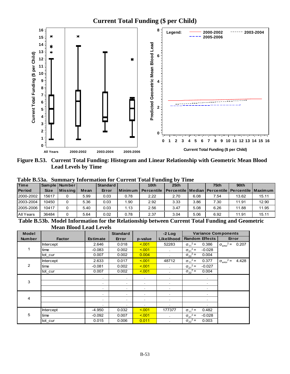

**Figure B.53. Current Total Funding: Histogram and Linear Relationship with Geometric Mean Blood Lead Levels by Time** 

|               |             |                 |      |                 |             | Tabic Dissa. Bunniai y filiolination for Current Total Funding by Thile |      |      |      |       |       |
|---------------|-------------|-----------------|------|-----------------|-------------|-------------------------------------------------------------------------|------|------|------|-------|-------|
| <b>Time</b>   |             | Sample   Number |      | <b>Standard</b> |             | 10th                                                                    | 25th |      | 75th | 90th  |       |
| <b>Period</b> | <b>Size</b> | Missing         | Mean | Error           | l Minimum L | Percentile   Percentile   Median   Percentile   Percentile   Maximum    |      |      |      |       |       |
| 2000-2002     | 15617       |                 | 5.99 | 0.03            | 0.78        | 2.22                                                                    | 2.70 | 6.08 | 7.54 | 13.62 | 15.11 |
| 2003-2004     | 10450       |                 | 5.36 | 0.03            | 1.90        | 2.92                                                                    | 3.33 | 3.86 | 7.30 | 11.91 | 12.90 |
| 2005-2006     | 10417       |                 | 5.40 | 0.03            | 1.13        | 2.56                                                                    | 3.47 | 5.08 | 6.26 | 11.88 | 11.95 |
| All Years     | 36484       | 0               | 5.64 | 0.02            | 0.78        | 2.37                                                                    | 3.04 | 5.06 | 6.92 | 11.91 | 15.11 |

**Table B.53a. Summary Information for Current Total Funding by Time** 

**Table B.53b. Model Information for the Relationship between Current Total Funding and Geometric Mean Blood Lead Levels**

| <b>Model</b>  |                  |                 | <b>Standard</b> |           | $-2$ Log   | <b>Variance Components</b>    |                                           |
|---------------|------------------|-----------------|-----------------|-----------|------------|-------------------------------|-------------------------------------------|
| <b>Number</b> | <b>Factor</b>    | <b>Estimate</b> | Error           | p-value   | Likelihood | <b>Random Effects</b>         | Error                                     |
|               | <b>Intercept</b> | 2.646           | 0.018           | < 0.01    | 52283      | $\sigma_{11}^2$ =<br>0.386    | $2 =$<br>0.207<br>$\sigma_{\text{error}}$ |
| 1             | time             | $-0.083$        | 0.002           | < 0.01    | $\sim$     | $\sigma_{21}^2$ =<br>$-0.028$ |                                           |
|               | tot cur          | 0.007           | 0.002           | 0.004     |            | $\sigma_{22}^2$ =<br>0.004    |                                           |
|               | Intercept        | 2.633           | 0.017           | < 0.01    | 48712      | $\sigma_{11}^2$ =<br>0.377    | $\sigma_{\text{error}}^2 =$<br>4.428      |
| 2             | time             | $-0.081$        | 0.002           | < 0.01    |            | $\sigma_{21}^2$ =<br>$-0.027$ |                                           |
|               | tot cur          | 0.007           | 0.002           | < 0.01    |            | $\sigma_{22}^2$ =<br>0.004    |                                           |
|               |                  |                 | $\bullet$       | $\sim$    | $\bullet$  |                               |                                           |
| 3             |                  | $\cdot$         | $\bullet$       |           | ÷.         | ٠.                            |                                           |
|               |                  | $\bullet$       | $\bullet$       | $\bullet$ | ٠          | ٠                             |                                           |
|               |                  |                 | $\bullet$       |           |            |                               |                                           |
| 4             |                  | $\bullet$       | $\sim$          | $\bullet$ | $\bullet$  | ٠                             |                                           |
|               |                  | $\bullet$       | $\bullet$       | $\bullet$ | $\bullet$  | $\bullet$                     |                                           |
|               | Intercept        | $-4.950$        | 0.032           | < 0.01    | 177377     | $\sigma_{11}^2$ =<br>0.482    |                                           |
| 5             | time             | $-0.092$        | 0.007           | < 0.01    | $\epsilon$ | $\sigma_{21}^2$ =<br>$-0.028$ |                                           |
|               | tot cur          | 0.015           | 0.006           | 0.011     |            | $\sigma_{22}^2$ =<br>0.003    |                                           |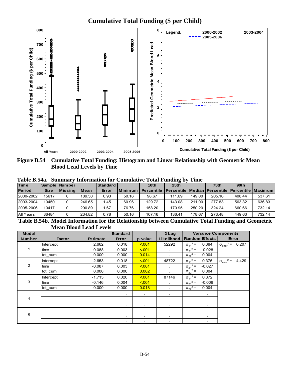

**Figure B.54 Cumulative Total Funding: Histogram and Linear Relationship with Geometric Mean Blood Lead Levels by Time** 

| Table B.54a. Summary Information for Cumulative Total Funding by Time |  |  |
|-----------------------------------------------------------------------|--|--|
|-----------------------------------------------------------------------|--|--|

| <b>Time</b>   |             | Sample   Number |        | <b>Standard</b> |           | 10 <sub>th</sub>  | 25 <sub>th</sub>                                                 |        | 75 <sub>th</sub> | 90 <sub>th</sub> |        |
|---------------|-------------|-----------------|--------|-----------------|-----------|-------------------|------------------------------------------------------------------|--------|------------------|------------------|--------|
| <b>Period</b> | <b>Size</b> | l Missina l     | Mean   | Error           | Minimum I | <b>Percentile</b> | <b>I Percentile   Median   Percentile   Percentile   Maximum</b> |        |                  |                  |        |
| 2000-2002     | 15617       |                 | 189.50 | 0.93            | 50.16     | 98.67             | 111.69                                                           | 149.00 | 205.16           | 408.44           | 537.61 |
| 2003-2004     | 10450       |                 | 246.65 | 1.45            | 60.96     | 129.72            | 143.08                                                           | 211.00 | 277.83           | 563.32           | 636.83 |
| 2005-2006     | 10417       |                 | 290.89 | 67. ا           | 76.76     | 158.20            | 170.95                                                           | 250.20 | 324.24           | 660.66           | 732.14 |
| All Years     | 36484       |                 | 234.82 | 0.78            | 50.16     | 107.16            | 136.41                                                           | 178.67 | 273.48           | 449.63           | 732.14 |
|               |             |                 |        |                 |           |                   | $ -$                                                             |        |                  |                  |        |

**Table B.54b. Model Information for the Relationship between Cumulative Total Funding and Geometric Mean Blood Lead Levels**

| <b>Model</b>  |               |                 | <b>Standard</b>      |           | $-2$ Log   | <b>Variance Components</b>    |                                             |
|---------------|---------------|-----------------|----------------------|-----------|------------|-------------------------------|---------------------------------------------|
| <b>Number</b> | <b>Factor</b> | <b>Estimate</b> | Error                | p-value   | Likelihood | <b>Random Effects</b>         | Error                                       |
|               | Intercept     | 2.662           | 0.018                | < 001     | 52292      | $\sigma_{11}^2$ =<br>0.384    | $2 =$<br>0.207<br>$\sigma_{\text{error}}$   |
|               | time          | $-0.088$        | 0.003                | 5.001     | $\sim$     | $\sigma_{21}^2$ =<br>$-0.028$ |                                             |
|               | tot cum       | 0.000           | 0.000                | 0.014     |            | $\sigma_{22}^2$ =<br>0.004    |                                             |
|               | Intercept     | 2.653           | 0.018                | 5.001     | 48722      | $\sigma_{11}^2$ =<br>0.376    | $2 =$<br>4.429<br>$\sigma_{\text{error}}^2$ |
| 2             | time          | $-0.087$        | 0.003                | < 0.01    |            | $\sigma_{21}^2$ =<br>$-0.027$ |                                             |
|               | tot cum       | 0.000           | 0.000                | 0.002     |            | $\sigma_{22}^2$ =<br>0.004    |                                             |
|               | Intercept     | $-1.715$        | 0.020                | 5.001     | 87146      | $\sigma_{11}^2$ =<br>0.372    |                                             |
| 3             | time          | $-0.146$        | 0.004                | 5.001     | ×.         | $\sigma_{21}^2$ =<br>$-0.006$ |                                             |
|               | tot cum       | 0.000           | 0.000                | 0.018     | ٠          | $\sigma_{22}^2$ =<br>0.004    |                                             |
|               |               |                 | $\bullet$            | $\bullet$ | $\bullet$  | ٠                             |                                             |
| 4             |               | $\mathbf{r}$    | $\bullet$            | $\sim$    | $\bullet$  | $\bullet$                     |                                             |
|               |               |                 | ٠                    | $\bullet$ | $\bullet$  |                               |                                             |
|               |               |                 | $\bullet$            | $\bullet$ | ٠          |                               |                                             |
| 5             |               |                 | $\ddot{\phantom{0}}$ | ٠         | ٠          |                               |                                             |
|               |               |                 |                      | ٠         | ٠          | $\bullet$                     |                                             |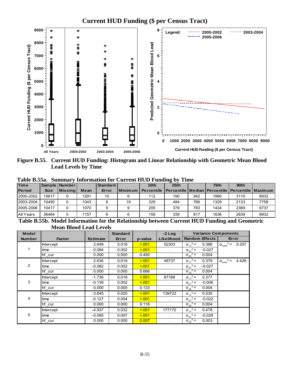# **Current HUD Funding (\$ per Census Tract)**



**Figure B.55. Current HUD Funding: Histogram and Linear Relationship with Geometric Mean Blood Lead Levels by Time** 

| 1 avit Dwea   |             |                 |               |               |     | <b>Dummary mromandiers</b> Carrent HOD Funding by Thin                         |                  |     |      |                  |      |
|---------------|-------------|-----------------|---------------|---------------|-----|--------------------------------------------------------------------------------|------------------|-----|------|------------------|------|
| <b>Time</b>   |             | Sample   Number |               | Standard      |     | 10 <sub>th</sub>                                                               | 25 <sub>th</sub> |     | 75th | 90 <sub>th</sub> |      |
| <b>Period</b> | <b>Size</b> | l Missina l     | Mean          | Error         |     | Minimum   Percentile   Percentile   Median   Percentile   Percentile   Maximum |                  |     |      |                  |      |
| 2000-2002     | 15617       |                 | 1291          | 10            |     | 112                                                                            | 190              | 942 | 1990 | 3110             | 8932 |
| 2003-2004     | 10450       |                 | 1043          |               | 19  | 329                                                                            | 484              | 766 | 1329 | 2133             | 7758 |
| 2005-2006     | 10417       |                 | 1070          |               |     | 205                                                                            | 379              | 783 | 1434 | 2369             | 6737 |
| All Years     | 36484       |                 | 1157          |               |     | 159                                                                            | 339              | 817 | 1636 | 2639             | 8932 |
| ---           |             |                 | $\sim$ $\sim$ | $\sim$ $\sim$ | ___ |                                                                                | $\sim$           |     | --   | - -              |      |

**Table B.55a. Summary Information for Current HUD Funding by Time** 

**Table B.55b. Model Information for the Relationship between Current HUD Funding and Geometric Mean Blood Lead Levels**

| <b>Model</b>  |                  |                 | <b>Standard</b> |         | $-2$ Log   | <b>Variance Components</b>    |                                           |
|---------------|------------------|-----------------|-----------------|---------|------------|-------------------------------|-------------------------------------------|
| <b>Number</b> | <b>Factor</b>    | <b>Estimate</b> | Error           | p-value | Likelihood | <b>Random Effects</b>         | Error                                     |
|               | <b>Intercept</b> | 2.649           | 0.018           | 5.001   | 52303      | $\sigma_{11}^2 =$<br>0.386    | $^{2}$ = 0.207<br>$\sigma_{\text{error}}$ |
|               | time             | $-0.084$        | 0.002           | < 0.01  | $\sim$     | $\sigma_{21}^2$ =<br>$-0.027$ |                                           |
|               | hf cur           | 0.000           | 0.000           | 0.450   |            | $\sigma_{22}^2$ =<br>0.004    |                                           |
|               | <b>Intercept</b> | 2.636           | 0.018           | < 0.01  | 48737      | $\sigma_{11}^2$ =<br>0.379    | $2 =$<br>4.428<br>$\sigma_{\text{error}}$ |
| 2             | time             | $-0.082$        | 0.002           | < 0.01  |            | $\sigma_{21}^2$ =<br>$-0.027$ |                                           |
|               | hf cur           | 0.000           | 0.000           | 0.666   |            | $\sigma_{22}^2$ =<br>0.004    |                                           |
|               | Intercept        | $-1.736$        | 0.018           | < 0.01  | 87168      | $\sigma_{11}^2$ =<br>0.377    |                                           |
| 3             | time             | $-0.139$        | 0.002           | < 0.01  |            | $\sigma_{21}^2$ =<br>$-0.006$ |                                           |
|               | hf_cur           | 0.000           | 0.000           | 0.133   |            | $\sigma_{22}^2$ =<br>0.004    |                                           |
|               | <b>Intercept</b> | $-3.645$        | 0.025           | < 0.01  | 139723     | $\sigma_{11}^2$ =<br>0.535    |                                           |
| 4             | time             | $-0.127$        | 0.004           | < 0.01  | $\sim$     | $\sigma_{21}^2$ =<br>$-0.022$ |                                           |
|               | hf cur           | 0.000           | 0.000           | 0.116   | $\bullet$  | $\sigma_{22}^2$ =<br>0.004    |                                           |
|               | <b>Intercept</b> | $-4.937$        | 0.032           | < 0.01  | 177172     | $\sigma_{11}^2$ =<br>0.478    |                                           |
| 5             | time             | $-0.095$        | 0.007           | < 0.01  | ÷.         | $\sigma_{21}^2$ =<br>$-0.028$ |                                           |
|               | hf_cur           | 0.000           | 0.000           | 0.007   |            | $\sigma_{22}^2$ =<br>0.003    |                                           |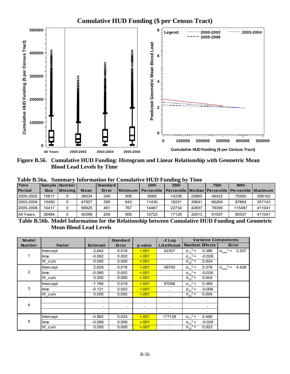

**Figure B.56. Cumulative HUD Funding: Histogram and Linear Relationship with Geometric Mean Blood Lead Levels by Time** 

| Table B.56a. Summary Information for Cumulative HUD Funding by Time |  |  |  |  |  |  |  |  |
|---------------------------------------------------------------------|--|--|--|--|--|--|--|--|
|---------------------------------------------------------------------|--|--|--|--|--|--|--|--|

| <b>Time</b>   |             | Sample   Number |       | Standard |         | 10 <sub>th</sub>  | 25th                                                             |       | 75th  | 90 <sub>th</sub> |        |
|---------------|-------------|-----------------|-------|----------|---------|-------------------|------------------------------------------------------------------|-------|-------|------------------|--------|
| <b>Period</b> | <b>Size</b> | <b>Missina</b>  | Mean  | Error    | Minimum | <b>Percentile</b> | <u>I Percentile I Median I Percentile I Percentile I Maximum</u> |       |       |                  |        |
| 2000-2002     | 15617       |                 | 36034 | 249      | 506     | 9068              | 14238                                                            | 25860 | 48422 | 75560            | 299162 |
| 2003-2004     | 10450       |                 | 47907 | 395      | 643     | 11430             | 18231                                                            | 35641 | 66264 | 97864            | 357143 |
| 2005-2006     | 10417       |                 | 56925 | 461      | 767     | 14467             | 22734                                                            | 42697 | 78390 | 115487           | 411041 |
| All Years     | 36484       | 0               | 45399 | 209      | 506     | 10723             | 17129                                                            | 32913 | 61557 | 95537            | 411041 |

**Table B.56b. Model Information for the Relationship between Cumulative HUD Funding and Geometric Mean Blood Lead Levels**

| <b>Model</b>  |               |                      | <b>Standard</b> |            | $-2$ Log   | <b>Variance Components</b>    |                                           |
|---------------|---------------|----------------------|-----------------|------------|------------|-------------------------------|-------------------------------------------|
| <b>Number</b> | <b>Factor</b> | <b>Estimate</b>      | Error           | p-value    | Likelihood | <b>Random Effects</b>         | Error                                     |
|               | Intercept     | 2.642                | 0.018           | 5.001      | 52307      | $\sigma_{11}^2$ =<br>0.386    | $2 =$<br>0.207<br>$\sigma_{\text{error}}$ |
|               | time          | $-0.082$             | 0.002           | < 0.01     | $\sim$     | $\sigma_{21}^2$ =<br>$-0.028$ |                                           |
|               | hf cum        | 0.000                | 0.000           | 5.001      | ٠          | $\sigma_{22}^2$ =<br>0.004    |                                           |
|               | Intercept     | 2.629                | 0.018           | 5.001      | 48740      | $\sigma_{11}^2$ =<br>0.378    | $2 =$<br>4.428<br>$\sigma_{\text{error}}$ |
| 2             | time          | $-0.080$             | 0.002           | < 0.01     | ×.         | $\sigma_{21}^2$ =<br>$-0.026$ |                                           |
|               | hf cum        | 0.000                | 0.000           | < 0.01     |            | $\sigma_{22}^2$ =<br>0.004    |                                           |
|               | Intercept     | $-1.766$             | 0.019           | 5.001      | 87098      | $\sigma_{11}^2$ =<br>0.369    |                                           |
| 3             | time          | $-0.131$             | 0.003           | 5.001      | $\sim$     | $\sigma_{21}^2$ =<br>$-0.006$ |                                           |
|               | hf cum        | 0.000                | 0.000           | < 0.01     |            | $\sigma_{22}^2$ =<br>0.004    |                                           |
|               |               | $\ddot{\phantom{1}}$ | $\sim$          | $\bullet$  | ٠          | $\bullet$                     |                                           |
| 4             |               |                      | ٠               | $\bullet$  | ٠          | $\bullet$                     |                                           |
|               |               |                      | ٠               | $\epsilon$ | ٠          |                               |                                           |
|               | Intercept     | $-4.962$             | 0.033           | < 0.01     | 177128     | $\sigma_{11}^2$ =<br>0.488    |                                           |
| 5             | time          | $-0.088$             | 0.008           | < 0.01     |            | $\sigma_{21}^2$ =<br>$-0.029$ |                                           |
|               | hf cum        | 0.000                | 0.000           | 5.001      |            | $\sigma_{22}^2$ =<br>0.003    |                                           |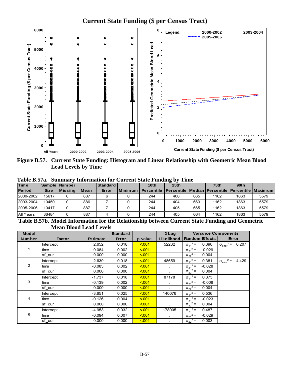# **Current State Funding (\$ per Census Tract)**



**Figure B.57. Current State Funding: Histogram and Linear Relationship with Geometric Mean Blood Lead Levels by Time** 

|                       | 1 000 DN 100<br>плиниции и<br><u>mitor induon for Carrent Duite Funding</u> by Thine |                 |                          |                           |                  |                  |                                                                  |              |                  |                  |      |  |  |
|-----------------------|--------------------------------------------------------------------------------------|-----------------|--------------------------|---------------------------|------------------|------------------|------------------------------------------------------------------|--------------|------------------|------------------|------|--|--|
| Time                  |                                                                                      | Sample   Number |                          | Standard                  |                  | 10 <sub>th</sub> | 25 <sub>th</sub>                                                 |              | 75 <sub>th</sub> | 90 <sub>th</sub> |      |  |  |
| <b>Period</b>         | <b>Size</b>                                                                          | <b>Missing</b>  | Mean                     | Error                     | <b>I</b> Minimum | Percentile       | <b>I Percentile   Median   Percentile   Percentile   Maximum</b> |              |                  |                  |      |  |  |
| 2000-2002             | 15617                                                                                |                 | 887                      |                           |                  | 244              | 406                                                              | 665          | 1162             | 1863             | 5579 |  |  |
| 2003-2004             | 10450                                                                                | 0               | 886                      |                           |                  | 244              | 404                                                              | 663          | 1162             | 1863             | 5579 |  |  |
| 2005-2006             | 10417                                                                                |                 | 887                      |                           |                  | 244              | 405                                                              | 665          | 1162             | 1863             | 5579 |  |  |
| All Years             | 36484                                                                                | 0               | 887                      |                           |                  | 244              | 405                                                              | 664          | 1162             | 1863             | 5579 |  |  |
| <b><i>musical</i></b> |                                                                                      | <b>British</b>  | $\overline{\phantom{a}}$ | $\mathbf{a}$ $\mathbf{a}$ | $\sim$ $\sim$    | .                | $\sim$                                                           | $\mathbf{a}$ |                  | $\sim$           |      |  |  |

**Table B.57a. Summary Information for Current State Funding by Time** 

**Table B.57b. Model Information for the Relationship between Current State Funding and Geometric Mean Blood Lead Levels**

| <b>Model</b>   |                  |                 | <b>Standard</b> |         | $-2$ Log     | <b>Variance Components</b>    |                                           |
|----------------|------------------|-----------------|-----------------|---------|--------------|-------------------------------|-------------------------------------------|
| <b>Number</b>  | <b>Factor</b>    | <b>Estimate</b> | Error           | p-value | Likelihood   | <b>Random Effects</b>         | Error                                     |
|                | <b>Intercept</b> | 2.652           | 0.018           | < 0.01  | 52232        | $\sigma_{11}^2 =$<br>0.390    | $2 =$<br>0.207<br>$\sigma_{\text{error}}$ |
|                | time             | $-0.084$        | 0.002           | < 0.01  | $\bullet$    | $\sigma_{21}^2$ =<br>$-0.029$ |                                           |
|                | sf cur           | 0.000           | 0.000           | 5.001   | ÷.           | $\sigma_{22}^2$ =<br>0.004    |                                           |
|                | <b>Intercept</b> | 2.639           | 0.018           | < 0.01  | 48659        | $\sigma_{11}^2$ =<br>0.381    | $2 =$<br>4.429<br>$\sigma_{\text{error}}$ |
| $\overline{2}$ | time             | $-0.083$        | 0.002           | < 0.01  | $\bullet$    | $\sigma_{21}^2$ =<br>$-0.028$ |                                           |
|                | sf cur           | 0.000           | 0.000           | < 0.01  |              | $\sigma_{22}^2$ =<br>0.004    |                                           |
|                | <b>Intercept</b> | $-1.737$        | 0.018           | < 0.01  | 87178        | $\sigma_{11}^2$ =<br>0.373    |                                           |
| 3              | time             | $-0.139$        | 0.002           | < 0.01  |              | $\sigma_{21}^2$ =<br>$-0.008$ |                                           |
|                | sf_cur           | 0.000           | 0.000           | < 0.01  | ÷.           | $\sigma_{22}^2$ =<br>0.004    |                                           |
|                | <b>Intercept</b> | $-3.651$        | 0.025           | < 0.01  | 140076       | $\sigma_{11}^2$ =<br>0.536    |                                           |
| 4              | time             | $-0.126$        | 0.004           | < 0.01  | $\sim$       | $\sigma_{21}^2$ =<br>$-0.023$ |                                           |
|                | sf cur           | 0.000           | 0.000           | < 001   | $\bullet$    | $\sigma_{22}^2$ =<br>0.004    |                                           |
|                | <b>Intercept</b> | $-4.953$        | 0.032           | < 0.01  | 178005       | $\sigma_{11}^2$ =<br>0.487    |                                           |
| 5              | time             | $-0.094$        | 0.007           | < 0.01  | $\mathbf{r}$ | $\sigma_{21}^2$ =<br>$-0.029$ |                                           |
|                | sf cur           | 0.000           | 0.000           | < 0.01  |              | $\sigma_{22}^2$ =<br>0.003    |                                           |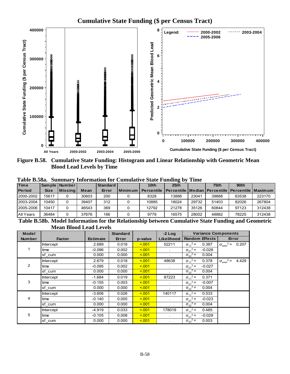# **Cumulative State Funding (\$ per Census Tract)**



**Figure B.58. Cumulative State Funding: Histogram and Linear Relationship with Geometric Mean Blood Lead Levels by Time** 

| Table B.58a. Summary Information for Cumulative State Funding by Time |  |
|-----------------------------------------------------------------------|--|
|-----------------------------------------------------------------------|--|

| Time                               |             | Sample   Number |                             | Standard                |                | 10 <sub>th</sub>  | 25 <sub>th</sub> |       | 75th           | 90 <sub>th</sub>                                        |        |
|------------------------------------|-------------|-----------------|-----------------------------|-------------------------|----------------|-------------------|------------------|-------|----------------|---------------------------------------------------------|--------|
| <b>Period</b>                      | <b>Size</b> | <b>Missing</b>  | Mean                        | Error                   | <b>Minimum</b> | <b>Percentile</b> |                  |       |                | Percentile   Median   Percentile   Percentile   Maximum |        |
| 2000-2002                          | 15617       |                 | 30603                       | 200                     |                | 8328              | 13888            | 23041 | 39888          | 63538                                                   | 223170 |
| 2003-2004                          | 10450       |                 | 39407                       | 312                     |                | 10885             | 18024            | 29732 | 51403          | 82026                                                   | 267804 |
| 2005-2006                          | 10417       |                 | 46543                       | 369                     |                | 12792             | 21278            | 35126 | 60844          | 97123                                                   | 312438 |
| All Years                          | 36484       | 0               | 37676                       | 166                     |                | 9779              | 16575            | 28002 | 48882          | 78225                                                   | 312438 |
| $\sim$ $\sim$ $\sim$ $\sim$ $\sim$ |             | $    -$         | $\sim$ $\sim$ $\sim$ $\sim$ | $\sim$<br>$\sim$ $\sim$ | ---            | .                 | $\sim$           |       | <u>.</u><br>-- | $\sim$                                                  |        |

**Table B.58b. Model Information for the Relationship between Cumulative State Funding and Geometric Mean Blood Lead Levels**

| Model         |                  |                 | <b>Standard</b> |         | $-2$ Log             | <b>Variance Components</b>    |                                             |
|---------------|------------------|-----------------|-----------------|---------|----------------------|-------------------------------|---------------------------------------------|
| <b>Number</b> | <b>Factor</b>    | <b>Estimate</b> | Error           | p-value | Likelihood           | <b>Random Effects</b>         | Error                                       |
|               | <b>Intercept</b> | 2.689           | 0.018           | 5.001   | 52211                | $\sigma_{11}^2$ =<br>0.387    | $2 =$<br>0.207<br>$\sigma_{\text{error}}$   |
|               | time             | $-0.096$        | 0.002           | 5.001   | $\bullet$            | $\sigma_{21}^2$ =<br>$-0.028$ |                                             |
|               | sf cum           | 0.000           | 0.000           | 5.001   |                      | $\sigma_{22}^2$ =<br>0.004    |                                             |
|               | Intercept        | 2.679           | 0.018           | < 0.01  | 48638                | $\sigma_{11}^2$ =<br>0.378    | $2 =$<br>4.429<br>$\sigma_{\text{error}}^2$ |
| 2             | time             | $-0.095$        | 0.002           | < 0.01  |                      | $\sigma_{21}^2$ =<br>$-0.027$ |                                             |
|               | sf cum           | 0.000           | 0.000           | < 0.01  |                      | $\sigma_{22}^2$ =<br>0.004    |                                             |
|               | <b>Intercept</b> | $-1.684$        | 0.019           | 5.001   | 87223                | $\sigma_{11}^2$ =<br>0.371    |                                             |
| 3             | time             | $-0.155$        | 0.003           | 5.001   |                      | $\sigma_{21}^2$ =<br>$-0.007$ |                                             |
|               | sf cum           | 0.000           | 0.000           | 5.001   |                      | $\sigma_{22}^2$ =<br>0.004    |                                             |
|               | Intercept        | $-3.606$        | 0.026           | < 0.01  | 140117               | $\sigma_{11}^2 =$<br>0.533    |                                             |
| 4             | time             | $-0.140$        | 0.005           | 5.001   | $\sim$               | $\sigma_{21}^2$ =<br>$-0.023$ |                                             |
|               | sf cum           | 0.000           | 0.000           | 5.001   |                      | $\sigma_{22}^2$ =<br>0.004    |                                             |
|               | <b>Intercept</b> | $-4.919$        | 0.033           | 5.001   | 178019               | $\sigma_{11}^2$ =<br>0.485    |                                             |
| 5             | time             | $-0.105$        | 0.008           | < 0.01  | $\ddot{\phantom{a}}$ | $\sigma_{21}^2$ =<br>$-0.029$ |                                             |
|               | sf cum           | 0.000           | 0.000           | < 0.01  |                      | $\sigma_{22}^2$ =<br>0.003    |                                             |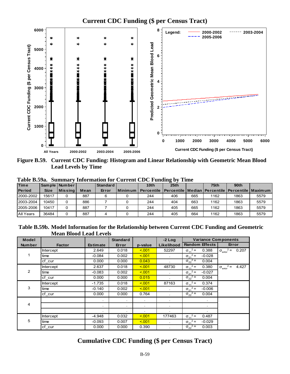

**Figure B.59. Current CDC Funding: Histogram and Linear Relationship with Geometric Mean Blood Lead Levels by Time** 

| raviv Dioza.<br>ришниц у<br>THROUGHOUT OF CHILLING CDUTT GUIDING BY THIS |             |                 |      |          |             |                                                                             |      |     |      |      |      |  |
|--------------------------------------------------------------------------|-------------|-----------------|------|----------|-------------|-----------------------------------------------------------------------------|------|-----|------|------|------|--|
| <b>Time</b>                                                              |             | Sample   Number |      | Standard |             | 10th                                                                        | 25th |     | 75th | 90th |      |  |
| <b>Period</b>                                                            | <b>Size</b> | Missina         | Mean | Error    | I Minimum I | <b>Percentile   Percentile   Median   Percentile   Percentile   Maximum</b> |      |     |      |      |      |  |
| 2000-2002                                                                | 15617       |                 | 887  |          |             | 244                                                                         | 406  | 665 | 1162 | 1863 | 5579 |  |
| 2003-2004                                                                | 10450       |                 | 886  |          |             | 244                                                                         | 404  | 663 | 1162 | 1863 | 5579 |  |
| 2005-2006                                                                | 10417       |                 | 887  |          |             | 244                                                                         | 405  | 665 | 1162 | 1863 | 5579 |  |
| All Years                                                                | 36484       |                 | 887  |          |             | 244                                                                         | 405  | 664 | 1162 | 1863 | 5579 |  |

**Table B.59a. Summary Information for Current CDC Funding by Time** 

**Table B.59b. Model Information for the Relationship between Current CDC Funding and Geometric Mean Blood Lead Levels**

| <b>Model</b>  |               |                 | <b>Standard</b>      |         | $-2$ Log     | <b>Variance Components</b>    |                                             |
|---------------|---------------|-----------------|----------------------|---------|--------------|-------------------------------|---------------------------------------------|
| <b>Number</b> | <b>Factor</b> | <b>Estimate</b> | Error                | p-value | Likelihood   | <b>Random Effects</b>         | Error                                       |
|               | Intercept     | 2.649           | 0.018                | 5.001   | 52297        | $\sigma_{11}^2 =$<br>0.388    | $2 =$<br>0.207<br>$\sigma_{\text{error}}^2$ |
|               | time          | $-0.084$        | 0.002                | < 0.01  | $\sim$       | $\sigma_{21}^2$ =<br>$-0.028$ |                                             |
|               | cf cur        | 0.000           | 0.000                | 0.043   |              | $\sigma_{22}^2$ =<br>0.004    |                                             |
|               | Intercept     | 2.637           | 0.018                | 5.001   | 48730        | $\sigma_{11}^2$ =<br>0.380    | $2 =$<br>4.427<br>$\sigma_{\text{emor}}$    |
| 2             | time          | $-0.083$        | 0.002                | < 0.01  | $\sim$       | $\sigma_{21}^2$ =<br>$-0.027$ |                                             |
|               | cf_cur        | 0.000           | 0.000                | 0.015   |              | $\sigma_{22}^2$ =<br>0.004    |                                             |
|               | Intercept     | $-1.735$        | 0.018                | 5.001   | 87163        | $\sigma_{11}^2$ =<br>0.374    |                                             |
| 3             | time          | $-0.140$        | 0.002                | 5.001   | $\mathbf{r}$ | $\sigma_{21}^2$ =<br>$-0.006$ |                                             |
|               | cf cur        | 0.000           | 0.000                | 0.764   |              | $\sigma_{22}^2$ =<br>0.004    |                                             |
|               |               |                 | $\ddot{\phantom{0}}$ | $\sim$  | $\sim$       | $\sim$                        |                                             |
| 4             |               |                 | ٠                    | $\sim$  |              | $\bullet$                     |                                             |
|               |               |                 |                      |         |              |                               |                                             |
|               | Intercept     | $-4.948$        | 0.032                | < 0.01  | 177463       | $\sigma_{11}^2$ =<br>0.487    |                                             |
| 5             | time          | $-0.093$        | 0.007                | < 0.01  |              | $\sigma_{21}^2$ =<br>$-0.029$ |                                             |
|               | cf cur        | 0.000           | 0.000                | 0.390   |              | $\sigma_{22}^2$ =<br>0.003    |                                             |

## **Cumulative CDC Funding (\$ per Census Tract)**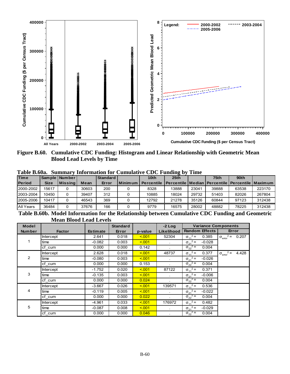

**Figure B.60. Cumulative CDC Funding: Histogram and Linear Relationship with Geometric Mean Blood Lead Levels by Time** 

|               | .<br>$\sim$<br>. |                 |       |          |           |                  |       |       |                                                           |       |        |  |  |
|---------------|------------------|-----------------|-------|----------|-----------|------------------|-------|-------|-----------------------------------------------------------|-------|--------|--|--|
| <b>Time</b>   |                  | Sample   Number |       | Standard |           | 10 <sub>th</sub> | 25th  |       | 75th                                                      | 90th  |        |  |  |
| <b>Period</b> | <b>Size</b>      | Missing         | Mean  | Error    | l Minimum | Percentile       |       |       | l Percentile   Median   Percentile   Percentile   Maximum |       |        |  |  |
| 2000-2002     | 15617            |                 | 30603 | 200      |           | 8328             | 13888 | 23041 | 39888                                                     | 63538 | 223170 |  |  |
| 2003-2004     | 10450            |                 | 39407 | 312      |           | 10885            | 18024 | 29732 | 51403                                                     | 82026 | 267804 |  |  |
| 2005-2006     | 10417            |                 | 46543 | 369      |           | 12792            | 21278 | 35126 | 60844                                                     | 97123 | 312438 |  |  |
| All Years     | 36484            |                 | 37676 | 166      |           | 9779             | 16575 | 28002 | 48882                                                     | 78225 | 312438 |  |  |
|               |                  |                 |       |          |           |                  | $ -$  |       |                                                           |       |        |  |  |

**Table B.60a. Summary Information for Cumulative CDC Funding by Time** 

**Table B.60b. Model Information for the Relationship between Cumulative CDC Funding and Geometric Mean Blood Lead Levels**

| <b>Model</b>  |                  |                 | <b>Standard</b> |         | $-2$ Log     | <b>Variance Components</b>        |                                           |
|---------------|------------------|-----------------|-----------------|---------|--------------|-----------------------------------|-------------------------------------------|
| <b>Number</b> | <b>Factor</b>    | <b>Estimate</b> | Error           | p-value | Likelihood   | <b>Random Effects</b>             | Error                                     |
|               | <b>Intercept</b> | 2.641           | 0.018           | 5.001   | 52304        | $\sigma_{11}^2$ =<br>0.385        | $2 =$<br>0.207<br>$\sigma_{\text{error}}$ |
|               | time             | $-0.082$        | 0.003           | 5.001   | $\sim$       | $\sigma_{21}^2$ =<br>$-0.028$     |                                           |
|               | cf cum           | 0.000           | 0.000           | 0.142   | ×.           | $\sigma_{22}^2$ =<br>0.004        |                                           |
|               | Intercept        | 2.628           | 0.018           | < 0.01  | 48737        | $\sigma_{11}^2$ =<br>0.377        | $2 =$<br>4.428<br>$\sigma_{\text{error}}$ |
| 2             | time             | -0.080          | 0.003           | 5.001   | ×.           | $\sigma_{21}^2$ =<br>$-0.026$     |                                           |
|               | cf cum           | 0.000           | 0.000           | 0.153   |              | $2 =$<br>0.004<br>$\sigma_{22}^2$ |                                           |
|               | Intercept        | $-1.752$        | 0.020           | 5.001   | 87122        | $\sigma_{11}^2$ =<br>0.371        |                                           |
| 3             | time             | $-0.135$        | 0.003           | 5.001   | $\mathbf{r}$ | $\sigma_{21}^2$ =<br>$-0.006$     |                                           |
|               | cf cum           | 0.000           | 0.000           | 0.024   |              | $\sigma_{22}^2$ =<br>0.004        |                                           |
|               | <b>Intercept</b> | $-3.667$        | 0.026           | 5.001   | 139571       | $\sigma_{11}^2$ =<br>0.536        |                                           |
| 4             | time             | $-0.119$        | 0.005           | 5.001   |              | $\sigma_{21}^2$ =<br>$-0.022$     |                                           |
|               | cf cum           | 0.000           | 0.000           | 0.022   | ÷.           | $\sigma_{22}^2$ =<br>0.004        |                                           |
|               | <b>Intercept</b> | $-4.961$        | 0.033           | 5.001   | 176972       | $\sigma_{11}^2$ =<br>0.482        |                                           |
| 5             | time             | $-0.087$        | 0.008           | 5.001   | ×.           | $\sigma_{21}^2$ =<br>$-0.029$     |                                           |
|               | cf cum           | 0.000           | 0.000           | 0.046   |              | $\sigma_{22}^2$ =<br>0.004        |                                           |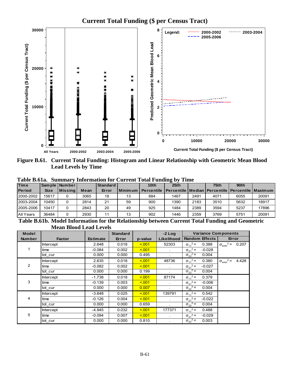

**Figure B.61. Current Total Funding: Histogram and Linear Relationship with Geometric Mean Blood Lead Levels by Time** 

**Maximum** 

|               | Table B.61a. Summary Information for Current Total Funding by Time |                  |      |            |             |                                                                     |                  |      |      |                  |       |  |  |
|---------------|--------------------------------------------------------------------|------------------|------|------------|-------------|---------------------------------------------------------------------|------------------|------|------|------------------|-------|--|--|
| <b>Time</b>   |                                                                    | Sample   Number  |      | Standard I |             | 10 <sub>th</sub>                                                    | 25 <sub>th</sub> |      | 75th | 90 <sub>th</sub> |       |  |  |
| <b>Period</b> | <b>Size</b>                                                        | <b>IMissinal</b> | Mean | Error      | l Minimum l | Percentile   Percentile   Median   Percentile   Percentile   Maximu |                  |      |      |                  |       |  |  |
| 2000-2002     | 15617                                                              |                  | 3065 | 18         | 13          | 884                                                                 | 1467             | 2491 | 4071 | 6055             | 20091 |  |  |
| 2003-2004     | 10450                                                              |                  | 2814 | 21         | 59          | 900                                                                 | 1390             | 2183 | 3510 | 5632             | 18917 |  |  |
| 2005-2006     | 10417                                                              |                  | 2843 | 20         | 49          | 925                                                                 | 1484             | 2389 | 3594 | 5237             | 17896 |  |  |

**Table B.61a. Summary Information for Current Total Funding by Time** 

**Table B.61b. Model Information for the Relationship between Current Total Funding and Geometric Mean Blood Lead Levels**

All Years 36484 0 2930 11 13 902 1446 2359 3769 5751 20091

| <b>Model</b>  |                  |                 | <b>Standard</b> |         | $-2$ Log     | <b>Variance Components</b>    |                                           |
|---------------|------------------|-----------------|-----------------|---------|--------------|-------------------------------|-------------------------------------------|
| <b>Number</b> | <b>Factor</b>    | <b>Estimate</b> | Error           | p-value | Likelihood   | <b>Random Effects</b>         | Error                                     |
|               | <b>Intercept</b> | 2.648           | 0.018           | < 0.01  | 52303        | $\sigma_{11}^2 =$<br>0.388    | $2 =$<br>0.207<br>$\sigma_{\text{error}}$ |
|               | time             | $-0.084$        | 0.002           | < 0.01  | $\bullet$    | $\sigma_{21}^2$ =<br>$-0.028$ |                                           |
|               | tot cur          | 0.000           | 0.000           | 0.495   |              | $\sigma_{22}^2$ =<br>0.004    |                                           |
|               | <b>Intercept</b> | 2.635           | 0.018           | < 0.01  | 48736        | $\sigma_{11}^2$ =<br>0.380    | $2 =$<br>4.428<br>$\sigma_{\text{error}}$ |
| 2             | time             | $-0.082$        | 0.002           | < 0.01  | ÷.           | $\sigma_{21}^2$ =<br>$-0.027$ |                                           |
|               | tot cur          | 0.000           | 0.000           | 0.199   |              | $\sigma_{22}^2$ =<br>0.004    |                                           |
|               | Intercept        | $-1.738$        | 0.018           | < 0.01  | 87174        | $\sigma_{11}^2$ =<br>0.379    |                                           |
| 3             | time             | $-0.139$        | 0.003           | < 0.01  |              | $\sigma_{21}^2$ =<br>$-0.006$ |                                           |
|               | tot cur          | 0.000           | 0.000           | 0.007   | ÷.           | $\sigma_{22}^2$ =<br>0.004    |                                           |
|               | <b>Intercept</b> | $-3.648$        | 0.025           | < 0.01  | 139791       | $\sigma_{11}^2$ =<br>0.542    |                                           |
| 4             | time             | $-0.126$        | 0.004           | < 0.01  | $\epsilon$   | $\sigma_{21}^2$ =<br>$-0.022$ |                                           |
|               | tot cur          | 0.000           | 0.000           | 0.659   | $\bullet$    | $\sigma_{22}^2$ =<br>0.004    |                                           |
|               | <b>Intercept</b> | $-4.945$        | 0.032           | < 0.01  | 177371       | $\sigma_{11}^2$ =<br>0.488    |                                           |
| 5             | time             | $-0.094$        | 0.007           | < 0.01  | $\mathbf{r}$ | $\sigma_{21}^2$ =<br>$-0.029$ |                                           |
|               | tot cur          | 0.000           | 0.000           | 0.810   |              | $\sigma_{22}^2$ =<br>0.003    |                                           |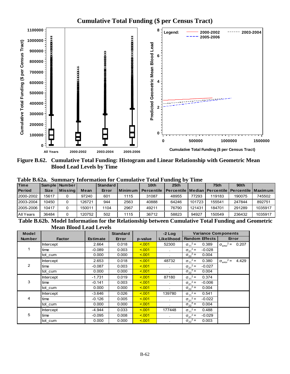

**Cumulative Total Funding (\$ per Census Tract)**

**Figure B.62. Cumulative Total Funding: Histogram and Linear Relationship with Geometric Mean Blood Lead Levels by Time** 

| Table B.62a. Summary Information for Cumulative Total Funding by Time |  |  |  |  |  |  |  |
|-----------------------------------------------------------------------|--|--|--|--|--|--|--|
|-----------------------------------------------------------------------|--|--|--|--|--|--|--|

| <b>Time</b>   |             | Sample   Number |        | Standard |           | 10 <sub>th</sub>  | 25 <sub>th</sub>                                                 |        | 75 <sub>th</sub> | 90 <sub>th</sub> |         |
|---------------|-------------|-----------------|--------|----------|-----------|-------------------|------------------------------------------------------------------|--------|------------------|------------------|---------|
| <b>Period</b> | <b>Size</b> | l Missina l     | Mean   | Error    | Minimum I | <b>Percentile</b> | <b>I Percentile   Median   Percentile   Percentile   Maximum</b> |        |                  |                  |         |
| 2000-2002     | 15617       |                 | 97240  | 601      | 1115      | 31087             | 48955                                                            | 77293  | 119183           | 190075           | 745502  |
| 2003-2004     | 10450       |                 | 126721 | 944      | 2563      | 40888             | 64246                                                            | 101723 | 155541           | 247844           | 892751  |
| 2005-2006     | 10417       |                 | 150011 | 1104     | 2967      | 49211             | 76790                                                            | 121431 | 184701           | 291289           | 1035917 |
| All Years     | 36484       |                 | 120752 | 502      | 1115      | 36712             | 58823                                                            | 94927  | 150549           | 236432           | 1035917 |
|               |             |                 |        |          |           |                   | $ -$                                                             |        |                  |                  |         |

**Table B.62b. Model Information for the Relationship between Cumulative Total Funding and Geometric Mean Blood Lead Levels**

| <b>Model</b>  |                  |                 | <b>Standard</b> |         | $-2$ Log   | <b>Variance Components</b>    |                                             |
|---------------|------------------|-----------------|-----------------|---------|------------|-------------------------------|---------------------------------------------|
| <b>Number</b> | <b>Factor</b>    | <b>Estimate</b> | Error           | p-value | Likelihood | <b>Random Effects</b>         | Error                                       |
|               | <b>Intercept</b> | 2.664           | 0.018           | 5.001   | 52300      | $\sigma_{11}^2$ =<br>0.389    | $2 =$<br>0.207<br>$\sigma_{\text{error}}^2$ |
|               | time             | $-0.089$        | 0.003           | 5.001   | $\bullet$  | $\sigma_{21}^2$ =<br>$-0.028$ |                                             |
|               | tot cum          | 0.000           | 0.000           | 5.001   |            | $\sigma_{22}^2$ =<br>0.004    |                                             |
|               | Intercept        | 2.653           | 0.018           | 5.001   | 48732      | $\sigma_{11}^2$ =<br>0.380    | $2 =$<br>4.429<br>$\sigma_{\text{error}}^2$ |
| 2             | time             | $-0.087$        | 0.003           | 5.001   |            | $\sigma_{21}^2$ =<br>$-0.027$ |                                             |
|               | tot cum          | 0.000           | 0.000           | 5.001   |            | $\sigma_{22}^2$ =<br>0.004    |                                             |
|               | Intercept        | $-1.731$        | 0.019           | 5.001   | 87180      | $\sigma_{11}^2$ =<br>0.374    |                                             |
| 3             | time             | $-0.141$        | 0.003           | 5.001   | ×.         | $\sigma_{21}^2$ =<br>$-0.006$ |                                             |
|               | tot cum          | 0.000           | 0.000           | 5.001   |            | $\sigma_{22}^2$ =<br>0.004    |                                             |
|               | Intercept        | $-3.646$        | 0.026           | 5.001   | 139780     | $\sigma_{11}^2 =$<br>0.541    |                                             |
| 4             | time             | $-0.126$        | 0.005           | 5.001   | $\sim$     | $\sigma_{21}^2$ =<br>$-0.022$ |                                             |
|               | tot cum          | 0.000           | 0.000           | 5.001   |            | $\sigma_{22}^2$ =<br>0.004    |                                             |
|               | <b>Intercept</b> | $-4.944$        | 0.033           | 5.001   | 177448     | $\sigma_{11}^2$ =<br>0.488    |                                             |
| 5             | time             | $-0.095$        | 0.008           | 5.001   | $\lambda$  | $\sigma_{21}^2$ =<br>$-0.029$ |                                             |
|               | tot cum          | 0.000           | 0.000           | < 0.01  |            | $\sigma_{22}^2$ =<br>0.003    |                                             |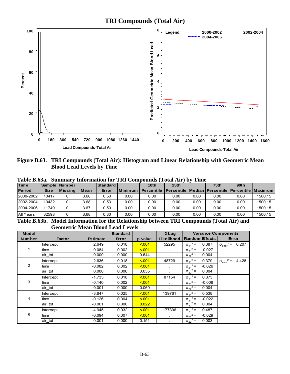**TRI Compounds (Total Air)**



**Figure B.63. TRI Compounds (Total Air): Histogram and Linear Relationship with Geometric Mean Blood Lead Levels by Time** 

|               | 1 avit DWJac<br>Dummar v mnormanon ivi "Tixi" Compounus (<br>A VUHLIMAT<br>линс |                 |      |                  |         |                   |                                                                  |      |      |                  |         |  |  |  |
|---------------|---------------------------------------------------------------------------------|-----------------|------|------------------|---------|-------------------|------------------------------------------------------------------|------|------|------------------|---------|--|--|--|
| <b>Time</b>   |                                                                                 | Sample   Number |      | Standard         |         | 10 <sub>th</sub>  | 25 <sub>th</sub>                                                 |      | 75th | 90 <sub>th</sub> |         |  |  |  |
| <b>Period</b> | <b>Size</b>                                                                     | l Missina l     | Mean | Error            | Minimum | <b>Percentile</b> | <b>I Percentile   Median   Percentile   Percentile   Maximum</b> |      |      |                  |         |  |  |  |
| 2000-2002     | 10417                                                                           |                 | 3.68 | 0.53             | 0.00    | 0.00              | 0.00                                                             | 0.00 | 0.00 | 0.00             | 1500.15 |  |  |  |
| 2002-2004     | 10432                                                                           |                 | 3.68 | 0.53             | 0.00    | 0.00              | 0.00                                                             | 0.00 | 0.00 | 0.00             | 1500.15 |  |  |  |
| 2004-2006     | 11749                                                                           |                 | 3.67 | 0.50             | 0.00    | 0.00              | 0.00                                                             | 0.00 | 0.00 | 0.00             | 1500.15 |  |  |  |
| All Years     | 32598                                                                           |                 | 3.68 | 0.30             | 0.00    | 0.00              | 0.00                                                             | 0.00 | 0.00 | 0.00             | 1500.15 |  |  |  |
| __ _ _ _ _ _  |                                                                                 |                 |      | $\sim$<br>$\sim$ | ___     |                   | -----                                                            |      |      |                  |         |  |  |  |

**Table B.63a. Summary Information for TRI Compounds (Total Air) by Time** 

**Table B.63b. Model Information for the Relationship between TRI Compounds (Total Air) and Geometric Mean Blood Lead Levels** 

| <b>Model</b>   |                  |                 | <b>Standard</b> |         | $-2$ Log          | <b>Variance Components</b>    |                                            |
|----------------|------------------|-----------------|-----------------|---------|-------------------|-------------------------------|--------------------------------------------|
| <b>Number</b>  | <b>Factor</b>    | <b>Estimate</b> | Error           | p-value | <b>Likelihood</b> | <b>Random Effects</b>         | Error                                      |
|                | <b>Intercept</b> | 2.649           | 0.018           | < 0.01  | 52295             | $\sigma_{11}^2$ =<br>0.387    | $2 =$<br>0.207<br>$\sigma_{\text{error}}$  |
|                | time             | $-0.084$        | 0.002           | < 0.01  | $\sim$            | $\sigma_{21}^2$ =<br>$-0.027$ |                                            |
|                | air tot          | 0.000           | 0.000           | 0.644   | $\mathbf{r}$      | $\sigma_{22}^2$ =<br>0.004    |                                            |
|                | <b>Intercept</b> | 2.636           | 0.018           | < 0.01  | 48729             | $\sigma_{11}^2$ =<br>0.379    | $2=$<br>4.428<br>$\sigma_{\text{error}}^2$ |
| $\overline{2}$ | time             | $-0.082$        | 0.002           | < 0.01  |                   | $\sigma_{21}^2$ =<br>$-0.026$ |                                            |
|                | air tot          | 0.000           | 0.000           | 0.655   |                   | $\sigma_{22}^2$ =<br>0.004    |                                            |
|                | Intercept        | $-1.735$        | 0.018           | < 0.01  | 87154             | $\sigma_{11}^2$ =<br>0.373    |                                            |
| 3              | time             | $-0.140$        | 0.002           | < 0.01  |                   | $\sigma_{21}^2$ =<br>$-0.006$ |                                            |
|                | air_tot          | $-0.001$        | 0.000           | 0.069   | $\mathbf{r}$      | $\sigma_{22}^2$ =<br>0.004    |                                            |
|                | <b>Intercept</b> | $-3.647$        | 0.025           | < 0.01  | 139761            | $\sigma_{11}^2$ =<br>0.538    |                                            |
| 4              | time             | $-0.126$        | 0.004           | < 0.01  | ÷.                | $\sigma_{21}^2$ =<br>$-0.022$ |                                            |
|                | air tot          | $-0.001$        | 0.000           | 0.022   | $\bullet$         | $\sigma_{22}^2$ =<br>0.004    |                                            |
|                | <b>Intercept</b> | $-4.945$        | 0.032           | < 0.01  | 177396            | $\sigma_{11}^2$ =<br>0.487    |                                            |
| 5              | time             | $-0.094$        | 0.007           | < 0.01  | $\mathbf{r}$      | $\sigma_{21}^2$ =<br>$-0.029$ |                                            |
|                | air tot          | $-0.001$        | 0.000           | 0.151   |                   | $\sigma_{22}^2$ =<br>0.003    |                                            |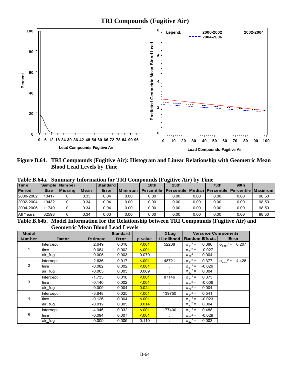**TRI Compounds (Fugitive Air)**



**Figure B.64. TRI Compounds (Fugitive Air): Histogram and Linear Relationship with Geometric Mean Blood Lead Levels by Time** 

|               | Table B.64a. Summary Information for TRI Compounds (Fugitive Air) by Time |               |      |          |                           |      |                                                                      |      |      |      |       |  |  |  |
|---------------|---------------------------------------------------------------------------|---------------|------|----------|---------------------------|------|----------------------------------------------------------------------|------|------|------|-------|--|--|--|
| <b>Time</b>   |                                                                           | Sample Number |      | Standard |                           | 10th | 25 <sub>th</sub>                                                     |      | 75th | 90th |       |  |  |  |
| <b>Period</b> | <b>Size</b>                                                               | Missina       | Mean | Error    | <b>I</b> Minimum <b>V</b> |      | Percentile   Percentile   Median   Percentile   Percentile   Maximum |      |      |      |       |  |  |  |
| 2000-2002     | 10417                                                                     |               | 0.33 | 0.04     | 0.00                      | 0.00 | 0.00                                                                 | 0.00 | 0.00 | 0.00 | 98.50 |  |  |  |
| 2002-2004     | 10432                                                                     |               | 0.34 | 0.04     | 0.00                      | 0.00 | 0.00                                                                 | 0.00 | 0.00 | 0.00 | 98.50 |  |  |  |
| 2004-2006     | 11749                                                                     |               | 0.34 | 0.04     | 0.00                      | 0.00 | 0.00                                                                 | 0.00 | 0.00 | 0.00 | 98.50 |  |  |  |

All Years 32598 0 0.34 0.03 0.00 0.00 0.00 0.00 0.00 0.00 98.50

**Table B.64a. Summary Information for TRI Compounds (Fugitive Air) by Time** 

**Table B.64b. Model Information for the Relationship between TRI Compounds (Fugitive Air) and Geometric Mean Blood Lead Levels**

| Model         |               |                 | <b>Standard</b> |         | $-2$ Log     | <b>Variance Components</b>    |                                             |
|---------------|---------------|-----------------|-----------------|---------|--------------|-------------------------------|---------------------------------------------|
| <b>Number</b> | <b>Factor</b> | <b>Estimate</b> | Error           | p-value | Likelihood   | <b>Random Effects</b>         | Error                                       |
|               | Intercept     | 2.649           | 0.018           | < 0.01  | 52288        | $\sigma_{11}^2$ =<br>0.386    | $2 =$<br>0.207<br>$\sigma_{\text{error}}^2$ |
|               | time          | $-0.084$        | 0.002           | < 0.01  | $\sim$       | $\sigma_{21}^2$ =<br>$-0.027$ |                                             |
|               | air fug       | $-0.005$        | 0.003           | 0.079   | $\mathbf{r}$ | $\sigma_{22}^2$ =<br>0.004    |                                             |
|               | Intercept     | 2.636           | 0.017           | < 0.01  | 48721        | $\sigma_{11}^2$ =<br>0.377    | $2 =$<br>4.428<br>$\sigma_{\text{error}}^2$ |
| 2             | time          | $-0.082$        | 0.002           | < 0.01  |              | $\sigma_{21}^2$ =<br>$-0.026$ |                                             |
|               | air_fug       | $-0.005$        | 0.003           | 0.069   |              | $\sigma_{22}^2$ =<br>0.004    |                                             |
|               | Intercept     | $-1.735$        | 0.018           | < 0.01  | 87146        | $\sigma_{11}^2$ =<br>0.373    |                                             |
| 3             | time          | $-0.140$        | 0.002           | < 0.01  |              | $\sigma_{21}^2$ =<br>$-0.006$ |                                             |
|               | air_fug       | $-0.009$        | 0.004           | 0.024   | ×            | $\sigma_{22}^2$ =<br>0.004    |                                             |
|               | Intercept     | $-3.648$        | 0.025           | < 0.01  | 139750       | $\sigma_{11}^2$ =<br>0.541    |                                             |
| 4             | time          | $-0.126$        | 0.004           | < 0.01  | $\sim$       | $\sigma_{21}^2$ =<br>$-0.023$ |                                             |
|               | air fug       | $-0.012$        | 0.005           | 0.014   |              | $\sigma_{22}^2$ =<br>0.004    |                                             |
|               | Intercept     | $-4.946$        | 0.032           | < 0.01  | 177400       | $\sigma_{11}^2$ =<br>0.488    |                                             |
| 5             | time          | $-0.094$        | 0.007           | < 0.01  | $\mathbf{r}$ | $\sigma_{21}^2$ =<br>$-0.029$ |                                             |
|               | air fug       | $-0.009$        | 0.005           | 0.110   |              | $\sigma_{22}^2$ =<br>0.003    |                                             |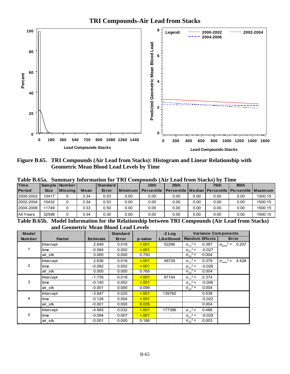

**TRI Compounds-Air Lead from Stacks**

**Figure B.65. TRI Compounds (Air Lead from Stacks): Histogram and Linear Relationship with Geometric Mean Blood Lead Levels by Time** 

|               |             |                  |      |                 |      | Tabic D.03a. - Summary migrimation for TIXI Compounds (All Leau Hom Stacks) by Thile |                  |      |      |                  |         |  |
|---------------|-------------|------------------|------|-----------------|------|--------------------------------------------------------------------------------------|------------------|------|------|------------------|---------|--|
| <b>Time</b>   |             | Sample   Number  |      | <b>Standard</b> |      | 10 <sub>th</sub>                                                                     | 25 <sub>th</sub> |      | 75th | 90 <sub>th</sub> |         |  |
| <b>Period</b> | <b>Size</b> | <b>IMissinal</b> | Mean | Error           |      | Minimum   Percentile   Percentile   Median   Percentile   Percentile   Maximum       |                  |      |      |                  |         |  |
| 2000-2002     | 10417       |                  | 3.34 | 0.53            | 0.00 | 0.00                                                                                 | 0.00             | 0.00 | 0.00 | 0.00             | 1500.15 |  |
| 2002-2004     | 10432       |                  | 3.34 | 0.53            | 0.00 | 0.00                                                                                 | 0.00             | 0.00 | 0.00 | 0.00             | 1500.15 |  |
| 2004-2006     | 11749       |                  | 3.33 | 0.50            | 0.00 | 0.00                                                                                 | 0.00             | 0.00 | 0.00 | 0.00             | 1500.15 |  |
| All Years     | 32598       |                  | 3.34 | 0.30            | 0.00 | 0.00                                                                                 | 0.00             | 0.00 | 0.00 | 0.00             | 1500.15 |  |

**Table B.65a. Summary Information for TRI Compounds (Air Lead from Stacks) by Time** 

**Table B.65b. Model Information for the Relationship between TRI Compounds (Air Lead from Stacks) and Geometric Mean Blood Lead Levels**

| <b>Model</b>   |               |                 | <b>Standard</b> |         | $-2$ Log   | <b>Variance Components</b>    |                                           |
|----------------|---------------|-----------------|-----------------|---------|------------|-------------------------------|-------------------------------------------|
| <b>Number</b>  | <b>Factor</b> | <b>Estimate</b> | Error           | p-value | Likelihood | <b>Random Effects</b>         | Error                                     |
|                | Intercept     | 2.649           | 0.018           | < 0.01  | 52296      | $\sigma_{11}^2$ =<br>0.387    | $2 =$<br>0.207<br>$\sigma_{\text{error}}$ |
|                | time          | $-0.084$        | 0.002           | < 0.01  | $\sim$     | $\sigma_{21}^2$ =<br>$-0.027$ |                                           |
|                | air stk       | 0.000           | 0.000           | 0.750   | $\sim$     | $\sigma_{22}^2$ =<br>0.004    |                                           |
|                | Intercept     | 2.636           | 0.018           | 5.001   | 48729      | $\sigma_{11}^2$ =<br>0.379    | $2 =$<br>4.428<br>$\sigma_{\text{error}}$ |
| $\overline{2}$ | time          | $-0.082$        | 0.002           | < 0.01  |            | $\sigma_{21}^2$ =<br>$-0.026$ |                                           |
|                | air stk       | 0.000           | 0.000           | 0.765   |            | $\sigma_{22}^2$ =<br>0.004    |                                           |
|                | Intercept     | $-1.735$        | 0.018           | 5.001   | 87154      | $\sigma_{11}^2$ =<br>0.374    |                                           |
| 3              | time          | $-0.140$        | 0.002           | 5.001   |            | $\sigma_{21}^2$ =<br>$-0.006$ |                                           |
|                | air stk       | $-0.001$        | 0.000           | 0.099   | $\epsilon$ | $\sigma_{22}^2$ =<br>0.004    |                                           |
|                | Intercept     | $-3.647$        | 0.025           | < 0.01  | 139762     | 0.538                         |                                           |
| 4              | time          | $-0.126$        | 0.004           | < 0.01  | $\epsilon$ | $-0.022$                      |                                           |
|                | air stk       | $-0.001$        | 0.000           | 0.035   | $\bullet$  | 0.004                         |                                           |
|                | Intercept     | $-4.945$        | 0.032           | < 0.01  | 177396     | $\sigma_{11}^2$ =<br>0.488    |                                           |
| 5              | time          | $-0.094$        | 0.007           | < 0.01  | $\bullet$  | $\sigma_{21}^2$ =<br>$-0.029$ |                                           |
|                | air stk       | $-0.001$        | 0.000           | 0.186   |            | $\sigma_{22}^2$ =<br>0.003    |                                           |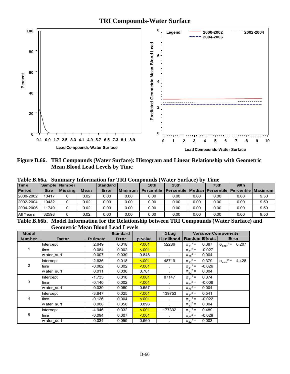**TRI Compounds-Water Surface**



**Figure B.66. TRI Compounds (Water Surface): Histogram and Linear Relationship with Geometric Mean Blood Lead Levels by Time** 

| Table B.66a. Summary Information for TRI Compounds (Water Surface) by Time |  |  |  |  |  |  |  |  |  |
|----------------------------------------------------------------------------|--|--|--|--|--|--|--|--|--|
|----------------------------------------------------------------------------|--|--|--|--|--|--|--|--|--|

| <b>Time</b>   |             | Sample   Number  |               | l Standard |                | 10 <sub>th</sub>  | 25th                                                      |      | 75 <sub>th</sub> | 90th             |      |  |
|---------------|-------------|------------------|---------------|------------|----------------|-------------------|-----------------------------------------------------------|------|------------------|------------------|------|--|
| <b>Period</b> | <b>Size</b> | <b>IMissinal</b> | Mean          | Error      | <b>Minimum</b> | <b>Percentile</b> | l Percentile   Median   Percentile   Percentile   Maximum |      |                  |                  |      |  |
| 2000-2002     | 10417       |                  | 0.02          | 0.00       | 0.00           | 0.00              | 0.00                                                      | 0.00 | 0.00             | 0.00             | 9.50 |  |
| 2002-2004     | 10432       |                  | 0.02          | 0.00       | 0.00           | 0.00              | 0.00                                                      | 0.00 | 0.00             | 0.00             | 9.50 |  |
| 2004-2006     | 11749       |                  | 0.02          | 0.00       | 0.00           | 0.00              | 0.00                                                      | 0.00 | 0.00             | 0.00             | 9.50 |  |
| All Years     | 32598       |                  | 0.02          | 0.00       | 0.00           | 0.00              | 0.00                                                      | 0.00 | 0.00             | 0.00             | 9.50 |  |
| __ _ _ _ _ _  |             |                  | $\sim$ $\sim$ | $\sim$     | ___            |                   | -----                                                     |      | $   -$           | $\sim$<br>$\sim$ |      |  |

**Table B.66b. Model Information for the Relationship between TRI Compounds (Water Surface) and Geometric Mean Blood Lead Levels**

| <b>Model</b>  |                  |                 | <b>Standard</b> |         | $-2$ Log   | <b>Variance Components</b>    |                                      |
|---------------|------------------|-----------------|-----------------|---------|------------|-------------------------------|--------------------------------------|
| <b>Number</b> | <b>Factor</b>    | <b>Estimate</b> | Error           | p-value | Likelihood | <b>Random Effects</b>         | Error                                |
|               | <b>Intercept</b> | 2.649           | 0.018           | < 0.01  | 52286      | $\sigma_{11}^2$ =<br>0.387    | $\sigma_{\text{error}}^2$ =<br>0.207 |
|               | time             | $-0.084$        | 0.002           | < 0.01  | $\epsilon$ | $\sigma_{21}^2$ =<br>$-0.027$ |                                      |
|               | water surf       | 0.007           | 0.039           | 0.848   |            | $\sigma_{22}^2$ =<br>0.004    |                                      |
|               | Intercept        | 2.636           | 0.018           | < 0.01  | 48719      | $\sigma_{11}^2$ =<br>0.379    | $\sigma_{\text{error}}^2 =$<br>4.428 |
| 2             | time             | $-0.082$        | 0.002           | < 0.01  |            | $\sigma_{21}^2$ =<br>$-0.026$ |                                      |
|               | w ater surf      | 0.011           | 0.038           | 0.781   |            | $\sigma_{22}^2$ =<br>0.004    |                                      |
|               | Intercept        | $-1.735$        | 0.018           | < 0.01  | 87147      | $\sigma_{11}^2$ =<br>0.374    |                                      |
| 3             | time             | $-0.140$        | 0.002           | < 0.01  | $\sim$     | $\sigma_{21}^2$ =<br>$-0.006$ |                                      |
|               | w ater surf      | $-0.030$        | 0.050           | 0.557   |            | $\sigma_{22}^2$ =<br>0.004    |                                      |
|               | Intercept        | $-3.647$        | 0.025           | < 0.01  | 139753     | $\sigma_{11}^2$ =<br>0.541    |                                      |
| 4             | time             | $-0.126$        | 0.004           | < 0.01  | $\epsilon$ | $\sigma_{21}^2$ =<br>$-0.022$ |                                      |
|               | water surf       | 0.008           | 0.058           | 0.896   | $\bullet$  | $\sigma_{22}^2$ =<br>0.004    |                                      |
|               | Intercept        | $-4.946$        | 0.032           | < 0.01  | 177392     | $\sigma_{11}^2$ =<br>0.489    |                                      |
| 5             | time             | $-0.094$        | 0.007           | < 0.01  |            | $\sigma_{21}^2$ =<br>$-0.029$ |                                      |
|               | w ater surf      | 0.034           | 0.059           | 0.560   |            | $\sigma_{22}^2$ =<br>0.003    |                                      |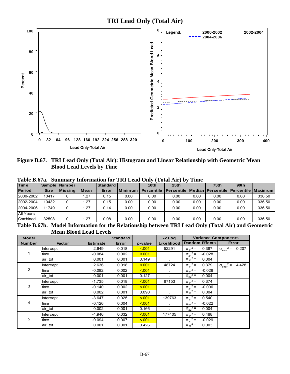

**Figure B.67. TRI Lead Only (Total Air): Histogram and Linear Relationship with Geometric Mean Blood Lead Levels by Time** 

| .<br>$\sim$<br>----- |  |                 |                 |                |                  |      |      |      |                  |                                                           |  |
|----------------------|--|-----------------|-----------------|----------------|------------------|------|------|------|------------------|-----------------------------------------------------------|--|
|                      |  |                 | <b>Standard</b> |                | 10 <sub>th</sub> | 25th |      | 75th | 90 <sub>th</sub> |                                                           |  |
| <b>Size</b>          |  | Mean            | Error           | <b>Minimum</b> | Percentile       |      |      |      |                  |                                                           |  |
| 10417                |  | l.27            | 0.15            | 0.00           | 0.00             | 0.00 | 0.00 | 0.00 | 0.00             | 336.50                                                    |  |
| 10432                |  | 1.27            | 0.15            | 0.00           | 0.00             | 0.00 | 0.00 | 0.00 | 0.00             | 336.50                                                    |  |
| 11749                |  | l.27            | 0.14            | 0.00           | 0.00             | 0.00 | 0.00 | 0.00 | 0.00             | 336.50                                                    |  |
|                      |  |                 |                 |                |                  |      |      |      |                  |                                                           |  |
| 32598                |  | 1.27            | 0.08            | 0.00           | 0.00             | 0.00 | 0.00 | 0.00 | 0.00             | 336.50                                                    |  |
|                      |  | Sample   Number | <b>Missing</b>  |                |                  |      |      |      |                  | l Percentile   Median   Percentile   Percentile   Maximum |  |

**Table B.67a. Summary Information for TRI Lead Only (Total Air) by Time** 

**Table B.67b. Model Information for the Relationship between TRI Lead Only (Total Air) and Geometric Mean Blood Lead Levels** 

| <b>Model</b>  |                  |                 | <b>Standard</b> |         | $-2$ Log   | <b>Variance Components</b>    |                                           |
|---------------|------------------|-----------------|-----------------|---------|------------|-------------------------------|-------------------------------------------|
| <b>Number</b> | <b>Factor</b>    | <b>Estimate</b> | Error           | p-value | Likelihood | <b>Random Effects</b>         | Error                                     |
|               | Intercept        | 2.649           | 0.018           | < 0.01  | 52291      | $\sigma_{11}^2$ =<br>0.387    | $2 =$<br>0.207<br>$\sigma_{\text{error}}$ |
|               | time             | $-0.084$        | 0.002           | < 0.01  |            | $\sigma_{21}^2$ =<br>$-0.028$ |                                           |
|               | air tot          | 0.001           | 0.001           | 0.149   |            | $\sigma_{22}^2$ =<br>0.004    |                                           |
|               | Intercept        | 2.636           | 0.018           | < 0.01  | 48724      | $\sigma_{11}^2$ =<br>0.379    | $2 =$<br>4.428<br>$\sigma_{\text{error}}$ |
| 2             | time             | $-0.082$        | 0.002           | < 0.01  | $\sim$     | $\sigma_{21}^2$ =<br>$-0.026$ |                                           |
|               | air tot          | 0.001           | 0.001           | 0.127   |            | $\sigma_{22}^2$ =<br>0.004    |                                           |
|               | Intercept        | $-1.735$        | 0.018           | 5.001   | 87153      | $\sigma_{11}^2$ =<br>0.374    |                                           |
| 3             | time             | $-0.140$        | 0.002           | < 0.01  | $\sim$     | $\sigma_{21}^2$ =<br>$-0.006$ |                                           |
|               | air_tot          | 0.002           | 0.001           | 0.090   |            | $\sigma_{22}^2$ =<br>0.004    |                                           |
|               | <b>Intercept</b> | $-3.647$        | 0.025           | < 0.01  | 139763     | $\sigma_{11}^2$ =<br>0.540    |                                           |
| 4             | time             | $-0.126$        | 0.004           | < 0.01  |            | $\sigma_{21}^2$ =<br>$-0.022$ |                                           |
|               | air tot          | 0.002           | 0.001           | 0.166   |            | $\sigma_{22}^2$ =<br>0.004    |                                           |
|               | <b>Intercept</b> | $-4.946$        | 0.032           | < 0.01  | 177405     | $\sigma_{11}^2$ =<br>0.488    |                                           |
| 5             | time             | $-0.094$        | 0.007           | < 0.01  | $\sim$     | $\sigma_{21}^2$ =<br>$-0.029$ |                                           |
|               | air tot          | 0.001           | 0.001           | 0.426   |            | $\sigma_{22}^{-2}$ =<br>0.003 |                                           |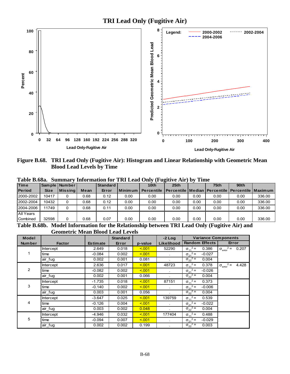

**Figure B.68. TRI Lead Only (Fugitive Air): Histogram and Linear Relationship with Geometric Mean Blood Lead Levels by Time** 

|               | 1 uww bwwu.<br>wunnun<br>THROUGHQUART THE LIGHT OF HEAD CHAIRS<br>v<br>THILL |                |      |                 |         |                   |                                                                  |      |      |                  |        |  |  |
|---------------|------------------------------------------------------------------------------|----------------|------|-----------------|---------|-------------------|------------------------------------------------------------------|------|------|------------------|--------|--|--|
| Time          |                                                                              | Sample Number  |      | <b>Standard</b> |         | 10 <sub>th</sub>  | 25 <sub>th</sub>                                                 |      | 75th | 90 <sub>th</sub> |        |  |  |
| <b>Period</b> | <b>Size</b>                                                                  | <b>Missing</b> | Mean | Error           | Minimum | <b>Percentile</b> | <b>I Percentile   Median   Percentile   Percentile   Maximum</b> |      |      |                  |        |  |  |
| 2000-2002     | 10417                                                                        |                | 0.68 | 0.12            | 0.00    | 0.00              | 0.00                                                             | 0.00 | 0.00 | 0.00             | 336.00 |  |  |
| 2002-2004     | 10432                                                                        | 0              | 0.68 | 0.12            | 0.00    | 0.00              | 0.00                                                             | 0.00 | 0.00 | 0.00             | 336.00 |  |  |
| 2004-2006     | 11749                                                                        | 0              | 0.68 | 0.11            | 0.00    | 0.00              | 0.00                                                             | 0.00 | 0.00 | 0.00             | 336.00 |  |  |
| All Years     |                                                                              |                |      |                 |         |                   |                                                                  |      |      |                  |        |  |  |
| Combined      | 32598                                                                        | 0              | 0.68 | 0.07            | 0.00    | 0.00              | 0.00                                                             | 0.00 | 0.00 | 0.00             | 336.00 |  |  |
|               |                                                                              |                |      |                 |         |                   |                                                                  |      |      |                  |        |  |  |

**Table B.68a. Summary Information for TRI Lead Only (Fugitive Air) by Time** 

**Table B.68b. Model Information for the Relationship between TRI Lead Only (Fugitive Air) and Geometric Mean Blood Lead Levels** 

| <b>Model</b>  |                  |                 | <b>Standard</b> |         | $-2$ Log   | <b>Variance Components</b>    |                                           |
|---------------|------------------|-----------------|-----------------|---------|------------|-------------------------------|-------------------------------------------|
| <b>Number</b> | <b>Factor</b>    | <b>Estimate</b> | Error           | p-value | Likelihood | <b>Random Effects</b>         | Error                                     |
|               | <b>Intercept</b> | 2.649           | 0.018           | < 0.01  | 52290      | $\sigma_{11}^2$ =<br>0.386    | $2 =$<br>0.207<br>$\sigma_{\text{error}}$ |
|               | time             | $-0.084$        | 0.002           | < 0.01  | $\sim$     | $\sigma_{21}^2$ =<br>$-0.027$ |                                           |
|               | air fug          | 0.002           | 0.001           | 0.081   |            | $\sigma_{22}^2$ =<br>0.004    |                                           |
|               | Intercept        | 2.636           | 0.017           | < 0.01  | 48723      | $\sigma_{11}^2$ =<br>0.378    | $\sigma_{\text{error}}^2 =$<br>4.428      |
| 2             | time             | $-0.082$        | 0.002           | < 0.01  | $\sim$     | $\sigma_{21}^2$ =<br>$-0.026$ |                                           |
|               | air_fug          | 0.002           | 0.001           | 0.066   |            | $\sigma_{22}^2$ =<br>0.004    |                                           |
|               | Intercept        | $-1.735$        | 0.018           | < 0.01  | 87151      | $\sigma_{11}^2$ =<br>0.373    |                                           |
| 3             | time             | $-0.140$        | 0.002           | < 0.01  | ÷          | $\sigma_{21}^2$ =<br>$-0.006$ |                                           |
|               | air_fug          | 0.003           | 0.001           | 0.056   |            | $\sigma_{22}^2$ =<br>0.004    |                                           |
|               | Intercept        | $-3.647$        | 0.025           | < 0.01  | 139759     | $\sigma_{11}^2$ =<br>0.539    |                                           |
| 4             | time             | $-0.126$        | 0.004           | 5.001   | $\sim$     | $\sigma_{21}^2$ =<br>$-0.022$ |                                           |
|               | air fug          | 0.003           | 0.002           | 0.048   | $\epsilon$ | $\sigma_{22}^2$ =<br>0.004    |                                           |
|               | Intercept        | $-4.946$        | 0.032           | < 0.01  | 177404     | $\sigma_{11}^2$ =<br>0.488    |                                           |
| 5             | time             | $-0.094$        | 0.007           | < 0.01  | $\epsilon$ | $\sigma_{21}^2$ =<br>$-0.029$ |                                           |
|               | air fug          | 0.002           | 0.002           | 0.199   |            | $\sigma_{22}^2$ =<br>0.003    |                                           |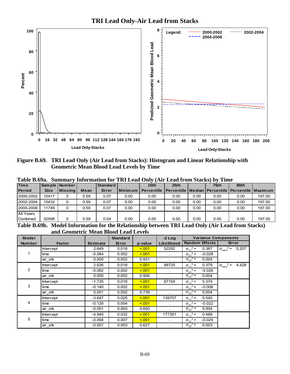

**Figure B.69. TRI Lead Only (Air Lead from Stacks): Histogram and Linear Relationship with Geometric Mean Blood Lead Levels by Time** 

| Tanic Dwyal<br>Dummar v mitorination for that load Omy (The load from Diacks) by Thirt |             |                 |      |                 |           |                  |                                                           |      |      |      |        |
|----------------------------------------------------------------------------------------|-------------|-----------------|------|-----------------|-----------|------------------|-----------------------------------------------------------|------|------|------|--------|
| <b>Time</b>                                                                            |             | Sample   Number |      | <b>Standard</b> |           | 10 <sub>th</sub> | 25 <sub>th</sub>                                          |      | 75th | 90th |        |
| <b>Period</b>                                                                          | <b>Size</b> | <b>Missing</b>  | Mean | Error           | Minimum L | Percentile       | l Percentile   Median   Percentile   Percentile   Maximum |      |      |      |        |
| 2000-2002                                                                              | 10417       |                 | 0.59 | 0.07            | 0.00      | 0.00             | 0.00                                                      | 0.00 | 0.00 | 0.00 | 197.00 |
| 2002-2004                                                                              | 10432       |                 | 0.59 | 0.07            | 0.00      | 0.00             | 0.00                                                      | 0.00 | 0.00 | 0.00 | 197.00 |
| 2004-2006                                                                              | 11749       |                 | 0.59 | 0.07            | 0.00      | 0.00             | 0.00                                                      | 0.00 | 0.00 | 0.00 | 197.00 |
| All Years                                                                              |             |                 |      |                 |           |                  |                                                           |      |      |      |        |
| Combined                                                                               | 32598       |                 | 0.59 | 0.04            | 0.00      | 0.00             | 0.00                                                      | 0.00 | 0.00 | 0.00 | 197.00 |
|                                                                                        |             |                 |      |                 |           |                  |                                                           |      |      |      |        |

**Table B.69a. Summary Information for TRI Lead Only (Air Lead from Stacks) by Time** 

**Table B.69b. Model Information for the Relationship between TRI Lead Only (Air Lead from Stacks) and Geometric Mean Blood Lead Levels**

| <b>Model</b>  |                  |                 | <b>Standard</b> |         | $-2$ Log   | <b>Variance Components</b>    |                                           |
|---------------|------------------|-----------------|-----------------|---------|------------|-------------------------------|-------------------------------------------|
| <b>Number</b> | <b>Factor</b>    | <b>Estimate</b> | Error           | p-value | Likelihood | <b>Random Effects</b>         | Error                                     |
|               | <b>Intercept</b> | 2.649           | 0.018           | < 0.01  | 52292      | $\sigma_{11}^2$ =<br>0.387    | $2 =$<br>0.207<br>$\sigma_{\text{error}}$ |
|               | time             | $-0.084$        | 0.002           | < 0.01  | $\sim$     | $\sigma_{21}^2$ =<br>$-0.028$ |                                           |
|               | air stk          | 0.000           | 0.002           | 0.931   |            | $\sigma_{22}^2$ =<br>0.004    |                                           |
|               | Intercept        | 2.636           | 0.018           | < 0.01  | 48725      | $\sigma_{11}^2$ =<br>0.379    | $2 =$<br>4.428<br>$\sigma_{\text{error}}$ |
| 2             | time             | $-0.082$        | 0.002           | < 0.01  | $\sim$     | $\sigma_{21}^2$ =<br>$-0.026$ |                                           |
|               | air stk          | 0.000           | 0.002           | 0.906   |            | $\sigma_{22}^2$ =<br>0.004    |                                           |
|               | Intercept        | $-1.735$        | 0.018           | < 0.01  | 87154      | $\sigma_{11}^2$ =<br>0.374    |                                           |
| 3             | time             | $-0.140$        | 0.002           | < 0.01  |            | $\sigma_{21}^2$ =<br>$-0.006$ |                                           |
|               | air stk          | 0.001           | 0.002           | 0.739   |            | $\sigma_{22}^2$ =<br>0.004    |                                           |
|               | Intercept        | $-3.647$        | 0.025           | < 0.01  | 139757     | $\sigma_{11}^2 =$<br>0.540    |                                           |
| 4             | time             | $-0.126$        | 0.004           | 5.001   | $\sim$     | $\sigma_{21}^2$ =<br>$-0.022$ |                                           |
|               | air stk          | $-0.001$        | 0.003           | 0.650   | $\sim$     | $\sigma_{22}^2$ =<br>0.004    |                                           |
|               | <b>Intercept</b> | $-4.945$        | 0.032           | < 0.01  | 177391     | $\sigma_{11}^2$ =<br>0.488    |                                           |
| 5             | time             | $-0.094$        | 0.007           | < 0.01  |            | $\sigma_{21}^2$ =<br>$-0.029$ |                                           |
|               | air stk          | $-0.001$        | 0.003           | 0.627   |            | $\sigma_{22}^2$ =<br>0.003    |                                           |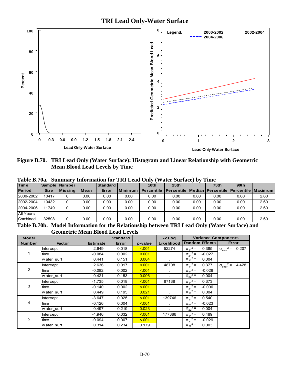

**Figure B.70. TRI Lead Only (Water Surface): Histogram and Linear Relationship with Geometric Mean Blood Lead Levels by Time** 

|               | Table B.70a. Summary Information for TRI Lead Only (Water Surface) by Time |                 |      |                 |                |                                                                      |                  |      |      |                  |      |  |  |
|---------------|----------------------------------------------------------------------------|-----------------|------|-----------------|----------------|----------------------------------------------------------------------|------------------|------|------|------------------|------|--|--|
| <b>Time</b>   |                                                                            | Sample   Number |      | <b>Standard</b> |                | 10th                                                                 | 25 <sub>th</sub> |      | 75th | 90 <sub>th</sub> |      |  |  |
| <b>Period</b> | <b>Size</b>                                                                | <b>Missing</b>  | Mean | Error           | <b>Minimum</b> | Percentile   Percentile   Median   Percentile   Percentile   Maximum |                  |      |      |                  |      |  |  |
| 2000-2002     | 10417                                                                      |                 | 0.00 | 0.00            | 0.00           | 0.00                                                                 | 0.00             | 0.00 | 0.00 | 0.00             | 2.60 |  |  |
| 2002-2004     | 10432                                                                      |                 | 0.00 | 0.00            | 0.00           | 0.00                                                                 | 0.00             | 0.00 | 0.00 | 0.00             | 2.60 |  |  |
| 2004-2006     | 11749                                                                      |                 | 0.00 | 0.00            | 0.00           | 0.00                                                                 | 0.00             | 0.00 | 0.00 | 0.00             | 2.60 |  |  |
| All Years     |                                                                            |                 |      |                 |                |                                                                      |                  |      |      |                  |      |  |  |
| Combined      | 32598                                                                      |                 | 0.00 | 0.00            | 0.00           | 0.00                                                                 | 0.00             | 0.00 | 0.00 | 0.00             | 2.60 |  |  |

**Table B.70a. Summary Information for TRI Lead Only (Water Surface) by Time** 

**Table B.70b. Model Information for the Relationship between TRI Lead Only (Water Surface) and Geometric Mean Blood Lead Levels**

| <b>Model</b>  |               |                 | <b>Standard</b> |         | $-2$ Log          |                       | <b>Variance Components</b> |                                  |       |
|---------------|---------------|-----------------|-----------------|---------|-------------------|-----------------------|----------------------------|----------------------------------|-------|
| <b>Number</b> | <b>Factor</b> | <b>Estimate</b> | Error           | p-value | <b>Likelihood</b> | <b>Random Effects</b> |                            | Error                            |       |
|               | Intercept     | 2.649           | 0.018           | 5.001   | 52274             | $\sigma_{11}^2 =$     | 0.385                      | $2 =$<br>$\sigma_{\text{error}}$ | 0.207 |
|               | time          | $-0.084$        | 0.002           | < 0.01  | $\sim$            | $\sigma_{21}^2$ =     | $-0.027$                   |                                  |       |
|               | water surf    | 0.441           | 0.151           | 0.004   |                   | $\sigma_{22}^2$ =     | 0.004                      |                                  |       |
|               | Intercept     | 2.636           | 0.017           | < 0.01  | 48708             | $\sigma_{11}^2$ =     | 0.377                      | $2 =$<br>$\sigma_{\text{error}}$ | 4.428 |
| 2             | time          | $-0.082$        | 0.002           | < 0.01  | $\epsilon$        | $\sigma_{21}^2$ =     | $-0.026$                   |                                  |       |
|               | w ater surf   | 0.421           | 0.153           | 0.006   |                   | $\sigma_{22}^2$ =     | 0.004                      |                                  |       |
|               | Intercept     | $-1.735$        | 0.018           | < 0.01  | 87138             | $\sigma_{11}^2$ =     | 0.373                      |                                  |       |
| 3             | time          | $-0.140$        | 0.002           | < 0.01  | $\sim$            | $\sigma_{21}^2$ =     | $-0.006$                   |                                  |       |
|               | water surf    | 0.449           | 0.195           | 0.021   |                   | $\sigma_{22}^2$ =     | 0.004                      |                                  |       |
|               | Intercept     | $-3.647$        | 0.025           | < 0.01  | 139746            | $\sigma_{11}^2$ =     | 0.540                      |                                  |       |
| 4             | time          | $-0.126$        | 0.004           | < 0.01  |                   | $\sigma_{21}^2$ =     | $-0.023$                   |                                  |       |
|               | water surf    | 0.497           | 0.219           | 0.023   |                   | $\sigma_{22}^2$ =     | 0.004                      |                                  |       |
|               | Intercept     | $-4.946$        | 0.032           | 5.001   | 177386            | $\sigma_{11}^2$ =     | 0.489                      |                                  |       |
| 5             | time          | $-0.094$        | 0.007           | < 0.01  |                   | $\sigma_{21}^2$ =     | $-0.029$                   |                                  |       |
|               | water surf    | 0.314           | 0.234           | 0.179   | $\sim$            | $\sigma_{22}^2$ =     | 0.003                      |                                  |       |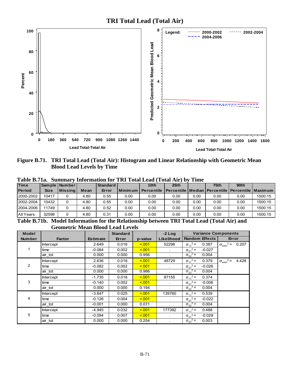

**Figure B.71. TRI Total Lead (Total Air): Histogram and Linear Relationship with Geometric Mean Blood Lead Levels by Time** 

|                 | , Dummur 1<br>THRUP HARRY THE TAXE TORM LICHA<br>11001111110<br>. |                 |      |                                |                           |                   |                                                                  |      |                         |                  |         |  |
|-----------------|-------------------------------------------------------------------|-----------------|------|--------------------------------|---------------------------|-------------------|------------------------------------------------------------------|------|-------------------------|------------------|---------|--|
| <b>Time</b>     |                                                                   | Sample   Number |      | Standard                       |                           | 10 <sub>th</sub>  | 25 <sub>th</sub>                                                 |      | 75 <sub>th</sub>        | 90 <sub>th</sub> |         |  |
| <b>Period</b>   | <b>Size</b>                                                       | <b>Missing</b>  | Mean | Error                          | l Minimum                 | <b>Percentile</b> | <u>I Percentile   Median   Percentile   Percentile   Maximum</u> |      |                         |                  |         |  |
| 2000-2002       | 10417                                                             |                 | 4.80 | 0.55                           | 0.00                      | 0.00              | 0.00                                                             | 0.00 | 0.00                    | 0.00             | 1500.15 |  |
| 2002-2004       | 10432                                                             |                 | 4.80 | 0.55                           | 0.00                      | 0.00              | 0.00                                                             | 0.00 | 0.00                    | 0.00             | 1500.15 |  |
| 2004-2006       | 11749                                                             |                 | 4.80 | 0.52                           | 0.00                      | 0.00              | 0.00                                                             | 0.00 | 0.00                    | 0.00             | 1500.15 |  |
| All Years       | 32598                                                             |                 | 4.80 | 0.31                           | 0.00                      | 0.00              | 0.00                                                             | 0.00 | 0.00                    | 0.00             | 1500.15 |  |
| <b>THILDRAI</b> |                                                                   | <b>BETTTA</b>   |      | $\mathbf{r}$<br>$\overline{1}$ | $\mathbf{r}$ $\mathbf{r}$ | . .               | $\mathbf{m} \mathbf{m}$ $\mathbf{m}$ $\mathbf{m}$ $\mathbf{m}$   |      | 1700 <i>1</i> 1 1 1 1 1 |                  |         |  |

**Table B.71a. Summary Information for TRI Total Lead (Total Air) by Time** 

**Table B.71b. Model Information for the Relationship between TRI Total Lead (Total Air) and Geometric Mean Blood Lead Levels** 

| <b>Model</b>  |               |                 | <b>Standard</b> |         | $-2$ Log     | <b>Variance Components</b>    |                                             |
|---------------|---------------|-----------------|-----------------|---------|--------------|-------------------------------|---------------------------------------------|
| <b>Number</b> | <b>Factor</b> | <b>Estimate</b> | Error           | p-value | Likelihood   | <b>Random Effects</b>         | Error                                       |
|               | Intercept     | 2.649           | 0.018           | < 0.01  | 52296        | $\sigma_{11}^2$ =<br>0.387    | $2 =$<br>0.207<br>$\sigma_{\text{error}}$   |
|               | time          | $-0.084$        | 0.002           | < 0.01  | $\sim$       | $\sigma_{21}^2$ =<br>$-0.027$ |                                             |
|               | air tot       | 0.000           | 0.000           | 0.956   | $\lambda$    | $\sigma_{22}^2$ =<br>0.004    |                                             |
|               | Intercept     | 2.636           | 0.018           | < 0.01  | 48729        | $\sigma_{11}^2$ =<br>0.379    | $2 =$<br>4.428<br>$\sigma_{\text{error}}^2$ |
| 2             | time          | $-0.082$        | 0.002           | < 0.01  |              | $\sigma_{21}^2$ =<br>$-0.026$ |                                             |
|               | air tot       | 0.000           | 0.000           | 0.986   |              | $\sigma_{22}^2$ =<br>0.004    |                                             |
|               | Intercept     | $-1.735$        | 0.018           | < 0.01  | 87155        | $\sigma_{11}^2$ =<br>0.374    |                                             |
| 3             | time          | $-0.140$        | 0.002           | < 0.01  |              | $\sigma_{21}^2$ =<br>$-0.006$ |                                             |
|               | air tot       | 0.000           | 0.000           | 0.194   | ×            | $\sigma_{22}^2$ =<br>0.004    |                                             |
|               | Intercept     | $-3.647$        | 0.025           | < 0.01  | 139760       | $\sigma_{11}^2$ =<br>0.539    |                                             |
| 4             | time          | $-0.126$        | 0.004           | < 0.01  | $\sim$       | $\sigma_{21}^2$ =<br>$-0.022$ |                                             |
|               | air tot       | $-0.001$        | 0.000           | 0.071   |              | $\sigma_{22}^2$ =<br>0.004    |                                             |
|               | Intercept     | $-4.945$        | 0.032           | < 0.01  | 177392       | $\sigma_{11}^2$ =<br>0.488    |                                             |
| 5             | time          | $-0.094$        | 0.007           | < 0.01  | $\mathbf{r}$ | $\sigma_{21}^2$ =<br>$-0.029$ |                                             |
|               | air tot       | 0.000           | 0.000           | 0.254   |              | $\sigma_{22}^2$ =<br>0.003    |                                             |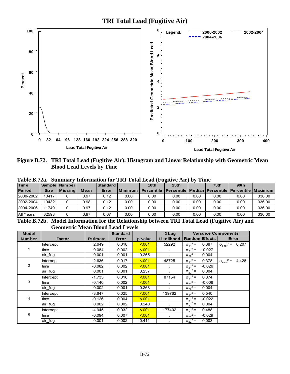

**Figure B.72. TRI Total Lead (Fugitive Air): Histogram and Linear Relationship with Geometric Mean Blood Lead Levels by Time** 

| <b>Time</b>   |             | Sample   Number |      | Standard |           | Table D./Za.   Duniniai v mitolination for TIXI Total Leau (Tužiti ve An / D.V<br>10 <sub>th</sub> | 25th                                                      | ------- | 75th | 90 <sub>th</sub> |        |
|---------------|-------------|-----------------|------|----------|-----------|----------------------------------------------------------------------------------------------------|-----------------------------------------------------------|---------|------|------------------|--------|
| <b>Period</b> | <b>Size</b> | <b>IMissina</b> | Mean | Error    | l Minimum | <b>Percentile</b>                                                                                  | l Percentile   Median   Percentile   Percentile   Maximum |         |      |                  |        |
| 2000-2002     | 10417       |                 | 0.97 | 0.12     | 0.00      | 0.00                                                                                               | 0.00                                                      | 0.00    | 0.00 | 0.00             | 336.00 |
| 2002-2004     | 10432       |                 | 0.98 | 0.12     | 0.00      | 0.00                                                                                               | 0.00                                                      | 0.00    | 0.00 | 0.00             | 336.00 |
| 2004-2006     | 11749       |                 | 0.97 | 0.12     | 0.00      | 0.00                                                                                               | 0.00                                                      | 0.00    | 0.00 | 0.00             | 336.00 |
| All Years     | 32598       |                 | 0.97 | 0.07     | 0.00      | 0.00                                                                                               | 0.00                                                      | 0.00    | 0.00 | 0.00             | 336.00 |

**Table B.72a. Summary Information for TRI Total Lead (Fugitive Air) by Time** 

**Table B.72b. Model Information for the Relationship between TRI Total Lead (Fugitive Air) and Geometric Mean Blood Lead Levels**

| <b>Model</b>  |                  |                 | <b>Standard</b> |         | $-2$ Log     | <b>Variance Components</b>    |                                             |
|---------------|------------------|-----------------|-----------------|---------|--------------|-------------------------------|---------------------------------------------|
| <b>Number</b> | <b>Factor</b>    | <b>Estimate</b> | Error           | p-value | Likelihood   | <b>Random Effects</b>         | Error                                       |
|               | <b>Intercept</b> | 2.649           | 0.018           | < 0.01  | 52292        | $\sigma_{11}^2$ =<br>0.387    | $2 =$<br>0.207<br>$\sigma_{\text{error}}$   |
|               | time             | $-0.084$        | 0.002           | < 0.01  | $\bullet$    | $\sigma_{21}^2$ =<br>$-0.027$ |                                             |
|               | air fug          | 0.001           | 0.001           | 0.265   |              | $\sigma_{22}^2$ =<br>0.004    |                                             |
|               | Intercept        | 2.636           | 0.017           | < 0.01  | 48725        | $\sigma_{11}^2$ =<br>0.378    | $2 =$<br>4.428<br>$\sigma_{\text{error}}^2$ |
| 2             | time             | $-0.082$        | 0.002           | < 0.01  |              | $\sigma_{21}^2$ =<br>$-0.026$ |                                             |
|               | air_fug          | 0.001           | 0.001           | 0.237   |              | $\sigma_{22}^2$ =<br>0.004    |                                             |
|               | Intercept        | $-1.735$        | 0.018           | 5.001   | 87154        | $\sigma_{11}^2$ =<br>0.374    |                                             |
| 3             | time             | $-0.140$        | 0.002           | < 0.01  |              | $\sigma_{21}^2$ =<br>$-0.006$ |                                             |
|               | air_fug          | 0.002           | 0.001           | 0.268   |              | $\sigma_{22}^2$ =<br>0.004    |                                             |
|               | <b>Intercept</b> | $-3.647$        | 0.025           | < 0.01  | 139762       | $\sigma_{11}^2$ =<br>0.540    |                                             |
| 4             | time             | $-0.126$        | 0.004           | < 0.01  | $\mathbf{r}$ | $\sigma_{21}^2$ =<br>$-0.022$ |                                             |
|               | air fug          | 0.002           | 0.002           | 0.240   |              | $\sigma_{22}^2$ =<br>0.004    |                                             |
|               | <b>Intercept</b> | $-4.945$        | 0.032           | < 0.01  | 177402       | $\sigma_{11}^2$ =<br>0.488    |                                             |
| 5             | time             | $-0.094$        | 0.007           | < 0.01  |              | $\sigma_{21}^2$ =<br>$-0.029$ |                                             |
|               | air fug          | 0.001           | 0.002           | 0.411   |              | $\sigma_{22}^2$ =<br>0.003    |                                             |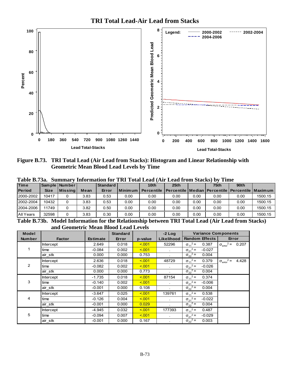



**Figure B.73. TRI Total Lead (Air Lead from Stacks): Histogram and Linear Relationship with Geometric Mean Blood Lead Levels by Time** 

| <b>Time</b>   |             | Sample   Number  |      | <b>Standard</b> |           | 10 <sub>th</sub>  | 25th                                                      |      | 75th | 90 <sub>th</sub> |         |
|---------------|-------------|------------------|------|-----------------|-----------|-------------------|-----------------------------------------------------------|------|------|------------------|---------|
| <b>Period</b> | <b>Size</b> | <b>IMissinal</b> | Mean | Error           | l Minimum | <b>Percentile</b> | l Percentile   Median   Percentile   Percentile   Maximum |      |      |                  |         |
| 2000-2002     | 10417       |                  | 3.83 | 0.53            | 0.00      | 0.00              | 0.00                                                      | 0.00 | 0.00 | 0.00             | 1500.15 |
| 2002-2004     | 10432       |                  | 3.83 | 0.53            | 0.00      | 0.00              | 0.00                                                      | 0.00 | 0.00 | 0.00             | 1500.15 |
| 2004-2006     | 11749       |                  | 3.82 | 0.50            | 0.00      | 0.00              | 0.00                                                      | 0.00 | 0.00 | 0.00             | 1500.15 |
| All Years     | 32598       |                  | 3.83 | 0.30            | 0.00      | 0.00              | 0.00                                                      | 0.00 | 0.00 | 0.00             | 1500.15 |

**Table B.73a. Summary Information for TRI Total Lead (Air Lead from Stacks) by Time** 

**Table B.73b. Model Information for the Relationship between TRI Total Lead (Air Lead from Stacks) and Geometric Mean Blood Lead Levels**

| Model         |               |                 | <b>Standard</b> |         | $-2$ Log                    | <b>Variance Components</b>    |                                             |
|---------------|---------------|-----------------|-----------------|---------|-----------------------------|-------------------------------|---------------------------------------------|
| <b>Number</b> | <b>Factor</b> | <b>Estimate</b> | Error           | p-value | Likelihood                  | <b>Random Effects</b>         | Error                                       |
|               | Intercept     | 2.649           | 0.018           | < 0.01  | 52296                       | $\sigma_{11}^2$ =<br>0.387    | $2 =$<br>0.207<br>$\sigma_{\text{error}}^2$ |
|               | time          | $-0.084$        | 0.002           | 5.001   | $\sim$                      | $\sigma_{21}^2$ =<br>$-0.027$ |                                             |
|               | air stk       | 0.000           | 0.000           | 0.753   | $\epsilon$                  | $\sigma_{22}^2$ =<br>0.004    |                                             |
|               | Intercept     | 2.636           | 0.018           | 5.001   | 48729                       | $\sigma_{11}^2$ =<br>0.379    | $2 =$<br>4.428<br>$\sigma_{\text{error}}^2$ |
| 2             | time          | $-0.082$        | 0.002           | 5.001   |                             | $\sigma_{21}^2$ =<br>$-0.026$ |                                             |
|               | air stk       | 0.000           | 0.000           | 0.773   |                             | $\sigma_{22}^2$ =<br>0.004    |                                             |
|               | Intercept     | $-1.735$        | 0.018           | 5.001   | 87154                       | $\sigma_{11}^2$ =<br>0.374    |                                             |
| 3             | time          | $-0.140$        | 0.002           | 5.001   | $\sim$                      | $\sigma_{21}^2$ =<br>$-0.006$ |                                             |
|               | air stk       | $-0.001$        | 0.000           | 0.108   | ×                           | $\sigma_{22}^2$ =<br>0.004    |                                             |
|               | Intercept     | $-3.647$        | 0.025           | 5.001   | 139761                      | $\sigma_{11}^2$ =<br>0.538    |                                             |
| 4             | time          | $-0.126$        | 0.004           | 5.001   | $\mathcal{L}_{\mathcal{A}}$ | $\sigma_{21}^2$ =<br>$-0.022$ |                                             |
|               | air stk       | $-0.001$        | 0.000           | 0.029   | $\sim$                      | $\sigma_{22}^2$ =<br>0.004    |                                             |
|               | Intercept     | $-4.945$        | 0.032           | < 0.01  | 177393                      | $\sigma_{11}^2$ =<br>0.487    |                                             |
| 5             | time          | $-0.094$        | 0.007           | 5.001   | $\ddot{\phantom{a}}$        | $\sigma_{21}^2$ =<br>$-0.029$ |                                             |
|               | air stk       | $-0.001$        | 0.000           | 0.167   |                             | $\sigma_{22}^2$ =<br>0.003    |                                             |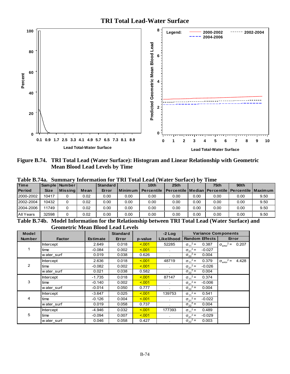

**Figure B.74. TRI Total Lead (Water Surface): Histogram and Linear Relationship with Geometric Mean Blood Lead Levels by Time** 

|               |             |                 |      |          |           | Tavit D./Ta. Bunniai V Thivi maguni ivi Tixi Tulai Ltau ( Walti Buriact/ DV Thilt |                                                                               |      |      |      |      |
|---------------|-------------|-----------------|------|----------|-----------|-----------------------------------------------------------------------------------|-------------------------------------------------------------------------------|------|------|------|------|
| <b>Time</b>   |             | Sample   Number |      | Standard |           | 10th                                                                              | 25th                                                                          |      | 75th | 90th |      |
| <b>Period</b> | <b>Size</b> | <b>Missing</b>  | Mean | Error    | Minimum I |                                                                                   | <b>Percentile   Percentile   Median   Percentile   Percentile   Maximum  </b> |      |      |      |      |
| 2000-2002     | 10417       |                 | 0.02 | 0.00     | 0.00      | 0.00                                                                              | 0.00                                                                          | 0.00 | 0.00 | 0.00 | 9.50 |
| 2002-2004     | 10432       |                 | 0.02 | 0.00     | 0.00      | 0.00                                                                              | 0.00                                                                          | 0.00 | 0.00 | 0.00 | 9.50 |
| 2004-2006     | 11749       |                 | 0.02 | 0.00     | 0.00      | 0.00                                                                              | 0.00                                                                          | 0.00 | 0.00 | 0.00 | 9.50 |
| All Years     | 32598       |                 | 0.02 | 0.00     | 0.00      | 0.00                                                                              | 0.00                                                                          | 0.00 | 0.00 | 0.00 | 9.50 |

**Table B.74a. Summary Information for TRI Total Lead (Water Surface) by Time** 

**Table B.74b. Model Information for the Relationship between TRI Total Lead (Water Surface) and Geometric Mean Blood Lead Levels**

| <b>Model</b>   |               |                 | <b>Standard</b> |         | $-2$ Log                    | <b>Variance Components</b>    |                                             |
|----------------|---------------|-----------------|-----------------|---------|-----------------------------|-------------------------------|---------------------------------------------|
| <b>Number</b>  | <b>Factor</b> | <b>Estimate</b> | Error           | p-value | Likelihood                  | <b>Random Effects</b>         | Error                                       |
|                | Intercept     | 2.649           | 0.018           | < 0.01  | 52285                       | $\sigma_{11}^2 =$<br>0.387    | $2 =$<br>0.207<br>$\sigma_{\text{error}}^2$ |
|                | time          | $-0.084$        | 0.002           | 5.001   | $\sim$                      | $\sigma_{21}^2$ =<br>$-0.027$ |                                             |
|                | water surf    | 0.019           | 0.038           | 0.626   | $\epsilon$                  | $\sigma_{22}^2$ =<br>0.004    |                                             |
|                | Intercept     | 2.636           | 0.018           | 5.001   | 48719                       | $\sigma_{11}^2$ =<br>0.379    | $\sigma_{\text{error}}^2$ =<br>4.428        |
| $\overline{2}$ | time          | $-0.082$        | 0.002           | 5.001   |                             | $\sigma_{21}^2$ =<br>$-0.026$ |                                             |
|                | water surf    | 0.021           | 0.038           | 0.582   |                             | $\sigma_{22}^2$ =<br>0.004    |                                             |
|                | Intercept     | $-1.735$        | 0.018           | 5.001   | 87147                       | $\sigma_{11}^2$ =<br>0.374    |                                             |
| 3              | time          | $-0.140$        | 0.002           | 5.001   | ×.                          | $\sigma_{21}^2$ =<br>$-0.006$ |                                             |
|                | water surf    | $-0.014$        | 0.050           | 0.777   | ×                           | $\sigma_{22}^2$ =<br>0.004    |                                             |
|                | Intercept     | $-3.647$        | 0.025           | 5.001   | 139753                      | $\sigma_{11}^2$ =<br>0.541    |                                             |
| 4              | time          | $-0.126$        | 0.004           | 5.001   | $\mathcal{L}_{\mathcal{A}}$ | $\sigma_{21}^2$ =<br>$-0.022$ |                                             |
|                | water surf    | 0.019           | 0.058           | 0.737   | $\epsilon$                  | $\sigma_{22}^2$ =<br>0.004    |                                             |
|                | Intercept     | -4.946          | 0.032           | 5.001   | 177393                      | $\sigma_{11}^2$ =<br>0.489    |                                             |
| 5              | time          | $-0.094$        | 0.007           | 5.001   | $\ddot{\phantom{a}}$        | $\sigma_{21}^2$ =<br>$-0.029$ |                                             |
|                | water surf    | 0.046           | 0.058           | 0.427   |                             | $\sigma_{22}^2$ =<br>0.003    |                                             |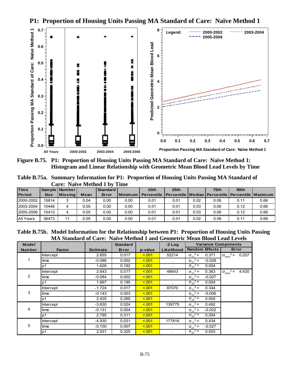

**P1: Proportion of Housing Units Passing MA Standard of Care: Naïve Method 1** 

**Figure B.75. P1: Proportion of Housing Units Passing MA Standard of Care: Naïve Method 1: Histogram and Linear Relationship with Geometric Mean Blood Lead Levels by Time** 

**Table B.75a. Summary Information for P1: Proportion of Housing Units Passing MA Standard of Care: Naïve Method 1 by Time** 

| <b>Time</b>      |             | Sample   Number |      | Standard |                  | 10 <sub>th</sub> | 25 <sub>th</sub>                                                 |      | 75th | 90th |      |
|------------------|-------------|-----------------|------|----------|------------------|------------------|------------------------------------------------------------------|------|------|------|------|
| <b>Period</b>    | <b>Size</b> | <b>Missing</b>  | Mean | Error    | <u>I</u> Minimum | Percentile       | <u>I Percentile   Median   Percentile   Percentile   Maximum</u> |      |      |      |      |
| 2000-2002        | 15614       | 2               | 0.04 | 0.00     | 0.00             | 0.01             | 0.01                                                             | 0.02 | 0.06 | 0.11 | 0.66 |
| 2003-2004        | 10446       | 4               | 0.05 | 0.00     | 0.00             | 0.01             | 0.01                                                             | 0.03 | 0.06 | 0.12 | 0.66 |
| 2005-2006        | 10413       | 4               | 0.05 | 0.00     | 0.00             | 0.01             | 0.01                                                             | 0.03 | 0.06 | 0.12 | 0.66 |
| <b>All Years</b> | 36473       | 11              | 0.05 | 0.00     | 0.00             | 0.01             | 0.01                                                             | 0.02 | 0.06 | 0.11 | 0.66 |

**Table B.75b. Model Information for the Relationship between P1: Proportion of Housing Units Passing MA Standard of Care: Naïve Method 1 and Geometric Mean Blood Lead Levels**

| <b>Model</b>  |                  |                 | <b>Standard</b> |         | $-2$ Log             | <b>Variance Components</b>    |                                           |
|---------------|------------------|-----------------|-----------------|---------|----------------------|-------------------------------|-------------------------------------------|
| <b>Number</b> | <b>Factor</b>    | <b>Estimate</b> | Error           | p-value | Likelihood           | <b>Random Effects</b>         | Error                                     |
|               | <b>Intercept</b> | 2.655           | 0.017           | < 0.01  | 52214                | $\sigma_{11}^2$ =<br>0.371    | $x^2 = 0.207$<br>$\sigma_{\text{error}}$  |
|               | time             | $-0.086$        | 0.002           | < 0.01  | $\sim$               | $\sigma_{21}^2$ =<br>$-0.028$ |                                           |
|               | p1               | 1.626           | 0.192           | < 0.01  |                      | $\sigma_{22}^2$ =<br>0.004    |                                           |
|               | Intercept        | 2.643           | 0.017           | < 0.01  | 48643                | $\sigma_{11}^2$ =<br>0.363    | $2 =$<br>4.430<br>$\sigma_{\text{error}}$ |
| 2             | time             | $-0.084$        | 0.002           | < 0.01  | $\sim$               | $\sigma_{21}^2$ =<br>$-0.027$ |                                           |
|               | p1               | 1.667           | 0.190           | < 0.01  |                      | $\sigma_{22}^2$ =<br>0.004    |                                           |
|               | Intercept        | $-1.724$        | 0.017           | < 0.01  | 87070                | $\sigma_{11}^2$ =<br>0.344    |                                           |
| 3             | time             | $-0.143$        | 0.003           | < 0.01  | $\sim$               | $\sigma_{21}^2$ =<br>$-0.006$ |                                           |
|               | p <sub>1</sub>   | 2.425           | 0.260           | < 0.01  |                      | $\sigma_{22}^2$ =<br>0.004    |                                           |
|               | Intercept        | $-3.630$        | 0.024           | < 0.01  | 139775               | $\sigma_{11}^2$ =<br>0.492    |                                           |
| 4             | time             | $-0.131$        | 0.004           | < 0.01  | $\sim$               | $\sigma_{21}^2$ =<br>$-0.022$ |                                           |
|               | p1               | 2.795           | 0.311           | < 0.01  |                      | $\sigma_{22}^2$ =<br>0.004    |                                           |
|               | Intercept        | $-4.930$        | 0.031           | < 0.01  | 177816               | $\sigma_{11}^2$ =<br>0.434    |                                           |
| 5             | time             | $-0.100$        | 0.007           | < 0.01  | $\sim$               | $\sigma_{21}^2$ =<br>$-0.027$ |                                           |
|               | p1               | 2.931           | 0.325           | < 0.01  | $\ddot{\phantom{0}}$ | $\sigma_{22}^2$ =<br>0.003    |                                           |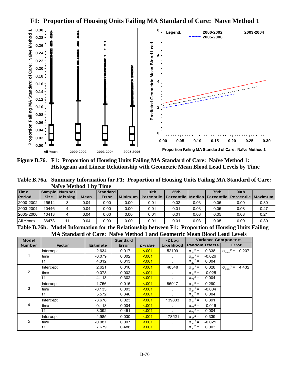**F1: Proportion of Housing Units Failing MA Standard of Care: Naïve Method 1** 



**Figure B.76. F1: Proportion of Housing Units Failing MA Standard of Care: Naïve Method 1: Histogram and Linear Relationship with Geometric Mean Blood Lead Levels by Time** 

**Table B.76a. Summary Information for F1: Proportion of Housing Units Failing MA Standard of Care: Naïve Method 1 by Time** 

| <b>Time</b>   |             | Sample   Number |      | Standard |           | 10 <sub>th</sub>  | 25th                                                      |      | 75 <sub>th</sub> | 90 <sub>th</sub> |      |
|---------------|-------------|-----------------|------|----------|-----------|-------------------|-----------------------------------------------------------|------|------------------|------------------|------|
| <b>Period</b> | <b>Size</b> | Missinal        | Mean | Error    | l Minimum | <b>Percentile</b> | l Percentile   Median   Percentile   Percentile   Maximum |      |                  |                  |      |
| 2000-2002     | 15614       | 3               | 0.04 | 0.00     | 0.00      | 0.01              | 0.02                                                      | 0.03 | 0.06             | 0.09             | 0.30 |
| 2003-2004     | 10446       | 4               | 0.04 | 0.00     | 0.00      | 0.01              | 0.01                                                      | 0.03 | 0.05             | 0.08             | 0.27 |
| 2005-2006     | 10413       | 4               | 0.04 | 0.00     | 0.00      | 0.01              | 0.01                                                      | 0.03 | 0.05             | 0.08             | 0.21 |
| All Years     | 36473       | 11              | 0.04 | 0.00     | 0.00      | 0.01              | 0.01                                                      | 0.03 | 0.05             | 0.09             | 0.30 |

**Table B.76b. Model Information for the Relationship between F1: Proportion of Housing Units Failing MA Standard of Care: Naïve Method 1 and Geometric Mean Blood Lead Levels**

| <b>Model</b>  |                  |                 | <b>Standard</b> |         | $-2$ Log   | <b>Variance Components</b>    |                                           |
|---------------|------------------|-----------------|-----------------|---------|------------|-------------------------------|-------------------------------------------|
| <b>Number</b> | <b>Factor</b>    | <b>Estimate</b> | Error           | p-value | Likelihood | Random Effects                | Error                                     |
|               | Intercept        | 2.634           | 0.017           | < 0.01  | 52109      | $\sigma_{11}^2$ =<br>0.338    | $\sigma_{\text{error}}^2 = 0.207$         |
|               | time             | $-0.079$        | 0.002           | < 0.01  |            | $\sigma_{21}^2$ =<br>$-0.026$ |                                           |
|               | f <sub>1</sub>   | 4.312           | 0.313           | < 0.01  |            | $\sigma_{22}^2$ =<br>0.004    |                                           |
|               | Intercept        | 2.621           | 0.016           | < 0.01  | 48548      | $\sigma_{11}^2$ =<br>0.328    | $2 =$<br>4.432<br>$\sigma_{\text{error}}$ |
| 2             | time             | $-0.078$        | 0.002           | < 0.01  |            | $\sigma_{21}^2$ =<br>$-0.025$ |                                           |
|               | f <sub>1</sub>   | 4.113           | 0.302           | < 0.01  |            | $\sigma_{22}^2$ =<br>0.004    |                                           |
|               | <b>Intercept</b> | $-1.756$        | 0.016           | < 0.01  | 86917      | $\sigma_{11}^2$ =<br>0.290    |                                           |
| 3             | time             | $-0.133$        | 0.003           | < 0.01  |            | $\sigma_{21}^2$ =<br>$-0.004$ |                                           |
|               | f <sub>1</sub>   | 5.572           | 0.346           | < 0.01  |            | $\sigma_{22}^2$ =<br>0.004    |                                           |
|               | <b>Intercept</b> | $-3.678$        | 0.023           | < 0.01  | 139803     | $\sigma_{11}^2$ =<br>0.391    |                                           |
| 4             | time             | $-0.118$        | 0.004           | < 0.01  |            | $\sigma_{21}^2$ =<br>$-0.016$ |                                           |
|               | f <sub>1</sub>   | 8.092           | 0.451           | < 001   |            | $\sigma_{22}^2$ =<br>0.004    |                                           |
|               | <b>Intercept</b> | -4.985          | 0.030           | < 0.01  | 178521     | $\sigma_{11}^2$ =<br>0.339    |                                           |
| 5             | time             | $-0.087$        | 0.007           | < 0.01  |            | $\sigma_{21}^2$ =<br>$-0.021$ |                                           |
|               | f1               | 7.679           | 0.488           | < 0.01  |            | $\sigma_{22}^2$ =<br>0.003    |                                           |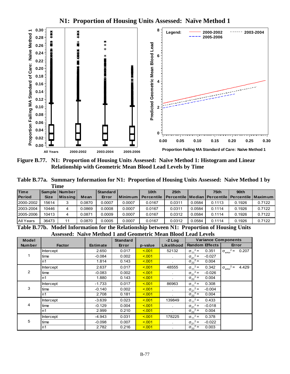**N1: Proportion of Housing Units Assessed: Naïve Method 1**



**Figure B.77. N1: Proportion of Housing Units Assessed: Naïve Method 1: Histogram and Linear Relationship with Geometric Mean Blood Lead Levels by Time** 

**Table B.77a. Summary Information for N1: Proportion of Housing Units Assessed: Naïve Method 1 by Time** 

| <b>Time</b>   |             | <b>Sample Number</b> |        | l Standard |                | 10 <sub>th</sub>  | 25 <sub>th</sub>                                          |        | 75th   | 90th   |        |
|---------------|-------------|----------------------|--------|------------|----------------|-------------------|-----------------------------------------------------------|--------|--------|--------|--------|
| <b>Period</b> | <b>Size</b> | <b>Missing</b>       | Mean   | Error      | <b>Minimum</b> | <b>Percentile</b> | l Percentile   Median   Percentile   Percentile   Maximum |        |        |        |        |
| 2000-2002     | 15614       | 3                    | 0.0870 | 0.0007     | 0.0007         | 0.0167            | 0.0311                                                    | 0.0584 | 0.1113 | 0.1926 | 0.7122 |
| 2003-2004     | 10446       | 4                    | 0.0869 | 0.0008     | 0.0007         | 0.0167            | 0.0311                                                    | 0.0584 | 0.1114 | 0.1926 | 0.7122 |
| 2005-2006     | 10413       | 4                    | 0.0871 | 0.0009     | 0.0007         | 0.0167            | 0.0312                                                    | 0.0584 | 0.1114 | 0.1926 | 0.7122 |
| All Years     | 36473       | 11                   | 0.0870 | 0.0005     | 0.0007         | 0.0167            | 0.0312                                                    | 0.0584 | 0.1114 | 0.1926 | 0.7122 |

**Table B.77b. Model Information for the Relationship between N1: Proportion of Housing Units Assessed: Naïve Method 1 and Geometric Mean Blood Lead Levels** 

| <b>Model</b>  |               |                 | <b>Standard</b> |         | $-2$ Log     | <b>Variance Components</b>    |                                      |
|---------------|---------------|-----------------|-----------------|---------|--------------|-------------------------------|--------------------------------------|
| <b>Number</b> | <b>Factor</b> | <b>Estimate</b> | Error           | p-value | Likelihood   | <b>Random Effects</b>         | Error                                |
|               | Intercept     | 2.650           | 0.017           | < 0.01  | 52132        | $\sigma_{11}^2$ =<br>0.351    | $\sigma_{\text{error}}^2$ =<br>0.207 |
|               | time          | $-0.084$        | 0.002           | < 0.01  |              | $\sigma_{21}^2$ =<br>$-0.027$ |                                      |
|               | n1            | 1.814           | 0.143           | < 0.01  |              | $\sigma_{22}^2$ =<br>0.004    |                                      |
|               | Intercept     | 2.637           | 0.017           | < 0.01  | 48555        | $\sigma_{11}^2$ =<br>0.342    | $\sigma_{\text{error}}^2$ =<br>4.429 |
| 2             | time          | $-0.083$        | 0.002           | < 0.01  | $\bullet$    | $\sigma_{21}^2$ =<br>$-0.026$ |                                      |
|               | n1            | 1.880           | 0.143           | < 0.01  | $\mathbf{r}$ | $\sigma_{22}^2$ =<br>0.004    |                                      |
|               | Intercept     | $-1.733$        | 0.017           | < 0.01  | 86963        | $\sigma_{11}^2$ =<br>0.308    |                                      |
| 3             | time          | $-0.140$        | 0.002           | < 0.01  |              | $\sigma_{21}^2$ =<br>$-0.004$ |                                      |
|               | n1            | 2.708           | 0.181           | < 0.01  |              | $\sigma_{22}^2$ =<br>0.004    |                                      |
|               | Intercept     | $-3.639$        | 0.023           | < 0.01  | 139849       | $\sigma_{11}^2$ =<br>0.433    |                                      |
| 4             | time          | $-0.129$        | 0.004           | < 0.01  |              | $\sigma_{21}^2 =$<br>$-0.018$ |                                      |
|               | n1            | 2.999           | 0.210           | < 0.01  |              | $\sigma_{22}^2$ =<br>0.004    |                                      |
|               | Intercept     | $-4.943$        | 0.031           | < 0.01  | 178225       | $\sigma_{11}^2$ =<br>0.378    |                                      |
| 5             | time          | $-0.098$        | 0.007           | < 0.01  |              | $\sigma_{21}^2$ =<br>$-0.022$ |                                      |
|               | n1            | 2.782           | 0.216           | < 0.01  |              | $\sigma_{22}^2$ =<br>0.003    |                                      |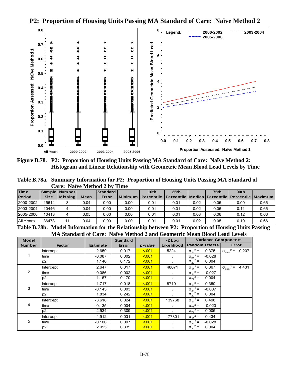**P2: Proportion of Housing Units Passing MA Standard of Care: Naïve Method 2**



**Figure B.78. P2: Proportion of Housing Units Passing MA Standard of Care: Naïve Method 2: Histogram and Linear Relationship with Geometric Mean Blood Lead Levels by Time** 

**Table B.78a. Summary Information for P2: Proportion of Housing Units Passing MA Standard of Care: Naïve Method 2 by Time** 

| <b>Time</b>   |             | Sample   Number |      | Standard |      | 10 <sub>th</sub>                                                               | 25th |      | 75 <sub>th</sub> | 90 <sub>th</sub> |      |
|---------------|-------------|-----------------|------|----------|------|--------------------------------------------------------------------------------|------|------|------------------|------------------|------|
| <b>Period</b> | <b>Size</b> | <b>Missing</b>  | Mean | Error    |      | Minimum   Percentile   Percentile   Median   Percentile   Percentile   Maximum |      |      |                  |                  |      |
| 2000-2002     | 15614       |                 | 0.04 | 0.00     | 0.00 | 0.01                                                                           | 0.01 | 0.02 | 0.05             | 0.09             | 0.66 |
| 2003-2004     | 10446       | 4               | 0.04 | 0.00     | 0.00 | 0.01                                                                           | 0.01 | 0.02 | 0.06             | 0.11             | 0.66 |
| 2005-2006     | 10413       |                 | 0.05 | 0.00     | 0.00 | 0.01                                                                           | 0.01 | 0.03 | 0.06             | 0.12             | 0.66 |
| All Years     | 36473       |                 | 0.04 | 0.00     | 0.00 | 0.01                                                                           | 0.01 | 0.02 | 0.05             | 0.10             | 0.66 |

**Table B.78b. Model Information for the Relationship between P2: Proportion of Housing Units Passing MA Standard of Care: Naïve Method 2 and Geometric Mean Blood Lead Levels**

| <b>Model</b>  |                  |                 | <b>Standard</b> |         | $-2$ Log   | <b>Variance Components</b>    |                                           |
|---------------|------------------|-----------------|-----------------|---------|------------|-------------------------------|-------------------------------------------|
| <b>Number</b> | <b>Factor</b>    | <b>Estimate</b> | Error           | p-value | Likelihood | <b>Random Effects</b>         | Error                                     |
|               | <b>Intercept</b> | 2.659           | 0.017           | < 0.01  | 52241      | $\sigma_{11}^2$ =<br>0.375    | $2 =$<br>0.207<br>$\sigma_{\rm error}$    |
|               | time             | $-0.087$        | 0.002           | < 0.01  | $\sim$     | $\sigma_{21}^2$ =<br>$-0.028$ |                                           |
|               | p <sub>2</sub>   | 1.146           | 0.172           | < 0.01  | $\sim$     | $\sigma_{22}^2$ =<br>0.004    |                                           |
|               | <b>Intercept</b> | 2.647           | 0.017           | < 0.01  | 48671      | $\sigma_{11}^2$ =<br>0.367    | $2 =$<br>4.431<br>$\sigma_{\text{error}}$ |
| 2             | time             | $-0.086$        | 0.002           | < 0.01  | $\bullet$  | $\sigma_{21}^2$ =<br>$-0.027$ |                                           |
|               | p <sub>2</sub>   | 1.167           | 0.170           | < 0.01  | $\sim$     | $\sigma_{22}^2$ =<br>0.004    |                                           |
|               | <b>Intercept</b> | $-1.717$        | 0.018           | < 0.01  | 87101      | $\sigma_{11}^2$ =<br>0.350    |                                           |
| 3             | time             | $-0.145$        | 0.003           | < 0.01  |            | $\sigma_{21}^2$ =<br>$-0.007$ |                                           |
|               | p <sub>2</sub>   | 1.834           | 0.242           | < 0.01  |            | $\sigma_{22}^2$ =<br>0.004    |                                           |
|               | <b>Intercept</b> | $-3.618$        | 0.024           | < 0.01  | 139768     | $\sigma_{11}^2$ =<br>0.498    |                                           |
| 4             | time             | $-0.135$        | 0.004           | < 0.01  | $\sim$     | $\sigma_{21}^2$ =<br>$-0.023$ |                                           |
|               | p <sub>2</sub>   | 2.534           | 0.309           | < 001   | $\sim$     | $\sigma_{22}^2$ =<br>0.005    |                                           |
|               | <b>Intercept</b> | $-4.912$        | 0.031           | < 0.01  | 177801     | $\sigma_{11}^2$ =<br>0.434    |                                           |
| 5             | time             | $-0.106$        | 0.007           | < 0.01  | $\bullet$  | $\sigma_{21}^2$ =<br>$-0.028$ |                                           |
|               | p2               | 2.995           | 0.335           | < 0.01  | $\sim$     | $\sigma_{22}^2$ =<br>0.004    |                                           |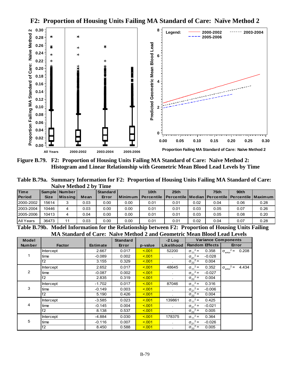**F2: Proportion of Housing Units Failing MA Standard of Care: Naïve Method 2** 



**Figure B.79. F2: Proportion of Housing Units Failing MA Standard of Care: Naïve Method 2: Histogram and Linear Relationship with Geometric Mean Blood Lead Levels by Time** 

**Table B.79a. Summary Information for F2: Proportion of Housing Units Failing MA Standard of Care: Naïve Method 2 by Time** 

| <b>Time</b>   |             | Sample   Number |      | Standard |           | 10 <sub>th</sub>  | 25th                                                      |      | 75 <sub>th</sub> | 90 <sub>th</sub> |      |
|---------------|-------------|-----------------|------|----------|-----------|-------------------|-----------------------------------------------------------|------|------------------|------------------|------|
| <b>Period</b> | <b>Size</b> | Missinal        | Mean | Error    | l Minimum | <b>Percentile</b> | l Percentile   Median   Percentile   Percentile   Maximum |      |                  |                  |      |
| 2000-2002     | 15614       | 3               | 0.03 | 0.00     | 0.00      | 0.01              | 0.01                                                      | 0.02 | 0.04             | 0.06             | 0.28 |
| 2003-2004     | 10446       | 4               | 0.03 | 0.00     | 0.00      | 0.01              | 0.01                                                      | 0.03 | 0.05             | 0.07             | 0.26 |
| 2005-2006     | 10413       | 4               | 0.04 | 0.00     | 0.00      | 0.01              | 0.01                                                      | 0.03 | 0.05             | 0.08             | 0.20 |
| All Years     | 36473       | 11              | 0.03 | 0.00     | 0.00      | 0.01              | 0.01                                                      | 0.02 | 0.04             | 0.07             | 0.28 |

**Table B.79b. Model Information for the Relationship between F2: Proportion of Housing Units Failing MA Standard of Care: Naïve Method 2 and Geometric Mean Blood Lead Levels**

| <b>Model</b>  |                  |                 | <b>Standard</b> |         | $-2$ Log   | <b>Variance Components</b>    |                                           |  |
|---------------|------------------|-----------------|-----------------|---------|------------|-------------------------------|-------------------------------------------|--|
| <b>Number</b> | <b>Factor</b>    | <b>Estimate</b> | Error           | p-value | Likelihood | <b>Random Effects</b>         | Error                                     |  |
|               | <b>Intercept</b> | 2.667           | 0.017           | < 0.01  | 52200      | $\sigma_{11}^2 =$<br>0.358    | $2 =$<br>0.208<br>$\sigma_{\rm error}$    |  |
|               | time             | $-0.089$        | 0.002           | < 0.01  | $\sim$     | $\sigma_{21}^2$ =<br>$-0.028$ |                                           |  |
|               | f2               | 3.155           | 0.329           | < 0.01  |            | $\sigma_{22}^2$ =<br>0.004    |                                           |  |
|               | <b>Intercept</b> | 2.652           | 0.017           | < 0.01  | 48645      | $\sigma_{11}^2$ =<br>0.352    | $2 =$<br>4.434<br>$\sigma_{\text{error}}$ |  |
| 2             | time             | $-0.087$        | 0.002           | < 0.01  | $\sim$     | $\sigma_{21}^2$ =<br>$-0.027$ |                                           |  |
|               | f2               | 2.835           | 0.319           | < 0.01  |            | $\sigma_{22}^2$ =<br>0.004    |                                           |  |
|               | <b>Intercept</b> | $-1.702$        | 0.017           | < 0.01  | 87046      | $\sigma_{11}^2$ =<br>0.316    |                                           |  |
| 3             | time             | $-0.149$        | 0.003           | < 0.01  |            | $\sigma_{21}^2$ =<br>$-0.006$ |                                           |  |
|               | f2               | 5.190           | 0.426           | < 0.01  | $\sim$     | $\sigma_{22}^2$ =<br>0.004    |                                           |  |
|               | <b>Intercept</b> | $-3.585$        | 0.023           | < 0.01  | 139861     | $\sigma_{11}^2$ =<br>0.425    |                                           |  |
| 4             | time             | $-0.145$        | 0.004           | < 0.01  |            | $\sigma_{21}^2 =$<br>$-0.021$ |                                           |  |
|               | f2               | 8.138           | 0.537           | < 0.01  |            | $\sigma_{22}^2$ =<br>0.005    |                                           |  |
|               | Intercept        | $-4.884$        | 0.030           | < 0.01  | 178375     | $\sigma_{11}^2$ =<br>0.364    |                                           |  |
| 5             | time             | $-0.116$        | 0.007           | < 0.01  |            | $\sigma_{21}^2$ =<br>$-0.026$ |                                           |  |
|               | f2               | 8.450           | 0.588           | < 0.01  |            | $\sigma_{22}^2$ =<br>0.005    |                                           |  |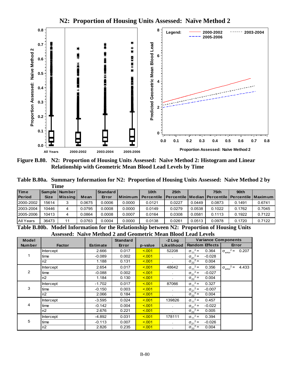

**N2: Proportion of Housing Units Assessed: Naïve Method 2** 

**Figure B.80. N2: Proportion of Housing Units Assessed: Naïve Method 2: Histogram and Linear Relationship with Geometric Mean Blood Lead Levels by Time** 

**Table B.80a. Summary Information for N2: Proportion of Housing Units Assessed: Naïve Method 2 by Time** 

| <b>Time</b>   |             | Sample   Number |        | Standard |           | 10 <sub>th</sub>  | 25th                                                    |        | 75th   | 90 <sub>th</sub> |        |
|---------------|-------------|-----------------|--------|----------|-----------|-------------------|---------------------------------------------------------|--------|--------|------------------|--------|
| <b>Period</b> | <b>Size</b> | <b>Missing</b>  | Mean   | Error    | I Minimum | <b>Percentile</b> | Percentile   Median   Percentile   Percentile   Maximum |        |        |                  |        |
| 2000-2002     | 15614       | 3               | 0.0675 | 0.0006   | 0.0000    | 0.0121            | 0.0227                                                  | 0.0449 | 0.0873 | 0.1491           | 0.6741 |
| 2003-2004     | 10446       | 4               | 0.0795 | 0.0008   | 0.0000    | 0.0149            | 0.0279                                                  | 0.0538 | 0.1022 | 0.1762           | 0.7045 |
| 2005-2006     | 10413       | 4               | 0.0864 | 0.0008   | 0.0007    | 0.0164            | 0.0308                                                  | 0.0581 | 0.1113 | 0.1922           | 0.7122 |
| All Years     | 36473       | 11              | 0.0763 | 0.0004   | 0.0000    | 0.0138            | 0.0261                                                  | 0.0513 | 0.0978 | 0.1720           | 0.7122 |

**Table B.80b. Model Information for the Relationship between N2: Proportion of Housing Units Assessed: Naïve Method 2 and Geometric Mean Blood Lead Levels** 

| <b>Model</b>  |               |                 | <b>Standard</b> |         | $-2$ Log     | <b>Variance Components</b>         |                                             |
|---------------|---------------|-----------------|-----------------|---------|--------------|------------------------------------|---------------------------------------------|
| <b>Number</b> | <b>Factor</b> | <b>Estimate</b> | Error           | p-value | Likelihood   | <b>Random Effects</b>              | Error                                       |
|               | Intercept     | 2.666           | 0.017           | < 0.01  | 52208        | $\sigma_{11}^2 =$<br>0.364         | $2 =$<br>0.207<br>$\sigma_{\text{error}}$   |
|               | time          | $-0.089$        | 0.002           | < 001   |              | $\sigma_{21}^2$ =<br>$-0.028$      |                                             |
|               | n2            | 1.188           | 0.131           | < 0.01  |              | $^{2}$ =<br>0.004<br>$\sigma_{22}$ |                                             |
|               | Intercept     | 2.654           | 0.017           | < 0.01  | 48642        | $\sigma_{11}^2$ =<br>0.356         | $2 =$<br>4.433<br>$\sigma_{\text{error}}^2$ |
| 2             | time          | $-0.088$        | 0.002           | < 001   |              | $\sigma_{21}^2$ =<br>$-0.027$      |                                             |
|               | n2            | 1.184           | 0.130           | < 0.01  |              | $^{2}$ =<br>0.004<br>$\sigma_{22}$ |                                             |
|               | Intercept     | $-1.702$        | 0.017           | < 0.01  | 87066        | $\sigma_{11}^2$ =<br>0.327         |                                             |
| 3             | time          | $-0.150$        | 0.003           | < 001   | $\mathbf{r}$ | $\sigma_{21}^2$ =<br>$-0.007$      |                                             |
|               | n2            | 2.066           | 0.184           | < 0.01  |              | $\sigma_{22}^2$ =<br>0.004         |                                             |
|               | Intercept     | $-3.595$        | 0.024           | < 0.01  | 139826       | $\sigma_{11}^2$ =<br>0.457         |                                             |
| 4             | time          | $-0.142$        | 0.004           | < 0.01  | $\mathbf{r}$ | $\sigma_{21}^2$ =<br>$-0.022$      |                                             |
|               | n2            | 2.676           | 0.221           | < 0.01  |              | $\sigma_{22}^2$ =<br>0.005         |                                             |
|               | Intercept     | $-4.892$        | 0.031           | < 0.01  | 178111       | $\sigma_{11}^2$ =<br>0.394         |                                             |
| 5             | time          | $-0.113$        | 0.007           | < 001   |              | $\sigma_{21}^2$ =<br>$-0.026$      |                                             |
|               | n2            | 2.826           | 0.235           | < 0.01  |              | $\sigma_{22}^2$ =<br>0.004         |                                             |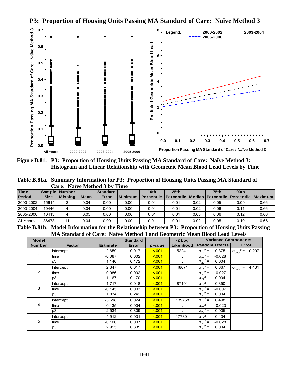

**P3: Proportion of Housing Units Passing MA Standard of Care: Naïve Method 3**

**Figure B.81. P3: Proportion of Housing Units Passing MA Standard of Care: Naïve Method 3: Histogram and Linear Relationship with Geometric Mean Blood Lead Levels by Time** 

**Table B.81a. Summary Information for P3: Proportion of Housing Units Passing MA Standard of Care: Naïve Method 3 by Time** 

| <b>Time</b>      |             | Sample   Number |      | Standard |         | 10 <sub>th</sub>  | 25th                                                    |      | 75th | 90 <sub>th</sub> |      |
|------------------|-------------|-----------------|------|----------|---------|-------------------|---------------------------------------------------------|------|------|------------------|------|
| <b>Period</b>    | <b>Size</b> | <b>Missing</b>  | Mean | Error    | Minimum | <b>Percentile</b> | Percentile   Median   Percentile   Percentile   Maximum |      |      |                  |      |
| 2000-2002        | 15614       |                 | 0.04 | 0.00     | 0.00    | 0.01              | 0.01                                                    | 0.02 | 0.05 | 0.09             | 0.66 |
| 2003-2004        | 10446       | 4               | 0.04 | 0.00     | 0.00    | 0.01              | 0.01                                                    | 0.02 | 0.06 | 0.11             | 0.66 |
| 2005-2006        | 10413       | 4               | 0.05 | 0.00     | 0.00    | 0.01              | 0.01                                                    | 0.03 | 0.06 | 0.12             | 0.66 |
| <b>All Years</b> | 36473       | 11              | 0.04 | 0.00     | 0.00    | 0.01              | 0.01                                                    | 0.02 | 0.05 | 0.10             | 0.66 |

**Table B.81b. Model Information for the Relationship between P3: Proportion of Housing Units Passing MA Standard of Care: Naïve Method 3 and Geometric Mean Blood Lead Levels**

| <b>Model</b>  |               |                 | <b>Standard</b> |         | $-2$ Log   |                       |          | <b>Variance Components</b>  |       |
|---------------|---------------|-----------------|-----------------|---------|------------|-----------------------|----------|-----------------------------|-------|
| <b>Number</b> | <b>Factor</b> | <b>Estimate</b> | Error           | p-value | Likelihood | <b>Random Effects</b> |          | Error                       |       |
|               | Intercept     | 2.659           | 0.017           | 5.001   | 52241      | $\sigma_{11}^2$ =     | 0.375    | $\sigma_{\text{error}}^2$ = | 0.207 |
| 1             | time          | $-0.087$        | 0.002           | < 0.01  | $\sim$     | $\sigma_{21}^2$ =     | $-0.028$ |                             |       |
|               | p3            | 1.146           | 0.172           | < 0.01  |            | $\sigma_{22}^2$ =     | 0.004    |                             |       |
|               | Intercept     | 2.647           | 0.017           | 5.001   | 48671      | $\sigma_{11}^2$ =     | 0.367    | $\sigma_{\text{error}}^2$ = | 4.431 |
| 2             | time          | $-0.086$        | 0.002           | < 0.01  | $\bullet$  | $\sigma_{21}^2$ =     | $-0.027$ |                             |       |
|               | p3            | 1.167           | 0.170           | < 0.01  |            | $\sigma_{22}^2$ =     | 0.004    |                             |       |
|               | Intercept     | $-1.717$        | 0.018           | < 0.01  | 87101      | $\sigma_{11}^2$ =     | 0.350    |                             |       |
| 3             | time          | $-0.145$        | 0.003           | 5.001   | $\epsilon$ | $\sigma_{21}^2$ =     | $-0.007$ |                             |       |
|               | p3            | 1.834           | 0.242           | < 0.01  | $\epsilon$ | $\sigma_{22}^2$ =     | 0.004    |                             |       |
|               | Intercept     | $-3.618$        | 0.024           | < 0.01  | 139768     | $\sigma_{11}^2$ =     | 0.498    |                             |       |
| 4             | time          | $-0.135$        | 0.004           | < 0.01  |            | $\sigma_{21}^2$ =     | $-0.023$ |                             |       |
|               | p3            | 2.534           | 0.309           | < 0.01  | $\sim$     | $\sigma_{22}^2$ =     | 0.005    |                             |       |
|               | Intercept     | $-4.912$        | 0.031           | < 0.01  | 177801     | $\sigma_{11}^2$ =     | 0.434    |                             |       |
| 5             | time          | $-0.106$        | 0.007           | < 0.01  | $\cdot$    | $\sigma_{21}^2$ =     | $-0.028$ |                             |       |
|               | p3            | 2.995           | 0.335           | < 0.01  |            | $\sigma_{22}^2$ =     | 0.004    |                             |       |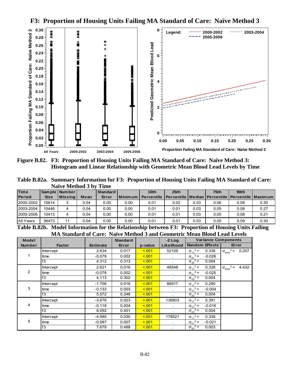**F3: Proportion of Housing Units Failing MA Standard of Care: Naïve Method 3**



**Figure B.82. F3: Proportion of Housing Units Failing MA Standard of Care: Naïve Method 3: Histogram and Linear Relationship with Geometric Mean Blood Lead Levels by Time** 

**Table B.82a. Summary Information for F3: Proportion of Housing Units Failing MA Standard of Care: Naïve Method 3 by Time** 

| <b>Time</b>   |             | Sample   Number |      | Standard |           | 10 <sub>th</sub>  | 25th                                                      |      | 75 <sub>th</sub> | 90 <sub>th</sub> |      |
|---------------|-------------|-----------------|------|----------|-----------|-------------------|-----------------------------------------------------------|------|------------------|------------------|------|
| <b>Period</b> | <b>Size</b> | Missinal        | Mean | Error    | l Minimum | <b>Percentile</b> | l Percentile   Median   Percentile   Percentile   Maximum |      |                  |                  |      |
| 2000-2002     | 15614       | 3               | 0.04 | 0.00     | 0.00      | 0.01              | 0.02                                                      | 0.03 | 0.06             | 0.09             | 0.30 |
| 2003-2004     | 10446       | 4               | 0.04 | 0.00     | 0.00      | 0.01              | 0.01                                                      | 0.03 | 0.05             | 0.08             | 0.27 |
| 2005-2006     | 10413       | 4               | 0.04 | 0.00     | 0.00      | 0.01              | 0.01                                                      | 0.03 | 0.05             | 0.08             | 0.21 |
| All Years     | 36473       | 11              | 0.04 | 0.00     | 0.00      | 0.01              | 0.01                                                      | 0.03 | 0.05             | 0.09             | 0.30 |

**Table B.82b. Model Information for the Relationship between F3: Proportion of Housing Units Failing MA Standard of Care: Naïve Method 3 and Geometric Mean Blood Lead Levels**

| <b>Model</b>  |                  |                 | <b>Standard</b> |         | $-2$ Log       | <b>Variance Components</b>    |                                               |
|---------------|------------------|-----------------|-----------------|---------|----------------|-------------------------------|-----------------------------------------------|
| <b>Number</b> | <b>Factor</b>    | <b>Estimate</b> | Error           | p-value | Likelihood     | <b>Random Effects</b>         | Error                                         |
|               | <b>Intercept</b> | 2.634           | 0.017           | < 0.01  | 52109          | $\sigma_{11}^2$ =<br>0.338    | $\sigma_{\text{error}}^2 = 0.207$             |
|               | time             | $-0.079$        | 0.002           | < 0.01  |                | $\sigma_{21}^2$ =<br>$-0.026$ |                                               |
|               | f3               | 4.312           | 0.313           | < 0.01  |                | $\sigma_{22}^2$ =<br>0.004    |                                               |
|               | <b>Intercept</b> | 2.621           | 0.016           | < 0.01  | 48548          | $\sigma_{11}^2$ =<br>0.328    | $\sqrt{2}$ = 4.432<br>$\sigma_{\text{error}}$ |
| 2             | time             | $-0.078$        | 0.002           | < 0.01  | $\sim 10^{-1}$ | $\sigma_{21}^2$ =<br>$-0.025$ |                                               |
|               | f3               | 4.113           | 0.302           | < 0.01  |                | $\sigma_{22}^2$ =<br>0.004    |                                               |
|               | <b>Intercept</b> | $-1.756$        | 0.016           | < 0.01  | 86917          | $\sigma_{11}^2$ =<br>0.290    |                                               |
| 3             | time             | $-0.133$        | 0.003           | < 0.01  |                | $\sigma_{21}^2$ =<br>$-0.004$ |                                               |
|               | f3               | 5.572           | 0.346           | < 0.01  |                | $\sigma_{22}^2$ =<br>0.004    |                                               |
|               | <b>Intercept</b> | $-3.678$        | 0.023           | < 0.01  | 139803         | $\sigma_{11}^2$ =<br>0.391    |                                               |
| 4             | time             | $-0.118$        | 0.004           | < 0.01  |                | $\sigma_{21}^2$ =<br>$-0.016$ |                                               |
|               | f3               | 8.092           | 0.451           | < 001   |                | $\sigma_{22}^2$ =<br>0.004    |                                               |
|               | <b>Intercept</b> | -4.985          | 0.030           | < 0.01  | 178521         | $\sigma_{11}^2$ =<br>0.339    |                                               |
| 5             | time             | $-0.087$        | 0.007           | < 0.01  |                | $\sigma_{21}^2$ =<br>$-0.021$ |                                               |
|               | f3               | 7.679           | 0.488           | < 0.01  |                | $\sigma_{22}^2$ =<br>0.003    |                                               |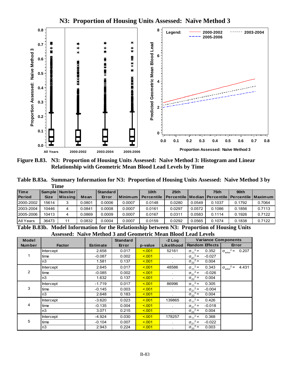

**N3: Proportion of Housing Units Assessed: Naïve Method 3**

**Figure B.83. N3: Proportion of Housing Units Assessed: Naïve Method 3: Histogram and Linear Relationship with Geometric Mean Blood Lead Levels by Time** 

**Table B.83a. Summary Information for N3: Proportion of Housing Units Assessed: Naïve Method 3 by Time** 

| <b>Time</b>   |             | Sample   Number |        | l Standard |                | 10 <sub>th</sub>  | 25 <sub>th</sub>                                          |        | 75th   | 90th   |        |
|---------------|-------------|-----------------|--------|------------|----------------|-------------------|-----------------------------------------------------------|--------|--------|--------|--------|
| <b>Period</b> | <b>Size</b> | <b>Missing</b>  | Mean   | Error      | <b>Minimum</b> | <b>Percentile</b> | l Percentile   Median   Percentile   Percentile   Maximum |        |        |        |        |
| 2000-2002     | 15614       | 3               | 0.0801 | 0.0006     | 0.0007         | 0.0148            | 0.0280                                                    | 0.0549 | 0.1037 | 0.1792 | 0.7064 |
| 2003-2004     | 10446       | 4               | 0.0841 | 0.0008     | 0.0007         | 0.0161            | 0.0297                                                    | 0.0572 | 0.1086 | 0.1856 | 0.7113 |
| 2005-2006     | 10413       | 4               | 0.0869 | 0.0009     | 0.0007         | 0.0167            | 0.0311                                                    | 0.0583 | 0.1114 | 0.1926 | 0.7122 |
| All Years     | 36473       | 11              | 0.0832 | 0.0004     | 0.0007         | 0.0159            | 0.0292                                                    | 0.0565 | 0.1074 | 0.1838 | 0.7122 |

**Table B.83b. Model Information for the Relationship between N3: Proportion of Housing Units Assessed: Naïve Method 3 and Geometric Mean Blood Lead Levels** 

| <b>Model</b>  |               |                 | <b>Standard</b> |         | $-2$ Log       | <b>Variance Components</b>    |                                      |
|---------------|---------------|-----------------|-----------------|---------|----------------|-------------------------------|--------------------------------------|
| <b>Number</b> | <b>Factor</b> | <b>Estimate</b> | Error           | p-value | Likelihood     | <b>Random Effects</b>         | Error                                |
|               | Intercept     | 2.658           | 0.017           | < 0.01  | 52161          | $\sigma_{11}^2$ =<br>0.352    | $\sigma_{\text{error}}^2$ =<br>0.207 |
|               | time          | $-0.087$        | 0.002           | < 0.01  | $\mathbf{r}$   | $\sigma_{21}^2$ =<br>$-0.027$ |                                      |
|               | n3            | 1.581           | 0.137           | < 0.01  |                | $\sigma_{22}^2$ =<br>0.004    |                                      |
|               | Intercept     | 2.645           | 0.017           | < 001   | 48586          | $\sigma_{11}^2$ =<br>0.343    | $\sigma_{\text{error}}^2$ =<br>4.431 |
| 2             | time          | $-0.085$        | 0.002           | < 001   | $\mathbf{r}$   | $\sigma_{21}^2$ =<br>$-0.026$ |                                      |
|               | n3            | 1.632           | 0.137           | < 0.01  |                | $\sigma_{22}^2$ =<br>0.004    |                                      |
|               | Intercept     | $-1.719$        | 0.017           | < 0.01  | 86996          | $\sigma_{11}^2$ =<br>0.305    |                                      |
| 3             | time          | $-0.145$        | 0.003           | < 001   | $\blacksquare$ | $\sigma_{21}^2$ =<br>$-0.004$ |                                      |
|               | n3            | 2.648           | 0.183           | < 0.01  |                | $\sigma_{22}^2$ =<br>0.004    |                                      |
|               | Intercept     | $-3.620$        | 0.023           | < 0.01  | 139865         | $\sigma_{11}^2$ =<br>0.426    |                                      |
| 4             | time          | $-0.135$        | 0.004           | < 001   | $\mathbf{r}$   | $\sigma_{21}^2$ =<br>$-0.018$ |                                      |
|               | n3            | 3.071           | 0.215           | < 0.01  |                | $\sigma_{22}^2$ =<br>0.004    |                                      |
|               | Intercept     | $-4.924$        | 0.030           | < 0.01  | 178257         | $\sigma_{11}^2$ =<br>0.368    |                                      |
| 5             | time          | $-0.104$        | 0.007           | < 0.01  | $\mathbf{r}$   | $\sigma_{21}^2$ =<br>$-0.022$ |                                      |
|               | n3            | 2.943           | 0.224           | < 0.01  |                | $\sigma_{22}^2$ =<br>0.003    |                                      |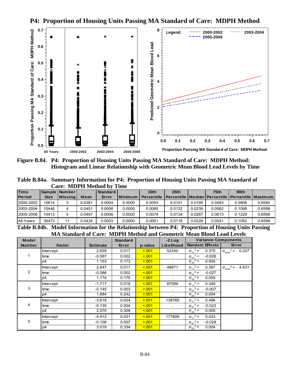

**P4: Proportion of Housing Units Passing MA Standard of Care: MDPH Method** 

**Figure B.84. P4: Proportion of Housing Units Passing MA Standard of Care: MDPH Method: Histogram and Linear Relationship with Geometric Mean Blood Lead Levels by Time** 

**Table B.84a. Summary Information for P4: Proportion of Housing Units Passing MA Standard of Care: MDPH Method by Time** 

| <b>Time</b>   |             | Sample   Number |        | Standard |           | 10 <sub>th</sub>  | 25th                                                      |        | 75 <sub>th</sub> | 90 <sub>th</sub> |        |
|---------------|-------------|-----------------|--------|----------|-----------|-------------------|-----------------------------------------------------------|--------|------------------|------------------|--------|
| <b>Period</b> | <b>Size</b> | <b>Missing</b>  | Mean   | Error    | l Minimum | <b>Percentile</b> | l Percentile   Median   Percentile   Percentile   Maximum |        |                  |                  |        |
| 2000-2002     | 15614       |                 | 0.0381 | 0.0004   | 0.0000    | 0.0053            | 0.0101                                                    | 0.0195 | 0.0483           | 0.0906           | 0.6582 |
| 2003-2004     | 10446       | 4               | 0.0451 | 0.0006   | 0.0000    | 0.0065            | 0.0122                                                    | 0.0239 | 0.0562           | 0.1098           | 0.6598 |
| 2005-2006     | 10413       | 4               | 0.0497 | 0.0006   | 0.0000    | 0.0074            | 0.0134                                                    | 0.0267 | 0.0613           | 0.1229           | 0.6598 |
| All Years     | 36473       | 11              | 0.0434 | 0.0003   | 0.0000    | 0.0061            | 0.0116                                                    | 0.0228 | 0.0541           | 0.1052           | 0.6598 |

**Table B.84b. Model Information for the Relationship between P4: Proportion of Housing Units Passing MA Standard of Care: MDPH Method and Geometric Mean Blood Lead Levels**

| <b>Model</b>  |                  |                 | <b>Standard</b> |         | $-2$ Log       | <b>Variance Components</b>    |                                           |
|---------------|------------------|-----------------|-----------------|---------|----------------|-------------------------------|-------------------------------------------|
| <b>Number</b> | <b>Factor</b>    | <b>Estimate</b> | Error           | p-value | Likelihood     | <b>Random Effects</b>         | Error                                     |
|               | <b>Intercept</b> | 2.659           | 0.017           | < 0.01  | 52240          | $\sigma_{11}^2 =$<br>0.375    | $2 =$<br>0.207<br>$\sigma_{\text{error}}$ |
|               | time             | $-0.087$        | 0.002           | < 0.01  | $\sim$         | $\sigma_{21}^2$ =<br>$-0.028$ |                                           |
|               | p4               | 1.153           | 0.173           | < 0.01  |                | $\sigma_{22}^2$ =<br>0.004    |                                           |
|               | <b>Intercept</b> | 2.647           | 0.017           | < 0.01  | 48671          | $\sigma_{11}^2$ =<br>0.367    | $2 =$<br>4.431<br>$\sigma_{\text{error}}$ |
| 2             | time             | $-0.086$        | 0.002           | < 0.01  | $\sim$         | $\sigma_{21}^2$ =<br>$-0.027$ |                                           |
|               | p4               | 1.174           | 0.170           | < 0.01  | $\bullet$      | $\sigma_{22}^2$ =<br>0.004    |                                           |
|               | <b>Intercept</b> | $-1.717$        | 0.018           | < 0.01  | 87099          | $\sigma_{11}^2$ =<br>0.349    |                                           |
| 3             | time             | $-0.145$        | 0.003           | < 0.01  |                | $\sigma_{21}^2$ =<br>$-0.007$ |                                           |
|               | p4               | 1.884           | 0.242           | < 0.01  | $\sim$         | $\sigma_{22}^2$ =<br>0.004    |                                           |
|               | <b>Intercept</b> | $-3.618$        | 0.024           | < 0.01  | 139769         | $\sigma_{11}^2$ =<br>0.496    |                                           |
| 4             | time             | $-0.135$        | 0.004           | < 0.01  |                | $\sigma_{21}^2 =$<br>$-0.023$ |                                           |
|               | p4               | 2.570           | 0.309           | < 0.01  | $\blacksquare$ | $\sigma_{22}^2$ =<br>0.005    |                                           |
|               | Intercept        | $-4.912$        | 0.031           | < 0.01  | 177809         | $\sigma_{11}^2$ =<br>0.433    |                                           |
| 5             | time             | $-0.106$        | 0.007           | < 0.01  |                | $\sigma_{21}^2$ =<br>$-0.028$ |                                           |
|               | p4               | 3.019           | 0.334           | < 0.01  |                | $\sigma_{22}^2$ =<br>0.004    |                                           |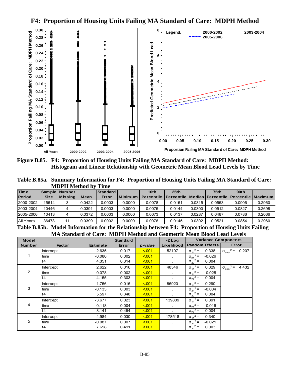**F4: Proportion of Housing Units Failing MA Standard of Care: MDPH Method** 



**Figure B.85. F4: Proportion of Housing Units Failing MA Standard of Care: MDPH Method: Histogram and Linear Relationship with Geometric Mean Blood Lead Levels by Time** 

**Table B.85a. Summary Information for F4: Proportion of Housing Units Failing MA Standard of Care: MDPH Method by Time** 

| <b>Time</b>   |             | Sample   Number |        | Standard |                 | 10th              | 25th                                                      |        | 75 <sub>th</sub> | 90 <sub>th</sub> |        |
|---------------|-------------|-----------------|--------|----------|-----------------|-------------------|-----------------------------------------------------------|--------|------------------|------------------|--------|
| <b>Period</b> | <b>Size</b> | <b>Missing</b>  | Mean   | Error    | <b>IMinimum</b> | <b>Percentile</b> | l Percentile   Median   Percentile   Percentile   Maximum |        |                  |                  |        |
| 2000-2002     | 15614       | 3               | 0.0422 | 0.0003   | 0.0000          | 0.0078            | 0.0151                                                    | 0.0315 | 0.0553           | 0.0906           | 0.2960 |
| 2003-2004     | 10446       | 4               | 0.0391 | 0.0003   | 0.0000          | 0.0075            | 0.0144                                                    | 0.0300 | 0.0512           | 0.0827           | 0.2698 |
| 2005-2006     | 10413       | 4               | 0.0372 | 0.0003   | 0.0000          | 0.0073            | 0.0137                                                    | 0.0287 | 0.0487           | 0.0786           | 0.2066 |
| All Years     | 36473       | 11              | 0.0399 | 0.0002   | 0.0000          | 0.0076            | 0.0145                                                    | 0.0302 | 0.0521           | 0.0854           | 0.2960 |

**Table B.85b. Model Information for the Relationship between F4: Proportion of Housing Units Failing MA Standard of Care: MDPH Method and Geometric Mean Blood Lead Levels**

| <b>Model</b>  |                  |                 | <b>Standard</b> |         | $-2$ Log       | <b>Variance Components</b>    |                                           |
|---------------|------------------|-----------------|-----------------|---------|----------------|-------------------------------|-------------------------------------------|
| <b>Number</b> | <b>Factor</b>    | <b>Estimate</b> | Error           | p-value | Likelihood     | <b>Random Effects</b>         | Error                                     |
|               | <b>Intercept</b> | 2.635           | 0.017           | < 0.01  | 52107          | $\sigma_{11}^2 =$<br>0.338    | $2 =$<br>0.207<br>$\sigma_{\text{error}}$ |
|               | time             | $-0.080$        | 0.002           | < 0.01  | $\sim$         | $\sigma_{21}^2$ =<br>$-0.026$ |                                           |
|               | f <sub>4</sub>   | 4.351           | 0.314           | < 0.01  |                | $\sigma_{22}^2$ =<br>0.004    |                                           |
|               | <b>Intercept</b> | 2.622           | 0.016           | < 0.01  | 48546          | $\sigma_{11}^2$ =<br>0.329    | $2 =$<br>4.432<br>$\sigma_{\text{error}}$ |
| 2             | time             | $-0.078$        | 0.002           | < 0.01  | $\sim$         | $\sigma_{21}^2$ =<br>$-0.025$ |                                           |
|               | f <sub>4</sub>   | 4.155           | 0.303           | < 0.01  | $\bullet$      | $\sigma_{22}^2$ =<br>0.004    |                                           |
|               | <b>Intercept</b> | $-1.756$        | 0.016           | < 0.01  | 86920          | $\sigma_{11}^2$ =<br>0.290    |                                           |
| 3             | time             | $-0.133$        | 0.003           | < 0.01  |                | $\sigma_{21}^2$ =<br>$-0.004$ |                                           |
|               | f4               | 5.597           | 0.348           | < 0.01  | $\sim$         | $\sigma_{22}^2$ =<br>0.004    |                                           |
|               | <b>Intercept</b> | $-3.677$        | 0.023           | < 0.01  | 139809         | $\sigma_{11}^2$ =<br>0.391    |                                           |
| 4             | time             | $-0.118$        | 0.004           | < 0.01  |                | $\sigma_{21}^2 =$<br>$-0.016$ |                                           |
|               | f4               | 8.141           | 0.454           | < 0.01  | $\blacksquare$ | $\sigma_{22}^2$ =<br>0.004    |                                           |
|               | Intercept        | $-4.984$        | 0.030           | < 0.01  | 178518         | $\sigma_{11}^2$ =<br>0.340    |                                           |
| 5             | time             | $-0.087$        | 0.007           | < 0.01  |                | $\sigma_{21}^2$ =<br>$-0.021$ |                                           |
|               | f <sub>4</sub>   | 7.698           | 0.491           | < 0.01  |                | $\sigma_{22}^2$ =<br>0.003    |                                           |